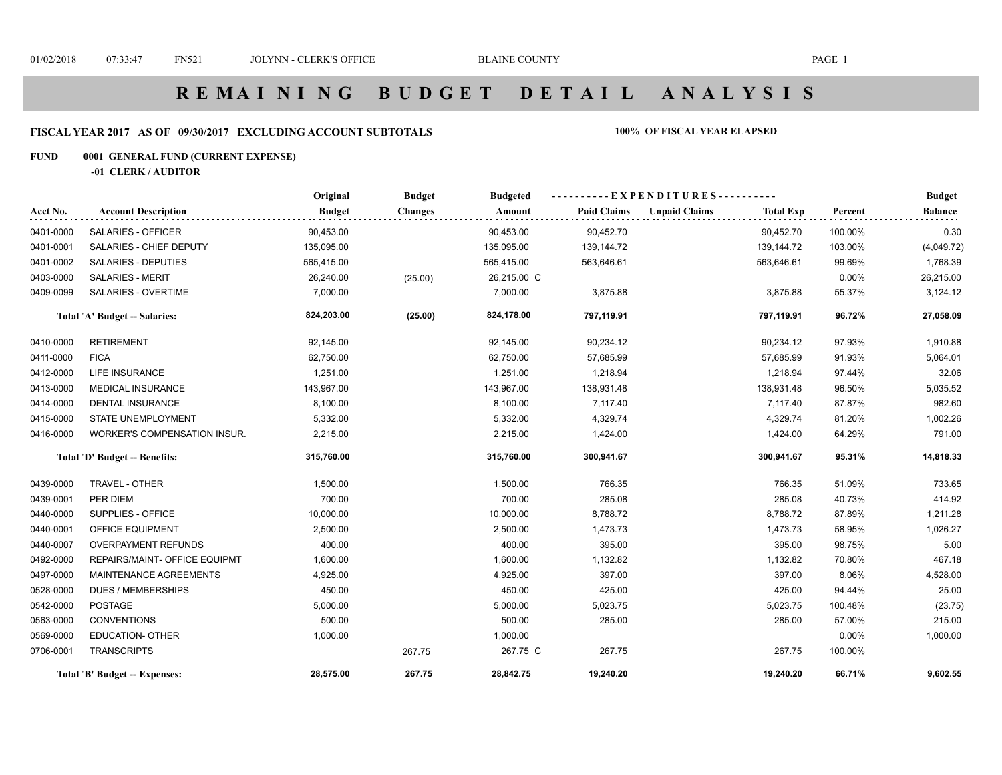## **FISCAL YEAR 2017 AS OF 09/30/2017 EXCLUDING ACCOUNT SUBTOTALS 100% OF FISCAL YEAR ELAPSED**

## **FUND 0001 GENERAL FUND (CURRENT EXPENSE)**

**-01 CLERK / AUDITOR**

|           |                                | Original      | <b>Budget</b>  | <b>Budgeted</b> |                    | ----------EXPENDITURES---------- |                  |          | <b>Budget</b>  |
|-----------|--------------------------------|---------------|----------------|-----------------|--------------------|----------------------------------|------------------|----------|----------------|
| Acct No.  | <b>Account Description</b>     | <b>Budget</b> | <b>Changes</b> | Amount          | <b>Paid Claims</b> | <b>Unpaid Claims</b>             | <b>Total Exp</b> | Percent  | <b>Balance</b> |
| 0401-0000 | SALARIES - OFFICER             | 90,453.00     |                | 90,453.00       | 90,452.70          |                                  | 90,452.70        | 100.00%  | 0.30           |
| 0401-0001 | <b>SALARIES - CHIEF DEPUTY</b> | 135,095.00    |                | 135,095.00      | 139,144.72         |                                  | 139,144.72       | 103.00%  | (4,049.72)     |
| 0401-0002 | <b>SALARIES - DEPUTIES</b>     | 565,415.00    |                | 565,415.00      | 563,646.61         |                                  | 563,646.61       | 99.69%   | 1,768.39       |
| 0403-0000 | <b>SALARIES - MERIT</b>        | 26,240.00     | (25.00)        | 26,215.00 C     |                    |                                  |                  | $0.00\%$ | 26,215.00      |
| 0409-0099 | SALARIES - OVERTIME            | 7,000.00      |                | 7,000.00        | 3,875.88           |                                  | 3,875.88         | 55.37%   | 3,124.12       |
|           | Total 'A' Budget -- Salaries:  | 824,203.00    | (25.00)        | 824,178.00      | 797,119.91         |                                  | 797,119.91       | 96.72%   | 27,058.09      |
| 0410-0000 | <b>RETIREMENT</b>              | 92,145.00     |                | 92,145.00       | 90,234.12          |                                  | 90,234.12        | 97.93%   | 1,910.88       |
| 0411-0000 | <b>FICA</b>                    | 62,750.00     |                | 62,750.00       | 57,685.99          |                                  | 57,685.99        | 91.93%   | 5,064.01       |
| 0412-0000 | <b>LIFE INSURANCE</b>          | 1,251.00      |                | 1,251.00        | 1,218.94           |                                  | 1,218.94         | 97.44%   | 32.06          |
| 0413-0000 | <b>MEDICAL INSURANCE</b>       | 143,967.00    |                | 143,967.00      | 138,931.48         |                                  | 138,931.48       | 96.50%   | 5,035.52       |
| 0414-0000 | <b>DENTAL INSURANCE</b>        | 8,100.00      |                | 8,100.00        | 7,117.40           |                                  | 7,117.40         | 87.87%   | 982.60         |
| 0415-0000 | <b>STATE UNEMPLOYMENT</b>      | 5,332.00      |                | 5,332.00        | 4,329.74           |                                  | 4,329.74         | 81.20%   | 1,002.26       |
| 0416-0000 | WORKER'S COMPENSATION INSUR.   | 2,215.00      |                | 2,215.00        | 1,424.00           |                                  | 1,424.00         | 64.29%   | 791.00         |
|           | Total 'D' Budget -- Benefits:  | 315,760.00    |                | 315,760.00      | 300,941.67         |                                  | 300,941.67       | 95.31%   | 14,818.33      |
| 0439-0000 | TRAVEL - OTHER                 | 1,500.00      |                | 1,500.00        | 766.35             |                                  | 766.35           | 51.09%   | 733.65         |
| 0439-0001 | PER DIEM                       | 700.00        |                | 700.00          | 285.08             |                                  | 285.08           | 40.73%   | 414.92         |
| 0440-0000 | SUPPLIES - OFFICE              | 10,000.00     |                | 10,000.00       | 8,788.72           |                                  | 8,788.72         | 87.89%   | 1,211.28       |
| 0440-0001 | OFFICE EQUIPMENT               | 2,500.00      |                | 2,500.00        | 1,473.73           |                                  | 1,473.73         | 58.95%   | 1,026.27       |
| 0440-0007 | <b>OVERPAYMENT REFUNDS</b>     | 400.00        |                | 400.00          | 395.00             |                                  | 395.00           | 98.75%   | 5.00           |
| 0492-0000 | REPAIRS/MAINT- OFFICE EQUIPMT  | 1,600.00      |                | 1,600.00        | 1,132.82           |                                  | 1,132.82         | 70.80%   | 467.18         |
| 0497-0000 | MAINTENANCE AGREEMENTS         | 4,925.00      |                | 4,925.00        | 397.00             |                                  | 397.00           | 8.06%    | 4,528.00       |
| 0528-0000 | <b>DUES / MEMBERSHIPS</b>      | 450.00        |                | 450.00          | 425.00             |                                  | 425.00           | 94.44%   | 25.00          |
| 0542-0000 | <b>POSTAGE</b>                 | 5,000.00      |                | 5,000.00        | 5,023.75           |                                  | 5,023.75         | 100.48%  | (23.75)        |
| 0563-0000 | <b>CONVENTIONS</b>             | 500.00        |                | 500.00          | 285.00             |                                  | 285.00           | 57.00%   | 215.00         |
| 0569-0000 | <b>EDUCATION- OTHER</b>        | 1,000.00      |                | 1,000.00        |                    |                                  |                  | 0.00%    | 1,000.00       |
| 0706-0001 | <b>TRANSCRIPTS</b>             |               | 267.75         | 267.75 C        | 267.75             |                                  | 267.75           | 100.00%  |                |
|           | Total 'B' Budget -- Expenses:  | 28,575.00     | 267.75         | 28,842.75       | 19,240.20          |                                  | 19,240.20        | 66.71%   | 9,602.55       |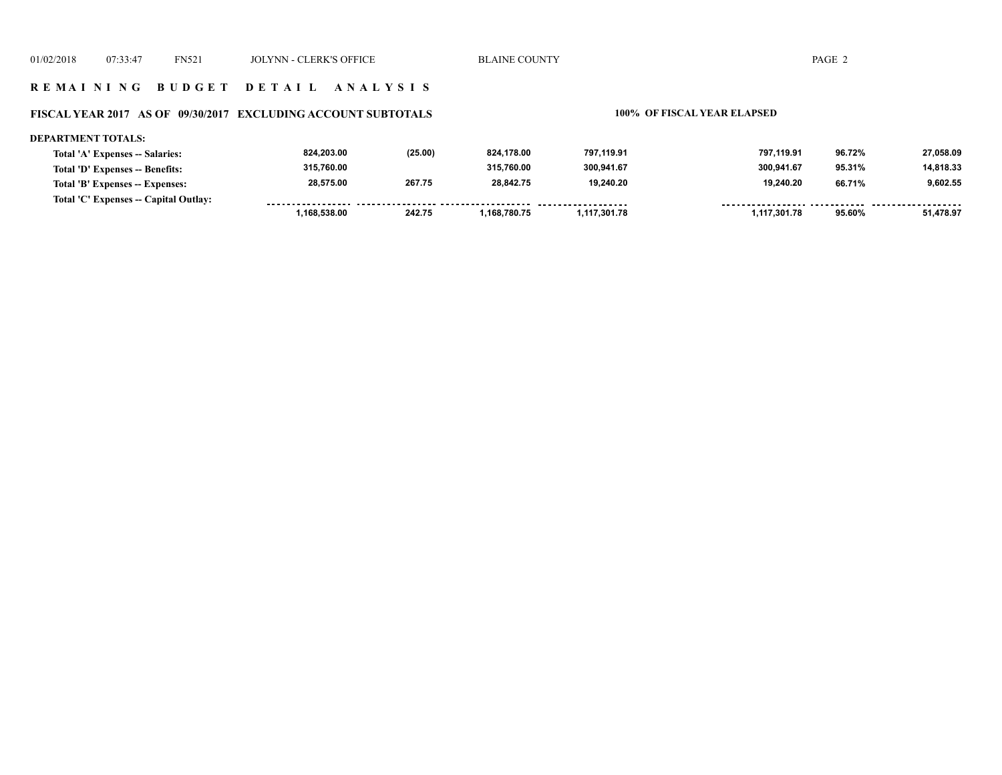### **FISCAL YEAR 2017 AS OF 09/30/2017 EXCLUDING ACCOUNT SUBTOTALS 100% OF FISCAL YEAR ELAPSED**

#### **DEPARTMENT TOTALS: 824,203.00 (25.00) 824,178.00 797,119.91 797,119.91 96.72% 27,058.09 Total 'A' Expenses -- Salaries: 315,760.00 315,760.00 300,941.67 300,941.67 14,818.33 Total 'D' Expenses -- Benefits: 95.31% 9,602.55 28,575.00 267.75 28,842.75 19,240.20 19,240.20 66.71% Total 'B' Expenses -- Expenses: Total 'C' Expenses -- Capital Outlay:** ------------------.........  $1.1.1.1.1$ . . . . . . . ------- -------- **1,168,538.00 242.75 1,168,780.75 1,117,301.78 1,117,301.78 95.60% 51,478.97**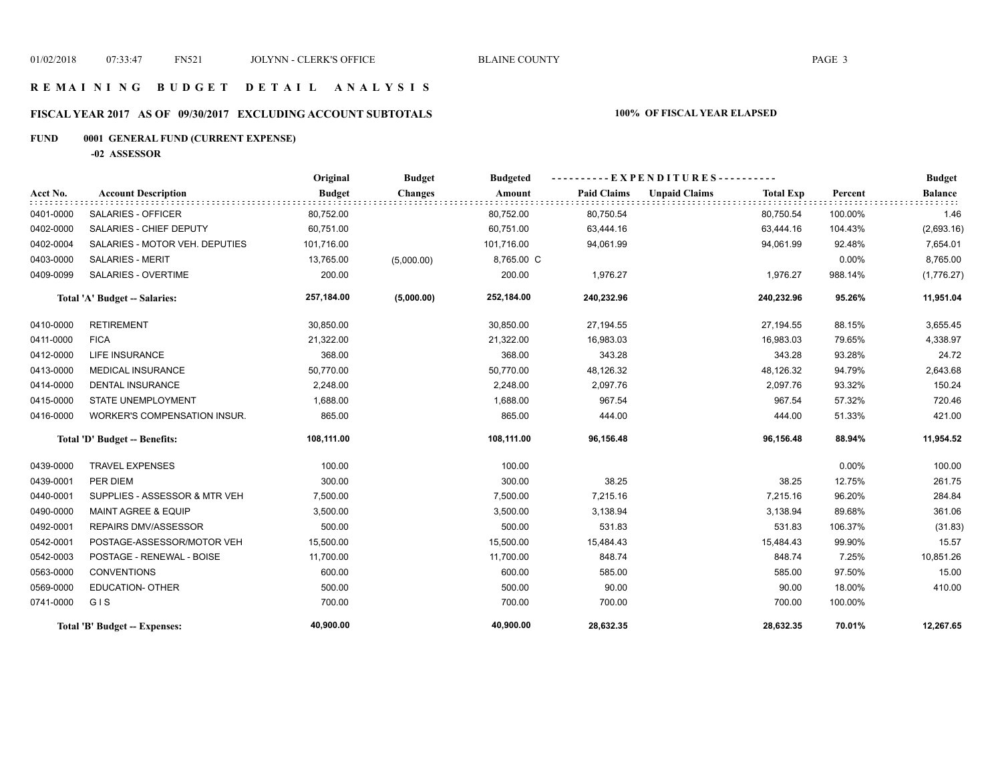## **R E M A I N I N G B U D G E T D E T A I L A N A L Y S I S**

# **FISCAL YEAR 2017 AS OF 09/30/2017 EXCLUDING ACCOUNT SUBTOTALS 100% OF FISCAL YEAR ELAPSED**

# **FUND 0001 GENERAL FUND (CURRENT EXPENSE)**

**-02 ASSESSOR**

|           |                                     | Original      | <b>Budget</b>  | <b>Budgeted</b> |                    | EXPENDITURES---------- |                  |          | <b>Budget</b>  |
|-----------|-------------------------------------|---------------|----------------|-----------------|--------------------|------------------------|------------------|----------|----------------|
| Acct No.  | <b>Account Description</b>          | <b>Budget</b> | <b>Changes</b> | Amount          | <b>Paid Claims</b> | <b>Unpaid Claims</b>   | <b>Total Exp</b> | Percent  | <b>Balance</b> |
| 0401-0000 | SALARIES - OFFICER                  | 80,752.00     |                | 80,752.00       | 80,750.54          |                        | 80,750.54        | 100.00%  | 1.46           |
| 0402-0000 | SALARIES - CHIEF DEPUTY             | 60,751.00     |                | 60,751.00       | 63,444.16          |                        | 63,444.16        | 104.43%  | (2,693.16)     |
| 0402-0004 | SALARIES - MOTOR VEH. DEPUTIES      | 101,716.00    |                | 101,716.00      | 94,061.99          |                        | 94,061.99        | 92.48%   | 7,654.01       |
| 0403-0000 | <b>SALARIES - MERIT</b>             | 13,765.00     | (5,000.00)     | 8,765.00 C      |                    |                        |                  | 0.00%    | 8,765.00       |
| 0409-0099 | SALARIES - OVERTIME                 | 200.00        |                | 200.00          | 1,976.27           |                        | 1,976.27         | 988.14%  | (1,776.27)     |
|           | Total 'A' Budget -- Salaries:       | 257,184.00    | (5,000.00)     | 252,184.00      | 240,232.96         |                        | 240,232.96       | 95.26%   | 11,951.04      |
| 0410-0000 | <b>RETIREMENT</b>                   | 30,850.00     |                | 30,850.00       | 27,194.55          |                        | 27,194.55        | 88.15%   | 3,655.45       |
| 0411-0000 | <b>FICA</b>                         | 21,322.00     |                | 21,322.00       | 16,983.03          |                        | 16,983.03        | 79.65%   | 4,338.97       |
| 0412-0000 | <b>LIFE INSURANCE</b>               | 368.00        |                | 368.00          | 343.28             |                        | 343.28           | 93.28%   | 24.72          |
| 0413-0000 | <b>MEDICAL INSURANCE</b>            | 50,770.00     |                | 50,770.00       | 48,126.32          |                        | 48,126.32        | 94.79%   | 2,643.68       |
| 0414-0000 | <b>DENTAL INSURANCE</b>             | 2,248.00      |                | 2,248.00        | 2,097.76           |                        | 2,097.76         | 93.32%   | 150.24         |
| 0415-0000 | <b>STATE UNEMPLOYMENT</b>           | 1,688.00      |                | 1,688.00        | 967.54             |                        | 967.54           | 57.32%   | 720.46         |
| 0416-0000 | <b>WORKER'S COMPENSATION INSUR.</b> | 865.00        |                | 865.00          | 444.00             |                        | 444.00           | 51.33%   | 421.00         |
|           | Total 'D' Budget -- Benefits:       | 108,111.00    |                | 108,111.00      | 96,156.48          |                        | 96,156.48        | 88.94%   | 11,954.52      |
| 0439-0000 | <b>TRAVEL EXPENSES</b>              | 100.00        |                | 100.00          |                    |                        |                  | $0.00\%$ | 100.00         |
| 0439-0001 | PER DIEM                            | 300.00        |                | 300.00          | 38.25              |                        | 38.25            | 12.75%   | 261.75         |
| 0440-0001 | SUPPLIES - ASSESSOR & MTR VEH       | 7,500.00      |                | 7,500.00        | 7,215.16           |                        | 7,215.16         | 96.20%   | 284.84         |
| 0490-0000 | <b>MAINT AGREE &amp; EQUIP</b>      | 3,500.00      |                | 3,500.00        | 3,138.94           |                        | 3,138.94         | 89.68%   | 361.06         |
| 0492-0001 | REPAIRS DMV/ASSESSOR                | 500.00        |                | 500.00          | 531.83             |                        | 531.83           | 106.37%  | (31.83)        |
| 0542-0001 | POSTAGE-ASSESSOR/MOTOR VEH          | 15,500.00     |                | 15,500.00       | 15,484.43          |                        | 15,484.43        | 99.90%   | 15.57          |
| 0542-0003 | POSTAGE - RENEWAL - BOISE           | 11,700.00     |                | 11,700.00       | 848.74             |                        | 848.74           | 7.25%    | 10,851.26      |
| 0563-0000 | <b>CONVENTIONS</b>                  | 600.00        |                | 600.00          | 585.00             |                        | 585.00           | 97.50%   | 15.00          |
| 0569-0000 | <b>EDUCATION- OTHER</b>             | 500.00        |                | 500.00          | 90.00              |                        | 90.00            | 18.00%   | 410.00         |
| 0741-0000 | GIS                                 | 700.00        |                | 700.00          | 700.00             |                        | 700.00           | 100.00%  |                |
|           | Total 'B' Budget -- Expenses:       | 40,900.00     |                | 40,900.00       | 28,632.35          |                        | 28,632.35        | 70.01%   | 12,267.65      |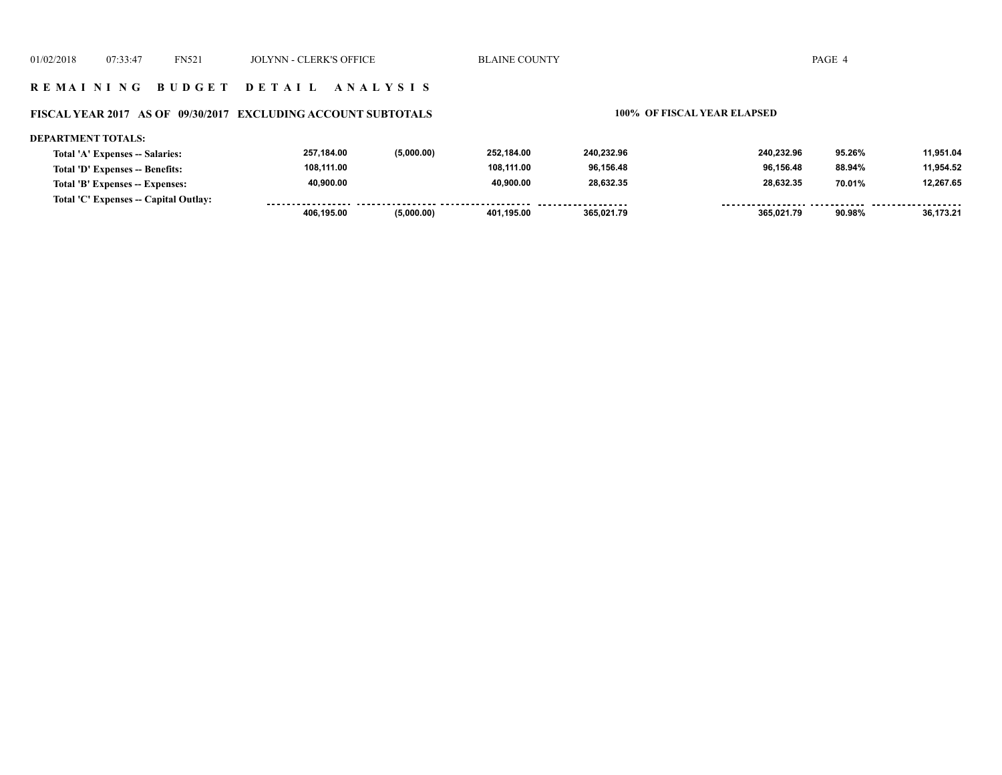### **R E M A I N I N G B U D G E T D E T A I L A N A L Y S I S**

### **FISCAL YEAR 2017 AS OF 09/30/2017 EXCLUDING ACCOUNT SUBTOTALS 100% OF FISCAL YEAR ELAPSED**

#### **DEPARTMENT TOTALS: 257,184.00 (5,000.00) 252,184.00 240,232.96 240,232.96 95.26% 11,951.04 Total 'A' Expenses -- Salaries: 108,111.00 108,111.00 96,156.48 96,156.48 11,954.52 Total 'D' Expenses -- Benefits: 88.94% 28,632.35 40,900.00 40,900.00 28,632.35 12,267.65 Total 'B' Expenses -- Expenses: 70.01% Total 'C' Expenses -- Capital Outlay:** -----------------.......... ................... -----------------*-*......... <u>.......... ......</u> <u>....... .........</u>  **406,195.00 (5,000.00) 401,195.00 365,021.79 365,021.79 90.98% 36,173.21**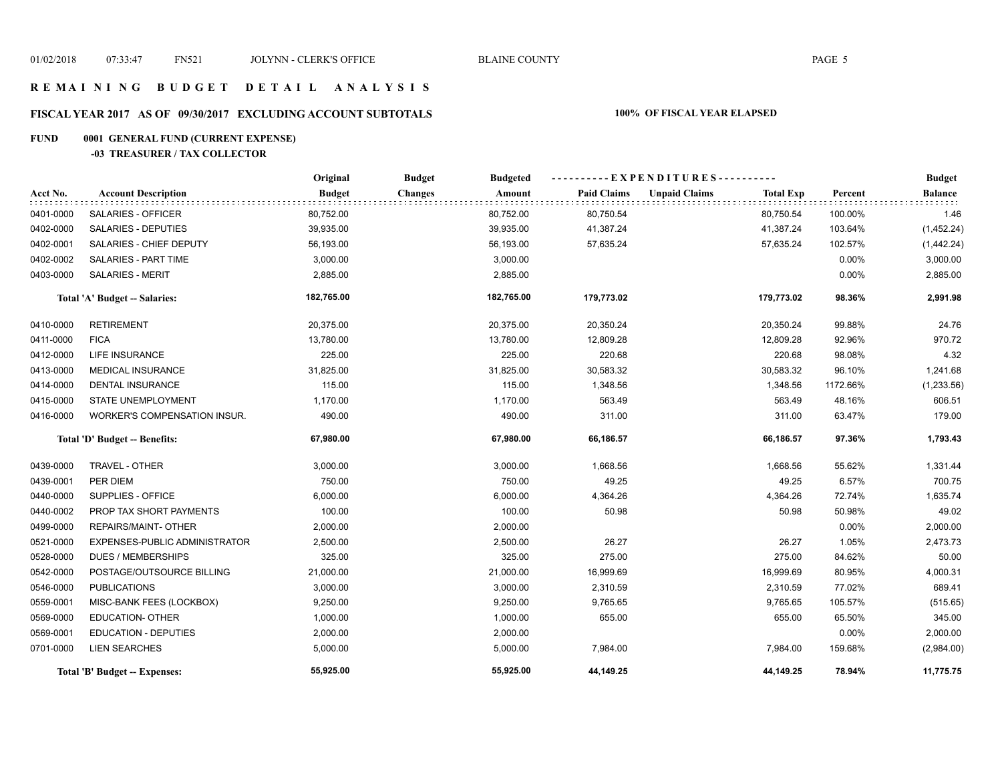## **R E M A I N I N G B U D G E T D E T A I L A N A L Y S I S**

# **FISCAL YEAR 2017 AS OF 09/30/2017 EXCLUDING ACCOUNT SUBTOTALS 100% OF FISCAL YEAR ELAPSED**

# **FUND 0001 GENERAL FUND (CURRENT EXPENSE)**

## **-03 TREASURER / TAX COLLECTOR**

|           |                               | Original      | <b>Budget</b><br><b>Budgeted</b> |                    | ----------EXPENDITURES----------         |          | <b>Budget</b>  |
|-----------|-------------------------------|---------------|----------------------------------|--------------------|------------------------------------------|----------|----------------|
| Acct No.  | <b>Account Description</b>    | <b>Budget</b> | <b>Changes</b><br>Amount         | <b>Paid Claims</b> | <b>Unpaid Claims</b><br><b>Total Exp</b> | Percent  | <b>Balance</b> |
| 0401-0000 | SALARIES - OFFICER            | 80,752.00     | 80,752.00                        | 80,750.54          | 80,750.54                                | 100.00%  | 1.46           |
| 0402-0000 | <b>SALARIES - DEPUTIES</b>    | 39,935.00     | 39,935.00                        | 41,387.24          | 41,387.24                                | 103.64%  | (1,452.24)     |
| 0402-0001 | SALARIES - CHIEF DEPUTY       | 56,193.00     | 56,193.00                        | 57,635.24          | 57,635.24                                | 102.57%  | (1,442.24)     |
| 0402-0002 | SALARIES - PART TIME          | 3,000.00      | 3,000.00                         |                    |                                          | 0.00%    | 3,000.00       |
| 0403-0000 | <b>SALARIES - MERIT</b>       | 2,885.00      | 2,885.00                         |                    |                                          | 0.00%    | 2,885.00       |
|           | Total 'A' Budget -- Salaries: | 182,765.00    | 182,765.00                       | 179,773.02         | 179,773.02                               | 98.36%   | 2,991.98       |
| 0410-0000 | <b>RETIREMENT</b>             | 20,375.00     | 20,375.00                        | 20,350.24          | 20,350.24                                | 99.88%   | 24.76          |
| 0411-0000 | <b>FICA</b>                   | 13,780.00     | 13,780.00                        | 12,809.28          | 12,809.28                                | 92.96%   | 970.72         |
| 0412-0000 | <b>LIFE INSURANCE</b>         | 225.00        | 225.00                           | 220.68             | 220.68                                   | 98.08%   | 4.32           |
| 0413-0000 | <b>MEDICAL INSURANCE</b>      | 31,825.00     | 31,825.00                        | 30,583.32          | 30,583.32                                | 96.10%   | 1,241.68       |
| 0414-0000 | <b>DENTAL INSURANCE</b>       | 115.00        | 115.00                           | 1,348.56           | 1,348.56                                 | 1172.66% | (1,233.56)     |
| 0415-0000 | STATE UNEMPLOYMENT            | 1,170.00      | 1,170.00                         | 563.49             | 563.49                                   | 48.16%   | 606.51         |
| 0416-0000 | WORKER'S COMPENSATION INSUR.  | 490.00        | 490.00                           | 311.00             | 311.00                                   | 63.47%   | 179.00         |
|           | Total 'D' Budget -- Benefits: | 67,980.00     | 67,980.00                        | 66,186.57          | 66,186.57                                | 97.36%   | 1,793.43       |
| 0439-0000 | <b>TRAVEL - OTHER</b>         | 3,000.00      | 3,000.00                         | 1,668.56           | 1,668.56                                 | 55.62%   | 1,331.44       |
| 0439-0001 | PER DIEM                      | 750.00        | 750.00                           | 49.25              | 49.25                                    | 6.57%    | 700.75         |
| 0440-0000 | SUPPLIES - OFFICE             | 6,000.00      | 6,000.00                         | 4,364.26           | 4,364.26                                 | 72.74%   | 1,635.74       |
| 0440-0002 | PROP TAX SHORT PAYMENTS       | 100.00        | 100.00                           | 50.98              | 50.98                                    | 50.98%   | 49.02          |
| 0499-0000 | <b>REPAIRS/MAINT- OTHER</b>   | 2,000.00      | 2,000.00                         |                    |                                          | 0.00%    | 2,000.00       |
| 0521-0000 | EXPENSES-PUBLIC ADMINISTRATOR | 2,500.00      | 2,500.00                         | 26.27              | 26.27                                    | 1.05%    | 2,473.73       |
| 0528-0000 | <b>DUES / MEMBERSHIPS</b>     | 325.00        | 325.00                           | 275.00             | 275.00                                   | 84.62%   | 50.00          |
| 0542-0000 | POSTAGE/OUTSOURCE BILLING     | 21,000.00     | 21,000.00                        | 16,999.69          | 16,999.69                                | 80.95%   | 4,000.31       |
| 0546-0000 | <b>PUBLICATIONS</b>           | 3,000.00      | 3,000.00                         | 2,310.59           | 2,310.59                                 | 77.02%   | 689.41         |
| 0559-0001 | MISC-BANK FEES (LOCKBOX)      | 9,250.00      | 9,250.00                         | 9,765.65           | 9,765.65                                 | 105.57%  | (515.65)       |
| 0569-0000 | <b>EDUCATION- OTHER</b>       | 1,000.00      | 1,000.00                         | 655.00             | 655.00                                   | 65.50%   | 345.00         |
| 0569-0001 | <b>EDUCATION - DEPUTIES</b>   | 2,000.00      | 2,000.00                         |                    |                                          | 0.00%    | 2,000.00       |
| 0701-0000 | <b>LIEN SEARCHES</b>          | 5,000.00      | 5,000.00                         | 7,984.00           | 7,984.00                                 | 159.68%  | (2,984.00)     |
|           | Total 'B' Budget -- Expenses: | 55,925.00     | 55,925.00                        | 44,149.25          | 44,149.25                                | 78.94%   | 11,775.75      |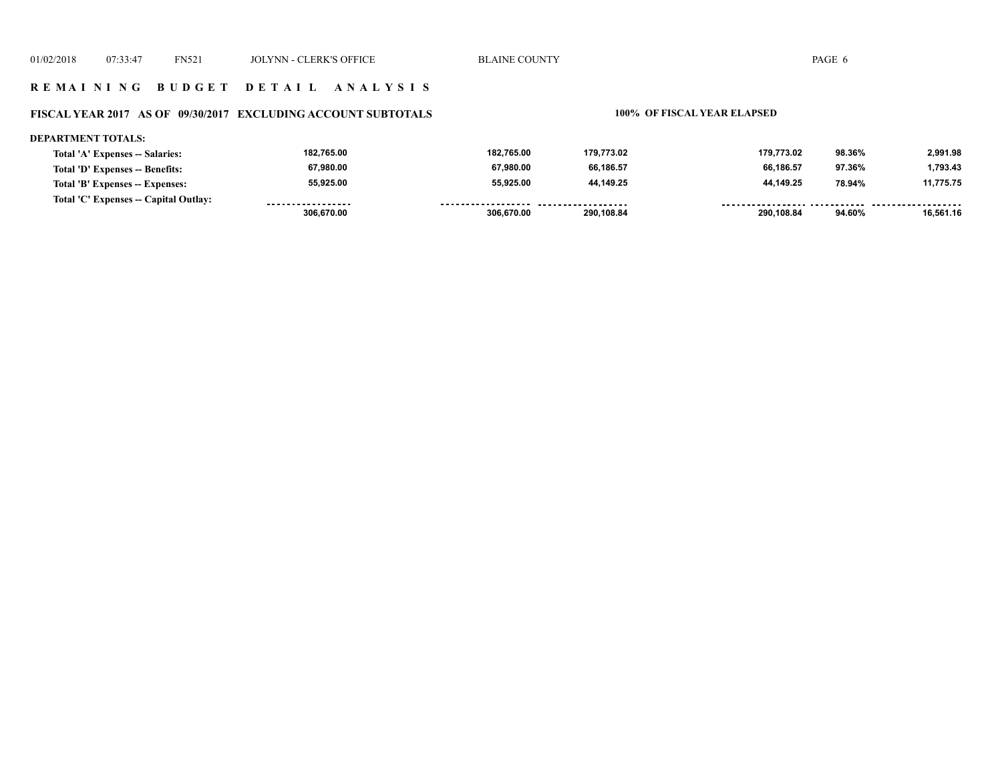## **FISCAL YEAR 2017 AS OF 09/30/2017 EXCLUDING ACCOUNT SUBTOTALS 100% OF FISCAL YEAR ELAPSED**

#### **DEPARTMENT TOTALS:**

| Total 'A' Expenses -- Salaries:       | 182,765.00        | 182,765.00          | 179,773.02          | 179.773.02 | 98.36% | 2,991.98  |
|---------------------------------------|-------------------|---------------------|---------------------|------------|--------|-----------|
| Total 'D' Expenses -- Benefits:       | 67,980.00         | 67,980.00           | 66.186.57           | 66.186.57  | 97.36% | 1,793.43  |
| Total 'B' Expenses -- Expenses:       | 55,925.00         | 55.925.00           | 44.149.25           | 44.149.25  | 78.94% | 11.775.75 |
| Total 'C' Expenses -- Capital Outlay: | ----------------- | ------------------- | ------------------- |            |        |           |
|                                       | 306.670.00        | 306.670.00          | 290.108.84          | 290.108.84 | 94.60% | 16.561.16 |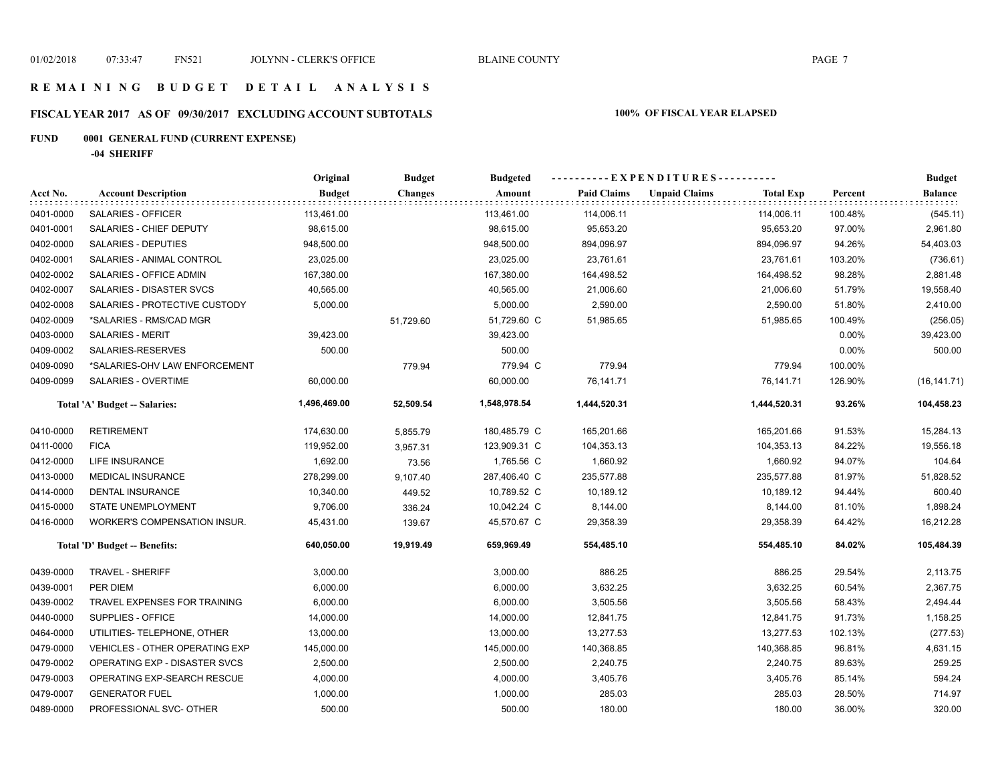# **FISCAL YEAR 2017 AS OF 09/30/2017 EXCLUDING ACCOUNT SUBTOTALS 100% OF FISCAL YEAR ELAPSED**

# **FUND 0001 GENERAL FUND (CURRENT EXPENSE)**

**-04 SHERIFF**

|           |                                       | Original      | <b>Budget</b>  | <b>Budgeted</b> |                    | ----------EXPENDITURES----------         | Percent<br>100.48%<br>97.00%<br>94.26%<br>103.20%<br>98.28%<br>51.79%<br>51.80%<br>100.49%<br>0.00%<br>0.00%<br>100.00%<br>126.90%<br>93.26%<br>91.53%<br>84.22%<br>94.07%<br>81.97%<br>94.44%<br>81.10%<br>64.42%<br>84.02% | <b>Budget</b>  |
|-----------|---------------------------------------|---------------|----------------|-----------------|--------------------|------------------------------------------|------------------------------------------------------------------------------------------------------------------------------------------------------------------------------------------------------------------------------|----------------|
| Acct No.  | <b>Account Description</b>            | <b>Budget</b> | <b>Changes</b> | Amount          | <b>Paid Claims</b> | <b>Unpaid Claims</b><br><b>Total Exp</b> |                                                                                                                                                                                                                              | <b>Balance</b> |
| 0401-0000 | SALARIES - OFFICER                    | 113,461.00    |                | 113,461.00      | 114,006.11         | 114,006.11                               |                                                                                                                                                                                                                              | (545.11)       |
| 0401-0001 | SALARIES - CHIEF DEPUTY               | 98,615.00     |                | 98,615.00       | 95,653.20          | 95,653.20                                |                                                                                                                                                                                                                              | 2,961.80       |
| 0402-0000 | SALARIES - DEPUTIES                   | 948,500.00    |                | 948,500.00      | 894,096.97         | 894,096.97                               |                                                                                                                                                                                                                              | 54,403.03      |
| 0402-0001 | SALARIES - ANIMAL CONTROL             | 23,025.00     |                | 23,025.00       | 23,761.61          | 23,761.61                                |                                                                                                                                                                                                                              | (736.61)       |
| 0402-0002 | SALARIES - OFFICE ADMIN               | 167,380.00    |                | 167,380.00      | 164,498.52         | 164,498.52                               |                                                                                                                                                                                                                              | 2,881.48       |
| 0402-0007 | SALARIES - DISASTER SVCS              | 40,565.00     |                | 40,565.00       | 21,006.60          | 21,006.60                                |                                                                                                                                                                                                                              | 19,558.40      |
| 0402-0008 | SALARIES - PROTECTIVE CUSTODY         | 5,000.00      |                | 5,000.00        | 2,590.00           | 2,590.00                                 |                                                                                                                                                                                                                              | 2,410.00       |
| 0402-0009 | *SALARIES - RMS/CAD MGR               |               | 51,729.60      | 51,729.60 C     | 51,985.65          | 51,985.65                                |                                                                                                                                                                                                                              | (256.05)       |
| 0403-0000 | <b>SALARIES - MERIT</b>               | 39,423.00     |                | 39,423.00       |                    |                                          |                                                                                                                                                                                                                              | 39,423.00      |
| 0409-0002 | SALARIES-RESERVES                     | 500.00        |                | 500.00          |                    |                                          |                                                                                                                                                                                                                              | 500.00         |
| 0409-0090 | *SALARIES-OHV LAW ENFORCEMENT         |               | 779.94         | 779.94 C        | 779.94             | 779.94                                   |                                                                                                                                                                                                                              |                |
| 0409-0099 | SALARIES - OVERTIME                   | 60,000.00     |                | 60,000.00       | 76,141.71          | 76,141.71                                |                                                                                                                                                                                                                              | (16, 141.71)   |
|           | Total 'A' Budget -- Salaries:         | 1,496,469.00  | 52,509.54      | 1,548,978.54    | 1,444,520.31       | 1,444,520.31                             |                                                                                                                                                                                                                              | 104,458.23     |
| 0410-0000 | <b>RETIREMENT</b>                     | 174,630.00    | 5,855.79       | 180,485.79 C    | 165,201.66         | 165,201.66                               |                                                                                                                                                                                                                              | 15,284.13      |
| 0411-0000 | <b>FICA</b>                           | 119,952.00    | 3,957.31       | 123,909.31 C    | 104,353.13         | 104,353.13                               |                                                                                                                                                                                                                              | 19,556.18      |
| 0412-0000 | LIFE INSURANCE                        | 1,692.00      | 73.56          | 1,765.56 C      | 1,660.92           | 1,660.92                                 |                                                                                                                                                                                                                              | 104.64         |
| 0413-0000 | <b>MEDICAL INSURANCE</b>              | 278,299.00    | 9,107.40       | 287,406.40 C    | 235,577.88         | 235,577.88                               |                                                                                                                                                                                                                              | 51,828.52      |
| 0414-0000 | DENTAL INSURANCE                      | 10,340.00     | 449.52         | 10,789.52 C     | 10,189.12          | 10,189.12                                |                                                                                                                                                                                                                              | 600.40         |
| 0415-0000 | STATE UNEMPLOYMENT                    | 9,706.00      | 336.24         | 10,042.24 C     | 8,144.00           | 8,144.00                                 |                                                                                                                                                                                                                              | 1,898.24       |
| 0416-0000 | WORKER'S COMPENSATION INSUR.          | 45,431.00     | 139.67         | 45,570.67 C     | 29,358.39          | 29,358.39                                |                                                                                                                                                                                                                              | 16,212.28      |
|           | Total 'D' Budget -- Benefits:         | 640,050.00    | 19,919.49      | 659,969.49      | 554,485.10         | 554,485.10                               |                                                                                                                                                                                                                              | 105,484.39     |
| 0439-0000 | <b>TRAVEL - SHERIFF</b>               | 3,000.00      |                | 3,000.00        | 886.25             | 886.25                                   | 29.54%                                                                                                                                                                                                                       | 2,113.75       |
| 0439-0001 | PER DIEM                              | 6,000.00      |                | 6,000.00        | 3,632.25           | 3,632.25                                 | 60.54%                                                                                                                                                                                                                       | 2,367.75       |
| 0439-0002 | TRAVEL EXPENSES FOR TRAINING          | 6,000.00      |                | 6,000.00        | 3,505.56           | 3,505.56                                 | 58.43%                                                                                                                                                                                                                       | 2,494.44       |
| 0440-0000 | SUPPLIES - OFFICE                     | 14,000.00     |                | 14,000.00       | 12,841.75          | 12,841.75                                | 91.73%                                                                                                                                                                                                                       | 1,158.25       |
| 0464-0000 | UTILITIES- TELEPHONE, OTHER           | 13,000.00     |                | 13,000.00       | 13,277.53          | 13,277.53                                | 102.13%                                                                                                                                                                                                                      | (277.53)       |
| 0479-0000 | <b>VEHICLES - OTHER OPERATING EXP</b> | 145,000.00    |                | 145,000.00      | 140,368.85         | 140,368.85                               | 96.81%                                                                                                                                                                                                                       | 4,631.15       |
| 0479-0002 | OPERATING EXP - DISASTER SVCS         | 2,500.00      |                | 2,500.00        | 2,240.75           | 2,240.75                                 | 89.63%                                                                                                                                                                                                                       | 259.25         |
| 0479-0003 | OPERATING EXP-SEARCH RESCUE           | 4,000.00      |                | 4,000.00        | 3,405.76           | 3,405.76                                 | 85.14%                                                                                                                                                                                                                       | 594.24         |
| 0479-0007 | <b>GENERATOR FUEL</b>                 | 1,000.00      |                | 1,000.00        | 285.03             | 285.03                                   | 28.50%                                                                                                                                                                                                                       | 714.97         |
| 0489-0000 | PROFESSIONAL SVC- OTHER               | 500.00        |                | 500.00          | 180.00             | 180.00                                   | 36.00%                                                                                                                                                                                                                       | 320.00         |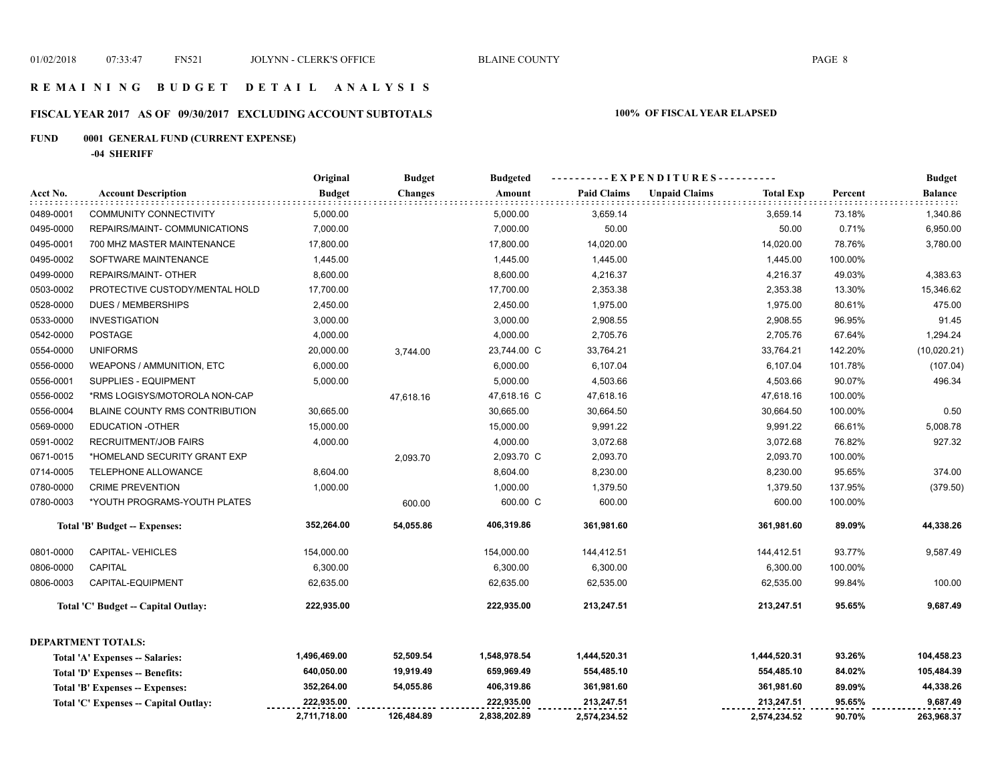# **FISCAL YEAR 2017 AS OF 09/30/2017 EXCLUDING ACCOUNT SUBTOTALS 100% OF FISCAL YEAR ELAPSED**

# **FUND 0001 GENERAL FUND (CURRENT EXPENSE)**

**-04 SHERIFF**

|           |                                       | Original      | <b>Budget</b>  | <b>Budgeted</b> |                    | ----------EXPENDITURES----------         |         | <b>Budget</b>  |
|-----------|---------------------------------------|---------------|----------------|-----------------|--------------------|------------------------------------------|---------|----------------|
| Acct No.  | <b>Account Description</b>            | <b>Budget</b> | <b>Changes</b> | Amount          | <b>Paid Claims</b> | <b>Unpaid Claims</b><br><b>Total Exp</b> | Percent | <b>Balance</b> |
| 0489-0001 | <b>COMMUNITY CONNECTIVITY</b>         | 5,000.00      |                | 5,000.00        | 3,659.14           | 3,659.14                                 | 73.18%  | 1,340.86       |
| 0495-0000 | REPAIRS/MAINT- COMMUNICATIONS         | 7,000.00      |                | 7,000.00        | 50.00              | 50.00                                    | 0.71%   | 6,950.00       |
| 0495-0001 | 700 MHZ MASTER MAINTENANCE            | 17,800.00     |                | 17,800.00       | 14,020.00          | 14,020.00                                | 78.76%  | 3,780.00       |
| 0495-0002 | SOFTWARE MAINTENANCE                  | 1,445.00      |                | 1,445.00        | 1,445.00           | 1,445.00                                 | 100.00% |                |
| 0499-0000 | REPAIRS/MAINT- OTHER                  | 8,600.00      |                | 8,600.00        | 4,216.37           | 4,216.37                                 | 49.03%  | 4,383.63       |
| 0503-0002 | PROTECTIVE CUSTODY/MENTAL HOLD        | 17,700.00     |                | 17,700.00       | 2,353.38           | 2,353.38                                 | 13.30%  | 15,346.62      |
| 0528-0000 | <b>DUES / MEMBERSHIPS</b>             | 2,450.00      |                | 2,450.00        | 1,975.00           | 1,975.00                                 | 80.61%  | 475.00         |
| 0533-0000 | <b>INVESTIGATION</b>                  | 3,000.00      |                | 3,000.00        | 2,908.55           | 2,908.55                                 | 96.95%  | 91.45          |
| 0542-0000 | <b>POSTAGE</b>                        | 4,000.00      |                | 4,000.00        | 2,705.76           | 2,705.76                                 | 67.64%  | 1,294.24       |
| 0554-0000 | <b>UNIFORMS</b>                       | 20,000.00     | 3,744.00       | 23,744.00 C     | 33,764.21          | 33,764.21                                | 142.20% | (10,020.21)    |
| 0556-0000 | WEAPONS / AMMUNITION, ETC             | 6,000.00      |                | 6,000.00        | 6,107.04           | 6,107.04                                 | 101.78% | (107.04)       |
| 0556-0001 | SUPPLIES - EQUIPMENT                  | 5,000.00      |                | 5,000.00        | 4,503.66           | 4,503.66                                 | 90.07%  | 496.34         |
| 0556-0002 | *RMS LOGISYS/MOTOROLA NON-CAP         |               | 47,618.16      | 47,618.16 C     | 47,618.16          | 47,618.16                                | 100.00% |                |
| 0556-0004 | BLAINE COUNTY RMS CONTRIBUTION        | 30,665.00     |                | 30,665.00       | 30,664.50          | 30,664.50                                | 100.00% | 0.50           |
| 0569-0000 | <b>EDUCATION -OTHER</b>               | 15,000.00     |                | 15,000.00       | 9,991.22           | 9,991.22                                 | 66.61%  | 5,008.78       |
| 0591-0002 | <b>RECRUITMENT/JOB FAIRS</b>          | 4,000.00      |                | 4,000.00        | 3,072.68           | 3,072.68                                 | 76.82%  | 927.32         |
| 0671-0015 | *HOMELAND SECURITY GRANT EXP          |               | 2,093.70       | 2,093.70 C      | 2,093.70           | 2,093.70                                 | 100.00% |                |
| 0714-0005 | TELEPHONE ALLOWANCE                   | 8,604.00      |                | 8,604.00        | 8,230.00           | 8,230.00                                 | 95.65%  | 374.00         |
| 0780-0000 | <b>CRIME PREVENTION</b>               | 1,000.00      |                | 1,000.00        | 1,379.50           | 1,379.50                                 | 137.95% | (379.50)       |
| 0780-0003 | *YOUTH PROGRAMS-YOUTH PLATES          |               | 600.00         | 600.00 C        | 600.00             | 600.00                                   | 100.00% |                |
|           | Total 'B' Budget -- Expenses:         | 352,264.00    | 54,055.86      | 406,319.86      | 361,981.60         | 361,981.60                               | 89.09%  | 44,338.26      |
| 0801-0000 | <b>CAPITAL-VEHICLES</b>               | 154,000.00    |                | 154,000.00      | 144,412.51         | 144,412.51                               | 93.77%  | 9,587.49       |
| 0806-0000 | <b>CAPITAL</b>                        | 6,300.00      |                | 6,300.00        | 6,300.00           | 6,300.00                                 | 100.00% |                |
| 0806-0003 | CAPITAL-EQUIPMENT                     | 62,635.00     |                | 62,635.00       | 62,535.00          | 62,535.00                                | 99.84%  | 100.00         |
|           | Total 'C' Budget -- Capital Outlay:   | 222,935.00    |                | 222,935.00      | 213,247.51         | 213,247.51                               | 95.65%  | 9,687.49       |
|           | <b>DEPARTMENT TOTALS:</b>             |               |                |                 |                    |                                          |         |                |
|           | Total 'A' Expenses -- Salaries:       | 1,496,469.00  | 52,509.54      | 1,548,978.54    | 1,444,520.31       | 1,444,520.31                             | 93.26%  | 104,458.23     |
|           | Total 'D' Expenses -- Benefits:       | 640,050.00    | 19,919.49      | 659,969.49      | 554,485.10         | 554,485.10                               | 84.02%  | 105,484.39     |
|           | Total 'B' Expenses -- Expenses:       | 352,264.00    | 54,055.86      | 406,319.86      | 361,981.60         | 361,981.60                               | 89.09%  | 44,338.26      |
|           | Total 'C' Expenses -- Capital Outlay: | 222,935.00    |                | 222,935.00      | 213,247.51         | 213,247.51                               | 95.65%  | 9,687.49       |
|           |                                       | 2,711,718.00  | 126,484.89     | 2,838,202.89    | 2,574,234.52       | 2,574,234.52                             | 90.70%  | 263,968.37     |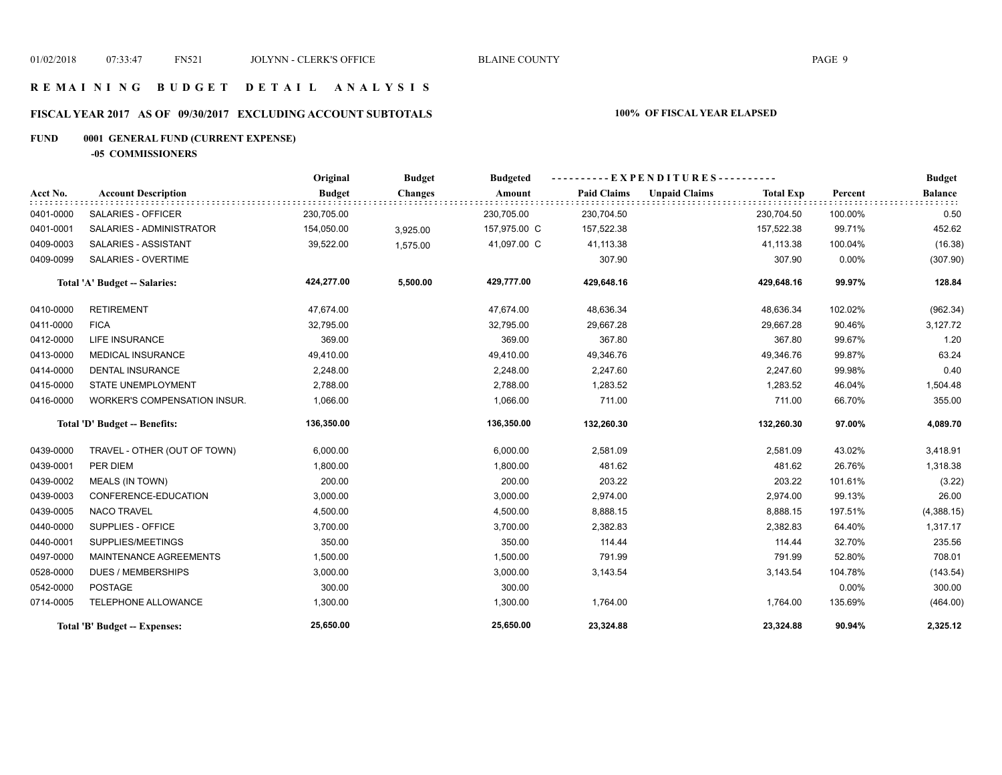## **R E M A I N I N G B U D G E T D E T A I L A N A L Y S I S**

# **FISCAL YEAR 2017 AS OF 09/30/2017 EXCLUDING ACCOUNT SUBTOTALS 100% OF FISCAL YEAR ELAPSED**

# **FUND 0001 GENERAL FUND (CURRENT EXPENSE)**

**-05 COMMISSIONERS**

|           |                                     | Original      | <b>Budget</b>  | <b>Budgeted</b> | $-EXPENDITURES$ --------- |                      |                  |          | <b>Budget</b>  |
|-----------|-------------------------------------|---------------|----------------|-----------------|---------------------------|----------------------|------------------|----------|----------------|
| Acct No.  | <b>Account Description</b>          | <b>Budget</b> | <b>Changes</b> | Amount          | <b>Paid Claims</b>        | <b>Unpaid Claims</b> | <b>Total Exp</b> | Percent  | <b>Balance</b> |
| 0401-0000 | <b>SALARIES - OFFICER</b>           | 230,705.00    |                | 230,705.00      | 230,704.50                |                      | 230,704.50       | 100.00%  | 0.50           |
| 0401-0001 | SALARIES - ADMINISTRATOR            | 154,050.00    | 3,925.00       | 157,975.00 C    | 157,522.38                |                      | 157,522.38       | 99.71%   | 452.62         |
| 0409-0003 | SALARIES - ASSISTANT                | 39,522.00     | 1,575.00       | 41,097.00 C     | 41,113.38                 |                      | 41,113.38        | 100.04%  | (16.38)        |
| 0409-0099 | SALARIES - OVERTIME                 |               |                |                 | 307.90                    |                      | 307.90           | $0.00\%$ | (307.90)       |
|           | Total 'A' Budget -- Salaries:       | 424,277.00    | 5,500.00       | 429,777.00      | 429,648.16                |                      | 429,648.16       | 99.97%   | 128.84         |
| 0410-0000 | <b>RETIREMENT</b>                   | 47,674.00     |                | 47,674.00       | 48,636.34                 |                      | 48,636.34        | 102.02%  | (962.34)       |
| 0411-0000 | <b>FICA</b>                         | 32,795.00     |                | 32,795.00       | 29,667.28                 |                      | 29,667.28        | 90.46%   | 3,127.72       |
| 0412-0000 | <b>LIFE INSURANCE</b>               | 369.00        |                | 369.00          | 367.80                    |                      | 367.80           | 99.67%   | 1.20           |
| 0413-0000 | <b>MEDICAL INSURANCE</b>            | 49,410.00     |                | 49,410.00       | 49,346.76                 |                      | 49,346.76        | 99.87%   | 63.24          |
| 0414-0000 | <b>DENTAL INSURANCE</b>             | 2,248.00      |                | 2,248.00        | 2,247.60                  |                      | 2,247.60         | 99.98%   | 0.40           |
| 0415-0000 | <b>STATE UNEMPLOYMENT</b>           | 2,788.00      |                | 2,788.00        | 1,283.52                  |                      | 1,283.52         | 46.04%   | 1,504.48       |
| 0416-0000 | <b>WORKER'S COMPENSATION INSUR.</b> | 1,066.00      |                | 1,066.00        | 711.00                    |                      | 711.00           | 66.70%   | 355.00         |
|           | Total 'D' Budget -- Benefits:       | 136,350.00    |                | 136,350.00      | 132,260.30                |                      | 132,260.30       | 97.00%   | 4,089.70       |
| 0439-0000 | TRAVEL - OTHER (OUT OF TOWN)        | 6,000.00      |                | 6,000.00        | 2,581.09                  |                      | 2,581.09         | 43.02%   | 3,418.91       |
| 0439-0001 | PER DIEM                            | 1,800.00      |                | 1,800.00        | 481.62                    |                      | 481.62           | 26.76%   | 1,318.38       |
| 0439-0002 | <b>MEALS (IN TOWN)</b>              | 200.00        |                | 200.00          | 203.22                    |                      | 203.22           | 101.61%  | (3.22)         |
| 0439-0003 | CONFERENCE-EDUCATION                | 3,000.00      |                | 3,000.00        | 2,974.00                  |                      | 2,974.00         | 99.13%   | 26.00          |
| 0439-0005 | <b>NACO TRAVEL</b>                  | 4,500.00      |                | 4,500.00        | 8,888.15                  |                      | 8,888.15         | 197.51%  | (4,388.15)     |
| 0440-0000 | SUPPLIES - OFFICE                   | 3,700.00      |                | 3,700.00        | 2,382.83                  |                      | 2,382.83         | 64.40%   | 1,317.17       |
| 0440-0001 | SUPPLIES/MEETINGS                   | 350.00        |                | 350.00          | 114.44                    |                      | 114.44           | 32.70%   | 235.56         |
| 0497-0000 | <b>MAINTENANCE AGREEMENTS</b>       | 1,500.00      |                | 1,500.00        | 791.99                    |                      | 791.99           | 52.80%   | 708.01         |
| 0528-0000 | <b>DUES / MEMBERSHIPS</b>           | 3,000.00      |                | 3,000.00        | 3,143.54                  |                      | 3,143.54         | 104.78%  | (143.54)       |
| 0542-0000 | <b>POSTAGE</b>                      | 300.00        |                | 300.00          |                           |                      |                  | $0.00\%$ | 300.00         |
| 0714-0005 | TELEPHONE ALLOWANCE                 | 1,300.00      |                | 1,300.00        | 1,764.00                  |                      | 1,764.00         | 135.69%  | (464.00)       |
|           | Total 'B' Budget -- Expenses:       | 25,650.00     |                | 25,650.00       | 23,324.88                 |                      | 23,324.88        | 90.94%   | 2,325.12       |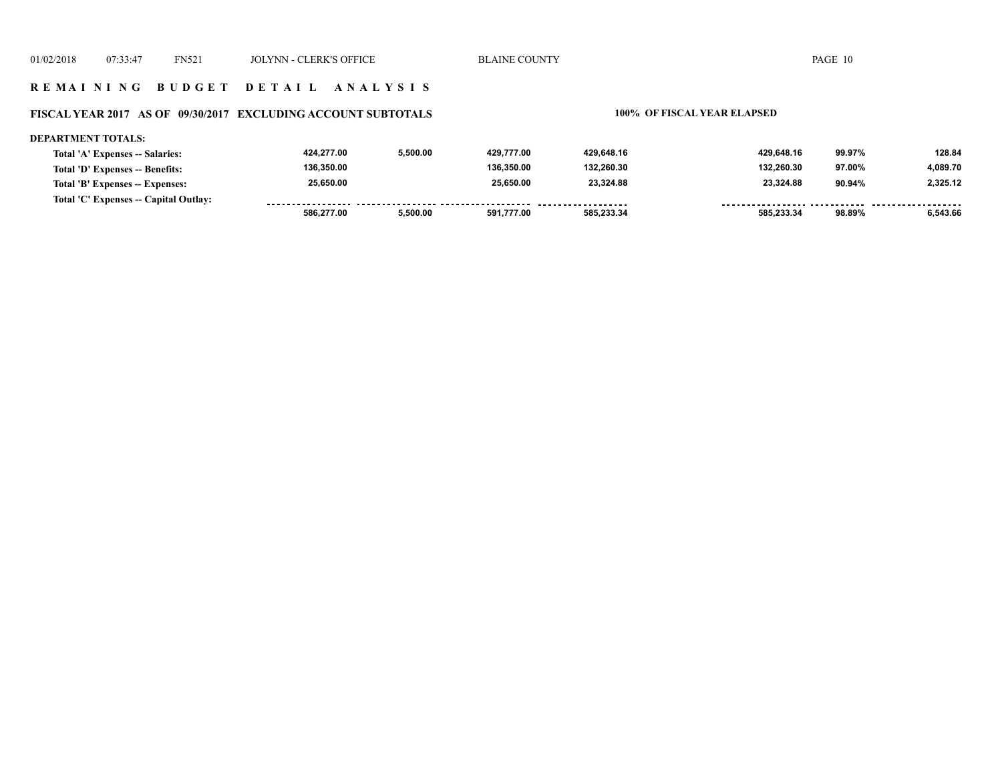### **R E M A I N I N G B U D G E T D E T A I L A N A L Y S I S**

### **FISCAL YEAR 2017 AS OF 09/30/2017 EXCLUDING ACCOUNT SUBTOTALS 100% OF FISCAL YEAR ELAPSED**

#### **DEPARTMENT TOTALS: 424,277.00 5,500.00 429,777.00 429,648.16 429,648.16 99.97% 128.84 Total 'A' Expenses -- Salaries: 136,350.00 136,350.00 132,260.30 132,260.30 4,089.70 Total 'D' Expenses -- Benefits: 97.00% 25,650.00 25,650.00 23,324.88 23,324.88 90.94% 2,325.12 Total 'B' Expenses -- Expenses: Total 'C' Expenses -- Capital Outlay:** ................. .......... ................... <u>-------- ------</u> . . . . . . . . ------- -------- **586,277.00 5,500.00 591,777.00 585,233.34 585,233.34 98.89% 6,543.66**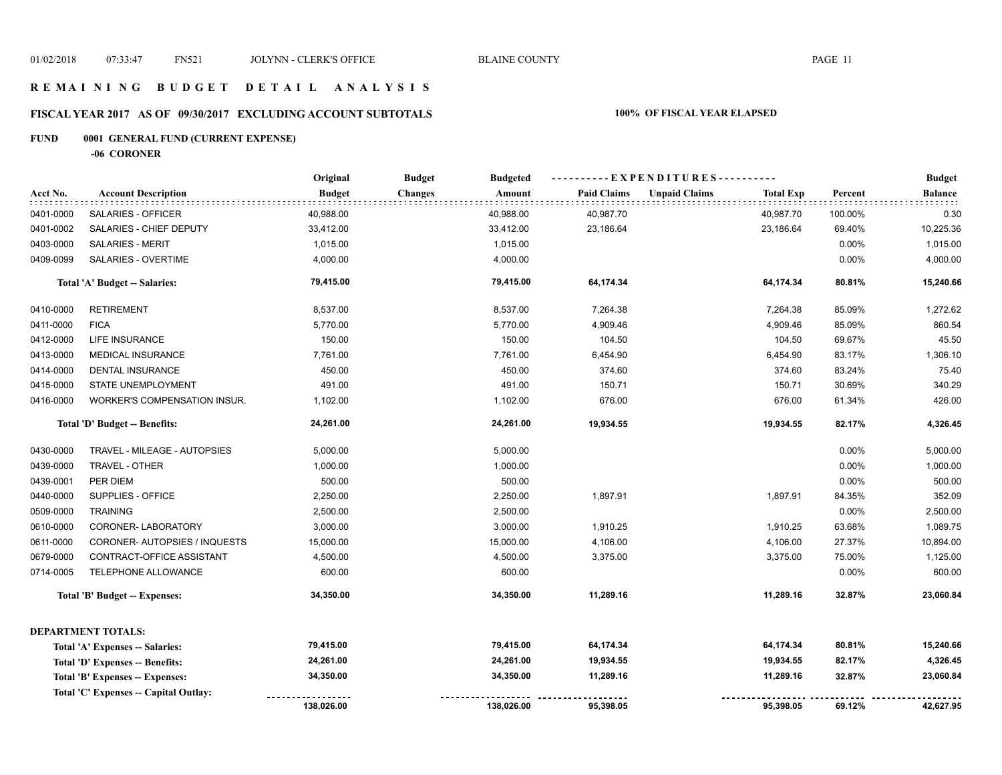## **R E M A I N I N G B U D G E T D E T A I L A N A L Y S I S**

# **FISCAL YEAR 2017 AS OF 09/30/2017 EXCLUDING ACCOUNT SUBTOTALS 100% OF FISCAL YEAR ELAPSED**

# **FUND 0001 GENERAL FUND (CURRENT EXPENSE)**

**-06 CORONER**

|           |                                       | Original      | <b>Budget</b><br><b>Budgeted</b> |                    | ---------- EXPENDITURES----------        |         | <b>Budget</b>  |
|-----------|---------------------------------------|---------------|----------------------------------|--------------------|------------------------------------------|---------|----------------|
| Acct No.  | <b>Account Description</b>            | <b>Budget</b> | <b>Changes</b><br>Amount         | <b>Paid Claims</b> | <b>Unpaid Claims</b><br><b>Total Exp</b> | Percent | <b>Balance</b> |
| 0401-0000 | SALARIES - OFFICER                    | 40,988.00     | 40,988.00                        | 40,987.70          | 40,987.70                                | 100.00% | 0.30           |
| 0401-0002 | SALARIES - CHIEF DEPUTY               | 33,412.00     | 33,412.00                        | 23,186.64          | 23,186.64                                | 69.40%  | 10,225.36      |
| 0403-0000 | SALARIES - MERIT                      | 1,015.00      | 1,015.00                         |                    |                                          | 0.00%   | 1,015.00       |
| 0409-0099 | SALARIES - OVERTIME                   | 4,000.00      | 4,000.00                         |                    |                                          | 0.00%   | 4,000.00       |
|           | Total 'A' Budget -- Salaries:         | 79,415.00     | 79,415.00                        | 64,174.34          | 64,174.34                                | 80.81%  | 15,240.66      |
| 0410-0000 | <b>RETIREMENT</b>                     | 8,537.00      | 8,537.00                         | 7,264.38           | 7,264.38                                 | 85.09%  | 1,272.62       |
| 0411-0000 | <b>FICA</b>                           | 5,770.00      | 5,770.00                         | 4,909.46           | 4,909.46                                 | 85.09%  | 860.54         |
| 0412-0000 | LIFE INSURANCE                        | 150.00        | 150.00                           | 104.50             | 104.50                                   | 69.67%  | 45.50          |
| 0413-0000 | MEDICAL INSURANCE                     | 7,761.00      | 7,761.00                         | 6,454.90           | 6,454.90                                 | 83.17%  | 1,306.10       |
| 0414-0000 | <b>DENTAL INSURANCE</b>               | 450.00        | 450.00                           | 374.60             | 374.60                                   | 83.24%  | 75.40          |
| 0415-0000 | STATE UNEMPLOYMENT                    | 491.00        | 491.00                           | 150.71             | 150.71                                   | 30.69%  | 340.29         |
| 0416-0000 | <b>WORKER'S COMPENSATION INSUR.</b>   | 1,102.00      | 1,102.00                         | 676.00             | 676.00                                   | 61.34%  | 426.00         |
|           | Total 'D' Budget -- Benefits:         | 24,261.00     | 24,261.00                        | 19,934.55          | 19,934.55                                | 82.17%  | 4,326.45       |
| 0430-0000 | TRAVEL - MILEAGE - AUTOPSIES          | 5,000.00      | 5,000.00                         |                    |                                          | 0.00%   | 5,000.00       |
| 0439-0000 | TRAVEL - OTHER                        | 1,000.00      | 1,000.00                         |                    |                                          | 0.00%   | 1,000.00       |
| 0439-0001 | PER DIEM                              | 500.00        | 500.00                           |                    |                                          | 0.00%   | 500.00         |
| 0440-0000 | SUPPLIES - OFFICE                     | 2,250.00      | 2,250.00                         | 1,897.91           | 1,897.91                                 | 84.35%  | 352.09         |
| 0509-0000 | <b>TRAINING</b>                       | 2,500.00      | 2,500.00                         |                    |                                          | 0.00%   | 2,500.00       |
| 0610-0000 | CORONER-LABORATORY                    | 3,000.00      | 3,000.00                         | 1,910.25           | 1,910.25                                 | 63.68%  | 1,089.75       |
| 0611-0000 | CORONER- AUTOPSIES / INQUESTS         | 15,000.00     | 15,000.00                        | 4,106.00           | 4,106.00                                 | 27.37%  | 10,894.00      |
| 0679-0000 | CONTRACT-OFFICE ASSISTANT             | 4,500.00      | 4,500.00                         | 3,375.00           | 3,375.00                                 | 75.00%  | 1,125.00       |
| 0714-0005 | <b>TELEPHONE ALLOWANCE</b>            | 600.00        | 600.00                           |                    |                                          | 0.00%   | 600.00         |
|           | Total 'B' Budget -- Expenses:         | 34,350.00     | 34,350.00                        | 11,289.16          | 11,289.16                                | 32.87%  | 23,060.84      |
|           | <b>DEPARTMENT TOTALS:</b>             |               |                                  |                    |                                          |         |                |
|           | Total 'A' Expenses -- Salaries:       | 79,415.00     | 79,415.00                        | 64,174.34          | 64,174.34                                | 80.81%  | 15,240.66      |
|           | Total 'D' Expenses -- Benefits:       | 24,261.00     | 24,261.00                        | 19,934.55          | 19,934.55                                | 82.17%  | 4,326.45       |
|           | Total 'B' Expenses -- Expenses:       | 34,350.00     | 34,350.00                        | 11,289.16          | 11,289.16                                | 32.87%  | 23,060.84      |
|           | Total 'C' Expenses -- Capital Outlay: |               |                                  |                    |                                          |         |                |
|           |                                       | 138,026.00    | 138,026.00                       | 95,398.05          | 95,398.05                                | 69.12%  | 42,627.95      |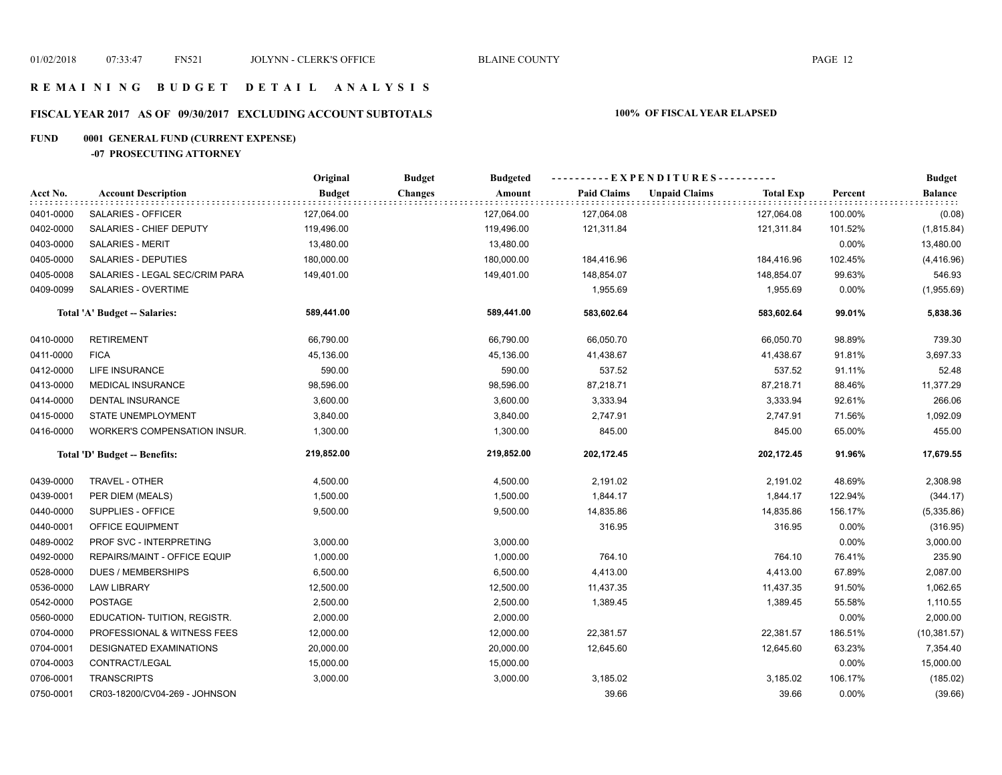## **R E M A I N I N G B U D G E T D E T A I L A N A L Y S I S**

# **FISCAL YEAR 2017 AS OF 09/30/2017 EXCLUDING ACCOUNT SUBTOTALS 100% OF FISCAL YEAR ELAPSED**

# **FUND 0001 GENERAL FUND (CURRENT EXPENSE)**

**-07 PROSECUTING ATTORNEY**

|           |                                     | Original      | <b>Budget</b><br><b>Budgeted</b> |                    | ----------EXPENDITURES----------         |         | <b>Budget</b>  |
|-----------|-------------------------------------|---------------|----------------------------------|--------------------|------------------------------------------|---------|----------------|
| Acct No.  | <b>Account Description</b>          | <b>Budget</b> | <b>Changes</b><br>Amount         | <b>Paid Claims</b> | <b>Unpaid Claims</b><br><b>Total Exp</b> | Percent | <b>Balance</b> |
| 0401-0000 | SALARIES - OFFICER                  | 127,064.00    | 127,064.00                       | 127,064.08         | 127,064.08                               | 100.00% | (0.08)         |
| 0402-0000 | SALARIES - CHIEF DEPUTY             | 119,496.00    | 119,496.00                       | 121,311.84         | 121,311.84                               | 101.52% | (1,815.84)     |
| 0403-0000 | <b>SALARIES - MERIT</b>             | 13,480.00     | 13,480.00                        |                    |                                          | 0.00%   | 13,480.00      |
| 0405-0000 | SALARIES - DEPUTIES                 | 180,000.00    | 180,000.00                       | 184,416.96         | 184,416.96                               | 102.45% | (4,416.96)     |
| 0405-0008 | SALARIES - LEGAL SEC/CRIM PARA      | 149,401.00    | 149,401.00                       | 148,854.07         | 148,854.07                               | 99.63%  | 546.93         |
| 0409-0099 | <b>SALARIES - OVERTIME</b>          |               |                                  | 1,955.69           | 1,955.69                                 | 0.00%   | (1,955.69)     |
|           | Total 'A' Budget -- Salaries:       | 589,441.00    | 589,441.00                       | 583,602.64         | 583,602.64                               | 99.01%  | 5,838.36       |
| 0410-0000 | <b>RETIREMENT</b>                   | 66,790.00     | 66,790.00                        | 66,050.70          | 66,050.70                                | 98.89%  | 739.30         |
| 0411-0000 | <b>FICA</b>                         | 45,136.00     | 45,136.00                        | 41,438.67          | 41,438.67                                | 91.81%  | 3,697.33       |
| 0412-0000 | LIFE INSURANCE                      | 590.00        | 590.00                           | 537.52             | 537.52                                   | 91.11%  | 52.48          |
| 0413-0000 | MEDICAL INSURANCE                   | 98,596.00     | 98,596.00                        | 87,218.71          | 87,218.71                                | 88.46%  | 11,377.29      |
| 0414-0000 | DENTAL INSURANCE                    | 3,600.00      | 3,600.00                         | 3,333.94           | 3,333.94                                 | 92.61%  | 266.06         |
| 0415-0000 | STATE UNEMPLOYMENT                  | 3,840.00      | 3,840.00                         | 2,747.91           | 2,747.91                                 | 71.56%  | 1,092.09       |
| 0416-0000 | <b>WORKER'S COMPENSATION INSUR.</b> | 1,300.00      | 1,300.00                         | 845.00             | 845.00                                   | 65.00%  | 455.00         |
|           | Total 'D' Budget -- Benefits:       | 219,852.00    | 219,852.00                       | 202,172.45         | 202,172.45                               | 91.96%  | 17,679.55      |
| 0439-0000 | TRAVEL - OTHER                      | 4,500.00      | 4,500.00                         | 2,191.02           | 2,191.02                                 | 48.69%  | 2,308.98       |
| 0439-0001 | PER DIEM (MEALS)                    | 1,500.00      | 1,500.00                         | 1,844.17           | 1,844.17                                 | 122.94% | (344.17)       |
| 0440-0000 | SUPPLIES - OFFICE                   | 9,500.00      | 9,500.00                         | 14,835.86          | 14,835.86                                | 156.17% | (5,335.86)     |
| 0440-0001 | OFFICE EQUIPMENT                    |               |                                  | 316.95             | 316.95                                   | 0.00%   | (316.95)       |
| 0489-0002 | PROF SVC - INTERPRETING             | 3,000.00      | 3,000.00                         |                    |                                          | 0.00%   | 3,000.00       |
| 0492-0000 | REPAIRS/MAINT - OFFICE EQUIP        | 1,000.00      | 1,000.00                         | 764.10             | 764.10                                   | 76.41%  | 235.90         |
| 0528-0000 | <b>DUES / MEMBERSHIPS</b>           | 6,500.00      | 6,500.00                         | 4,413.00           | 4,413.00                                 | 67.89%  | 2,087.00       |
| 0536-0000 | <b>LAW LIBRARY</b>                  | 12,500.00     | 12,500.00                        | 11,437.35          | 11,437.35                                | 91.50%  | 1,062.65       |
| 0542-0000 | <b>POSTAGE</b>                      | 2,500.00      | 2,500.00                         | 1,389.45           | 1,389.45                                 | 55.58%  | 1,110.55       |
| 0560-0000 | EDUCATION- TUITION, REGISTR.        | 2,000.00      | 2,000.00                         |                    |                                          | 0.00%   | 2,000.00       |
| 0704-0000 | PROFESSIONAL & WITNESS FEES         | 12,000.00     | 12,000.00                        | 22,381.57          | 22,381.57                                | 186.51% | (10, 381.57)   |
| 0704-0001 | DESIGNATED EXAMINATIONS             | 20,000.00     | 20,000.00                        | 12,645.60          | 12,645.60                                | 63.23%  | 7,354.40       |
| 0704-0003 | CONTRACT/LEGAL                      | 15,000.00     | 15,000.00                        |                    |                                          | 0.00%   | 15,000.00      |
| 0706-0001 | <b>TRANSCRIPTS</b>                  | 3,000.00      | 3,000.00                         | 3,185.02           | 3,185.02                                 | 106.17% | (185.02)       |
| 0750-0001 | CR03-18200/CV04-269 - JOHNSON       |               |                                  | 39.66              | 39.66                                    | 0.00%   | (39.66)        |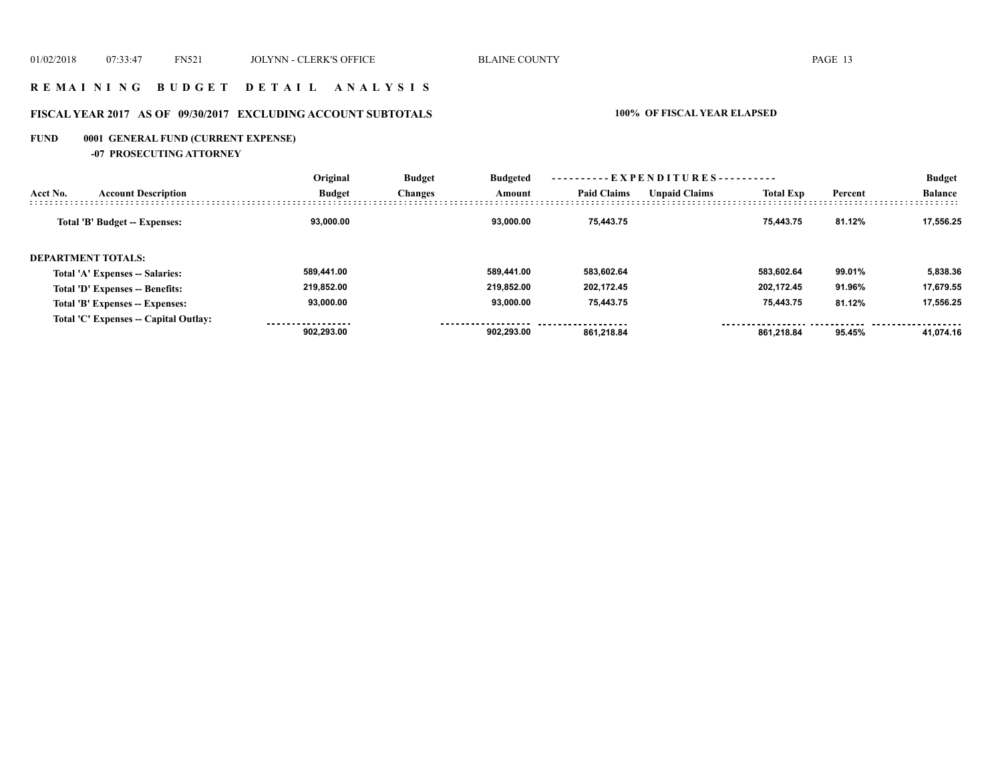## **R E M A I N I N G B U D G E T D E T A I L A N A L Y S I S**

# **FISCAL YEAR 2017 AS OF 09/30/2017 EXCLUDING ACCOUNT SUBTOTALS 100% OF FISCAL YEAR ELAPSED**

# **FUND 0001 GENERAL FUND (CURRENT EXPENSE)**

**-07 PROSECUTING ATTORNEY**

|                           |                                       | Original      | ----------EXPENDITURES----------<br><b>Budget</b><br><b>Budgeted</b> |            |                    |                      |                  |         | <b>Budget</b>  |  |
|---------------------------|---------------------------------------|---------------|----------------------------------------------------------------------|------------|--------------------|----------------------|------------------|---------|----------------|--|
| Acct No.                  | <b>Account Description</b>            | <b>Budget</b> | <b>Changes</b>                                                       | Amount     | <b>Paid Claims</b> | <b>Unpaid Claims</b> | <b>Total Exp</b> | Percent | <b>Balance</b> |  |
|                           | Total 'B' Budget -- Expenses:         | 93.000.00     |                                                                      | 93.000.00  | 75.443.75          |                      | 75.443.75        | 81.12%  | 17.556.25      |  |
| <b>DEPARTMENT TOTALS:</b> |                                       |               |                                                                      |            |                    |                      |                  |         |                |  |
|                           | Total 'A' Expenses -- Salaries:       | 589,441.00    |                                                                      | 589.441.00 | 583,602.64         |                      | 583.602.64       | 99.01%  | 5,838.36       |  |
|                           | Total 'D' Expenses -- Benefits:       | 219.852.00    |                                                                      | 219.852.00 | 202,172.45         |                      | 202.172.45       | 91.96%  | 17,679.55      |  |
|                           | Total 'B' Expenses -- Expenses:       | 93,000.00     |                                                                      | 93.000.00  | 75,443.75          |                      | 75,443.75        | 81.12%  | 17,556.25      |  |
|                           | Total 'C' Expenses -- Capital Outlay: | 902.293.00    |                                                                      | 902.293.00 | 861.218.84         |                      | 861.218.84       | 95.45%  | 41.074.16      |  |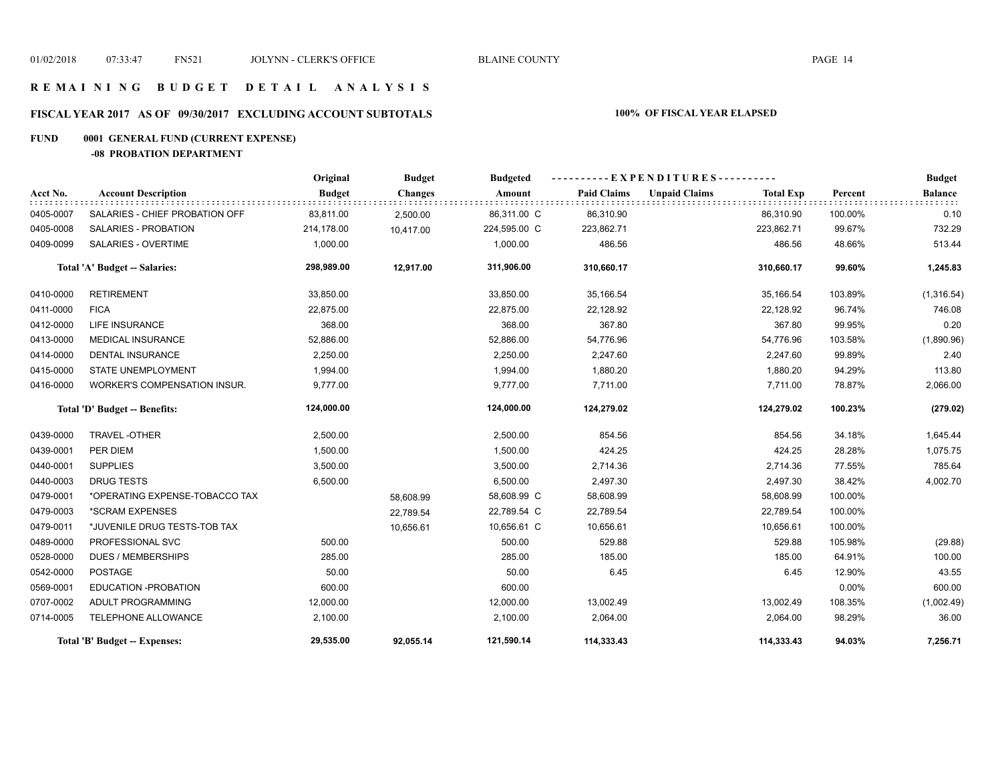## **R E M A I N I N G B U D G E T D E T A I L A N A L Y S I S**

# **FISCAL YEAR 2017 AS OF 09/30/2017 EXCLUDING ACCOUNT SUBTOTALS 100% OF FISCAL YEAR ELAPSED**

# **FUND 0001 GENERAL FUND (CURRENT EXPENSE)**

**-08 PROBATION DEPARTMENT**

|           |                                      | Original      | <b>Budget</b>  | <b>Budgeted</b> |                    | ----------EXPENDITURES---------- |                  |         | <b>Budget</b>  |
|-----------|--------------------------------------|---------------|----------------|-----------------|--------------------|----------------------------------|------------------|---------|----------------|
| Acct No.  | <b>Account Description</b>           | <b>Budget</b> | <b>Changes</b> | Amount          | <b>Paid Claims</b> | <b>Unpaid Claims</b>             | <b>Total Exp</b> | Percent | <b>Balance</b> |
| 0405-0007 | SALARIES - CHIEF PROBATION OFF       | 83,811.00     | 2,500.00       | 86,311.00 C     | 86,310.90          |                                  | 86,310.90        | 100.00% | 0.10           |
| 0405-0008 | <b>SALARIES - PROBATION</b>          | 214,178.00    | 10,417.00      | 224,595.00 C    | 223,862.71         |                                  | 223,862.71       | 99.67%  | 732.29         |
| 0409-0099 | <b>SALARIES - OVERTIME</b>           | 1,000.00      |                | 1,000.00        | 486.56             |                                  | 486.56           | 48.66%  | 513.44         |
|           | <b>Total 'A' Budget -- Salaries:</b> | 298,989.00    | 12,917.00      | 311,906.00      | 310,660.17         |                                  | 310,660.17       | 99.60%  | 1,245.83       |
| 0410-0000 | <b>RETIREMENT</b>                    | 33,850.00     |                | 33,850.00       | 35,166.54          |                                  | 35,166.54        | 103.89% | (1,316.54)     |
| 0411-0000 | <b>FICA</b>                          | 22,875.00     |                | 22,875.00       | 22,128.92          |                                  | 22,128.92        | 96.74%  | 746.08         |
| 0412-0000 | LIFE INSURANCE                       | 368.00        |                | 368.00          | 367.80             |                                  | 367.80           | 99.95%  | 0.20           |
| 0413-0000 | <b>MEDICAL INSURANCE</b>             | 52,886.00     |                | 52,886.00       | 54,776.96          |                                  | 54,776.96        | 103.58% | (1,890.96)     |
| 0414-0000 | <b>DENTAL INSURANCE</b>              | 2,250.00      |                | 2,250.00        | 2,247.60           |                                  | 2,247.60         | 99.89%  | 2.40           |
| 0415-0000 | <b>STATE UNEMPLOYMENT</b>            | 1,994.00      |                | 1,994.00        | 1,880.20           |                                  | 1,880.20         | 94.29%  | 113.80         |
| 0416-0000 | WORKER'S COMPENSATION INSUR.         | 9,777.00      |                | 9,777.00        | 7,711.00           |                                  | 7,711.00         | 78.87%  | 2,066.00       |
|           | Total 'D' Budget -- Benefits:        | 124,000.00    |                | 124,000.00      | 124,279.02         |                                  | 124,279.02       | 100.23% | (279.02)       |
| 0439-0000 | TRAVEL-OTHER                         | 2,500.00      |                | 2,500.00        | 854.56             |                                  | 854.56           | 34.18%  | 1,645.44       |
| 0439-0001 | PER DIEM                             | 1,500.00      |                | 1,500.00        | 424.25             |                                  | 424.25           | 28.28%  | 1,075.75       |
| 0440-0001 | <b>SUPPLIES</b>                      | 3,500.00      |                | 3,500.00        | 2,714.36           |                                  | 2,714.36         | 77.55%  | 785.64         |
| 0440-0003 | <b>DRUG TESTS</b>                    | 6,500.00      |                | 6,500.00        | 2,497.30           |                                  | 2,497.30         | 38.42%  | 4,002.70       |
| 0479-0001 | *OPERATING EXPENSE-TOBACCO TAX       |               | 58,608.99      | 58,608.99 C     | 58,608.99          |                                  | 58,608.99        | 100.00% |                |
| 0479-0003 | *SCRAM EXPENSES                      |               | 22,789.54      | 22,789.54 C     | 22,789.54          |                                  | 22,789.54        | 100.00% |                |
| 0479-0011 | *JUVENILE DRUG TESTS-TOB TAX         |               | 10,656.61      | 10,656.61 C     | 10,656.61          |                                  | 10,656.61        | 100.00% |                |
| 0489-0000 | PROFESSIONAL SVC                     | 500.00        |                | 500.00          | 529.88             |                                  | 529.88           | 105.98% | (29.88)        |
| 0528-0000 | <b>DUES / MEMBERSHIPS</b>            | 285.00        |                | 285.00          | 185.00             |                                  | 185.00           | 64.91%  | 100.00         |
| 0542-0000 | <b>POSTAGE</b>                       | 50.00         |                | 50.00           | 6.45               |                                  | 6.45             | 12.90%  | 43.55          |
| 0569-0001 | <b>EDUCATION -PROBATION</b>          | 600.00        |                | 600.00          |                    |                                  |                  | 0.00%   | 600.00         |
| 0707-0002 | ADULT PROGRAMMING                    | 12,000.00     |                | 12,000.00       | 13,002.49          |                                  | 13,002.49        | 108.35% | (1,002.49)     |
| 0714-0005 | TELEPHONE ALLOWANCE                  | 2,100.00      |                | 2,100.00        | 2,064.00           |                                  | 2,064.00         | 98.29%  | 36.00          |
|           | Total 'B' Budget -- Expenses:        | 29,535.00     | 92,055.14      | 121,590.14      | 114,333.43         |                                  | 114,333.43       | 94.03%  | 7,256.71       |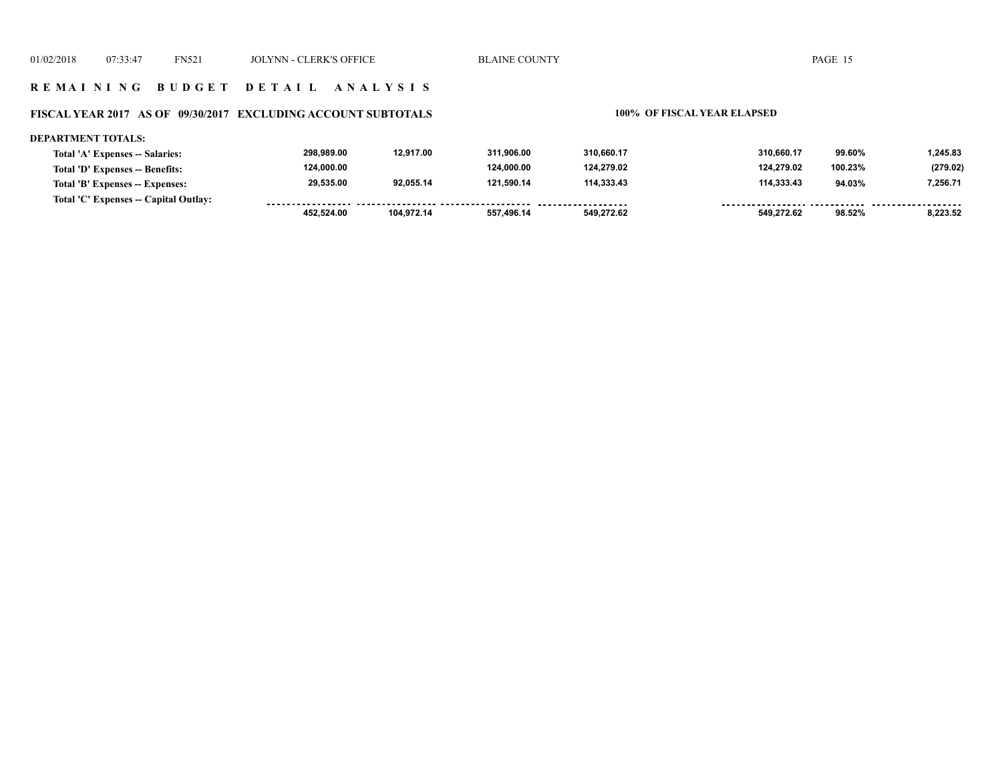### **FISCAL YEAR 2017 AS OF 09/30/2017 EXCLUDING ACCOUNT SUBTOTALS 100% OF FISCAL YEAR ELAPSED**

#### **DEPARTMENT TOTALS: 298,989.00 12,917.00 311,906.00 310,660.17 310,660.17 99.60% 1,245.83 Total 'A' Expenses -- Salaries: 124,000.00 124,000.00 124,279.02 124,279.02 (279.02) Total 'D' Expenses -- Benefits: 100.23% 29,535.00 92,055.14 121,590.14 114,333.43 114,333.43 94.03% 7,256.71 Total 'B' Expenses -- Expenses: Total 'C' Expenses -- Capital Outlay:** ................. . . . . . . . . . . . . . . . . . . . . . ------- -------- **452,524.00 104,972.14 557,496.14 549,272.62 549,272.62 98.52% 8,223.52**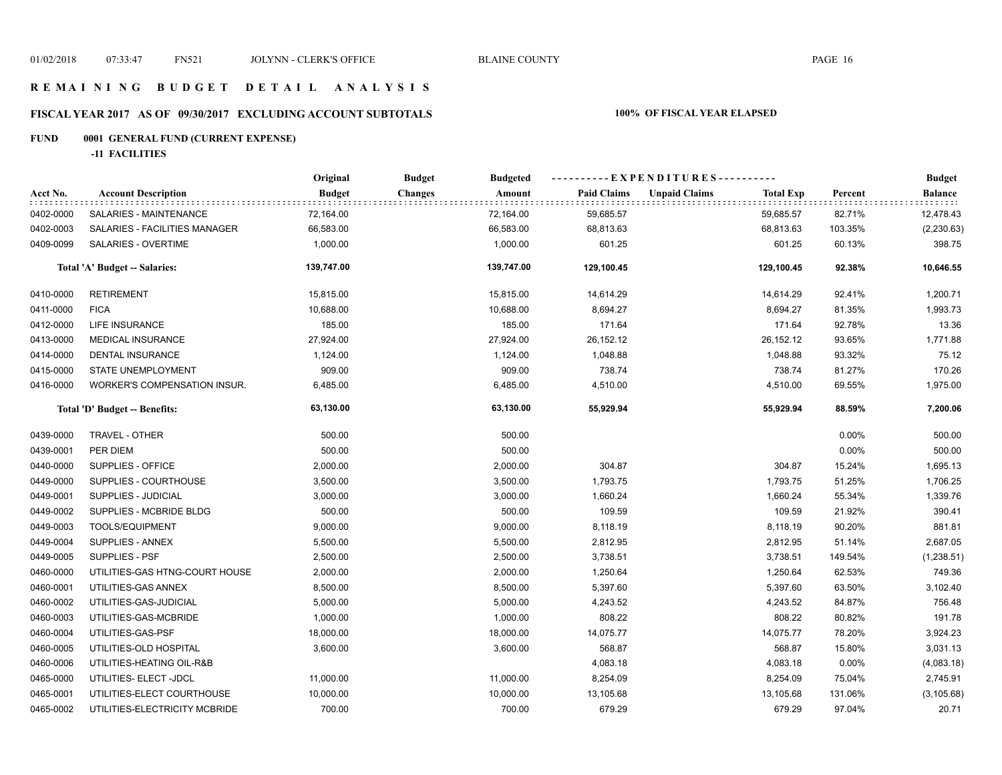## **R E M A I N I N G B U D G E T D E T A I L A N A L Y S I S**

# **FISCAL YEAR 2017 AS OF 09/30/2017 EXCLUDING ACCOUNT SUBTOTALS 100% OF FISCAL YEAR ELAPSED**

# **FUND 0001 GENERAL FUND (CURRENT EXPENSE)**

**-11 FACILITIES**

|           |                                     | Original      | <b>Budget</b><br><b>Budgeted</b> |                    | ----------EXPENDITURES----------         |         | <b>Budget</b> |
|-----------|-------------------------------------|---------------|----------------------------------|--------------------|------------------------------------------|---------|---------------|
| Acct No.  | <b>Account Description</b>          | <b>Budget</b> | Amount<br>Changes                | <b>Paid Claims</b> | <b>Unpaid Claims</b><br><b>Total Exp</b> | Percent | Balance       |
| 0402-0000 | SALARIES - MAINTENANCE              | 72,164.00     | 72,164.00                        | 59,685.57          | 59,685.57                                | 82.71%  | 12,478.43     |
| 0402-0003 | SALARIES - FACILITIES MANAGER       | 66,583.00     | 66,583.00                        | 68,813.63          | 68,813.63                                | 103.35% | (2, 230.63)   |
| 0409-0099 | SALARIES - OVERTIME                 | 1,000.00      | 1,000.00                         | 601.25             | 601.25                                   | 60.13%  | 398.75        |
|           | Total 'A' Budget -- Salaries:       | 139,747.00    | 139,747.00                       | 129,100.45         | 129,100.45                               | 92.38%  | 10,646.55     |
| 0410-0000 | <b>RETIREMENT</b>                   | 15,815.00     | 15,815.00                        | 14,614.29          | 14,614.29                                | 92.41%  | 1,200.71      |
| 0411-0000 | <b>FICA</b>                         | 10,688.00     | 10,688.00                        | 8,694.27           | 8,694.27                                 | 81.35%  | 1,993.73      |
| 0412-0000 | LIFE INSURANCE                      | 185.00        | 185.00                           | 171.64             | 171.64                                   | 92.78%  | 13.36         |
| 0413-0000 | <b>MEDICAL INSURANCE</b>            | 27,924.00     | 27,924.00                        | 26, 152. 12        | 26, 152. 12                              | 93.65%  | 1,771.88      |
| 0414-0000 | DENTAL INSURANCE                    | 1,124.00      | 1,124.00                         | 1,048.88           | 1,048.88                                 | 93.32%  | 75.12         |
| 0415-0000 | STATE UNEMPLOYMENT                  | 909.00        | 909.00                           | 738.74             | 738.74                                   | 81.27%  | 170.26        |
| 0416-0000 | <b>WORKER'S COMPENSATION INSUR.</b> | 6,485.00      | 6,485.00                         | 4,510.00           | 4,510.00                                 | 69.55%  | 1,975.00      |
|           | Total 'D' Budget -- Benefits:       | 63,130.00     | 63,130.00                        | 55,929.94          | 55,929.94                                | 88.59%  | 7,200.06      |
| 0439-0000 | TRAVEL - OTHER                      | 500.00        | 500.00                           |                    |                                          | 0.00%   | 500.00        |
| 0439-0001 | PER DIEM                            | 500.00        | 500.00                           |                    |                                          | 0.00%   | 500.00        |
| 0440-0000 | SUPPLIES - OFFICE                   | 2,000.00      | 2,000.00                         | 304.87             | 304.87                                   | 15.24%  | 1,695.13      |
| 0449-0000 | SUPPLIES - COURTHOUSE               | 3,500.00      | 3,500.00                         | 1,793.75           | 1,793.75                                 | 51.25%  | 1,706.25      |
| 0449-0001 | SUPPLIES - JUDICIAL                 | 3,000.00      | 3,000.00                         | 1,660.24           | 1,660.24                                 | 55.34%  | 1,339.76      |
| 0449-0002 | SUPPLIES - MCBRIDE BLDG             | 500.00        | 500.00                           | 109.59             | 109.59                                   | 21.92%  | 390.41        |
| 0449-0003 | TOOLS/EQUIPMENT                     | 9,000.00      | 9,000.00                         | 8,118.19           | 8,118.19                                 | 90.20%  | 881.81        |
| 0449-0004 | SUPPLIES - ANNEX                    | 5,500.00      | 5,500.00                         | 2,812.95           | 2,812.95                                 | 51.14%  | 2,687.05      |
| 0449-0005 | <b>SUPPLIES - PSF</b>               | 2,500.00      | 2,500.00                         | 3,738.51           | 3,738.51                                 | 149.54% | (1,238.51)    |
| 0460-0000 | UTILITIES-GAS HTNG-COURT HOUSE      | 2,000.00      | 2,000.00                         | 1,250.64           | 1,250.64                                 | 62.53%  | 749.36        |
| 0460-0001 | UTILITIES-GAS ANNEX                 | 8,500.00      | 8,500.00                         | 5,397.60           | 5,397.60                                 | 63.50%  | 3,102.40      |
| 0460-0002 | UTILITIES-GAS-JUDICIAL              | 5,000.00      | 5,000.00                         | 4,243.52           | 4,243.52                                 | 84.87%  | 756.48        |
| 0460-0003 | UTILITIES-GAS-MCBRIDE               | 1,000.00      | 1,000.00                         | 808.22             | 808.22                                   | 80.82%  | 191.78        |
| 0460-0004 | UTILITIES-GAS-PSF                   | 18,000.00     | 18,000.00                        | 14,075.77          | 14,075.77                                | 78.20%  | 3,924.23      |
| 0460-0005 | UTILITIES-OLD HOSPITAL              | 3,600.00      | 3,600.00                         | 568.87             | 568.87                                   | 15.80%  | 3,031.13      |
| 0460-0006 | UTILITIES-HEATING OIL-R&B           |               |                                  | 4,083.18           | 4,083.18                                 | 0.00%   | (4,083.18)    |
| 0465-0000 | UTILITIES- ELECT -JDCL              | 11,000.00     | 11,000.00                        | 8,254.09           | 8,254.09                                 | 75.04%  | 2,745.91      |
| 0465-0001 | UTILITIES-ELECT COURTHOUSE          | 10,000.00     | 10,000.00                        | 13,105.68          | 13,105.68                                | 131.06% | (3, 105.68)   |
| 0465-0002 | UTILITIES-ELECTRICITY MCBRIDE       | 700.00        | 700.00                           | 679.29             | 679.29                                   | 97.04%  | 20.71         |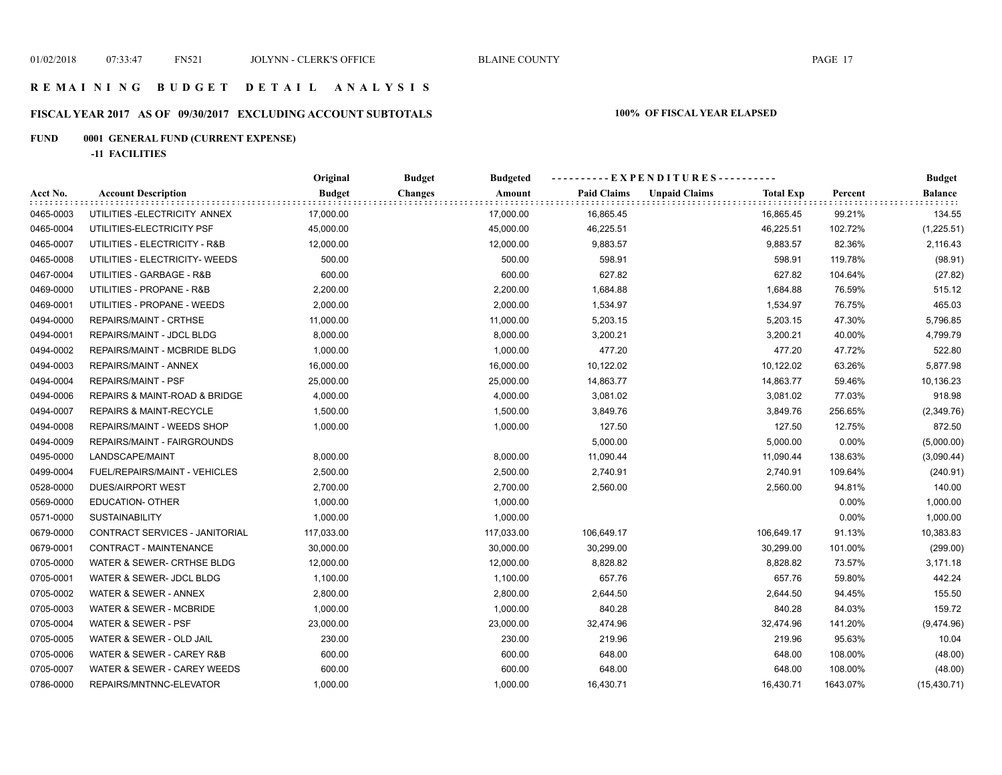# **FISCAL YEAR 2017 AS OF 09/30/2017 EXCLUDING ACCOUNT SUBTOTALS 100% OF FISCAL YEAR ELAPSED**

# **FUND 0001 GENERAL FUND (CURRENT EXPENSE)**

**-11 FACILITIES**

|           |                                    | Original      | <b>Budget</b><br><b>Budgeted</b> | ----------EXPENDITURES---------- |                                          |          | <b>Budget</b>  |
|-----------|------------------------------------|---------------|----------------------------------|----------------------------------|------------------------------------------|----------|----------------|
| Acct No.  | <b>Account Description</b>         | <b>Budget</b> | <b>Changes</b><br>Amount         | <b>Paid Claims</b>               | <b>Unpaid Claims</b><br><b>Total Exp</b> | Percent  | <b>Balance</b> |
| 0465-0003 | UTILITIES-ELECTRICITY ANNEX        | 17,000.00     | 17,000.00                        | 16,865.45                        | 16,865.45                                | 99.21%   | 134.55         |
| 0465-0004 | UTILITIES-ELECTRICITY PSF          | 45,000.00     | 45,000.00                        | 46,225.51                        | 46,225.51                                | 102.72%  | (1,225.51)     |
| 0465-0007 | UTILITIES - ELECTRICITY - R&B      | 12,000.00     | 12,000.00                        | 9,883.57                         | 9,883.57                                 | 82.36%   | 2,116.43       |
| 0465-0008 | UTILITIES - ELECTRICITY- WEEDS     | 500.00        | 500.00                           | 598.91                           | 598.91                                   | 119.78%  | (98.91)        |
| 0467-0004 | UTILITIES - GARBAGE - R&B          | 600.00        | 600.00                           | 627.82                           | 627.82                                   | 104.64%  | (27.82)        |
| 0469-0000 | UTILITIES - PROPANE - R&B          | 2,200.00      | 2,200.00                         | 1,684.88                         | 1,684.88                                 | 76.59%   | 515.12         |
| 0469-0001 | UTILITIES - PROPANE - WEEDS        | 2,000.00      | 2,000.00                         | 1,534.97                         | 1,534.97                                 | 76.75%   | 465.03         |
| 0494-0000 | REPAIRS/MAINT - CRTHSE             | 11,000.00     | 11,000.00                        | 5,203.15                         | 5,203.15                                 | 47.30%   | 5,796.85       |
| 0494-0001 | REPAIRS/MAINT - JDCL BLDG          | 8,000.00      | 8,000.00                         | 3,200.21                         | 3,200.21                                 | 40.00%   | 4,799.79       |
| 0494-0002 | REPAIRS/MAINT - MCBRIDE BLDG       | 1,000.00      | 1,000.00                         | 477.20                           | 477.20                                   | 47.72%   | 522.80         |
| 0494-0003 | REPAIRS/MAINT - ANNEX              | 16,000.00     | 16,000.00                        | 10,122.02                        | 10,122.02                                | 63.26%   | 5,877.98       |
| 0494-0004 | REPAIRS/MAINT - PSF                | 25,000.00     | 25,000.00                        | 14,863.77                        | 14,863.77                                | 59.46%   | 10,136.23      |
| 0494-0006 | REPAIRS & MAINT-ROAD & BRIDGE      | 4,000.00      | 4,000.00                         | 3,081.02                         | 3,081.02                                 | 77.03%   | 918.98         |
| 0494-0007 | <b>REPAIRS &amp; MAINT-RECYCLE</b> | 1,500.00      | 1,500.00                         | 3,849.76                         | 3,849.76                                 | 256.65%  | (2,349.76)     |
| 0494-0008 | REPAIRS/MAINT - WEEDS SHOP         | 1,000.00      | 1,000.00                         | 127.50                           | 127.50                                   | 12.75%   | 872.50         |
| 0494-0009 | REPAIRS/MAINT - FAIRGROUNDS        |               |                                  | 5,000.00                         | 5,000.00                                 | 0.00%    | (5,000.00)     |
| 0495-0000 | LANDSCAPE/MAINT                    | 8,000.00      | 8,000.00                         | 11,090.44                        | 11,090.44                                | 138.63%  | (3,090.44)     |
| 0499-0004 | FUEL/REPAIRS/MAINT - VEHICLES      | 2,500.00      | 2,500.00                         | 2,740.91                         | 2,740.91                                 | 109.64%  | (240.91)       |
| 0528-0000 | <b>DUES/AIRPORT WEST</b>           | 2,700.00      | 2,700.00                         | 2,560.00                         | 2,560.00                                 | 94.81%   | 140.00         |
| 0569-0000 | <b>EDUCATION- OTHER</b>            | 1,000.00      | 1,000.00                         |                                  |                                          | 0.00%    | 1,000.00       |
| 0571-0000 | <b>SUSTAINABILITY</b>              | 1,000.00      | 1,000.00                         |                                  |                                          | 0.00%    | 1,000.00       |
| 0679-0000 | CONTRACT SERVICES - JANITORIAL     | 117,033.00    | 117,033.00                       | 106,649.17                       | 106,649.17                               | 91.13%   | 10,383.83      |
| 0679-0001 | CONTRACT - MAINTENANCE             | 30,000.00     | 30,000.00                        | 30,299.00                        | 30,299.00                                | 101.00%  | (299.00)       |
| 0705-0000 | WATER & SEWER- CRTHSE BLDG         | 12,000.00     | 12,000.00                        | 8,828.82                         | 8,828.82                                 | 73.57%   | 3,171.18       |
| 0705-0001 | WATER & SEWER- JDCL BLDG           | 1,100.00      | 1,100.00                         | 657.76                           | 657.76                                   | 59.80%   | 442.24         |
| 0705-0002 | WATER & SEWER - ANNEX              | 2,800.00      | 2,800.00                         | 2,644.50                         | 2,644.50                                 | 94.45%   | 155.50         |
| 0705-0003 | WATER & SEWER - MCBRIDE            | 1,000.00      | 1,000.00                         | 840.28                           | 840.28                                   | 84.03%   | 159.72         |
| 0705-0004 | WATER & SEWER - PSF                | 23,000.00     | 23,000.00                        | 32,474.96                        | 32,474.96                                | 141.20%  | (9,474.96)     |
| 0705-0005 | WATER & SEWER - OLD JAIL           | 230.00        | 230.00                           | 219.96                           | 219.96                                   | 95.63%   | 10.04          |
| 0705-0006 | WATER & SEWER - CAREY R&B          | 600.00        | 600.00                           | 648.00                           | 648.00                                   | 108.00%  | (48.00)        |
| 0705-0007 | WATER & SEWER - CAREY WEEDS        | 600.00        | 600.00                           | 648.00                           | 648.00                                   | 108.00%  | (48.00)        |
| 0786-0000 | REPAIRS/MNTNNC-ELEVATOR            | 1,000.00      | 1,000.00                         | 16,430.71                        | 16,430.71                                | 1643.07% | (15, 430.71)   |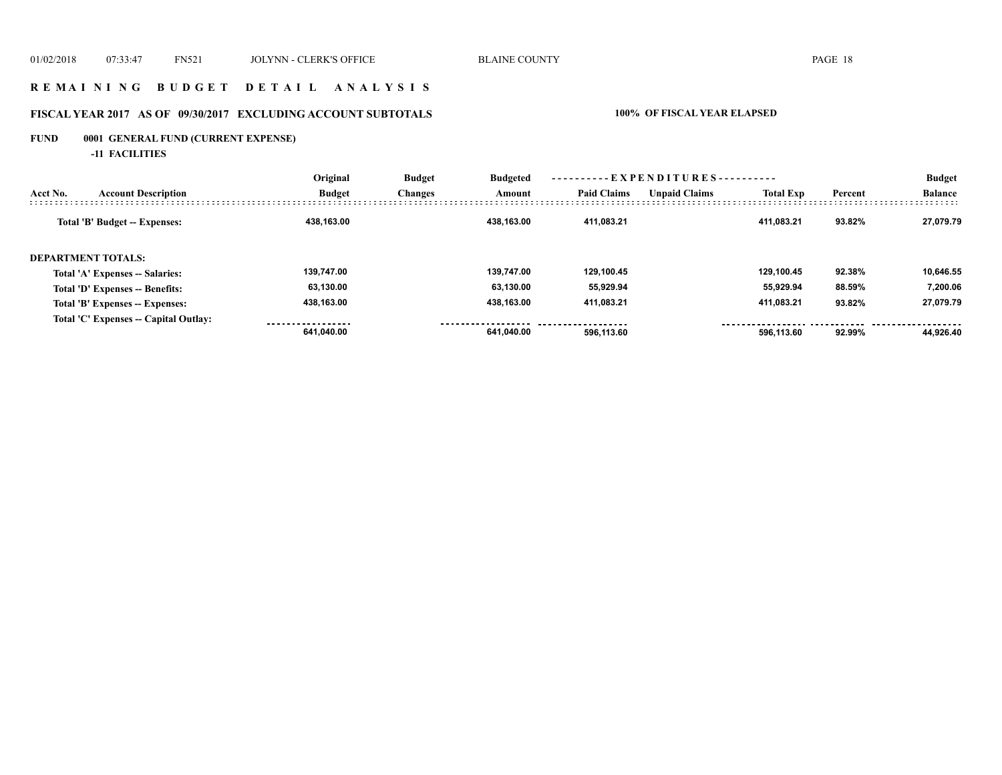## **R E M A I N I N G B U D G E T D E T A I L A N A L Y S I S**

# **FISCAL YEAR 2017 AS OF 09/30/2017 EXCLUDING ACCOUNT SUBTOTALS 100% OF FISCAL YEAR ELAPSED**

# **FUND 0001 GENERAL FUND (CURRENT EXPENSE)**

**-11 FACILITIES**

|                                        | Original      | <b>Budget</b><br><b>Changes</b> | <b>Budgeted</b><br>Amount |                    |                      |                  |         | <b>Budget</b>  |
|----------------------------------------|---------------|---------------------------------|---------------------------|--------------------|----------------------|------------------|---------|----------------|
| <b>Account Description</b><br>Acct No. | <b>Budget</b> |                                 |                           | <b>Paid Claims</b> | <b>Unpaid Claims</b> | <b>Total Exp</b> | Percent | <b>Balance</b> |
| Total 'B' Budget -- Expenses:          | 438.163.00    |                                 | 438.163.00                | 411.083.21         |                      | 411.083.21       | 93.82%  | 27.079.79      |
| <b>DEPARTMENT TOTALS:</b>              |               |                                 |                           |                    |                      |                  |         |                |
| Total 'A' Expenses -- Salaries:        | 139.747.00    |                                 | 139.747.00                | 129.100.45         |                      | 129.100.45       | 92.38%  | 10,646.55      |
| Total 'D' Expenses -- Benefits:        | 63,130.00     |                                 | 63.130.00                 | 55,929.94          |                      | 55,929.94        | 88.59%  | 7,200.06       |
| Total 'B' Expenses -- Expenses:        | 438,163.00    |                                 | 438.163.00                | 411,083.21         |                      | 411,083.21       | 93.82%  | 27,079.79      |
| Total 'C' Expenses -- Capital Outlay:  |               |                                 |                           |                    |                      |                  |         |                |
|                                        | 641.040.00    |                                 | 641.040.00                | 596.113.60         |                      | 596.113.60       | 92.99%  | 44.926.40      |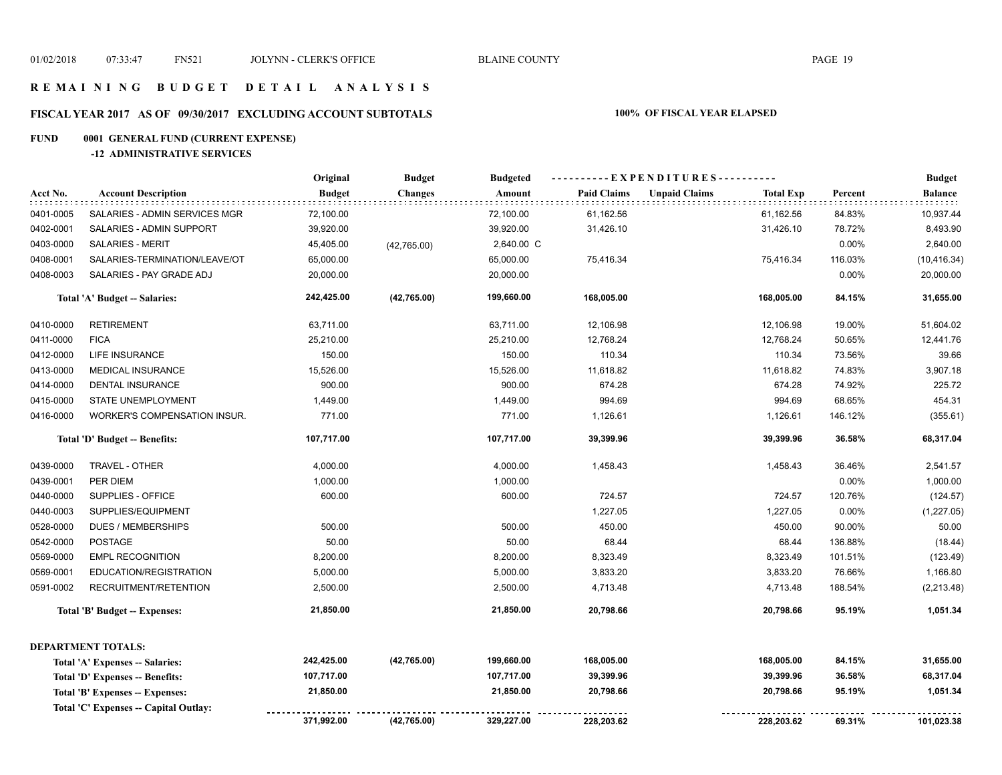## **R E M A I N I N G B U D G E T D E T A I L A N A L Y S I S**

# **FISCAL YEAR 2017 AS OF 09/30/2017 EXCLUDING ACCOUNT SUBTOTALS 100% OF FISCAL YEAR ELAPSED**

# **FUND 0001 GENERAL FUND (CURRENT EXPENSE)**

## **-12 ADMINISTRATIVE SERVICES**

|           |                                      | Original      | <b>Budget</b>  | <b>Budgeted</b> |                    |                      |                  |         | <b>Budget</b> |
|-----------|--------------------------------------|---------------|----------------|-----------------|--------------------|----------------------|------------------|---------|---------------|
| Acct No.  | <b>Account Description</b>           | <b>Budget</b> | <b>Changes</b> | Amount          | <b>Paid Claims</b> | <b>Unpaid Claims</b> | <b>Total Exp</b> | Percent | Balance       |
| 0401-0005 | SALARIES - ADMIN SERVICES MGR        | 72,100.00     |                | 72,100.00       | 61,162.56          |                      | 61,162.56        | 84.83%  | 10,937.44     |
| 0402-0001 | SALARIES - ADMIN SUPPORT             | 39,920.00     |                | 39,920.00       | 31,426.10          |                      | 31,426.10        | 78.72%  | 8,493.90      |
| 0403-0000 | <b>SALARIES - MERIT</b>              | 45,405.00     | (42,765.00)    | 2,640.00 C      |                    |                      |                  | 0.00%   | 2,640.00      |
| 0408-0001 | SALARIES-TERMINATION/LEAVE/OT        | 65,000.00     |                | 65,000.00       | 75,416.34          |                      | 75,416.34        | 116.03% | (10, 416.34)  |
| 0408-0003 | SALARIES - PAY GRADE ADJ             | 20,000.00     |                | 20,000.00       |                    |                      |                  | 0.00%   | 20,000.00     |
|           | Total 'A' Budget -- Salaries:        | 242,425.00    | (42, 765.00)   | 199,660.00      | 168,005.00         |                      | 168,005.00       | 84.15%  | 31,655.00     |
| 0410-0000 | <b>RETIREMENT</b>                    | 63,711.00     |                | 63,711.00       | 12,106.98          |                      | 12,106.98        | 19.00%  | 51,604.02     |
| 0411-0000 | <b>FICA</b>                          | 25,210.00     |                | 25,210.00       | 12,768.24          |                      | 12,768.24        | 50.65%  | 12,441.76     |
| 0412-0000 | LIFE INSURANCE                       | 150.00        |                | 150.00          | 110.34             |                      | 110.34           | 73.56%  | 39.66         |
| 0413-0000 | <b>MEDICAL INSURANCE</b>             | 15,526.00     |                | 15,526.00       | 11,618.82          |                      | 11,618.82        | 74.83%  | 3,907.18      |
| 0414-0000 | DENTAL INSURANCE                     | 900.00        |                | 900.00          | 674.28             |                      | 674.28           | 74.92%  | 225.72        |
| 0415-0000 | STATE UNEMPLOYMENT                   | 1,449.00      |                | 1,449.00        | 994.69             |                      | 994.69           | 68.65%  | 454.31        |
| 0416-0000 | <b>WORKER'S COMPENSATION INSUR.</b>  | 771.00        |                | 771.00          | 1,126.61           |                      | 1,126.61         | 146.12% | (355.61)      |
|           | Total 'D' Budget -- Benefits:        | 107,717.00    |                | 107,717.00      | 39,399.96          |                      | 39,399.96        | 36.58%  | 68,317.04     |
| 0439-0000 | TRAVEL - OTHER                       | 4,000.00      |                | 4,000.00        | 1,458.43           |                      | 1,458.43         | 36.46%  | 2,541.57      |
| 0439-0001 | PER DIEM                             | 1,000.00      |                | 1,000.00        |                    |                      |                  | 0.00%   | 1,000.00      |
| 0440-0000 | SUPPLIES - OFFICE                    | 600.00        |                | 600.00          | 724.57             |                      | 724.57           | 120.76% | (124.57)      |
| 0440-0003 | SUPPLIES/EQUIPMENT                   |               |                |                 | 1,227.05           |                      | 1,227.05         | 0.00%   | (1,227.05)    |
| 0528-0000 | <b>DUES / MEMBERSHIPS</b>            | 500.00        |                | 500.00          | 450.00             |                      | 450.00           | 90.00%  | 50.00         |
| 0542-0000 | <b>POSTAGE</b>                       | 50.00         |                | 50.00           | 68.44              |                      | 68.44            | 136.88% | (18.44)       |
| 0569-0000 | <b>EMPL RECOGNITION</b>              | 8,200.00      |                | 8,200.00        | 8,323.49           |                      | 8,323.49         | 101.51% | (123.49)      |
| 0569-0001 | EDUCATION/REGISTRATION               | 5,000.00      |                | 5,000.00        | 3,833.20           |                      | 3,833.20         | 76.66%  | 1,166.80      |
| 0591-0002 | RECRUITMENT/RETENTION                | 2,500.00      |                | 2,500.00        | 4,713.48           |                      | 4,713.48         | 188.54% | (2, 213.48)   |
|           | Total 'B' Budget -- Expenses:        | 21,850.00     |                | 21,850.00       | 20,798.66          |                      | 20,798.66        | 95.19%  | 1,051.34      |
|           | <b>DEPARTMENT TOTALS:</b>            |               |                |                 |                    |                      |                  |         |               |
|           | Total 'A' Expenses -- Salaries:      | 242,425.00    | (42,765.00)    | 199,660.00      | 168,005.00         |                      | 168,005.00       | 84.15%  | 31,655.00     |
|           | Total 'D' Expenses -- Benefits:      | 107,717.00    |                | 107,717.00      | 39,399.96          |                      | 39,399.96        | 36.58%  | 68,317.04     |
|           | Total 'B' Expenses -- Expenses:      | 21,850.00     |                | 21,850.00       | 20,798.66          |                      | 20,798.66        | 95.19%  | 1,051.34      |
|           | Total 'C' Expenses - Capital Outlay: | 371,992.00    | (42,765.00)    | 329,227.00      | 228,203.62         |                      | 228,203.62       | 69.31%  | 101,023.38    |
|           |                                      |               |                |                 |                    |                      |                  |         |               |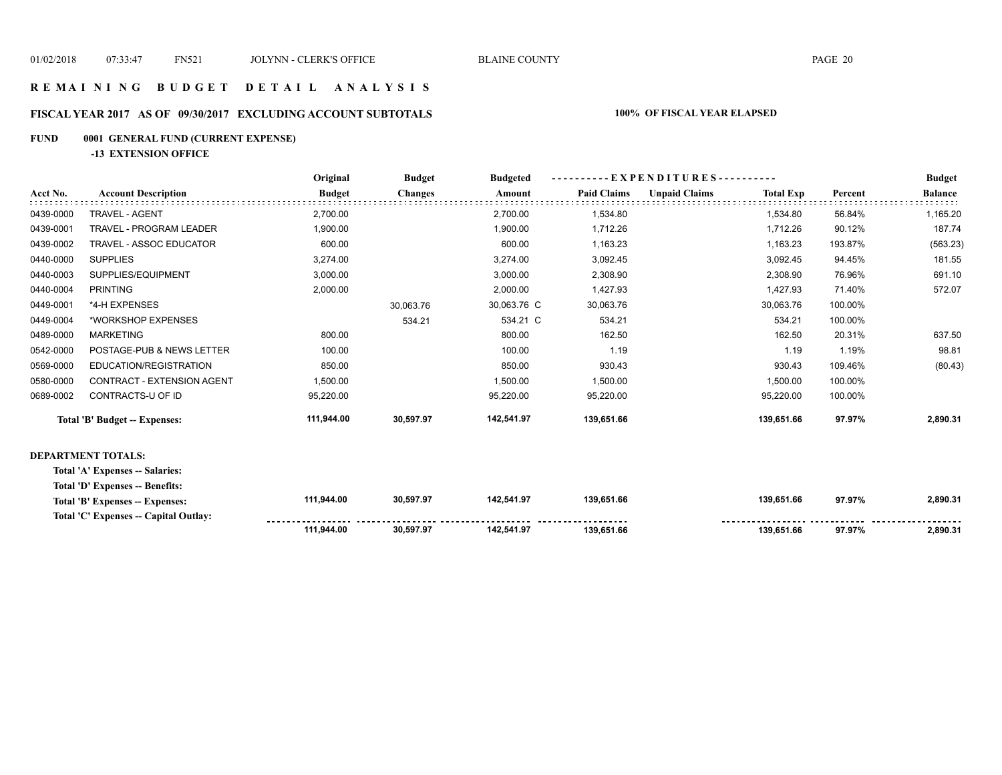**139,651.66 139,651.66 97.97% 2,890.31** 

## **R E M A I N I N G B U D G E T D E T A I L A N A L Y S I S**

## **FISCAL YEAR 2017 AS OF 09/30/2017 EXCLUDING ACCOUNT SUBTOTALS 100% OF FISCAL YEAR ELAPSED**

### **FUND 0001 GENERAL FUND (CURRENT EXPENSE)**

**-13 EXTENSION OFFICE**

|                            | Original                                                                                                                                                                                                    | <b>Budget</b>  | <b>Budgeted</b> | $-EXPENDITURES$ --------- |                      |                  |         | <b>Budget</b>  |
|----------------------------|-------------------------------------------------------------------------------------------------------------------------------------------------------------------------------------------------------------|----------------|-----------------|---------------------------|----------------------|------------------|---------|----------------|
| <b>Account Description</b> | <b>Budget</b>                                                                                                                                                                                               | <b>Changes</b> | Amount          | <b>Paid Claims</b>        | <b>Unpaid Claims</b> | <b>Total Exp</b> | Percent | <b>Balance</b> |
| <b>TRAVEL - AGENT</b>      | 2,700.00                                                                                                                                                                                                    |                | 2,700.00        | 1,534.80                  |                      | 1,534.80         | 56.84%  | 1,165.20       |
| TRAVEL - PROGRAM LEADER    | 1,900.00                                                                                                                                                                                                    |                | 1,900.00        | 1,712.26                  |                      | 1,712.26         | 90.12%  | 187.74         |
| TRAVEL - ASSOC EDUCATOR    | 600.00                                                                                                                                                                                                      |                | 600.00          | 1,163.23                  |                      | 1,163.23         | 193.87% | (563.23)       |
| <b>SUPPLIES</b>            | 3,274.00                                                                                                                                                                                                    |                | 3,274.00        | 3,092.45                  |                      | 3,092.45         | 94.45%  | 181.55         |
| SUPPLIES/EQUIPMENT         | 3,000.00                                                                                                                                                                                                    |                | 3,000.00        | 2,308.90                  |                      | 2,308.90         | 76.96%  | 691.10         |
| <b>PRINTING</b>            | 2,000.00                                                                                                                                                                                                    |                | 2,000.00        | 1,427.93                  |                      | 1,427.93         | 71.40%  | 572.07         |
| *4-H EXPENSES              |                                                                                                                                                                                                             | 30,063.76      | 30,063.76 C     | 30,063.76                 |                      | 30,063.76        | 100.00% |                |
| *WORKSHOP EXPENSES         |                                                                                                                                                                                                             | 534.21         | 534.21 C        | 534.21                    |                      | 534.21           | 100.00% |                |
| <b>MARKETING</b>           | 800.00                                                                                                                                                                                                      |                | 800.00          | 162.50                    |                      | 162.50           | 20.31%  | 637.50         |
| POSTAGE-PUB & NEWS LETTER  | 100.00                                                                                                                                                                                                      |                | 100.00          | 1.19                      |                      | 1.19             | 1.19%   | 98.81          |
| EDUCATION/REGISTRATION     | 850.00                                                                                                                                                                                                      |                | 850.00          | 930.43                    |                      | 930.43           | 109.46% | (80.43)        |
| CONTRACT - EXTENSION AGENT | 1,500.00                                                                                                                                                                                                    |                | 1,500.00        | 1,500.00                  |                      | 1,500.00         | 100.00% |                |
| CONTRACTS-U OF ID          | 95,220.00                                                                                                                                                                                                   |                | 95,220.00       | 95,220.00                 |                      | 95,220.00        | 100.00% |                |
|                            | 111,944.00                                                                                                                                                                                                  | 30,597.97      | 142,541.97      | 139,651.66                |                      | 139,651.66       | 97.97%  | 2,890.31       |
|                            |                                                                                                                                                                                                             |                |                 |                           |                      |                  |         |                |
|                            |                                                                                                                                                                                                             |                |                 |                           |                      |                  |         |                |
|                            |                                                                                                                                                                                                             |                |                 |                           |                      |                  |         |                |
|                            | 111,944.00                                                                                                                                                                                                  | 30,597.97      | 142,541.97      | 139,651.66                |                      | 139,651.66       | 97.97%  | 2,890.31       |
|                            |                                                                                                                                                                                                             |                |                 |                           |                      |                  |         |                |
|                            | Total 'B' Budget -- Expenses:<br><b>DEPARTMENT TOTALS:</b><br>Total 'A' Expenses -- Salaries:<br>Total 'D' Expenses -- Benefits:<br>Total 'B' Expenses -- Expenses:<br>Total 'C' Expenses - Capital Outlay: |                |                 |                           |                      |                  |         |                |

 **142,541.97**

 **30,597.97** 

**111,944.00**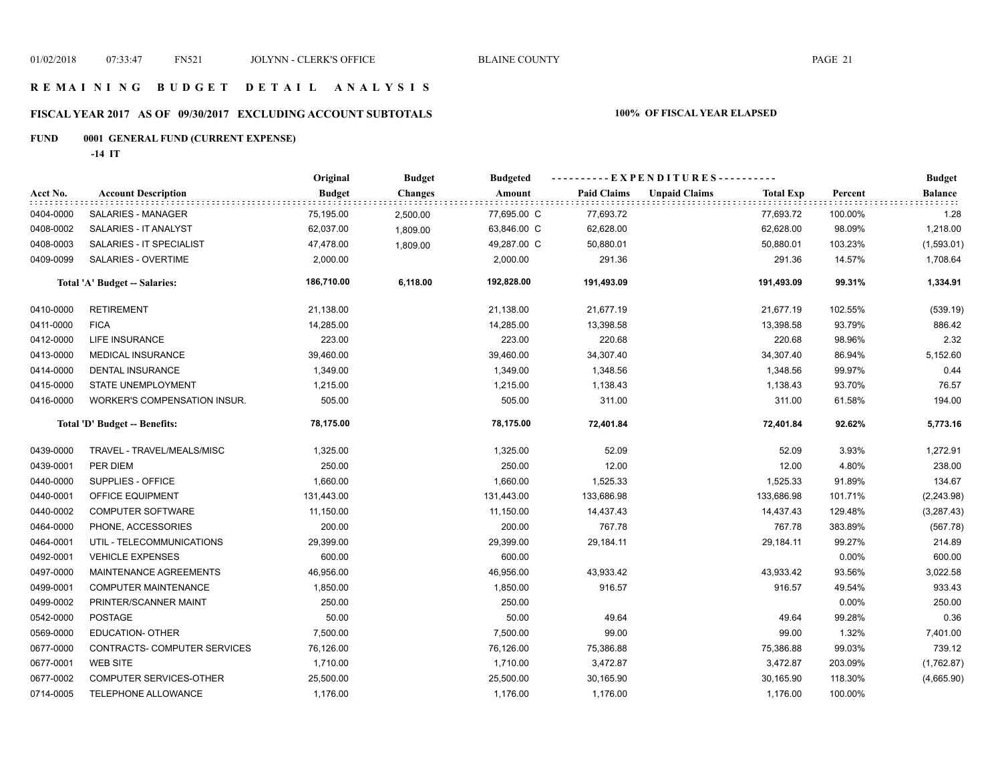# **FISCAL YEAR 2017 AS OF 09/30/2017 EXCLUDING ACCOUNT SUBTOTALS 100% OF FISCAL YEAR ELAPSED**

# **FUND 0001 GENERAL FUND (CURRENT EXPENSE)**

**-14 IT**

|                               |                               | Original      | <b>Budget</b>  | <b>Budgeted</b> | ----------EXPENDITURES---------- |                      |                  |         | <b>Budget</b>  |
|-------------------------------|-------------------------------|---------------|----------------|-----------------|----------------------------------|----------------------|------------------|---------|----------------|
| Acct No.                      | <b>Account Description</b>    | <b>Budget</b> | <b>Changes</b> | Amount          | <b>Paid Claims</b>               | <b>Unpaid Claims</b> | <b>Total Exp</b> | Percent | <b>Balance</b> |
| 0404-0000                     | SALARIES - MANAGER            | 75,195.00     | 2,500.00       | 77,695.00 C     | 77,693.72                        |                      | 77,693.72        | 100.00% | 1.28           |
| 0408-0002                     | SALARIES - IT ANALYST         | 62,037.00     | 1,809.00       | 63,846.00 C     | 62,628.00                        |                      | 62,628.00        | 98.09%  | 1,218.00       |
| 0408-0003                     | SALARIES - IT SPECIALIST      | 47,478.00     | 1,809.00       | 49,287.00 C     | 50,880.01                        |                      | 50,880.01        | 103.23% | (1,593.01)     |
| 0409-0099                     | <b>SALARIES - OVERTIME</b>    | 2,000.00      |                | 2,000.00        | 291.36                           |                      | 291.36           | 14.57%  | 1,708.64       |
|                               | Total 'A' Budget -- Salaries: | 186,710.00    | 6,118.00       | 192,828.00      | 191,493.09                       |                      | 191,493.09       | 99.31%  | 1,334.91       |
| 0410-0000                     | <b>RETIREMENT</b>             | 21,138.00     |                | 21,138.00       | 21,677.19                        |                      | 21,677.19        | 102.55% | (539.19)       |
| 0411-0000                     | <b>FICA</b>                   | 14,285.00     |                | 14,285.00       | 13,398.58                        |                      | 13,398.58        | 93.79%  | 886.42         |
| 0412-0000                     | <b>LIFE INSURANCE</b>         | 223.00        |                | 223.00          | 220.68                           |                      | 220.68           | 98.96%  | 2.32           |
| 0413-0000                     | MEDICAL INSURANCE             | 39,460.00     |                | 39,460.00       | 34,307.40                        |                      | 34,307.40        | 86.94%  | 5,152.60       |
| 0414-0000                     | <b>DENTAL INSURANCE</b>       | 1,349.00      |                | 1,349.00        | 1,348.56                         |                      | 1,348.56         | 99.97%  | 0.44           |
| 0415-0000                     | STATE UNEMPLOYMENT            | 1,215.00      |                | 1,215.00        | 1,138.43                         |                      | 1,138.43         | 93.70%  | 76.57          |
| 0416-0000                     | WORKER'S COMPENSATION INSUR.  | 505.00        |                | 505.00          | 311.00                           |                      | 311.00           | 61.58%  | 194.00         |
| Total 'D' Budget -- Benefits: |                               | 78,175.00     |                | 78,175.00       | 72,401.84                        |                      | 72,401.84        | 92.62%  | 5,773.16       |
| 0439-0000                     | TRAVEL - TRAVEL/MEALS/MISC    | 1,325.00      |                | 1,325.00        | 52.09                            |                      | 52.09            | 3.93%   | 1,272.91       |
| 0439-0001                     | PER DIEM                      | 250.00        |                | 250.00          | 12.00                            |                      | 12.00            | 4.80%   | 238.00         |
| 0440-0000                     | SUPPLIES - OFFICE             | 1,660.00      |                | 1,660.00        | 1,525.33                         |                      | 1,525.33         | 91.89%  | 134.67         |
| 0440-0001                     | OFFICE EQUIPMENT              | 131,443.00    |                | 131,443.00      | 133,686.98                       |                      | 133,686.98       | 101.71% | (2, 243.98)    |
| 0440-0002                     | <b>COMPUTER SOFTWARE</b>      | 11,150.00     |                | 11,150.00       | 14,437.43                        |                      | 14,437.43        | 129.48% | (3,287.43)     |
| 0464-0000                     | PHONE, ACCESSORIES            | 200.00        |                | 200.00          | 767.78                           |                      | 767.78           | 383.89% | (567.78)       |
| 0464-0001                     | UTIL - TELECOMMUNICATIONS     | 29,399.00     |                | 29,399.00       | 29,184.11                        |                      | 29,184.11        | 99.27%  | 214.89         |
| 0492-0001                     | <b>VEHICLE EXPENSES</b>       | 600.00        |                | 600.00          |                                  |                      |                  | 0.00%   | 600.00         |
| 0497-0000                     | MAINTENANCE AGREEMENTS        | 46,956.00     |                | 46,956.00       | 43,933.42                        |                      | 43,933.42        | 93.56%  | 3,022.58       |
| 0499-0001                     | <b>COMPUTER MAINTENANCE</b>   | 1,850.00      |                | 1,850.00        | 916.57                           |                      | 916.57           | 49.54%  | 933.43         |
| 0499-0002                     | PRINTER/SCANNER MAINT         | 250.00        |                | 250.00          |                                  |                      |                  | 0.00%   | 250.00         |
| 0542-0000                     | <b>POSTAGE</b>                | 50.00         |                | 50.00           | 49.64                            |                      | 49.64            | 99.28%  | 0.36           |
| 0569-0000                     | <b>EDUCATION- OTHER</b>       | 7,500.00      |                | 7,500.00        | 99.00                            |                      | 99.00            | 1.32%   | 7,401.00       |
| 0677-0000                     | CONTRACTS- COMPUTER SERVICES  | 76,126.00     |                | 76,126.00       | 75,386.88                        |                      | 75,386.88        | 99.03%  | 739.12         |
| 0677-0001                     | <b>WEB SITE</b>               | 1,710.00      |                | 1,710.00        | 3,472.87                         |                      | 3,472.87         | 203.09% | (1,762.87)     |
| 0677-0002                     | COMPUTER SERVICES-OTHER       | 25,500.00     |                | 25,500.00       | 30,165.90                        |                      | 30,165.90        | 118.30% | (4,665.90)     |
| 0714-0005                     | TELEPHONE ALLOWANCE           | 1,176.00      |                | 1,176.00        | 1,176.00                         |                      | 1,176.00         | 100.00% |                |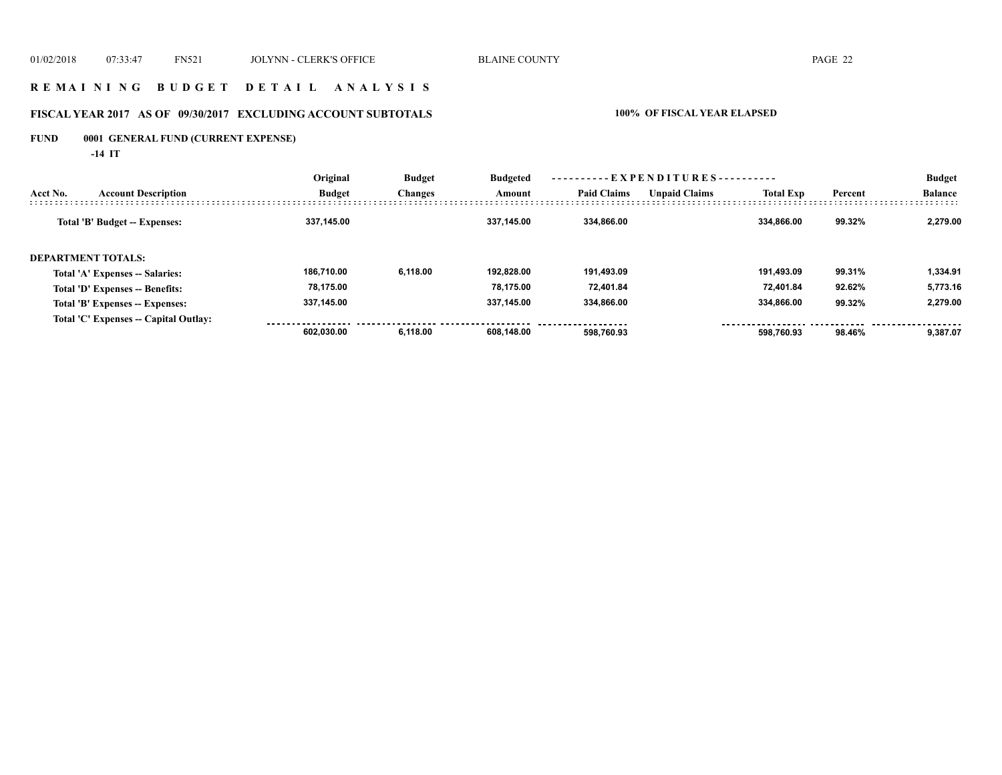## **R E M A I N I N G B U D G E T D E T A I L A N A L Y S I S**

# **FISCAL YEAR 2017 AS OF 09/30/2017 EXCLUDING ACCOUNT SUBTOTALS 100% OF FISCAL YEAR ELAPSED**

# **FUND 0001 GENERAL FUND (CURRENT EXPENSE)**

**-14 IT**

|                    |                                       | Original      | <b>Budget</b><br><b>Changes</b> | <b>Budgeted</b> | ----------EXPENDITURES---------- |                      |                  |         | <b>Budget</b>  |
|--------------------|---------------------------------------|---------------|---------------------------------|-----------------|----------------------------------|----------------------|------------------|---------|----------------|
| Acct No.           | <b>Account Description</b>            | <b>Budget</b> |                                 | Amount          | <b>Paid Claims</b>               | <b>Unpaid Claims</b> | <b>Total Exp</b> | Percent | <b>Balance</b> |
|                    | Total 'B' Budget -- Expenses:         | 337,145.00    |                                 | 337.145.00      | 334.866.00                       |                      | 334.866.00       | 99.32%  | 2.279.00       |
| DEPARTMENT TOTALS: |                                       |               |                                 |                 |                                  |                      |                  |         |                |
|                    | Total 'A' Expenses -- Salaries:       | 186.710.00    | 6.118.00                        | 192.828.00      | 191.493.09                       |                      | 191.493.09       | 99.31%  | 1,334.91       |
|                    | Total 'D' Expenses -- Benefits:       | 78,175.00     |                                 | 78.175.00       | 72.401.84                        |                      | 72.401.84        | 92.62%  | 5,773.16       |
|                    | Total 'B' Expenses -- Expenses:       | 337.145.00    |                                 | 337.145.00      | 334.866.00                       |                      | 334.866.00       | 99.32%  | 2.279.00       |
|                    | Total 'C' Expenses -- Capital Outlay: |               |                                 |                 |                                  |                      |                  |         |                |
|                    |                                       | 602.030.00    | 6.118.00                        | 608.148.00      | 598.760.93                       |                      | 598.760.93       | 98.46%  | 9.387.07       |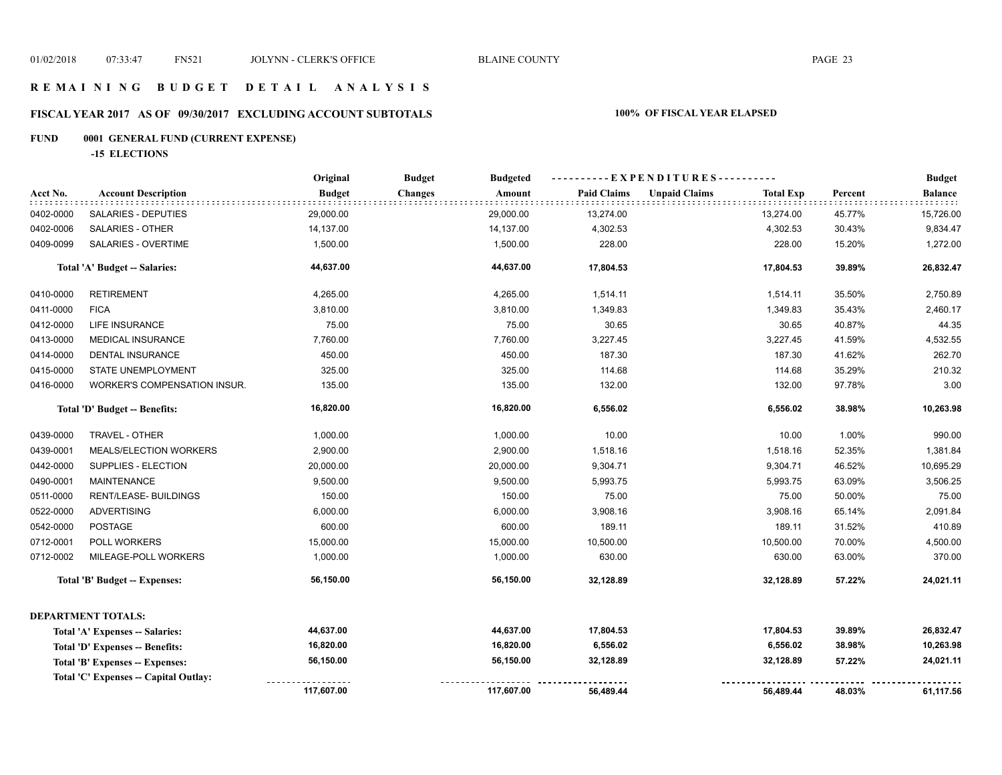# **FISCAL YEAR 2017 AS OF 09/30/2017 EXCLUDING ACCOUNT SUBTOTALS 100% OF FISCAL YEAR ELAPSED**

# **FUND 0001 GENERAL FUND (CURRENT EXPENSE)**

**-15 ELECTIONS**

|                               |                                       | Original      | <b>Budget</b><br><b>Budgeted</b> | -----EXPENDITURES---------- |                                          |         | <b>Budget</b>  |
|-------------------------------|---------------------------------------|---------------|----------------------------------|-----------------------------|------------------------------------------|---------|----------------|
| Acct No.                      | <b>Account Description</b>            | <b>Budget</b> | <b>Changes</b><br>Amount         | <b>Paid Claims</b>          | <b>Unpaid Claims</b><br><b>Total Exp</b> | Percent | <b>Balance</b> |
| 0402-0000                     | SALARIES - DEPUTIES                   | 29,000.00     | 29,000.00                        | 13,274.00                   | 13,274.00                                | 45.77%  | 15,726.00      |
| 0402-0006                     | SALARIES - OTHER                      | 14,137.00     | 14,137.00                        | 4,302.53                    | 4,302.53                                 | 30.43%  | 9,834.47       |
| 0409-0099                     | SALARIES - OVERTIME                   | 1,500.00      | 1,500.00                         | 228.00                      | 228.00                                   | 15.20%  | 1,272.00       |
|                               | Total 'A' Budget -- Salaries:         | 44,637.00     | 44,637.00                        | 17,804.53                   | 17,804.53                                | 39.89%  | 26,832.47      |
| 0410-0000                     | <b>RETIREMENT</b>                     | 4,265.00      | 4,265.00                         | 1,514.11                    | 1,514.11                                 | 35.50%  | 2,750.89       |
| 0411-0000                     | <b>FICA</b>                           | 3,810.00      | 3,810.00                         | 1,349.83                    | 1,349.83                                 | 35.43%  | 2,460.17       |
| 0412-0000                     | LIFE INSURANCE                        | 75.00         | 75.00                            | 30.65                       | 30.65                                    | 40.87%  | 44.35          |
| 0413-0000                     | MEDICAL INSURANCE                     | 7,760.00      | 7,760.00                         | 3,227.45                    | 3,227.45                                 | 41.59%  | 4,532.55       |
| 0414-0000                     | <b>DENTAL INSURANCE</b>               | 450.00        | 450.00                           | 187.30                      | 187.30                                   | 41.62%  | 262.70         |
| 0415-0000                     | STATE UNEMPLOYMENT                    | 325.00        | 325.00                           | 114.68                      | 114.68                                   | 35.29%  | 210.32         |
| 0416-0000                     | WORKER'S COMPENSATION INSUR.          | 135.00        | 135.00                           | 132.00                      | 132.00                                   | 97.78%  | 3.00           |
| Total 'D' Budget -- Benefits: |                                       | 16,820.00     | 16,820.00                        | 6,556.02                    | 6,556.02                                 | 38.98%  | 10,263.98      |
| 0439-0000                     | TRAVEL - OTHER                        | 1,000.00      | 1,000.00                         | 10.00                       | 10.00                                    | 1.00%   | 990.00         |
| 0439-0001                     | MEALS/ELECTION WORKERS                | 2,900.00      | 2,900.00                         | 1,518.16                    | 1,518.16                                 | 52.35%  | 1,381.84       |
| 0442-0000                     | SUPPLIES - ELECTION                   | 20,000.00     | 20,000.00                        | 9,304.71                    | 9,304.71                                 | 46.52%  | 10,695.29      |
| 0490-0001                     | <b>MAINTENANCE</b>                    | 9,500.00      | 9,500.00                         | 5,993.75                    | 5,993.75                                 | 63.09%  | 3,506.25       |
| 0511-0000                     | <b>RENT/LEASE- BUILDINGS</b>          | 150.00        | 150.00                           | 75.00                       | 75.00                                    | 50.00%  | 75.00          |
| 0522-0000                     | <b>ADVERTISING</b>                    | 6,000.00      | 6,000.00                         | 3,908.16                    | 3,908.16                                 | 65.14%  | 2,091.84       |
| 0542-0000                     | <b>POSTAGE</b>                        | 600.00        | 600.00                           | 189.11                      | 189.11                                   | 31.52%  | 410.89         |
| 0712-0001                     | POLL WORKERS                          | 15,000.00     | 15,000.00                        | 10,500.00                   | 10,500.00                                | 70.00%  | 4,500.00       |
| 0712-0002                     | MILEAGE-POLL WORKERS                  | 1,000.00      | 1,000.00                         | 630.00                      | 630.00                                   | 63.00%  | 370.00         |
|                               | Total 'B' Budget -- Expenses:         | 56,150.00     | 56,150.00                        | 32,128.89                   | 32,128.89                                | 57.22%  | 24,021.11      |
|                               | <b>DEPARTMENT TOTALS:</b>             |               |                                  |                             |                                          |         |                |
|                               | Total 'A' Expenses -- Salaries:       | 44,637.00     | 44,637.00                        | 17,804.53                   | 17,804.53                                | 39.89%  | 26,832.47      |
|                               | Total 'D' Expenses -- Benefits:       | 16,820.00     | 16,820.00                        | 6,556.02                    | 6,556.02                                 | 38.98%  | 10,263.98      |
|                               | Total 'B' Expenses -- Expenses:       | 56,150.00     | 56,150.00                        | 32,128.89                   | 32,128.89                                | 57.22%  | 24,021.11      |
|                               | Total 'C' Expenses -- Capital Outlay: |               |                                  |                             |                                          |         |                |
|                               |                                       | 117,607.00    | 117,607.00                       | 56,489.44                   | 56,489.44                                | 48.03%  | 61,117.56      |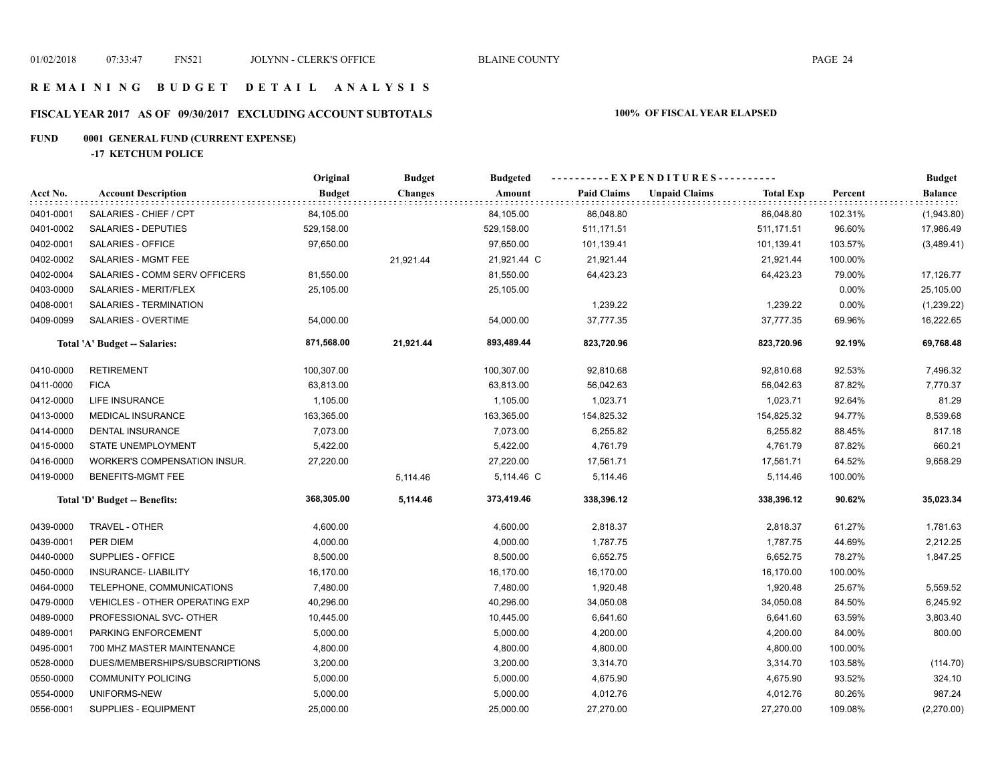# **FISCAL YEAR 2017 AS OF 09/30/2017 EXCLUDING ACCOUNT SUBTOTALS 100% OF FISCAL YEAR ELAPSED**

# **FUND 0001 GENERAL FUND (CURRENT EXPENSE)**

**-17 KETCHUM POLICE**

|           |                                       | Original      | <b>Budget</b>  | <b>Budgeted</b> |                    |                      |                  |         | <b>Budget</b> |  |
|-----------|---------------------------------------|---------------|----------------|-----------------|--------------------|----------------------|------------------|---------|---------------|--|
| Acct No.  | <b>Account Description</b>            | <b>Budget</b> | <b>Changes</b> | Amount          | <b>Paid Claims</b> | <b>Unpaid Claims</b> | <b>Total Exp</b> | Percent | Balance       |  |
| 0401-0001 | SALARIES - CHIEF / CPT                | 84,105.00     |                | 84,105.00       | 86,048.80          |                      | 86,048.80        | 102.31% | (1,943.80)    |  |
| 0401-0002 | SALARIES - DEPUTIES                   | 529,158.00    |                | 529,158.00      | 511, 171.51        |                      | 511, 171.51      | 96.60%  | 17,986.49     |  |
| 0402-0001 | SALARIES - OFFICE                     | 97,650.00     |                | 97,650.00       | 101,139.41         |                      | 101,139.41       | 103.57% | (3,489.41)    |  |
| 0402-0002 | SALARIES - MGMT FEE                   |               | 21,921.44      | 21,921.44 C     | 21,921.44          |                      | 21,921.44        | 100.00% |               |  |
| 0402-0004 | SALARIES - COMM SERV OFFICERS         | 81,550.00     |                | 81,550.00       | 64,423.23          |                      | 64,423.23        | 79.00%  | 17,126.77     |  |
| 0403-0000 | SALARIES - MERIT/FLEX                 | 25,105.00     |                | 25,105.00       |                    |                      |                  | 0.00%   | 25,105.00     |  |
| 0408-0001 | SALARIES - TERMINATION                |               |                |                 | 1,239.22           |                      | 1,239.22         | 0.00%   | (1,239.22)    |  |
| 0409-0099 | <b>SALARIES - OVERTIME</b>            | 54,000.00     |                | 54,000.00       | 37,777.35          |                      | 37,777.35        | 69.96%  | 16,222.65     |  |
|           | Total 'A' Budget -- Salaries:         | 871,568.00    | 21,921.44      | 893,489.44      | 823,720.96         |                      | 823,720.96       | 92.19%  | 69,768.48     |  |
| 0410-0000 | <b>RETIREMENT</b>                     | 100,307.00    |                | 100,307.00      | 92,810.68          |                      | 92,810.68        | 92.53%  | 7,496.32      |  |
| 0411-0000 | <b>FICA</b>                           | 63,813.00     |                | 63,813.00       | 56,042.63          |                      | 56,042.63        | 87.82%  | 7,770.37      |  |
| 0412-0000 | LIFE INSURANCE                        | 1,105.00      |                | 1,105.00        | 1,023.71           |                      | 1,023.71         | 92.64%  | 81.29         |  |
| 0413-0000 | <b>MEDICAL INSURANCE</b>              | 163,365.00    |                | 163,365.00      | 154,825.32         |                      | 154,825.32       | 94.77%  | 8,539.68      |  |
| 0414-0000 | DENTAL INSURANCE                      | 7,073.00      |                | 7,073.00        | 6,255.82           |                      | 6,255.82         | 88.45%  | 817.18        |  |
| 0415-0000 | STATE UNEMPLOYMENT                    | 5,422.00      |                | 5,422.00        | 4,761.79           |                      | 4,761.79         | 87.82%  | 660.21        |  |
| 0416-0000 | WORKER'S COMPENSATION INSUR.          | 27,220.00     |                | 27,220.00       | 17,561.71          |                      | 17,561.71        | 64.52%  | 9,658.29      |  |
| 0419-0000 | BENEFITS-MGMT FEE                     |               | 5,114.46       | 5,114.46 C      | 5,114.46           |                      | 5,114.46         | 100.00% |               |  |
|           | Total 'D' Budget -- Benefits:         | 368,305.00    | 5,114.46       | 373,419.46      | 338,396.12         |                      | 338,396.12       | 90.62%  | 35,023.34     |  |
| 0439-0000 | <b>TRAVEL - OTHER</b>                 | 4,600.00      |                | 4,600.00        | 2,818.37           |                      | 2,818.37         | 61.27%  | 1,781.63      |  |
| 0439-0001 | PER DIEM                              | 4,000.00      |                | 4,000.00        | 1,787.75           |                      | 1,787.75         | 44.69%  | 2,212.25      |  |
| 0440-0000 | SUPPLIES - OFFICE                     | 8,500.00      |                | 8,500.00        | 6,652.75           |                      | 6,652.75         | 78.27%  | 1,847.25      |  |
| 0450-0000 | <b>INSURANCE- LIABILITY</b>           | 16,170.00     |                | 16,170.00       | 16,170.00          |                      | 16,170.00        | 100.00% |               |  |
| 0464-0000 | TELEPHONE, COMMUNICATIONS             | 7,480.00      |                | 7,480.00        | 1,920.48           |                      | 1,920.48         | 25.67%  | 5,559.52      |  |
| 0479-0000 | <b>VEHICLES - OTHER OPERATING EXP</b> | 40,296.00     |                | 40,296.00       | 34,050.08          |                      | 34,050.08        | 84.50%  | 6,245.92      |  |
| 0489-0000 | PROFESSIONAL SVC- OTHER               | 10,445.00     |                | 10,445.00       | 6,641.60           |                      | 6,641.60         | 63.59%  | 3,803.40      |  |
| 0489-0001 | PARKING ENFORCEMENT                   | 5,000.00      |                | 5,000.00        | 4,200.00           |                      | 4,200.00         | 84.00%  | 800.00        |  |
| 0495-0001 | 700 MHZ MASTER MAINTENANCE            | 4,800.00      |                | 4,800.00        | 4,800.00           |                      | 4,800.00         | 100.00% |               |  |
| 0528-0000 | DUES/MEMBERSHIPS/SUBSCRIPTIONS        | 3,200.00      |                | 3,200.00        | 3,314.70           |                      | 3,314.70         | 103.58% | (114.70)      |  |
| 0550-0000 | <b>COMMUNITY POLICING</b>             | 5,000.00      |                | 5,000.00        | 4,675.90           |                      | 4,675.90         | 93.52%  | 324.10        |  |
| 0554-0000 | UNIFORMS-NEW                          | 5,000.00      |                | 5,000.00        | 4,012.76           |                      | 4,012.76         | 80.26%  | 987.24        |  |
| 0556-0001 | SUPPLIES - EQUIPMENT                  | 25,000.00     |                | 25,000.00       | 27,270.00          |                      | 27,270.00        | 109.08% | (2,270.00)    |  |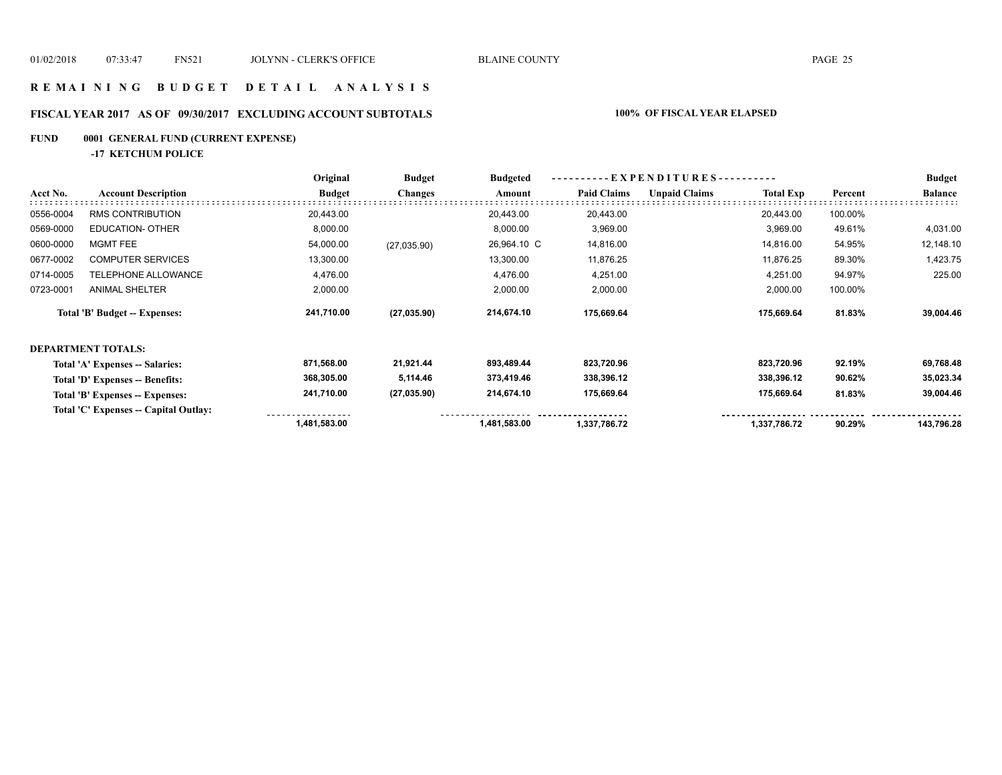## **R E M A I N I N G B U D G E T D E T A I L A N A L Y S I S**

# **FISCAL YEAR 2017 AS OF 09/30/2017 EXCLUDING ACCOUNT SUBTOTALS 100% OF FISCAL YEAR ELAPSED**

# **FUND 0001 GENERAL FUND (CURRENT EXPENSE)**

**-17 KETCHUM POLICE**

|           |                                       | Original      | <b>Budget</b>  | <b>Budgeted</b> | $-EXPENDITURES$ --------- |                      |                  |         | <b>Budget</b>  |
|-----------|---------------------------------------|---------------|----------------|-----------------|---------------------------|----------------------|------------------|---------|----------------|
| Acct No.  | <b>Account Description</b>            | <b>Budget</b> | <b>Changes</b> | Amount          | <b>Paid Claims</b>        | <b>Unpaid Claims</b> | <b>Total Exp</b> | Percent | <b>Balance</b> |
| 0556-0004 | <b>RMS CONTRIBUTION</b>               | 20,443.00     |                | 20,443.00       | 20,443.00                 |                      | 20,443.00        | 100.00% |                |
| 0569-0000 | <b>EDUCATION- OTHER</b>               | 8,000.00      |                | 8,000.00        | 3,969.00                  |                      | 3,969.00         | 49.61%  | 4,031.00       |
| 0600-0000 | <b>MGMT FEE</b>                       | 54,000.00     | (27,035.90)    | 26,964.10 C     | 14,816.00                 |                      | 14,816.00        | 54.95%  | 12,148.10      |
| 0677-0002 | <b>COMPUTER SERVICES</b>              | 13,300.00     |                | 13,300.00       | 11,876.25                 |                      | 11,876.25        | 89.30%  | 1,423.75       |
| 0714-0005 | TELEPHONE ALLOWANCE                   | 4,476.00      |                | 4,476.00        | 4,251.00                  |                      | 4,251.00         | 94.97%  | 225.00         |
| 0723-0001 | <b>ANIMAL SHELTER</b>                 | 2,000.00      |                | 2,000.00        | 2,000.00                  |                      | 2,000.00         | 100.00% |                |
|           | <b>Total 'B' Budget -- Expenses:</b>  | 241,710.00    | (27, 035.90)   | 214,674.10      | 175,669.64                |                      | 175,669.64       | 81.83%  | 39,004.46      |
|           | <b>DEPARTMENT TOTALS:</b>             |               |                |                 |                           |                      |                  |         |                |
|           | Total 'A' Expenses -- Salaries:       | 871,568.00    | 21,921.44      | 893,489.44      | 823,720.96                |                      | 823,720.96       | 92.19%  | 69,768.48      |
|           | Total 'D' Expenses -- Benefits:       | 368,305.00    | 5,114.46       | 373,419.46      | 338,396.12                |                      | 338,396.12       | 90.62%  | 35,023.34      |
|           | Total 'B' Expenses -- Expenses:       | 241,710.00    | (27, 035.90)   | 214,674.10      | 175,669.64                |                      | 175,669.64       | 81.83%  | 39,004.46      |
|           | Total 'C' Expenses -- Capital Outlay: |               |                |                 |                           |                      |                  |         |                |
|           |                                       | 1,481,583.00  |                | 1,481,583.00    | 1,337,786.72              |                      | 1,337,786.72     | 90.29%  | 143,796.28     |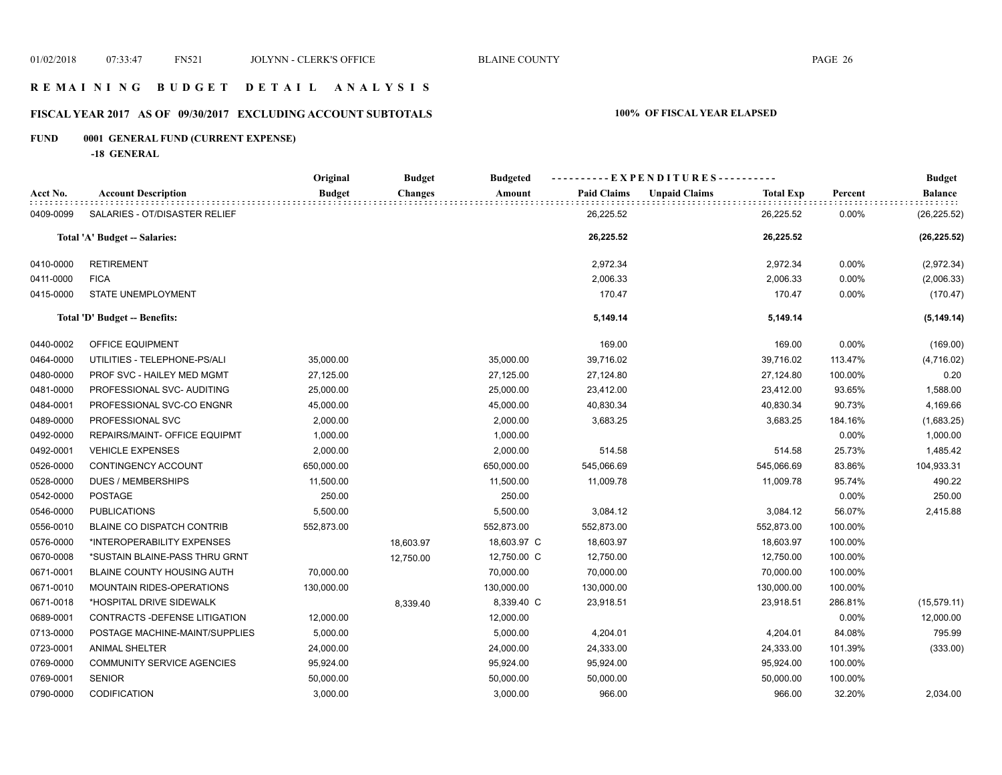## **R E M A I N I N G B U D G E T D E T A I L A N A L Y S I S**

# **FISCAL YEAR 2017 AS OF 09/30/2017 EXCLUDING ACCOUNT SUBTOTALS 100% OF FISCAL YEAR ELAPSED**

# **FUND 0001 GENERAL FUND (CURRENT EXPENSE)**

**-18 GENERAL**

|           |                                   | Original      | <b>Budget</b>  | <b>Budgeted</b> | ----------EXPENDITURES---------- |                      |                  |         | <b>Budget</b>  |
|-----------|-----------------------------------|---------------|----------------|-----------------|----------------------------------|----------------------|------------------|---------|----------------|
| Acct No.  | <b>Account Description</b>        | <b>Budget</b> | <b>Changes</b> | Amount          | <b>Paid Claims</b>               | <b>Unpaid Claims</b> | <b>Total Exp</b> | Percent | <b>Balance</b> |
| 0409-0099 | SALARIES - OT/DISASTER RELIEF     |               |                |                 | 26,225.52                        |                      | 26,225.52        | 0.00%   | (26, 225.52)   |
|           | Total 'A' Budget -- Salaries:     |               |                |                 | 26,225.52                        |                      | 26,225.52        |         | (26, 225.52)   |
| 0410-0000 | <b>RETIREMENT</b>                 |               |                |                 | 2,972.34                         |                      | 2,972.34         | 0.00%   | (2,972.34)     |
| 0411-0000 | <b>FICA</b>                       |               |                |                 | 2,006.33                         |                      | 2,006.33         | 0.00%   | (2,006.33)     |
| 0415-0000 | <b>STATE UNEMPLOYMENT</b>         |               |                |                 | 170.47                           |                      | 170.47           | 0.00%   | (170.47)       |
|           | Total 'D' Budget -- Benefits:     |               |                |                 | 5,149.14                         |                      | 5,149.14         |         | (5, 149.14)    |
| 0440-0002 | OFFICE EQUIPMENT                  |               |                |                 | 169.00                           |                      | 169.00           | 0.00%   | (169.00)       |
| 0464-0000 | UTILITIES - TELEPHONE-PS/ALI      | 35,000.00     |                | 35,000.00       | 39,716.02                        |                      | 39,716.02        | 113.47% | (4,716.02)     |
| 0480-0000 | PROF SVC - HAILEY MED MGMT        | 27,125.00     |                | 27,125.00       | 27,124.80                        |                      | 27,124.80        | 100.00% | 0.20           |
| 0481-0000 | PROFESSIONAL SVC- AUDITING        | 25,000.00     |                | 25,000.00       | 23,412.00                        |                      | 23,412.00        | 93.65%  | 1,588.00       |
| 0484-0001 | PROFESSIONAL SVC-CO ENGNR         | 45,000.00     |                | 45,000.00       | 40,830.34                        |                      | 40,830.34        | 90.73%  | 4,169.66       |
| 0489-0000 | PROFESSIONAL SVC                  | 2,000.00      |                | 2,000.00        | 3,683.25                         |                      | 3,683.25         | 184.16% | (1,683.25)     |
| 0492-0000 | REPAIRS/MAINT- OFFICE EQUIPMT     | 1,000.00      |                | 1,000.00        |                                  |                      |                  | 0.00%   | 1,000.00       |
| 0492-0001 | <b>VEHICLE EXPENSES</b>           | 2,000.00      |                | 2,000.00        | 514.58                           |                      | 514.58           | 25.73%  | 1,485.42       |
| 0526-0000 | CONTINGENCY ACCOUNT               | 650,000.00    |                | 650,000.00      | 545,066.69                       |                      | 545,066.69       | 83.86%  | 104,933.31     |
| 0528-0000 | <b>DUES / MEMBERSHIPS</b>         | 11,500.00     |                | 11,500.00       | 11,009.78                        |                      | 11,009.78        | 95.74%  | 490.22         |
| 0542-0000 | POSTAGE                           | 250.00        |                | 250.00          |                                  |                      |                  | 0.00%   | 250.00         |
| 0546-0000 | <b>PUBLICATIONS</b>               | 5,500.00      |                | 5,500.00        | 3,084.12                         |                      | 3,084.12         | 56.07%  | 2,415.88       |
| 0556-0010 | BLAINE CO DISPATCH CONTRIB        | 552,873.00    |                | 552,873.00      | 552,873.00                       |                      | 552,873.00       | 100.00% |                |
| 0576-0000 | *INTEROPERABILITY EXPENSES        |               | 18,603.97      | 18,603.97 C     | 18,603.97                        |                      | 18,603.97        | 100.00% |                |
| 0670-0008 | *SUSTAIN BLAINE-PASS THRU GRNT    |               | 12,750.00      | 12,750.00 C     | 12,750.00                        |                      | 12,750.00        | 100.00% |                |
| 0671-0001 | <b>BLAINE COUNTY HOUSING AUTH</b> | 70,000.00     |                | 70,000.00       | 70,000.00                        |                      | 70,000.00        | 100.00% |                |
| 0671-0010 | MOUNTAIN RIDES-OPERATIONS         | 130,000.00    |                | 130,000.00      | 130,000.00                       |                      | 130,000.00       | 100.00% |                |
| 0671-0018 | *HOSPITAL DRIVE SIDEWALK          |               | 8,339.40       | 8,339.40 C      | 23,918.51                        |                      | 23,918.51        | 286.81% | (15, 579.11)   |
| 0689-0001 | CONTRACTS - DEFENSE LITIGATION    | 12,000.00     |                | 12,000.00       |                                  |                      |                  | 0.00%   | 12,000.00      |
| 0713-0000 | POSTAGE MACHINE-MAINT/SUPPLIES    | 5,000.00      |                | 5,000.00        | 4,204.01                         |                      | 4,204.01         | 84.08%  | 795.99         |
| 0723-0001 | <b>ANIMAL SHELTER</b>             | 24,000.00     |                | 24,000.00       | 24,333.00                        |                      | 24,333.00        | 101.39% | (333.00)       |
| 0769-0000 | <b>COMMUNITY SERVICE AGENCIES</b> | 95,924.00     |                | 95,924.00       | 95,924.00                        |                      | 95,924.00        | 100.00% |                |
| 0769-0001 | <b>SENIOR</b>                     | 50,000.00     |                | 50,000.00       | 50,000.00                        |                      | 50,000.00        | 100.00% |                |
| 0790-0000 | <b>CODIFICATION</b>               | 3,000.00      |                | 3,000.00        | 966.00                           |                      | 966.00           | 32.20%  | 2,034.00       |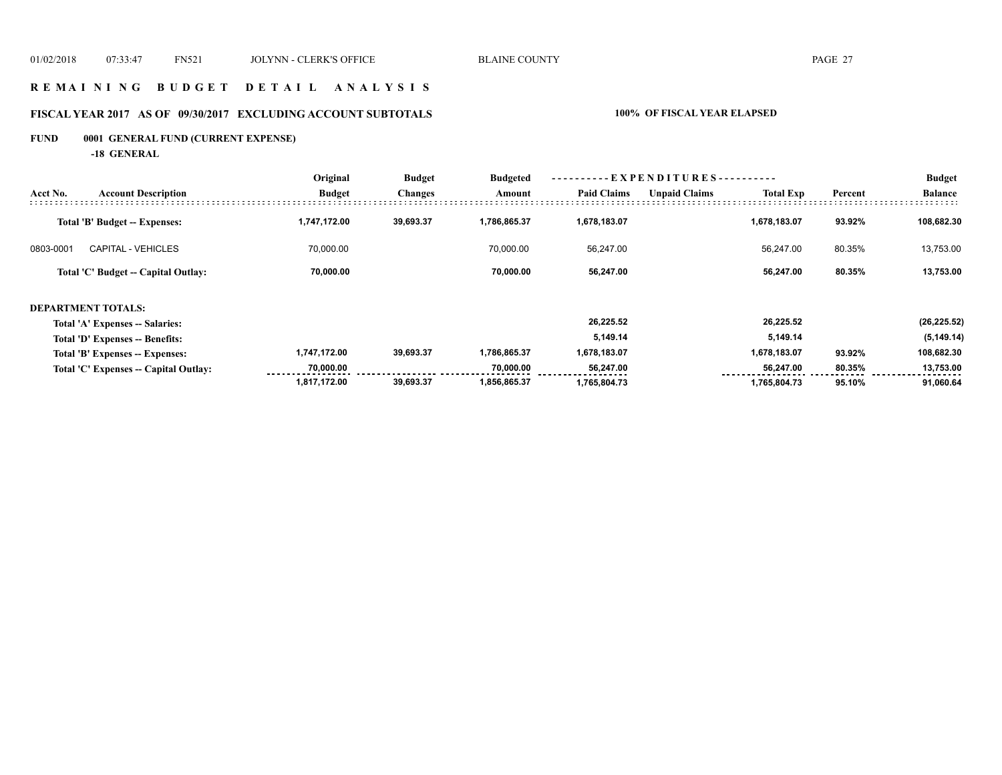## **R E M A I N I N G B U D G E T D E T A I L A N A L Y S I S**

# **FISCAL YEAR 2017 AS OF 09/30/2017 EXCLUDING ACCOUNT SUBTOTALS 100% OF FISCAL YEAR ELAPSED**

# **FUND 0001 GENERAL FUND (CURRENT EXPENSE)**

**-18 GENERAL**

|           |                                       | Original      | <b>Budget</b><br><b>Changes</b> | <b>Budgeted</b> | ----------EXPENDITURES---------- |                      |                  |         | <b>Budget</b>  |
|-----------|---------------------------------------|---------------|---------------------------------|-----------------|----------------------------------|----------------------|------------------|---------|----------------|
| Acct No.  | <b>Account Description</b>            | <b>Budget</b> |                                 | Amount          | <b>Paid Claims</b>               | <b>Unpaid Claims</b> | <b>Total Exp</b> | Percent | <b>Balance</b> |
|           | Total 'B' Budget -- Expenses:         | 1,747,172.00  | 39,693.37                       | 1,786,865.37    | 1,678,183.07                     |                      | 1,678,183.07     | 93.92%  | 108,682.30     |
| 0803-0001 | <b>CAPITAL - VEHICLES</b>             | 70,000.00     |                                 | 70.000.00       | 56,247.00                        |                      | 56,247.00        | 80.35%  | 13,753.00      |
|           | Total 'C' Budget -- Capital Outlay:   | 70,000.00     |                                 | 70,000.00       | 56,247.00                        |                      | 56,247.00        | 80.35%  | 13,753.00      |
|           | <b>DEPARTMENT TOTALS:</b>             |               |                                 |                 |                                  |                      |                  |         |                |
|           | Total 'A' Expenses -- Salaries:       |               |                                 |                 | 26.225.52                        |                      | 26.225.52        |         | (26, 225.52)   |
|           | Total 'D' Expenses -- Benefits:       |               |                                 |                 | 5,149.14                         |                      | 5,149.14         |         | (5, 149.14)    |
|           | Total 'B' Expenses -- Expenses:       | 1,747,172.00  | 39,693.37                       | 1,786,865.37    | 1,678,183.07                     |                      | 1,678,183.07     | 93.92%  | 108,682.30     |
|           | Total 'C' Expenses -- Capital Outlay: | 70,000.00     |                                 | 70,000.00       | 56,247.00                        |                      | 56,247.00        | 80.35%  | 13,753.00      |
|           |                                       | 1,817,172.00  | 39,693.37                       | 1,856,865.37    | 1,765,804.73                     |                      | 1,765,804.73     | 95.10%  | 91,060.64      |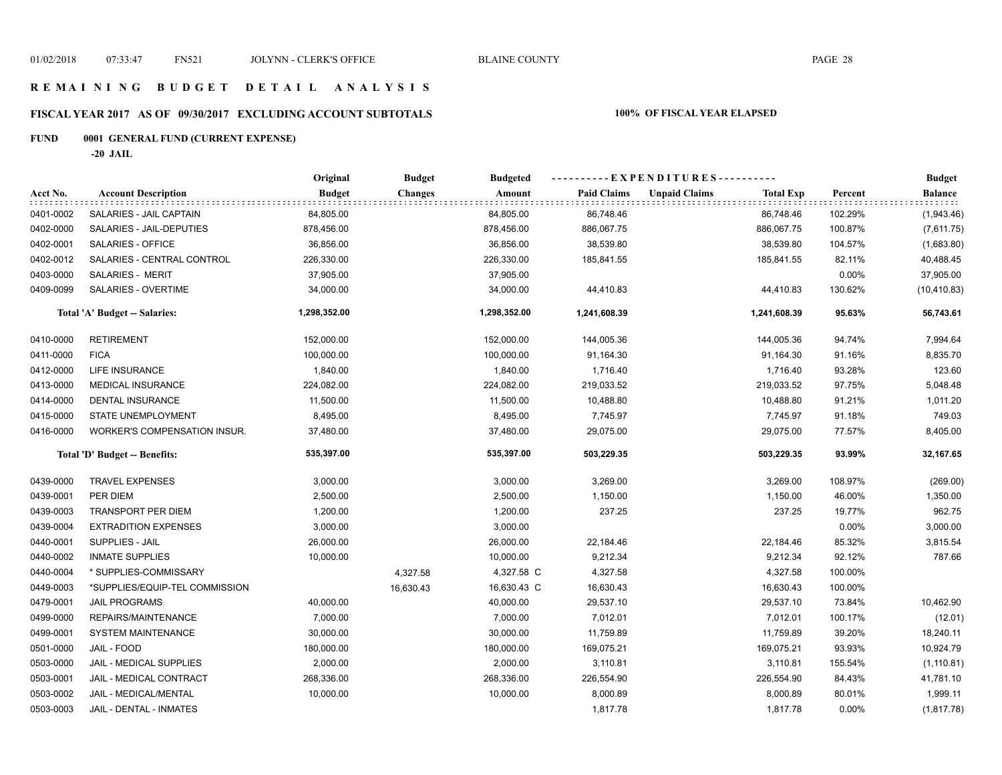## **R E M A I N I N G B U D G E T D E T A I L A N A L Y S I S**

# **FISCAL YEAR 2017 AS OF 09/30/2017 EXCLUDING ACCOUNT SUBTOTALS 100% OF FISCAL YEAR ELAPSED**

# **FUND 0001 GENERAL FUND (CURRENT EXPENSE)**

**-20 JAIL**

|           |                                      | Original      | <b>Budget</b>  | <b>Budgeted</b> | ----------EXPENDITURES---------- |                      |                  |         | <b>Budget</b>  |
|-----------|--------------------------------------|---------------|----------------|-----------------|----------------------------------|----------------------|------------------|---------|----------------|
| Acct No.  | <b>Account Description</b>           | <b>Budget</b> | <b>Changes</b> | Amount          | <b>Paid Claims</b>               | <b>Unpaid Claims</b> | <b>Total Exp</b> | Percent | <b>Balance</b> |
| 0401-0002 | SALARIES - JAIL CAPTAIN              | 84,805.00     |                | 84,805.00       | 86,748.46                        |                      | 86,748.46        | 102.29% | (1,943.46)     |
| 0402-0000 | SALARIES - JAIL-DEPUTIES             | 878,456.00    |                | 878,456.00      | 886,067.75                       |                      | 886,067.75       | 100.87% | (7,611.75)     |
| 0402-0001 | SALARIES - OFFICE                    | 36,856.00     |                | 36,856.00       | 38,539.80                        |                      | 38,539.80        | 104.57% | (1,683.80)     |
| 0402-0012 | SALARIES - CENTRAL CONTROL           | 226,330.00    |                | 226,330.00      | 185,841.55                       |                      | 185,841.55       | 82.11%  | 40,488.45      |
| 0403-0000 | SALARIES - MERIT                     | 37,905.00     |                | 37,905.00       |                                  |                      |                  | 0.00%   | 37,905.00      |
| 0409-0099 | SALARIES - OVERTIME                  | 34,000.00     |                | 34,000.00       | 44,410.83                        |                      | 44,410.83        | 130.62% | (10, 410.83)   |
|           | <b>Total 'A' Budget -- Salaries:</b> | 1,298,352.00  |                | 1,298,352.00    | 1,241,608.39                     |                      | 1,241,608.39     | 95.63%  | 56,743.61      |
| 0410-0000 | <b>RETIREMENT</b>                    | 152,000.00    |                | 152,000.00      | 144,005.36                       |                      | 144,005.36       | 94.74%  | 7,994.64       |
| 0411-0000 | <b>FICA</b>                          | 100,000.00    |                | 100,000.00      | 91,164.30                        |                      | 91,164.30        | 91.16%  | 8,835.70       |
| 0412-0000 | <b>LIFE INSURANCE</b>                | 1,840.00      |                | 1,840.00        | 1,716.40                         |                      | 1,716.40         | 93.28%  | 123.60         |
| 0413-0000 | MEDICAL INSURANCE                    | 224,082.00    |                | 224,082.00      | 219,033.52                       |                      | 219,033.52       | 97.75%  | 5,048.48       |
| 0414-0000 | <b>DENTAL INSURANCE</b>              | 11,500.00     |                | 11,500.00       | 10,488.80                        |                      | 10,488.80        | 91.21%  | 1,011.20       |
| 0415-0000 | STATE UNEMPLOYMENT                   | 8,495.00      |                | 8,495.00        | 7,745.97                         |                      | 7,745.97         | 91.18%  | 749.03         |
| 0416-0000 | <b>WORKER'S COMPENSATION INSUR.</b>  | 37,480.00     |                | 37,480.00       | 29,075.00                        |                      | 29,075.00        | 77.57%  | 8,405.00       |
|           | Total 'D' Budget -- Benefits:        | 535,397.00    |                | 535,397.00      | 503,229.35                       |                      | 503,229.35       | 93.99%  | 32,167.65      |
| 0439-0000 | <b>TRAVEL EXPENSES</b>               | 3,000.00      |                | 3,000.00        | 3,269.00                         |                      | 3,269.00         | 108.97% | (269.00)       |
| 0439-0001 | PER DIEM                             | 2,500.00      |                | 2,500.00        | 1,150.00                         |                      | 1,150.00         | 46.00%  | 1,350.00       |
| 0439-0003 | <b>TRANSPORT PER DIEM</b>            | 1,200.00      |                | 1,200.00        | 237.25                           |                      | 237.25           | 19.77%  | 962.75         |
| 0439-0004 | <b>EXTRADITION EXPENSES</b>          | 3,000.00      |                | 3,000.00        |                                  |                      |                  | 0.00%   | 3,000.00       |
| 0440-0001 | SUPPLIES - JAIL                      | 26,000.00     |                | 26,000.00       | 22,184.46                        |                      | 22,184.46        | 85.32%  | 3,815.54       |
| 0440-0002 | <b>INMATE SUPPLIES</b>               | 10,000.00     |                | 10,000.00       | 9,212.34                         |                      | 9,212.34         | 92.12%  | 787.66         |
| 0440-0004 | * SUPPLIES-COMMISSARY                |               | 4,327.58       | 4,327.58 C      | 4,327.58                         |                      | 4,327.58         | 100.00% |                |
| 0449-0003 | *SUPPLIES/EQUIP-TEL COMMISSION       |               | 16,630.43      | 16,630.43 C     | 16,630.43                        |                      | 16,630.43        | 100.00% |                |
| 0479-0001 | <b>JAIL PROGRAMS</b>                 | 40,000.00     |                | 40,000.00       | 29,537.10                        |                      | 29,537.10        | 73.84%  | 10,462.90      |
| 0499-0000 | REPAIRS/MAINTENANCE                  | 7,000.00      |                | 7,000.00        | 7,012.01                         |                      | 7,012.01         | 100.17% | (12.01)        |
| 0499-0001 | <b>SYSTEM MAINTENANCE</b>            | 30,000.00     |                | 30,000.00       | 11,759.89                        |                      | 11,759.89        | 39.20%  | 18,240.11      |
| 0501-0000 | JAIL - FOOD                          | 180,000.00    |                | 180,000.00      | 169,075.21                       |                      | 169,075.21       | 93.93%  | 10,924.79      |
| 0503-0000 | JAIL - MEDICAL SUPPLIES              | 2,000.00      |                | 2,000.00        | 3,110.81                         |                      | 3,110.81         | 155.54% | (1, 110.81)    |
| 0503-0001 | JAIL - MEDICAL CONTRACT              | 268,336.00    |                | 268,336.00      | 226,554.90                       |                      | 226,554.90       | 84.43%  | 41,781.10      |
| 0503-0002 | JAIL - MEDICAL/MENTAL                | 10,000.00     |                | 10,000.00       | 8,000.89                         |                      | 8,000.89         | 80.01%  | 1,999.11       |
| 0503-0003 | JAIL - DENTAL - INMATES              |               |                |                 | 1,817.78                         |                      | 1,817.78         | 0.00%   | (1, 817.78)    |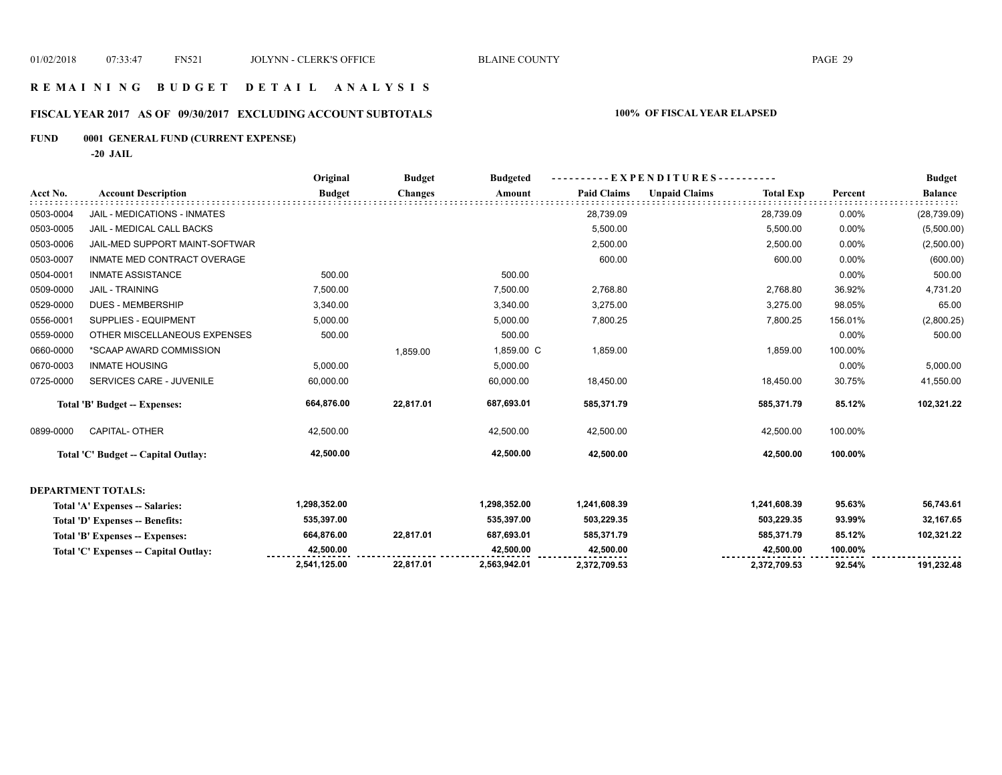## **R E M A I N I N G B U D G E T D E T A I L A N A L Y S I S**

# **FISCAL YEAR 2017 AS OF 09/30/2017 EXCLUDING ACCOUNT SUBTOTALS 100% OF FISCAL YEAR ELAPSED**

# **FUND 0001 GENERAL FUND (CURRENT EXPENSE)**

**-20 JAIL**

|           |                                       | Original      | <b>Budget</b>  | <b>Budgeted</b> | ----------EXPENDITURES---------- |                                          | <b>Budget</b> |                |
|-----------|---------------------------------------|---------------|----------------|-----------------|----------------------------------|------------------------------------------|---------------|----------------|
| Acct No.  | <b>Account Description</b>            | <b>Budget</b> | <b>Changes</b> | Amount          | <b>Paid Claims</b>               | <b>Unpaid Claims</b><br><b>Total Exp</b> | Percent       | <b>Balance</b> |
| 0503-0004 | JAIL - MEDICATIONS - INMATES          |               |                |                 | 28,739.09                        | 28,739.09                                | 0.00%         | (28, 739.09)   |
| 0503-0005 | JAIL - MEDICAL CALL BACKS             |               |                |                 | 5,500.00                         | 5,500.00                                 | 0.00%         | (5,500.00)     |
| 0503-0006 | JAIL-MED SUPPORT MAINT-SOFTWAR        |               |                |                 | 2,500.00                         | 2,500.00                                 | 0.00%         | (2,500.00)     |
| 0503-0007 | INMATE MED CONTRACT OVERAGE           |               |                |                 | 600.00                           | 600.00                                   | 0.00%         | (600.00)       |
| 0504-0001 | <b>INMATE ASSISTANCE</b>              | 500.00        |                | 500.00          |                                  |                                          | 0.00%         | 500.00         |
| 0509-0000 | <b>JAIL - TRAINING</b>                | 7,500.00      |                | 7,500.00        | 2,768.80                         | 2,768.80                                 | 36.92%        | 4,731.20       |
| 0529-0000 | <b>DUES - MEMBERSHIP</b>              | 3,340.00      |                | 3,340.00        | 3,275.00                         | 3,275.00                                 | 98.05%        | 65.00          |
| 0556-0001 | SUPPLIES - EQUIPMENT                  | 5,000.00      |                | 5,000.00        | 7,800.25                         | 7,800.25                                 | 156.01%       | (2,800.25)     |
| 0559-0000 | OTHER MISCELLANEOUS EXPENSES          | 500.00        |                | 500.00          |                                  |                                          | 0.00%         | 500.00         |
| 0660-0000 | *SCAAP AWARD COMMISSION               |               | 1,859.00       | 1,859.00 C      | 1,859.00                         | 1,859.00                                 | 100.00%       |                |
| 0670-0003 | <b>INMATE HOUSING</b>                 | 5,000.00      |                | 5,000.00        |                                  |                                          | 0.00%         | 5,000.00       |
| 0725-0000 | SERVICES CARE - JUVENILE              | 60,000.00     |                | 60,000.00       | 18,450.00                        | 18,450.00                                | 30.75%        | 41,550.00      |
|           | Total 'B' Budget -- Expenses:         | 664,876.00    | 22,817.01      | 687,693.01      | 585,371.79                       | 585,371.79                               | 85.12%        | 102,321.22     |
| 0899-0000 | CAPITAL- OTHER                        | 42,500.00     |                | 42,500.00       | 42,500.00                        | 42,500.00                                | 100.00%       |                |
|           | Total 'C' Budget -- Capital Outlay:   | 42,500.00     |                | 42,500.00       | 42,500.00                        | 42,500.00                                | 100.00%       |                |
|           | <b>DEPARTMENT TOTALS:</b>             |               |                |                 |                                  |                                          |               |                |
|           | Total 'A' Expenses -- Salaries:       | 1,298,352.00  |                | 1,298,352.00    | 1,241,608.39                     | 1,241,608.39                             | 95.63%        | 56,743.61      |
|           | Total 'D' Expenses -- Benefits:       | 535,397.00    |                | 535,397.00      | 503,229.35                       | 503,229.35                               | 93.99%        | 32,167.65      |
|           | Total 'B' Expenses -- Expenses:       | 664,876.00    | 22,817.01      | 687,693.01      | 585,371.79                       | 585,371.79                               | 85.12%        | 102,321.22     |
|           | Total 'C' Expenses -- Capital Outlay: | 42,500.00     |                | 42,500.00       | 42,500.00                        | 42,500.00                                | 100.00%       |                |
|           |                                       | 2,541,125.00  | 22,817.01      | 2,563,942.01    | 2,372,709.53                     | 2,372,709.53                             | 92.54%        | 191,232.48     |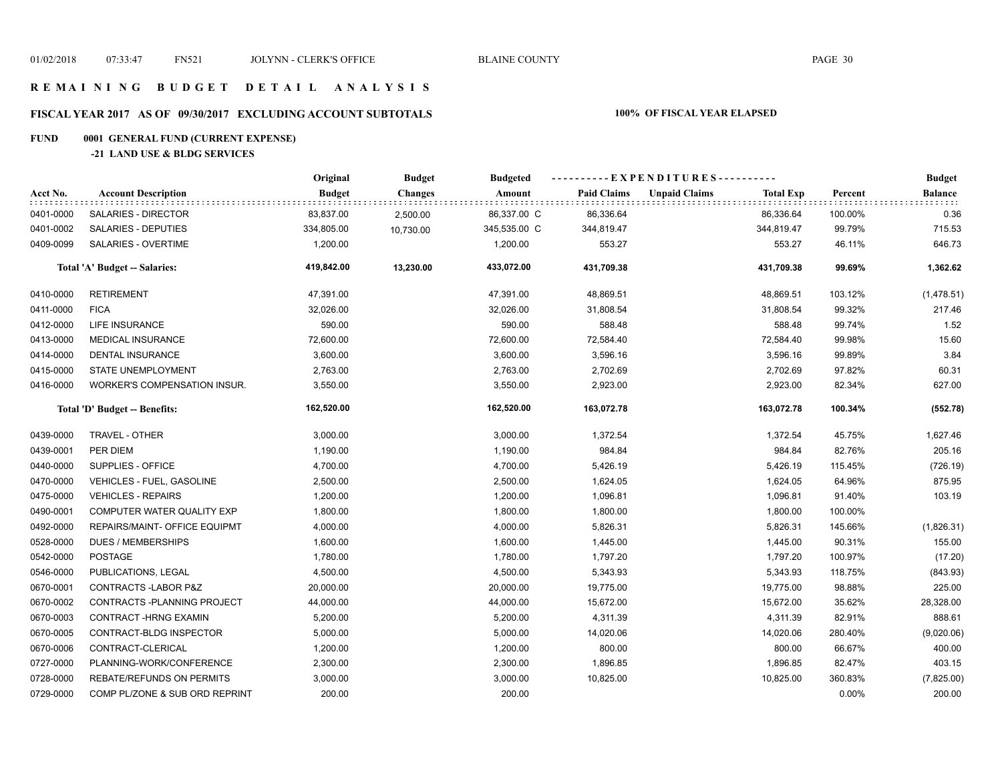## **R E M A I N I N G B U D G E T D E T A I L A N A L Y S I S**

# **FISCAL YEAR 2017 AS OF 09/30/2017 EXCLUDING ACCOUNT SUBTOTALS 100% OF FISCAL YEAR ELAPSED**

# **FUND 0001 GENERAL FUND (CURRENT EXPENSE)**

## **-21 LAND USE & BLDG SERVICES**

|           |                                  | Original      | <b>Budget</b>  | <b>Budgeted</b> | ----------EXPENDITURES---------- |                      |                  |         | <b>Budget</b>  |
|-----------|----------------------------------|---------------|----------------|-----------------|----------------------------------|----------------------|------------------|---------|----------------|
| Acct No.  | <b>Account Description</b>       | <b>Budget</b> | <b>Changes</b> | Amount          | <b>Paid Claims</b>               | <b>Unpaid Claims</b> | <b>Total Exp</b> | Percent | <b>Balance</b> |
| 0401-0000 | SALARIES - DIRECTOR              | 83,837.00     | 2,500.00       | 86,337.00 C     | 86,336.64                        |                      | 86,336.64        | 100.00% | 0.36           |
| 0401-0002 | SALARIES - DEPUTIES              | 334,805.00    | 10,730.00      | 345,535.00 C    | 344,819.47                       |                      | 344,819.47       | 99.79%  | 715.53         |
| 0409-0099 | <b>SALARIES - OVERTIME</b>       | 1,200.00      |                | 1,200.00        | 553.27                           |                      | 553.27           | 46.11%  | 646.73         |
|           | Total 'A' Budget -- Salaries:    | 419,842.00    | 13,230.00      | 433,072.00      | 431,709.38                       |                      | 431,709.38       | 99.69%  | 1,362.62       |
| 0410-0000 | <b>RETIREMENT</b>                | 47,391.00     |                | 47,391.00       | 48,869.51                        |                      | 48,869.51        | 103.12% | (1,478.51)     |
| 0411-0000 | <b>FICA</b>                      | 32,026.00     |                | 32,026.00       | 31,808.54                        |                      | 31,808.54        | 99.32%  | 217.46         |
| 0412-0000 | <b>LIFE INSURANCE</b>            | 590.00        |                | 590.00          | 588.48                           |                      | 588.48           | 99.74%  | 1.52           |
| 0413-0000 | MEDICAL INSURANCE                | 72,600.00     |                | 72,600.00       | 72,584.40                        |                      | 72,584.40        | 99.98%  | 15.60          |
| 0414-0000 | <b>DENTAL INSURANCE</b>          | 3,600.00      |                | 3,600.00        | 3,596.16                         |                      | 3,596.16         | 99.89%  | 3.84           |
| 0415-0000 | <b>STATE UNEMPLOYMENT</b>        | 2,763.00      |                | 2,763.00        | 2,702.69                         |                      | 2,702.69         | 97.82%  | 60.31          |
| 0416-0000 | WORKER'S COMPENSATION INSUR.     | 3,550.00      |                | 3,550.00        | 2,923.00                         |                      | 2,923.00         | 82.34%  | 627.00         |
|           | Total 'D' Budget -- Benefits:    | 162,520.00    |                | 162,520.00      | 163,072.78                       |                      | 163,072.78       | 100.34% | (552.78)       |
| 0439-0000 | TRAVEL - OTHER                   | 3,000.00      |                | 3,000.00        | 1,372.54                         |                      | 1,372.54         | 45.75%  | 1,627.46       |
| 0439-0001 | PER DIEM                         | 1,190.00      |                | 1,190.00        | 984.84                           |                      | 984.84           | 82.76%  | 205.16         |
| 0440-0000 | SUPPLIES - OFFICE                | 4,700.00      |                | 4,700.00        | 5,426.19                         |                      | 5,426.19         | 115.45% | (726.19)       |
| 0470-0000 | <b>VEHICLES - FUEL, GASOLINE</b> | 2,500.00      |                | 2,500.00        | 1,624.05                         |                      | 1,624.05         | 64.96%  | 875.95         |
| 0475-0000 | <b>VEHICLES - REPAIRS</b>        | 1,200.00      |                | 1,200.00        | 1,096.81                         |                      | 1,096.81         | 91.40%  | 103.19         |
| 0490-0001 | COMPUTER WATER QUALITY EXP       | 1,800.00      |                | 1,800.00        | 1,800.00                         |                      | 1,800.00         | 100.00% |                |
| 0492-0000 | REPAIRS/MAINT- OFFICE EQUIPMT    | 4,000.00      |                | 4,000.00        | 5,826.31                         |                      | 5,826.31         | 145.66% | (1,826.31)     |
| 0528-0000 | <b>DUES / MEMBERSHIPS</b>        | 1,600.00      |                | 1,600.00        | 1,445.00                         |                      | 1,445.00         | 90.31%  | 155.00         |
| 0542-0000 | <b>POSTAGE</b>                   | 1,780.00      |                | 1,780.00        | 1,797.20                         |                      | 1,797.20         | 100.97% | (17.20)        |
| 0546-0000 | PUBLICATIONS, LEGAL              | 4,500.00      |                | 4,500.00        | 5,343.93                         |                      | 5,343.93         | 118.75% | (843.93)       |
| 0670-0001 | CONTRACTS-LABOR P&Z              | 20,000.00     |                | 20,000.00       | 19,775.00                        |                      | 19,775.00        | 98.88%  | 225.00         |
| 0670-0002 | CONTRACTS - PLANNING PROJECT     | 44,000.00     |                | 44,000.00       | 15,672.00                        |                      | 15,672.00        | 35.62%  | 28,328.00      |
| 0670-0003 | CONTRACT-HRNG EXAMIN             | 5,200.00      |                | 5,200.00        | 4,311.39                         |                      | 4,311.39         | 82.91%  | 888.61         |
| 0670-0005 | CONTRACT-BLDG INSPECTOR          | 5,000.00      |                | 5,000.00        | 14,020.06                        |                      | 14,020.06        | 280.40% | (9,020.06)     |
| 0670-0006 | CONTRACT-CLERICAL                | 1,200.00      |                | 1,200.00        | 800.00                           |                      | 800.00           | 66.67%  | 400.00         |
| 0727-0000 | PLANNING-WORK/CONFERENCE         | 2,300.00      |                | 2,300.00        | 1,896.85                         |                      | 1,896.85         | 82.47%  | 403.15         |
| 0728-0000 | <b>REBATE/REFUNDS ON PERMITS</b> | 3,000.00      |                | 3,000.00        | 10,825.00                        |                      | 10,825.00        | 360.83% | (7,825.00)     |
| 0729-0000 | COMP PL/ZONE & SUB ORD REPRINT   | 200.00        |                | 200.00          |                                  |                      |                  | 0.00%   | 200.00         |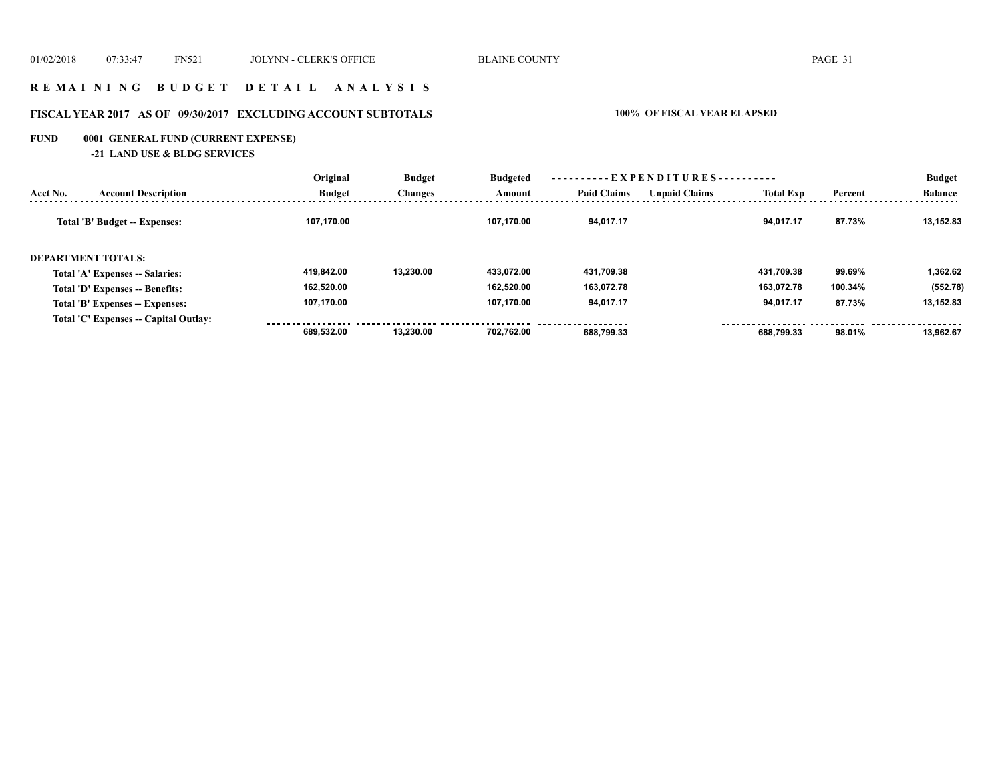## **R E M A I N I N G B U D G E T D E T A I L A N A L Y S I S**

# **FISCAL YEAR 2017 AS OF 09/30/2017 EXCLUDING ACCOUNT SUBTOTALS 100% OF FISCAL YEAR ELAPSED**

# **FUND 0001 GENERAL FUND (CURRENT EXPENSE)**

**-21 LAND USE & BLDG SERVICES**

|                           | <b>Account Description</b>            | Original      | <b>Budget</b><br><b>Changes</b> | <b>Budgeted</b> | ----------EXPENDITURES---------- |                      |                  |         | <b>Budget</b>  |
|---------------------------|---------------------------------------|---------------|---------------------------------|-----------------|----------------------------------|----------------------|------------------|---------|----------------|
| Acct No.                  |                                       | <b>Budget</b> |                                 | Amount          | <b>Paid Claims</b>               | <b>Unpaid Claims</b> | <b>Total Exp</b> | Percent | <b>Balance</b> |
|                           | Total 'B' Budget -- Expenses:         | 107,170.00    |                                 | 107.170.00      | 94.017.17                        |                      | 94.017.17        | 87.73%  | 13.152.83      |
| <b>DEPARTMENT TOTALS:</b> |                                       |               |                                 |                 |                                  |                      |                  |         |                |
|                           | Total 'A' Expenses -- Salaries:       | 419.842.00    | 13.230.00                       | 433.072.00      | 431,709.38                       |                      | 431.709.38       | 99.69%  | 1,362.62       |
|                           | Total 'D' Expenses -- Benefits:       | 162.520.00    |                                 | 162.520.00      | 163.072.78                       |                      | 163.072.78       | 100.34% | (552.78)       |
|                           | Total 'B' Expenses -- Expenses:       | 107.170.00    |                                 | 107.170.00      | 94,017.17                        |                      | 94,017.17        | 87.73%  | 13,152.83      |
|                           | Total 'C' Expenses -- Capital Outlay: |               |                                 |                 |                                  |                      |                  |         |                |
|                           |                                       | 689.532.00    | 13.230.00                       | 702.762.00      | 688.799.33                       |                      | 688.799.33       | 98.01%  | 13.962.67      |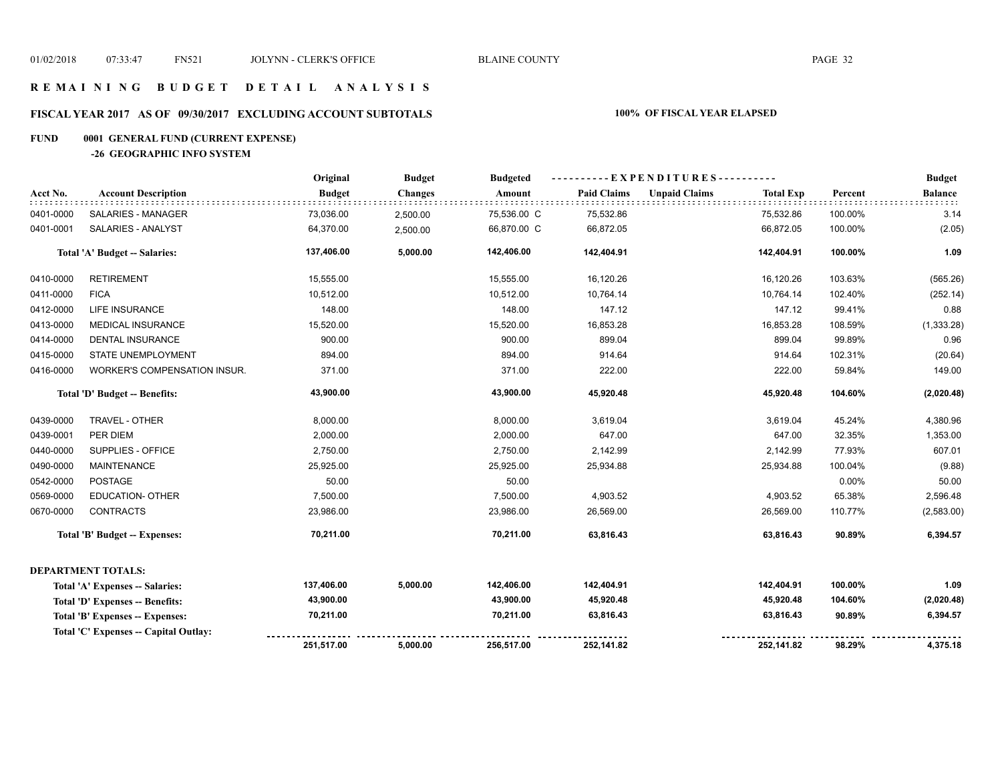## **R E M A I N I N G B U D G E T D E T A I L A N A L Y S I S**

# **FISCAL YEAR 2017 AS OF 09/30/2017 EXCLUDING ACCOUNT SUBTOTALS 100% OF FISCAL YEAR ELAPSED**

# **FUND 0001 GENERAL FUND (CURRENT EXPENSE)**

**-26 GEOGRAPHIC INFO SYSTEM**

|           |                                      | Original      | <b>Budget</b>  | <b>Budgeted</b> | ----------EXPENDITURES---------- |                      |                  |          | <b>Budget</b>  |
|-----------|--------------------------------------|---------------|----------------|-----------------|----------------------------------|----------------------|------------------|----------|----------------|
| Acct No.  | <b>Account Description</b>           | <b>Budget</b> | <b>Changes</b> | Amount          | <b>Paid Claims</b>               | <b>Unpaid Claims</b> | <b>Total Exp</b> | Percent  | <b>Balance</b> |
| 0401-0000 | SALARIES - MANAGER                   | 73,036.00     | 2,500.00       | 75,536.00 C     | 75,532.86                        |                      | 75,532.86        | 100.00%  | 3.14           |
| 0401-0001 | SALARIES - ANALYST                   | 64,370.00     | 2,500.00       | 66,870.00 C     | 66,872.05                        |                      | 66,872.05        | 100.00%  | (2.05)         |
|           | Total 'A' Budget -- Salaries:        | 137,406.00    | 5,000.00       | 142,406.00      | 142,404.91                       |                      | 142,404.91       | 100.00%  | 1.09           |
| 0410-0000 | <b>RETIREMENT</b>                    | 15,555.00     |                | 15,555.00       | 16,120.26                        |                      | 16,120.26        | 103.63%  | (565.26)       |
| 0411-0000 | <b>FICA</b>                          | 10,512.00     |                | 10,512.00       | 10,764.14                        |                      | 10,764.14        | 102.40%  | (252.14)       |
| 0412-0000 | <b>LIFE INSURANCE</b>                | 148.00        |                | 148.00          | 147.12                           |                      | 147.12           | 99.41%   | 0.88           |
| 0413-0000 | <b>MEDICAL INSURANCE</b>             | 15,520.00     |                | 15,520.00       | 16,853.28                        |                      | 16,853.28        | 108.59%  | (1,333.28)     |
| 0414-0000 | <b>DENTAL INSURANCE</b>              | 900.00        |                | 900.00          | 899.04                           |                      | 899.04           | 99.89%   | 0.96           |
| 0415-0000 | <b>STATE UNEMPLOYMENT</b>            | 894.00        |                | 894.00          | 914.64                           |                      | 914.64           | 102.31%  | (20.64)        |
| 0416-0000 | WORKER'S COMPENSATION INSUR.         | 371.00        |                | 371.00          | 222.00                           |                      | 222.00           | 59.84%   | 149.00         |
|           | Total 'D' Budget -- Benefits:        | 43,900.00     |                | 43,900.00       | 45,920.48                        |                      | 45,920.48        | 104.60%  | (2,020.48)     |
| 0439-0000 | TRAVEL - OTHER                       | 8,000.00      |                | 8,000.00        | 3,619.04                         |                      | 3,619.04         | 45.24%   | 4,380.96       |
| 0439-0001 | PER DIEM                             | 2,000.00      |                | 2,000.00        | 647.00                           |                      | 647.00           | 32.35%   | 1,353.00       |
| 0440-0000 | SUPPLIES - OFFICE                    | 2,750.00      |                | 2,750.00        | 2,142.99                         |                      | 2,142.99         | 77.93%   | 607.01         |
| 0490-0000 | <b>MAINTENANCE</b>                   | 25,925.00     |                | 25,925.00       | 25,934.88                        |                      | 25,934.88        | 100.04%  | (9.88)         |
| 0542-0000 | <b>POSTAGE</b>                       | 50.00         |                | 50.00           |                                  |                      |                  | $0.00\%$ | 50.00          |
| 0569-0000 | <b>EDUCATION- OTHER</b>              | 7,500.00      |                | 7,500.00        | 4,903.52                         |                      | 4,903.52         | 65.38%   | 2,596.48       |
| 0670-0000 | <b>CONTRACTS</b>                     | 23,986.00     |                | 23,986.00       | 26,569.00                        |                      | 26,569.00        | 110.77%  | (2,583.00)     |
|           | Total 'B' Budget -- Expenses:        | 70,211.00     |                | 70,211.00       | 63,816.43                        |                      | 63,816.43        | 90.89%   | 6,394.57       |
|           | <b>DEPARTMENT TOTALS:</b>            |               |                |                 |                                  |                      |                  |          |                |
|           | Total 'A' Expenses -- Salaries:      | 137,406.00    | 5,000.00       | 142,406.00      | 142,404.91                       |                      | 142,404.91       | 100.00%  | 1.09           |
|           | Total 'D' Expenses -- Benefits:      | 43,900.00     |                | 43,900.00       | 45,920.48                        |                      | 45,920.48        | 104.60%  | (2,020.48)     |
|           | Total 'B' Expenses -- Expenses:      | 70,211.00     |                | 70,211.00       | 63,816.43                        |                      | 63,816.43        | 90.89%   | 6,394.57       |
|           | Total 'C' Expenses - Capital Outlay: |               |                |                 |                                  |                      |                  |          |                |
|           |                                      | 251,517.00    | 5,000.00       | 256,517.00      | 252,141.82                       |                      | 252,141.82       | 98.29%   | 4,375.18       |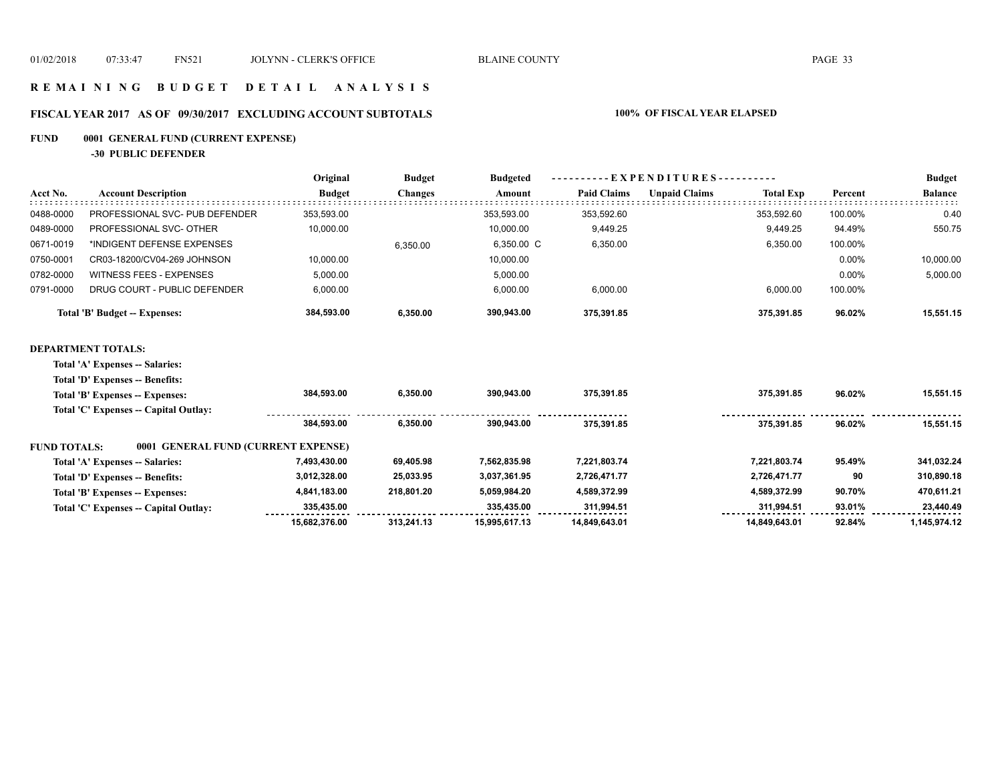## **R E M A I N I N G B U D G E T D E T A I L A N A L Y S I S**

# **FISCAL YEAR 2017 AS OF 09/30/2017 EXCLUDING ACCOUNT SUBTOTALS 100% OF FISCAL YEAR ELAPSED**

# **FUND 0001 GENERAL FUND (CURRENT EXPENSE)**

**-30 PUBLIC DEFENDER**

|           |                                | Original      | <b>Budget</b>  | <b>Budgeted</b> | EXPENDITURES---------- |                      |                  |         | <b>Budget</b>  |  |
|-----------|--------------------------------|---------------|----------------|-----------------|------------------------|----------------------|------------------|---------|----------------|--|
| Acct No.  | <b>Account Description</b>     | <b>Budget</b> | <b>Changes</b> | Amount          | <b>Paid Claims</b>     | <b>Unpaid Claims</b> | <b>Total Exp</b> | Percent | <b>Balance</b> |  |
| 0488-0000 | PROFESSIONAL SVC- PUB DEFENDER | 353.593.00    |                | 353.593.00      | 353.592.60             |                      | 353.592.60       | 100.00% | 0.40           |  |
| 0489-0000 | PROFESSIONAL SVC- OTHER        | 10,000.00     |                | 10.000.00       | 9.449.25               |                      | 9.449.25         | 94.49%  | 550.75         |  |
| 0671-0019 | *INDIGENT DEFENSE EXPENSES     |               | 6.350.00       | 6.350.00 C      | 6,350.00               |                      | 6,350.00         | 100.00% |                |  |
| 0750-0001 | CR03-18200/CV04-269 JOHNSON    | 10,000.00     |                | 10,000.00       |                        |                      |                  | 0.00%   | 10,000.00      |  |
| 0782-0000 | WITNESS FEES - EXPENSES        | 5.000.00      |                | 5.000.00        |                        |                      |                  | 0.00%   | 5,000.00       |  |
| 0791-0000 | DRUG COURT - PUBLIC DEFENDER   | 6,000.00      |                | 6,000.00        | 6,000.00               |                      | 6,000.00         | 100.00% |                |  |
|           | Total 'B' Budget -- Expenses:  | 384.593.00    | 6,350.00       | 390.943.00      | 375,391.85             |                      | 375,391.85       | 96.02%  | 15,551.15      |  |
|           |                                |               |                |                 |                        |                      |                  |         |                |  |

### **DEPARTMENT TOTALS:**

**Total 'A' Expenses -- Salaries:**

| Total 'D' Expenses -- Benefits:                            |               |            |               |               |               |        |              |
|------------------------------------------------------------|---------------|------------|---------------|---------------|---------------|--------|--------------|
| Total 'B' Expenses -- Expenses:                            | 384.593.00    | 6.350.00   | 390.943.00    | 375.391.85    | 375.391.85    | 96.02% | 15.551.15    |
| Total 'C' Expenses -- Capital Outlay:                      |               |            |               |               |               |        |              |
|                                                            | 384.593.00    | 6.350.00   | 390.943.00    | 375.391.85    | 375.391.85    | 96.02% | 15.551.15    |
| 0001 GENERAL FUND (CURRENT EXPENSE)<br><b>FUND TOTALS:</b> |               |            |               |               |               |        |              |
| Total 'A' Expenses -- Salaries:                            | 7,493,430.00  | 69,405.98  | 7,562,835.98  | 7,221,803.74  | 7.221.803.74  | 95.49% | 341,032.24   |
| Total 'D' Expenses -- Benefits:                            | 3,012,328.00  | 25.033.95  | 3,037,361.95  | 2,726,471.77  | 2,726,471.77  | 90     | 310,890.18   |
| Total 'B' Expenses -- Expenses:                            | 4,841,183.00  | 218.801.20 | 5.059.984.20  | 4,589,372.99  | 4.589.372.99  | 90.70% | 470,611.21   |
| Total 'C' Expenses -- Capital Outlay:                      | 335.435.00    |            | 335.435.00    | 311.994.51    | 311.994.51    | 93.01% | 23.440.49    |
|                                                            | 15.682.376.00 | 313.241.13 | 15.995.617.13 | 14.849.643.01 | 14.849.643.01 | 92.84% | 1.145.974.12 |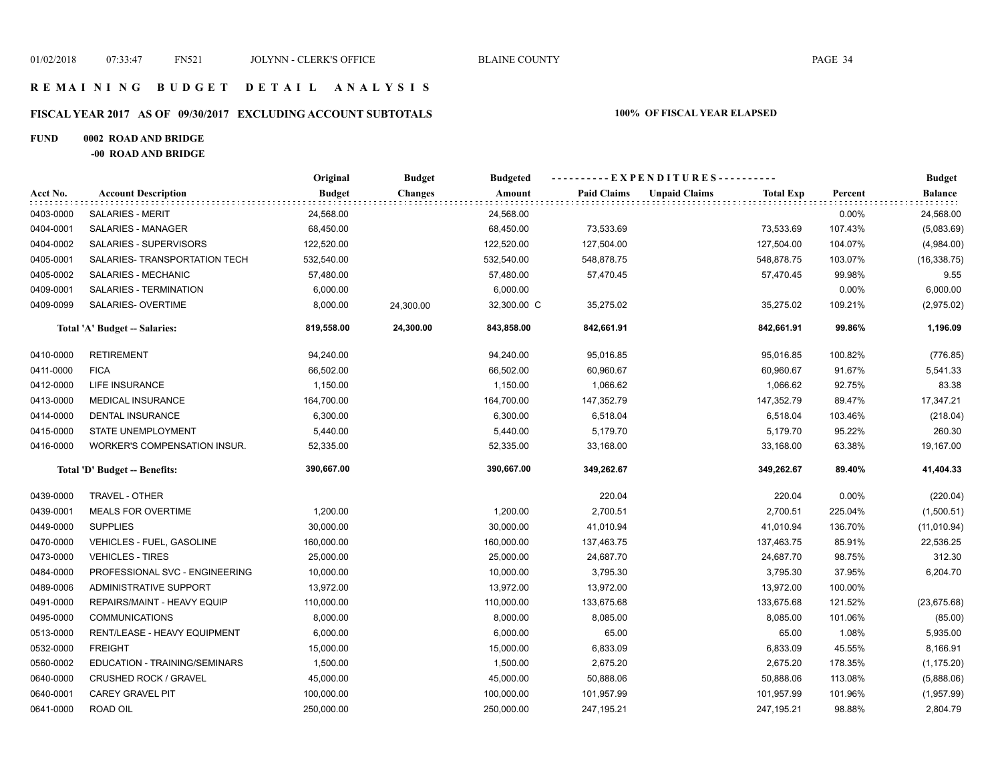## **R E M A I N I N G B U D G E T D E T A I L A N A L Y S I S**

# **FISCAL YEAR 2017 AS OF 09/30/2017 EXCLUDING ACCOUNT SUBTOTALS 100% OF FISCAL YEAR ELAPSED**

## **FUND 0002 ROAD AND BRIDGE**

**-00 ROAD AND BRIDGE**

|           |                                | Original      | <b>Budget</b>  | <b>Budgeted</b> | ---------- EXPENDITURES---------- |                      |                  |         | <b>Budget</b>                 |
|-----------|--------------------------------|---------------|----------------|-----------------|-----------------------------------|----------------------|------------------|---------|-------------------------------|
| Acct No.  | <b>Account Description</b>     | <b>Budget</b> | <b>Changes</b> | Amount          | <b>Paid Claims</b>                | <b>Unpaid Claims</b> | <b>Total Exp</b> | Percent | <b>Balance</b><br>: : : : : : |
| 0403-0000 | <b>SALARIES - MERIT</b>        | 24,568.00     |                | 24,568.00       |                                   |                      |                  | 0.00%   | 24,568.00                     |
| 0404-0001 | SALARIES - MANAGER             | 68,450.00     |                | 68,450.00       | 73,533.69                         |                      | 73,533.69        | 107.43% | (5,083.69)                    |
| 0404-0002 | SALARIES - SUPERVISORS         | 122,520.00    |                | 122,520.00      | 127,504.00                        |                      | 127,504.00       | 104.07% | (4,984.00)                    |
| 0405-0001 | SALARIES- TRANSPORTATION TECH  | 532,540.00    |                | 532,540.00      | 548,878.75                        |                      | 548,878.75       | 103.07% | (16, 338.75)                  |
| 0405-0002 | SALARIES - MECHANIC            | 57,480.00     |                | 57,480.00       | 57,470.45                         |                      | 57,470.45        | 99.98%  | 9.55                          |
| 0409-0001 | SALARIES - TERMINATION         | 6,000.00      |                | 6,000.00        |                                   |                      |                  | 0.00%   | 6,000.00                      |
| 0409-0099 | SALARIES- OVERTIME             | 8,000.00      | 24,300.00      | 32,300.00 C     | 35,275.02                         |                      | 35,275.02        | 109.21% | (2,975.02)                    |
|           | Total 'A' Budget -- Salaries:  | 819,558.00    | 24,300.00      | 843,858.00      | 842,661.91                        |                      | 842,661.91       | 99.86%  | 1,196.09                      |
| 0410-0000 | <b>RETIREMENT</b>              | 94,240.00     |                | 94,240.00       | 95,016.85                         |                      | 95,016.85        | 100.82% | (776.85)                      |
| 0411-0000 | <b>FICA</b>                    | 66,502.00     |                | 66,502.00       | 60,960.67                         |                      | 60,960.67        | 91.67%  | 5,541.33                      |
| 0412-0000 | <b>LIFE INSURANCE</b>          | 1,150.00      |                | 1,150.00        | 1,066.62                          |                      | 1,066.62         | 92.75%  | 83.38                         |
| 0413-0000 | MEDICAL INSURANCE              | 164,700.00    |                | 164,700.00      | 147,352.79                        |                      | 147,352.79       | 89.47%  | 17,347.21                     |
| 0414-0000 | <b>DENTAL INSURANCE</b>        | 6,300.00      |                | 6,300.00        | 6,518.04                          |                      | 6,518.04         | 103.46% | (218.04)                      |
| 0415-0000 | STATE UNEMPLOYMENT             | 5,440.00      |                | 5,440.00        | 5,179.70                          |                      | 5,179.70         | 95.22%  | 260.30                        |
| 0416-0000 | WORKER'S COMPENSATION INSUR.   | 52,335.00     |                | 52,335.00       | 33,168.00                         |                      | 33,168.00        | 63.38%  | 19,167.00                     |
|           | Total 'D' Budget -- Benefits:  | 390,667.00    |                | 390,667.00      | 349,262.67                        |                      | 349,262.67       | 89.40%  | 41,404.33                     |
| 0439-0000 | TRAVEL - OTHER                 |               |                |                 | 220.04                            |                      | 220.04           | 0.00%   | (220.04)                      |
| 0439-0001 | <b>MEALS FOR OVERTIME</b>      | 1,200.00      |                | 1,200.00        | 2,700.51                          |                      | 2,700.51         | 225.04% | (1,500.51)                    |
| 0449-0000 | <b>SUPPLIES</b>                | 30,000.00     |                | 30,000.00       | 41,010.94                         |                      | 41,010.94        | 136.70% | (11,010.94)                   |
| 0470-0000 | VEHICLES - FUEL, GASOLINE      | 160,000.00    |                | 160,000.00      | 137,463.75                        |                      | 137,463.75       | 85.91%  | 22,536.25                     |
| 0473-0000 | <b>VEHICLES - TIRES</b>        | 25,000.00     |                | 25,000.00       | 24,687.70                         |                      | 24,687.70        | 98.75%  | 312.30                        |
| 0484-0000 | PROFESSIONAL SVC - ENGINEERING | 10,000.00     |                | 10,000.00       | 3,795.30                          |                      | 3,795.30         | 37.95%  | 6,204.70                      |
| 0489-0006 | ADMINISTRATIVE SUPPORT         | 13,972.00     |                | 13,972.00       | 13,972.00                         |                      | 13,972.00        | 100.00% |                               |
| 0491-0000 | REPAIRS/MAINT - HEAVY EQUIP    | 110,000.00    |                | 110,000.00      | 133,675.68                        |                      | 133,675.68       | 121.52% | (23, 675.68)                  |
| 0495-0000 | <b>COMMUNICATIONS</b>          | 8,000.00      |                | 8,000.00        | 8,085.00                          |                      | 8,085.00         | 101.06% | (85.00)                       |
| 0513-0000 | RENT/LEASE - HEAVY EQUIPMENT   | 6,000.00      |                | 6,000.00        | 65.00                             |                      | 65.00            | 1.08%   | 5,935.00                      |
| 0532-0000 | <b>FREIGHT</b>                 | 15,000.00     |                | 15,000.00       | 6,833.09                          |                      | 6,833.09         | 45.55%  | 8,166.91                      |
| 0560-0002 | EDUCATION - TRAINING/SEMINARS  | 1,500.00      |                | 1,500.00        | 2,675.20                          |                      | 2,675.20         | 178.35% | (1, 175.20)                   |
| 0640-0000 | <b>CRUSHED ROCK / GRAVEL</b>   | 45,000.00     |                | 45,000.00       | 50,888.06                         |                      | 50,888.06        | 113.08% | (5,888.06)                    |
| 0640-0001 | <b>CAREY GRAVEL PIT</b>        | 100,000.00    |                | 100,000.00      | 101,957.99                        |                      | 101,957.99       | 101.96% | (1,957.99)                    |
| 0641-0000 | ROAD OIL                       | 250,000.00    |                | 250,000.00      | 247,195.21                        |                      | 247,195.21       | 98.88%  | 2,804.79                      |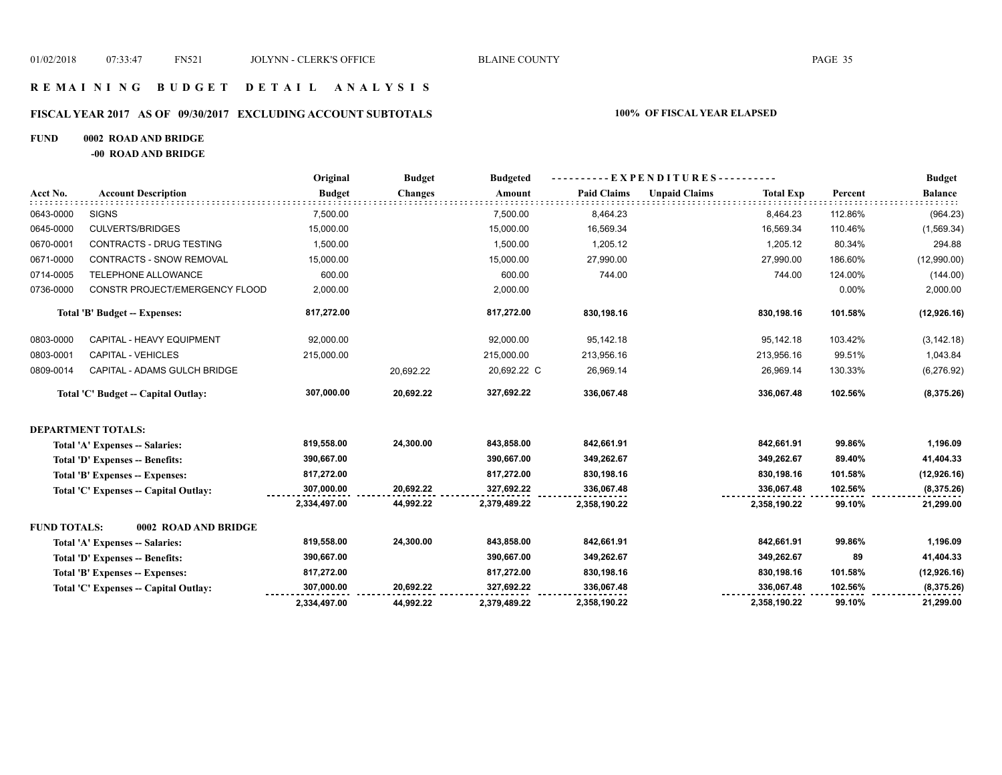## **R E M A I N I N G B U D G E T D E T A I L A N A L Y S I S**

# **FISCAL YEAR 2017 AS OF 09/30/2017 EXCLUDING ACCOUNT SUBTOTALS 100% OF FISCAL YEAR ELAPSED**

## **FUND 0002 ROAD AND BRIDGE**

**-00 ROAD AND BRIDGE**

|                     |                                       | Original      | <b>Budget</b>  | <b>Budgeted</b> |                    |                      |                  |         | <b>Budget</b>  |
|---------------------|---------------------------------------|---------------|----------------|-----------------|--------------------|----------------------|------------------|---------|----------------|
| Acct No.            | <b>Account Description</b>            | <b>Budget</b> | <b>Changes</b> | Amount          | <b>Paid Claims</b> | <b>Unpaid Claims</b> | <b>Total Exp</b> | Percent | <b>Balance</b> |
| 0643-0000           | <b>SIGNS</b>                          | 7,500.00      |                | 7,500.00        | 8,464.23           |                      | 8,464.23         | 112.86% | (964.23)       |
| 0645-0000           | <b>CULVERTS/BRIDGES</b>               | 15,000.00     |                | 15,000.00       | 16,569.34          |                      | 16,569.34        | 110.46% | (1,569.34)     |
| 0670-0001           | CONTRACTS - DRUG TESTING              | 1,500.00      |                | 1,500.00        | 1,205.12           |                      | 1,205.12         | 80.34%  | 294.88         |
| 0671-0000           | <b>CONTRACTS - SNOW REMOVAL</b>       | 15,000.00     |                | 15,000.00       | 27,990.00          |                      | 27,990.00        | 186.60% | (12,990.00)    |
| 0714-0005           | TELEPHONE ALLOWANCE                   | 600.00        |                | 600.00          | 744.00             |                      | 744.00           | 124.00% | (144.00)       |
| 0736-0000           | CONSTR PROJECT/EMERGENCY FLOOD        | 2,000.00      |                | 2,000.00        |                    |                      |                  | 0.00%   | 2,000.00       |
|                     | Total 'B' Budget -- Expenses:         | 817,272.00    |                | 817,272.00      | 830,198.16         |                      | 830,198.16       | 101.58% | (12,926.16)    |
| 0803-0000           | CAPITAL - HEAVY EQUIPMENT             | 92,000.00     |                | 92,000.00       | 95,142.18          |                      | 95,142.18        | 103.42% | (3, 142.18)    |
| 0803-0001           | <b>CAPITAL - VEHICLES</b>             | 215,000.00    |                | 215,000.00      | 213,956.16         |                      | 213,956.16       | 99.51%  | 1,043.84       |
| 0809-0014           | CAPITAL - ADAMS GULCH BRIDGE          |               | 20,692.22      | 20,692.22 C     | 26,969.14          |                      | 26,969.14        | 130.33% | (6,276.92)     |
|                     | Total 'C' Budget -- Capital Outlay:   | 307,000.00    | 20,692.22      | 327,692.22      | 336,067.48         |                      | 336,067.48       | 102.56% | (8,375.26)     |
|                     | <b>DEPARTMENT TOTALS:</b>             |               |                |                 |                    |                      |                  |         |                |
|                     | Total 'A' Expenses -- Salaries:       | 819,558.00    | 24,300.00      | 843,858.00      | 842,661.91         |                      | 842,661.91       | 99.86%  | 1,196.09       |
|                     | Total 'D' Expenses -- Benefits:       | 390,667.00    |                | 390,667.00      | 349,262.67         |                      | 349,262.67       | 89.40%  | 41,404.33      |
|                     | Total 'B' Expenses -- Expenses:       | 817,272.00    |                | 817,272.00      | 830,198.16         |                      | 830,198.16       | 101.58% | (12, 926.16)   |
|                     | Total 'C' Expenses -- Capital Outlay: | 307,000.00    | 20,692.22      | 327,692.22      | 336,067.48         |                      | 336,067.48       | 102.56% | (8,375.26)     |
|                     |                                       | 2,334,497.00  | 44,992.22      | 2,379,489.22    | 2,358,190.22       |                      | 2,358,190.22     | 99.10%  | 21,299.00      |
| <b>FUND TOTALS:</b> | 0002 ROAD AND BRIDGE                  |               |                |                 |                    |                      |                  |         |                |
|                     | Total 'A' Expenses -- Salaries:       | 819,558.00    | 24,300.00      | 843,858.00      | 842,661.91         |                      | 842,661.91       | 99.86%  | 1,196.09       |
|                     | Total 'D' Expenses -- Benefits:       | 390,667.00    |                | 390,667.00      | 349,262.67         |                      | 349,262.67       | 89      | 41,404.33      |
|                     | Total 'B' Expenses -- Expenses:       | 817,272.00    |                | 817,272.00      | 830,198.16         |                      | 830,198.16       | 101.58% | (12,926.16)    |
|                     | Total 'C' Expenses -- Capital Outlay: | 307,000.00    | 20,692.22      | 327,692.22      | 336,067.48         |                      | 336,067.48       | 102.56% | (8,375.26)     |
|                     |                                       | 2,334,497.00  | 44,992.22      | 2,379,489.22    | 2,358,190.22       |                      | 2,358,190.22     | 99.10%  | 21,299.00      |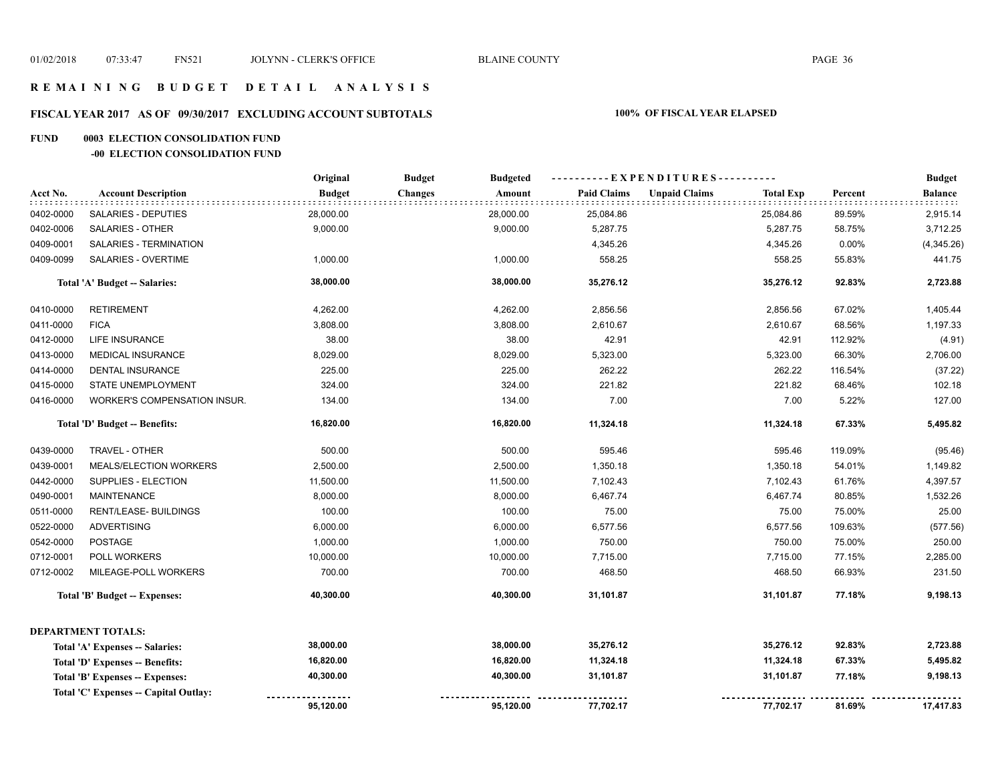# **R E M A I N I N G B U D G E T D E T A I L A N A L Y S I S**

# **FISCAL YEAR 2017 AS OF 09/30/2017 EXCLUDING ACCOUNT SUBTOTALS 100% OF FISCAL YEAR ELAPSED**

#### **FUND 0003 ELECTION CONSOLIDATION FUND**

#### **-00 ELECTION CONSOLIDATION FUND**

|           |                                       | Original      | <b>Budget</b><br><b>Budgeted</b> |                | ----------EXPENDITURES---------- |                  |         | <b>Budget</b>  |
|-----------|---------------------------------------|---------------|----------------------------------|----------------|----------------------------------|------------------|---------|----------------|
| Acct No.  | <b>Account Description</b>            | <b>Budget</b> | <b>Changes</b><br>Amount         | Paid Claims    | <b>Unpaid Claims</b>             | <b>Total Exp</b> | Percent | <b>Balance</b> |
| 0402-0000 | SALARIES - DEPUTIES                   | 28,000.00     | 28,000.00                        | 25,084.86      |                                  | 25,084.86        | 89.59%  | 2,915.14       |
| 0402-0006 | SALARIES - OTHER                      | 9,000.00      | 9,000.00                         | 5,287.75       |                                  | 5,287.75         | 58.75%  | 3,712.25       |
| 0409-0001 | SALARIES - TERMINATION                |               |                                  | 4,345.26       |                                  | 4,345.26         | 0.00%   | (4,345.26)     |
| 0409-0099 | SALARIES - OVERTIME                   | 1,000.00      | 1,000.00                         | 558.25         |                                  | 558.25           | 55.83%  | 441.75         |
|           | Total 'A' Budget -- Salaries:         | 38,000.00     | 38,000.00                        | 35,276.12      |                                  | 35,276.12        | 92.83%  | 2,723.88       |
| 0410-0000 | <b>RETIREMENT</b>                     | 4,262.00      | 4,262.00                         | 2,856.56       |                                  | 2,856.56         | 67.02%  | 1,405.44       |
| 0411-0000 | <b>FICA</b>                           | 3,808.00      | 3,808.00                         | 2,610.67       |                                  | 2,610.67         | 68.56%  | 1,197.33       |
| 0412-0000 | LIFE INSURANCE                        | 38.00         |                                  | 38.00<br>42.91 |                                  | 42.91            | 112.92% | (4.91)         |
| 0413-0000 | <b>MEDICAL INSURANCE</b>              | 8,029.00      | 8,029.00                         | 5,323.00       |                                  | 5,323.00         | 66.30%  | 2,706.00       |
| 0414-0000 | <b>DENTAL INSURANCE</b>               | 225.00        | 225.00                           | 262.22         |                                  | 262.22           | 116.54% | (37.22)        |
| 0415-0000 | STATE UNEMPLOYMENT                    | 324.00        | 324.00                           | 221.82         |                                  | 221.82           | 68.46%  | 102.18         |
| 0416-0000 | <b>WORKER'S COMPENSATION INSUR.</b>   | 134.00        | 134.00                           | 7.00           |                                  | 7.00             | 5.22%   | 127.00         |
|           | Total 'D' Budget -- Benefits:         | 16,820.00     | 16,820.00                        | 11,324.18      |                                  | 11,324.18        | 67.33%  | 5,495.82       |
| 0439-0000 | TRAVEL - OTHER                        | 500.00        | 500.00                           | 595.46         |                                  | 595.46           | 119.09% | (95.46)        |
| 0439-0001 | <b>MEALS/ELECTION WORKERS</b>         | 2,500.00      | 2,500.00                         | 1,350.18       |                                  | 1,350.18         | 54.01%  | 1,149.82       |
| 0442-0000 | SUPPLIES - ELECTION                   | 11,500.00     | 11,500.00                        | 7,102.43       |                                  | 7,102.43         | 61.76%  | 4,397.57       |
| 0490-0001 | <b>MAINTENANCE</b>                    | 8,000.00      | 8,000.00                         | 6,467.74       |                                  | 6,467.74         | 80.85%  | 1,532.26       |
| 0511-0000 | RENT/LEASE- BUILDINGS                 | 100.00        | 100.00                           | 75.00          |                                  | 75.00            | 75.00%  | 25.00          |
| 0522-0000 | <b>ADVERTISING</b>                    | 6,000.00      | 6,000.00                         | 6,577.56       |                                  | 6,577.56         | 109.63% | (577.56)       |
| 0542-0000 | <b>POSTAGE</b>                        | 1,000.00      | 1,000.00                         | 750.00         |                                  | 750.00           | 75.00%  | 250.00         |
| 0712-0001 | POLL WORKERS                          | 10,000.00     | 10,000.00                        | 7,715.00       |                                  | 7,715.00         | 77.15%  | 2,285.00       |
| 0712-0002 | MILEAGE-POLL WORKERS                  | 700.00        | 700.00                           | 468.50         |                                  | 468.50           | 66.93%  | 231.50         |
|           | Total 'B' Budget -- Expenses:         | 40,300.00     | 40,300.00                        | 31,101.87      |                                  | 31,101.87        | 77.18%  | 9,198.13       |
|           | <b>DEPARTMENT TOTALS:</b>             |               |                                  |                |                                  |                  |         |                |
|           | Total 'A' Expenses -- Salaries:       | 38,000.00     | 38,000.00                        | 35,276.12      |                                  | 35,276.12        | 92.83%  | 2,723.88       |
|           | Total 'D' Expenses -- Benefits:       | 16,820.00     | 16,820.00                        | 11,324.18      |                                  | 11,324.18        | 67.33%  | 5,495.82       |
|           | Total 'B' Expenses -- Expenses:       | 40,300.00     | 40,300.00                        | 31,101.87      |                                  | 31,101.87        | 77.18%  | 9,198.13       |
|           | Total 'C' Expenses -- Capital Outlay: |               |                                  |                |                                  |                  |         |                |
|           |                                       | 95,120.00     | 95,120.00                        | 77,702.17      |                                  | 77,702.17        | 81.69%  | 17,417.83      |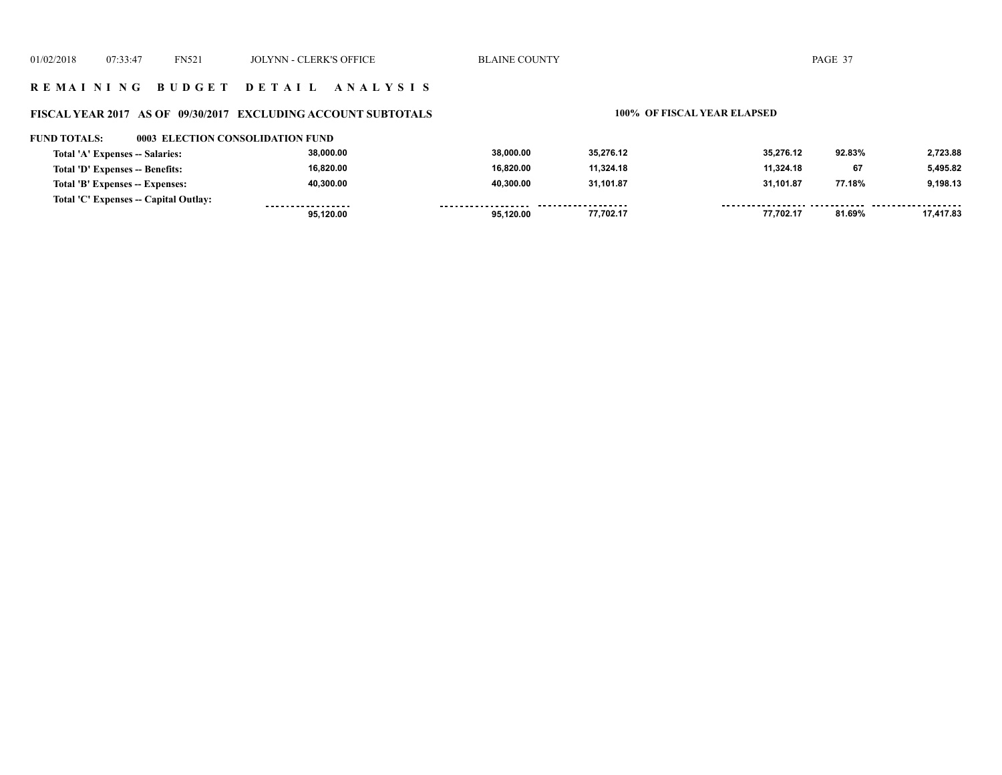# **R E M A I N I N G B U D G E T D E T A I L A N A L Y S I S**

# **FISCAL YEAR 2017 AS OF 09/30/2017 EXCLUDING ACCOUNT SUBTOTALS 100% OF FISCAL YEAR ELAPSED**

#### **FUND TOTALS: 0003 ELECTION CONSOLIDATION FUND**

| Total 'A' Expenses -- Salaries:       | 38.000.00         | 38.000.00 | 35.276.12           | 35.276.12 | 92.83% | 2.723.88  |
|---------------------------------------|-------------------|-----------|---------------------|-----------|--------|-----------|
| Total 'D' Expenses -- Benefits:       | 16.820.00         | 16.820.00 | 11,324.18           | 11.324.18 | 67     | 5.495.82  |
| Total 'B' Expenses -- Expenses:       | 40.300.00         | 40.300.00 | 31,101.87           | 31.101.87 | 77.18% | 9,198.13  |
| Total 'C' Expenses -- Capital Outlay: | ----------------- | -------   | ------------------- |           |        |           |
|                                       | 95.120.00         | 95.120.00 | 77,702.17           | 77,702.17 | 81.69% | 17,417.83 |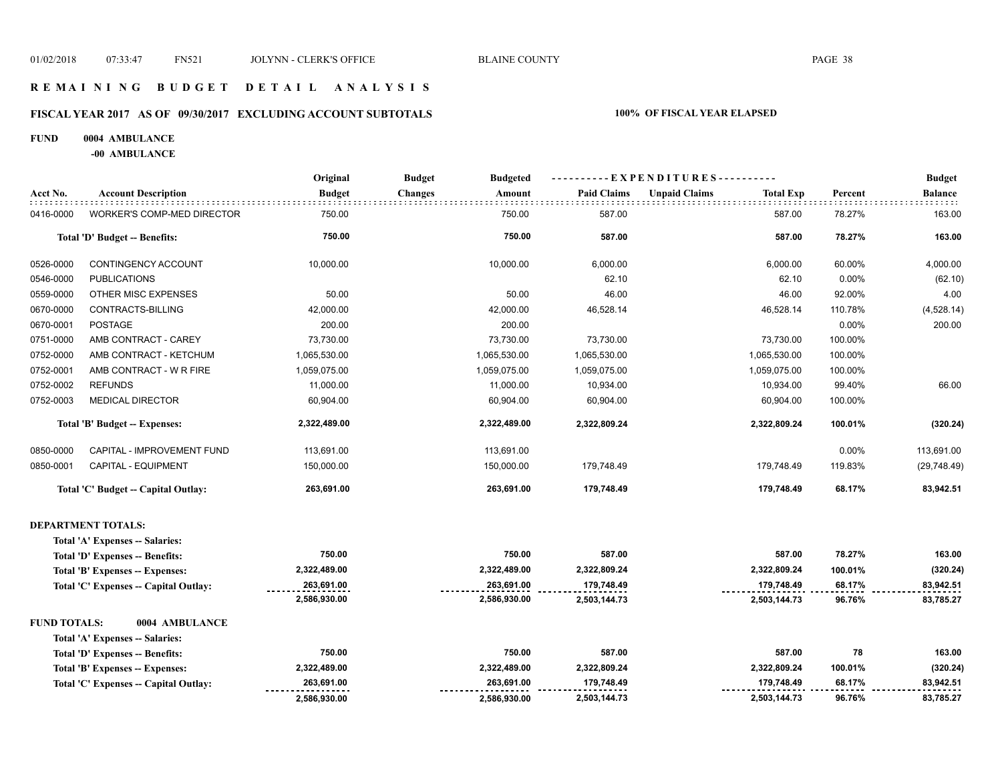## **R E M A I N I N G B U D G E T D E T A I L A N A L Y S I S**

# **FISCAL YEAR 2017 AS OF 09/30/2017 EXCLUDING ACCOUNT SUBTOTALS 100% OF FISCAL YEAR ELAPSED**

#### **FUND 0004 AMBULANCE**

**-00 AMBULANCE**

|                     |                                       | Original      | <b>Budget</b><br><b>Budgeted</b> |                    | --EXPENDITURES----------                 |         | <b>Budget</b>  |
|---------------------|---------------------------------------|---------------|----------------------------------|--------------------|------------------------------------------|---------|----------------|
| Acct No.            | <b>Account Description</b>            | <b>Budget</b> | Amount<br><b>Changes</b>         | <b>Paid Claims</b> | <b>Unpaid Claims</b><br><b>Total Exp</b> | Percent | <b>Balance</b> |
| 0416-0000           | <b>WORKER'S COMP-MED DIRECTOR</b>     | 750.00        | 750.00                           | 587.00             | 587.00                                   | 78.27%  | 163.00         |
|                     | Total 'D' Budget -- Benefits:         | 750.00        | 750.00                           | 587.00             | 587.00                                   | 78.27%  | 163.00         |
| 0526-0000           | CONTINGENCY ACCOUNT                   | 10,000.00     | 10,000.00                        | 6,000.00           | 6,000.00                                 | 60.00%  | 4,000.00       |
| 0546-0000           | <b>PUBLICATIONS</b>                   |               |                                  | 62.10              | 62.10                                    | 0.00%   | (62.10)        |
| 0559-0000           | OTHER MISC EXPENSES                   | 50.00         | 50.00                            | 46.00              | 46.00                                    | 92.00%  | 4.00           |
| 0670-0000           | CONTRACTS-BILLING                     | 42,000.00     | 42,000.00                        | 46,528.14          | 46,528.14                                | 110.78% | (4,528.14)     |
| 0670-0001           | POSTAGE                               | 200.00        | 200.00                           |                    |                                          | 0.00%   | 200.00         |
| 0751-0000           | AMB CONTRACT - CAREY                  | 73,730.00     | 73,730.00                        | 73,730.00          | 73,730.00                                | 100.00% |                |
| 0752-0000           | AMB CONTRACT - KETCHUM                | 1,065,530.00  | 1,065,530.00                     | 1,065,530.00       | 1,065,530.00                             | 100.00% |                |
| 0752-0001           | AMB CONTRACT - W R FIRE               | 1,059,075.00  | 1,059,075.00                     | 1,059,075.00       | 1,059,075.00                             | 100.00% |                |
| 0752-0002           | <b>REFUNDS</b>                        | 11,000.00     | 11,000.00                        | 10,934.00          | 10,934.00                                | 99.40%  | 66.00          |
| 0752-0003           | <b>MEDICAL DIRECTOR</b>               | 60,904.00     | 60,904.00                        | 60,904.00          | 60,904.00                                | 100.00% |                |
|                     | <b>Total 'B' Budget -- Expenses:</b>  | 2,322,489.00  | 2,322,489.00                     | 2,322,809.24       | 2,322,809.24                             | 100.01% | (320.24)       |
| 0850-0000           | CAPITAL - IMPROVEMENT FUND            | 113,691.00    | 113,691.00                       |                    |                                          | 0.00%   | 113,691.00     |
| 0850-0001           | CAPITAL - EQUIPMENT                   | 150,000.00    | 150,000.00                       | 179,748.49         | 179,748.49                               | 119.83% | (29, 748.49)   |
|                     | Total 'C' Budget -- Capital Outlay:   | 263,691.00    | 263,691.00                       | 179,748.49         | 179,748.49                               | 68.17%  | 83,942.51      |
|                     | <b>DEPARTMENT TOTALS:</b>             |               |                                  |                    |                                          |         |                |
|                     | Total 'A' Expenses -- Salaries:       |               |                                  |                    |                                          |         |                |
|                     | Total 'D' Expenses -- Benefits:       | 750.00        | 750.00                           | 587.00             | 587.00                                   | 78.27%  | 163.00         |
|                     | Total 'B' Expenses -- Expenses:       | 2,322,489.00  | 2,322,489.00                     | 2,322,809.24       | 2,322,809.24                             | 100.01% | (320.24)       |
|                     | Total 'C' Expenses -- Capital Outlay: | 263,691.00    | 263,691.00                       | 179,748.49         | 179,748.49                               | 68.17%  | 83,942.51      |
|                     |                                       | 2,586,930.00  | 2,586,930.00                     | 2,503,144.73       | 2,503,144.73                             | 96.76%  | 83,785.27      |
| <b>FUND TOTALS:</b> | 0004 AMBULANCE                        |               |                                  |                    |                                          |         |                |
|                     | Total 'A' Expenses -- Salaries:       |               |                                  |                    |                                          |         |                |
|                     | Total 'D' Expenses -- Benefits:       | 750.00        | 750.00                           | 587.00             | 587.00                                   | 78      | 163.00         |
|                     | Total 'B' Expenses -- Expenses:       | 2,322,489.00  | 2,322,489.00                     | 2,322,809.24       | 2,322,809.24                             | 100.01% | (320.24)       |
|                     | Total 'C' Expenses -- Capital Outlay: | 263,691.00    | 263,691.00                       | 179,748.49         | 179,748.49                               | 68.17%  | 83,942.51      |
|                     |                                       | 2,586,930.00  | 2,586,930.00                     | 2,503,144.73       | 2,503,144.73                             | 96.76%  | 83,785.27      |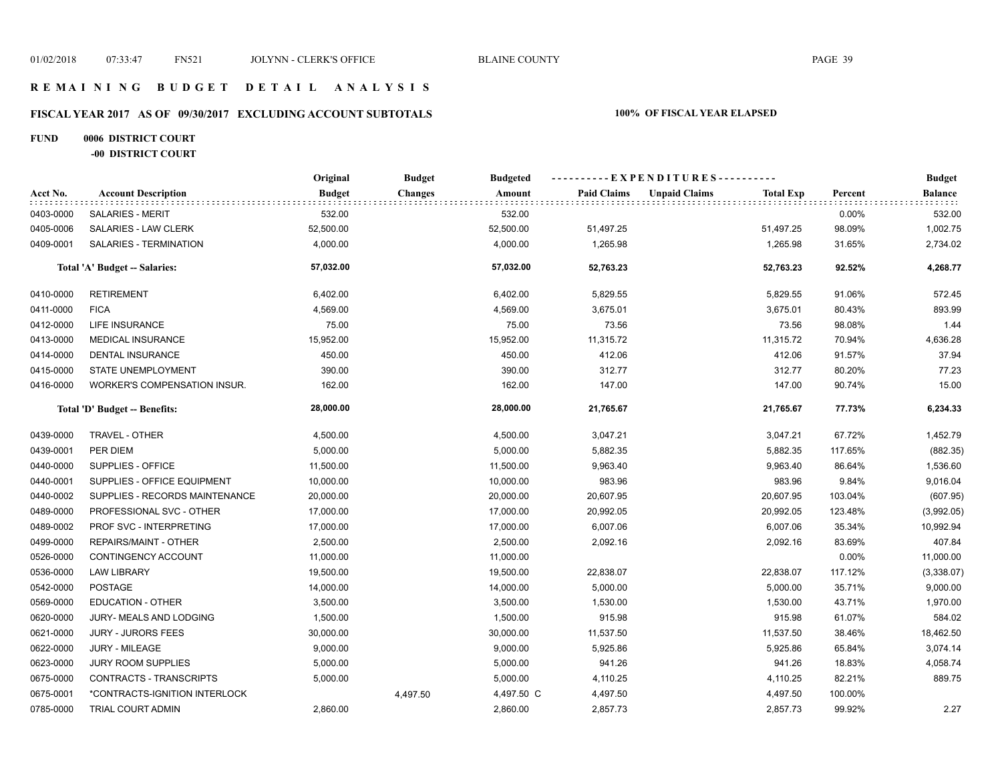# **FISCAL YEAR 2017 AS OF 09/30/2017 EXCLUDING ACCOUNT SUBTOTALS 100% OF FISCAL YEAR ELAPSED**

## **FUND 0006 DISTRICT COURT -00 DISTRICT COURT**

|           |                                     | Original      | <b>Budget</b>  | <b>Budgeted</b> | ----------EXPENDITURES---------- |                      |                  |         | <b>Budget</b>  |
|-----------|-------------------------------------|---------------|----------------|-----------------|----------------------------------|----------------------|------------------|---------|----------------|
| Acct No.  | <b>Account Description</b>          | <b>Budget</b> | <b>Changes</b> | Amount          | <b>Paid Claims</b>               | <b>Unpaid Claims</b> | <b>Total Exp</b> | Percent | <b>Balance</b> |
| 0403-0000 | <b>SALARIES - MERIT</b>             | 532.00        |                | 532.00          |                                  |                      |                  | 0.00%   | 532.00         |
| 0405-0006 | SALARIES - LAW CLERK                | 52,500.00     |                | 52,500.00       | 51,497.25                        |                      | 51,497.25        | 98.09%  | 1,002.75       |
| 0409-0001 | <b>SALARIES - TERMINATION</b>       | 4,000.00      |                | 4,000.00        | 1,265.98                         |                      | 1,265.98         | 31.65%  | 2,734.02       |
|           | Total 'A' Budget -- Salaries:       | 57,032.00     |                | 57,032.00       | 52,763.23                        |                      | 52,763.23        | 92.52%  | 4,268.77       |
| 0410-0000 | <b>RETIREMENT</b>                   | 6,402.00      |                | 6,402.00        | 5,829.55                         |                      | 5,829.55         | 91.06%  | 572.45         |
| 0411-0000 | <b>FICA</b>                         | 4,569.00      |                | 4,569.00        | 3,675.01                         |                      | 3,675.01         | 80.43%  | 893.99         |
| 0412-0000 | LIFE INSURANCE                      | 75.00         |                | 75.00           | 73.56                            |                      | 73.56            | 98.08%  | 1.44           |
| 0413-0000 | <b>MEDICAL INSURANCE</b>            | 15,952.00     |                | 15,952.00       | 11,315.72                        |                      | 11,315.72        | 70.94%  | 4,636.28       |
| 0414-0000 | <b>DENTAL INSURANCE</b>             | 450.00        |                | 450.00          | 412.06                           |                      | 412.06           | 91.57%  | 37.94          |
| 0415-0000 | STATE UNEMPLOYMENT                  | 390.00        |                | 390.00          | 312.77                           |                      | 312.77           | 80.20%  | 77.23          |
| 0416-0000 | <b>WORKER'S COMPENSATION INSUR.</b> | 162.00        |                | 162.00          | 147.00                           |                      | 147.00           | 90.74%  | 15.00          |
|           | Total 'D' Budget -- Benefits:       | 28,000.00     |                | 28,000.00       | 21,765.67                        |                      | 21,765.67        | 77.73%  | 6,234.33       |
| 0439-0000 | TRAVEL - OTHER                      | 4,500.00      |                | 4,500.00        | 3,047.21                         |                      | 3,047.21         | 67.72%  | 1,452.79       |
| 0439-0001 | PER DIEM                            | 5,000.00      |                | 5,000.00        | 5,882.35                         |                      | 5,882.35         | 117.65% | (882.35)       |
| 0440-0000 | SUPPLIES - OFFICE                   | 11,500.00     |                | 11,500.00       | 9,963.40                         |                      | 9,963.40         | 86.64%  | 1,536.60       |
| 0440-0001 | SUPPLIES - OFFICE EQUIPMENT         | 10,000.00     |                | 10,000.00       | 983.96                           |                      | 983.96           | 9.84%   | 9,016.04       |
| 0440-0002 | SUPPLIES - RECORDS MAINTENANCE      | 20,000.00     |                | 20,000.00       | 20,607.95                        |                      | 20,607.95        | 103.04% | (607.95)       |
| 0489-0000 | PROFESSIONAL SVC - OTHER            | 17,000.00     |                | 17,000.00       | 20,992.05                        |                      | 20,992.05        | 123.48% | (3,992.05)     |
| 0489-0002 | PROF SVC - INTERPRETING             | 17,000.00     |                | 17,000.00       | 6,007.06                         |                      | 6,007.06         | 35.34%  | 10,992.94      |
| 0499-0000 | REPAIRS/MAINT - OTHER               | 2,500.00      |                | 2,500.00        | 2,092.16                         |                      | 2,092.16         | 83.69%  | 407.84         |
| 0526-0000 | CONTINGENCY ACCOUNT                 | 11,000.00     |                | 11,000.00       |                                  |                      |                  | 0.00%   | 11,000.00      |
| 0536-0000 | <b>LAW LIBRARY</b>                  | 19,500.00     |                | 19,500.00       | 22,838.07                        |                      | 22,838.07        | 117.12% | (3,338.07)     |
| 0542-0000 | <b>POSTAGE</b>                      | 14,000.00     |                | 14,000.00       | 5,000.00                         |                      | 5,000.00         | 35.71%  | 9,000.00       |
| 0569-0000 | <b>EDUCATION - OTHER</b>            | 3,500.00      |                | 3,500.00        | 1,530.00                         |                      | 1,530.00         | 43.71%  | 1,970.00       |
| 0620-0000 | JURY- MEALS AND LODGING             | 1,500.00      |                | 1,500.00        | 915.98                           |                      | 915.98           | 61.07%  | 584.02         |
| 0621-0000 | <b>JURY - JURORS FEES</b>           | 30,000.00     |                | 30,000.00       | 11,537.50                        |                      | 11,537.50        | 38.46%  | 18,462.50      |
| 0622-0000 | <b>JURY - MILEAGE</b>               | 9,000.00      |                | 9,000.00        | 5,925.86                         |                      | 5,925.86         | 65.84%  | 3,074.14       |
| 0623-0000 | JURY ROOM SUPPLIES                  | 5,000.00      |                | 5,000.00        | 941.26                           |                      | 941.26           | 18.83%  | 4,058.74       |
| 0675-0000 | CONTRACTS - TRANSCRIPTS             | 5,000.00      |                | 5,000.00        | 4,110.25                         |                      | 4,110.25         | 82.21%  | 889.75         |
| 0675-0001 | *CONTRACTS-IGNITION INTERLOCK       |               | 4,497.50       | 4,497.50 C      | 4,497.50                         |                      | 4,497.50         | 100.00% |                |
| 0785-0000 | TRIAL COURT ADMIN                   | 2,860.00      |                | 2,860.00        | 2,857.73                         |                      | 2,857.73         | 99.92%  | 2.27           |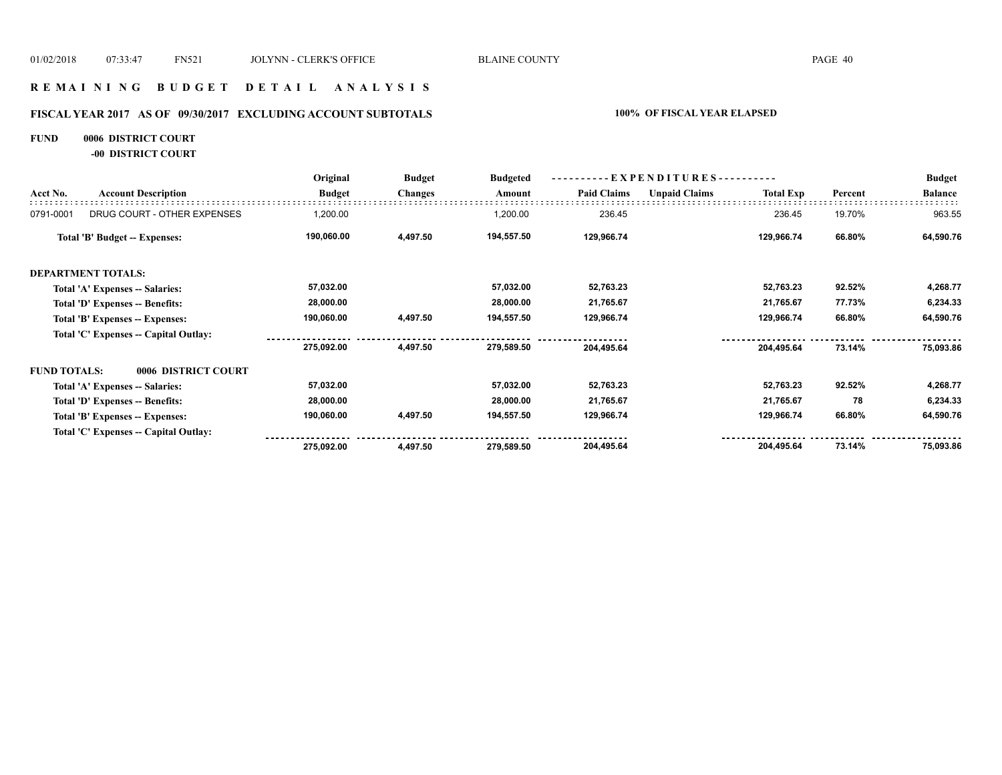## **R E M A I N I N G B U D G E T D E T A I L A N A L Y S I S**

# **FISCAL YEAR 2017 AS OF 09/30/2017 EXCLUDING ACCOUNT SUBTOTALS 100% OF FISCAL YEAR ELAPSED**

## **FUND 0006 DISTRICT COURT**

**-00 DISTRICT COURT**

|                                            | Original      | <b>Budget</b>  | <b>Budgeted</b> | $EXPENDITURES$ --------- |                      |                  | <b>Budget</b> |                |
|--------------------------------------------|---------------|----------------|-----------------|--------------------------|----------------------|------------------|---------------|----------------|
| <b>Account Description</b>                 | <b>Budget</b> | <b>Changes</b> | Amount          | <b>Paid Claims</b>       | <b>Unpaid Claims</b> | <b>Total Exp</b> | Percent       | <b>Balance</b> |
| DRUG COURT - OTHER EXPENSES                | 1,200.00      |                | 1,200.00        | 236.45                   |                      | 236.45           | 19.70%        | 963.55         |
| Total 'B' Budget -- Expenses:              | 190,060.00    | 4,497.50       | 194,557.50      | 129,966.74               |                      | 129,966.74       | 66.80%        | 64,590.76      |
| <b>DEPARTMENT TOTALS:</b>                  |               |                |                 |                          |                      |                  |               |                |
| Total 'A' Expenses -- Salaries:            | 57,032.00     |                | 57,032.00       | 52,763.23                |                      | 52,763.23        | 92.52%        | 4,268.77       |
| Total 'D' Expenses -- Benefits:            | 28,000.00     |                | 28,000.00       | 21,765.67                |                      | 21,765.67        | 77.73%        | 6,234.33       |
| Total 'B' Expenses -- Expenses:            | 190,060.00    | 4,497.50       | 194,557.50      | 129,966.74               |                      | 129,966.74       | 66.80%        | 64,590.76      |
| Total 'C' Expenses -- Capital Outlay:      |               |                |                 |                          |                      |                  |               |                |
|                                            | 275,092.00    | 4,497.50       | 279,589.50      | 204,495.64               |                      | 204,495.64       | 73.14%        | 75,093.86      |
| <b>FUND TOTALS:</b><br>0006 DISTRICT COURT |               |                |                 |                          |                      |                  |               |                |
| Total 'A' Expenses -- Salaries:            | 57,032.00     |                | 57,032.00       | 52,763.23                |                      | 52,763.23        | 92.52%        | 4,268.77       |
| Total 'D' Expenses -- Benefits:            | 28,000.00     |                | 28,000.00       | 21,765.67                |                      | 21,765.67        | 78            | 6,234.33       |
| Total 'B' Expenses -- Expenses:            | 190,060.00    | 4,497.50       | 194,557.50      | 129,966.74               |                      | 129,966.74       | 66.80%        | 64,590.76      |
| Total 'C' Expenses -- Capital Outlay:      |               |                |                 |                          |                      |                  |               |                |
|                                            | 275,092.00    | 4,497.50       | 279,589.50      | 204,495.64               |                      | 204,495.64       | 73.14%        | 75,093.86      |
|                                            |               |                |                 |                          |                      |                  |               |                |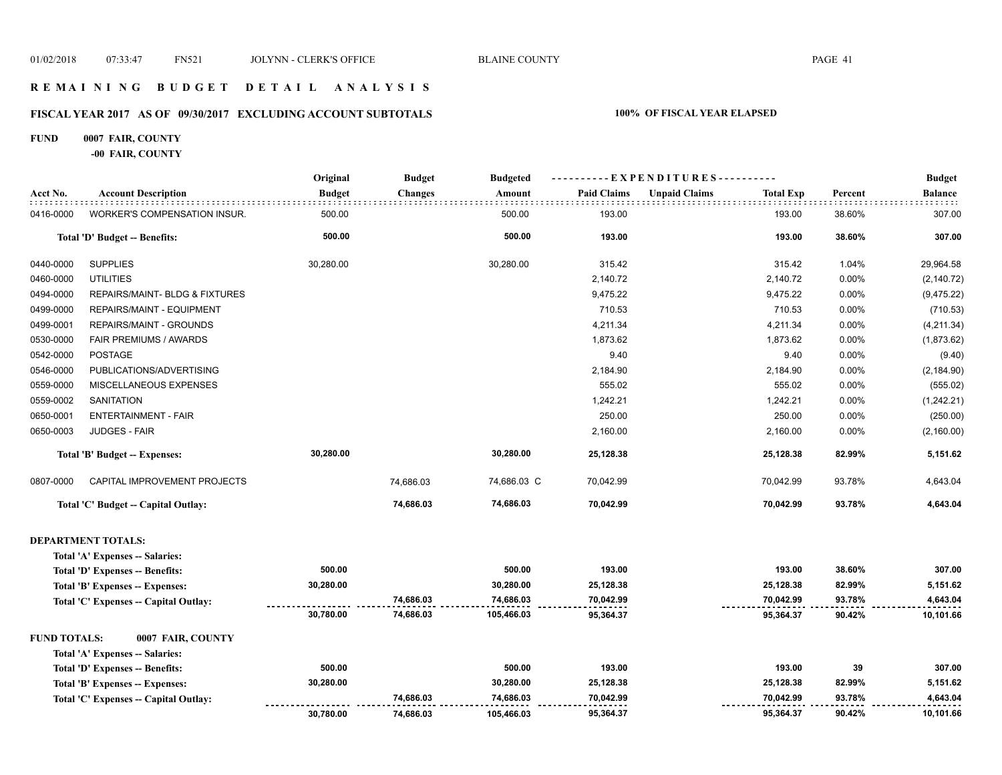## **R E M A I N I N G B U D G E T D E T A I L A N A L Y S I S**

# **FISCAL YEAR 2017 AS OF 09/30/2017 EXCLUDING ACCOUNT SUBTOTALS 100% OF FISCAL YEAR ELAPSED**

## **FUND 0007 FAIR, COUNTY**

**-00 FAIR, COUNTY**

|                     |                                       | Original      | <b>Budget</b>  | <b>Budgeted</b> | ----EXPENDITURES---------- |                                          |         | <b>Budget</b>  |
|---------------------|---------------------------------------|---------------|----------------|-----------------|----------------------------|------------------------------------------|---------|----------------|
| Acct No.            | <b>Account Description</b>            | <b>Budget</b> | <b>Changes</b> | Amount          | <b>Paid Claims</b>         | <b>Unpaid Claims</b><br><b>Total Exp</b> | Percent | <b>Balance</b> |
| 0416-0000           | <b>WORKER'S COMPENSATION INSUR.</b>   | 500.00        |                | 500.00          | 193.00                     | 193.00                                   | 38.60%  | 307.00         |
|                     | Total 'D' Budget -- Benefits:         | 500.00        |                | 500.00          | 193.00                     | 193.00                                   | 38.60%  | 307.00         |
| 0440-0000           | <b>SUPPLIES</b>                       | 30,280.00     |                | 30,280.00       | 315.42                     | 315.42                                   | 1.04%   | 29,964.58      |
| 0460-0000           | <b>UTILITIES</b>                      |               |                |                 | 2,140.72                   | 2,140.72                                 | 0.00%   | (2, 140.72)    |
| 0494-0000           | REPAIRS/MAINT- BLDG & FIXTURES        |               |                |                 | 9,475.22                   | 9,475.22                                 | 0.00%   | (9,475.22)     |
| 0499-0000           | REPAIRS/MAINT - EQUIPMENT             |               |                |                 | 710.53                     | 710.53                                   | 0.00%   | (710.53)       |
| 0499-0001           | REPAIRS/MAINT - GROUNDS               |               |                |                 | 4,211.34                   | 4,211.34                                 | 0.00%   | (4,211.34)     |
| 0530-0000           | FAIR PREMIUMS / AWARDS                |               |                |                 | 1,873.62                   | 1,873.62                                 | 0.00%   | (1,873.62)     |
| 0542-0000           | <b>POSTAGE</b>                        |               |                |                 | 9.40                       | 9.40                                     | 0.00%   | (9.40)         |
| 0546-0000           | PUBLICATIONS/ADVERTISING              |               |                |                 | 2,184.90                   | 2,184.90                                 | 0.00%   | (2, 184.90)    |
| 0559-0000           | MISCELLANEOUS EXPENSES                |               |                |                 | 555.02                     | 555.02                                   | 0.00%   | (555.02)       |
| 0559-0002           | <b>SANITATION</b>                     |               |                |                 | 1,242.21                   | 1,242.21                                 | 0.00%   | (1,242.21)     |
| 0650-0001           | <b>ENTERTAINMENT - FAIR</b>           |               |                |                 | 250.00                     | 250.00                                   | 0.00%   | (250.00)       |
| 0650-0003           | <b>JUDGES - FAIR</b>                  |               |                |                 | 2,160.00                   | 2,160.00                                 | 0.00%   | (2, 160.00)    |
|                     | Total 'B' Budget -- Expenses:         | 30,280.00     |                | 30,280.00       | 25,128.38                  | 25,128.38                                | 82.99%  | 5,151.62       |
| 0807-0000           | CAPITAL IMPROVEMENT PROJECTS          |               | 74,686.03      | 74,686.03 C     | 70,042.99                  | 70,042.99                                | 93.78%  | 4,643.04       |
|                     | Total 'C' Budget -- Capital Outlay:   |               | 74,686.03      | 74,686.03       | 70,042.99                  | 70,042.99                                | 93.78%  | 4,643.04       |
|                     | <b>DEPARTMENT TOTALS:</b>             |               |                |                 |                            |                                          |         |                |
|                     | Total 'A' Expenses -- Salaries:       |               |                |                 |                            |                                          |         |                |
|                     | Total 'D' Expenses -- Benefits:       | 500.00        |                | 500.00          | 193.00                     | 193.00                                   | 38.60%  | 307.00         |
|                     | Total 'B' Expenses -- Expenses:       | 30,280.00     |                | 30,280.00       | 25,128.38                  | 25,128.38                                | 82.99%  | 5,151.62       |
|                     | Total 'C' Expenses -- Capital Outlay: |               | 74,686.03      | 74,686.03       | 70,042.99                  | 70,042.99                                | 93.78%  | 4,643.04       |
|                     |                                       | 30,780.00     | 74,686.03      | 105,466.03      | 95,364.37                  | 95,364.37                                | 90.42%  | 10,101.66      |
| <b>FUND TOTALS:</b> | 0007 FAIR, COUNTY                     |               |                |                 |                            |                                          |         |                |
|                     | Total 'A' Expenses -- Salaries:       |               |                |                 |                            |                                          |         |                |
|                     | Total 'D' Expenses -- Benefits:       | 500.00        |                | 500.00          | 193.00                     | 193.00                                   | 39      | 307.00         |
|                     | Total 'B' Expenses -- Expenses:       | 30,280.00     |                | 30,280.00       | 25,128.38                  | 25,128.38                                | 82.99%  | 5,151.62       |
|                     | Total 'C' Expenses - Capital Outlay:  |               | 74,686.03      | 74,686.03       | 70,042.99                  | 70,042.99                                | 93.78%  | 4,643.04       |
|                     |                                       | 30,780.00     | 74,686.03      | 105,466.03      | 95,364.37                  | 95,364.37                                | 90.42%  | 10,101.66      |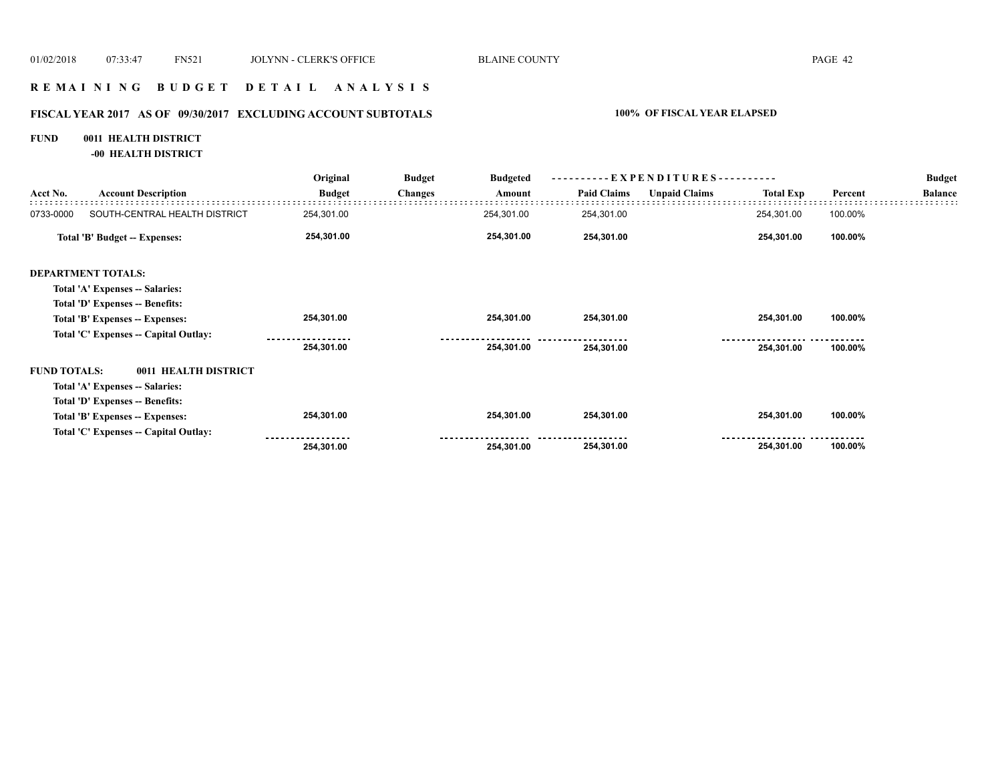## **R E M A I N I N G B U D G E T D E T A I L A N A L Y S I S**

# **FISCAL YEAR 2017 AS OF 09/30/2017 EXCLUDING ACCOUNT SUBTOTALS 100% OF FISCAL YEAR ELAPSED**

# **FUND 0011 HEALTH DISTRICT**

**-00 HEALTH DISTRICT**

|                                       | Original      | <b>Budget</b>        | <b>Budgeted</b> | - EXPENDITURES---------- |                      |                  |         | <b>Budget</b>  |
|---------------------------------------|---------------|----------------------|-----------------|--------------------------|----------------------|------------------|---------|----------------|
| <b>Account Description</b>            | <b>Budget</b> | <b>Changes</b>       | Amount          | <b>Paid Claims</b>       | <b>Unpaid Claims</b> | <b>Total Exp</b> | Percent | <b>Balance</b> |
| SOUTH-CENTRAL HEALTH DISTRICT         | 254,301.00    |                      | 254,301.00      | 254,301.00               |                      | 254,301.00       | 100.00% |                |
| Total 'B' Budget -- Expenses:         | 254,301.00    |                      | 254,301.00      | 254,301.00               |                      | 254,301.00       | 100.00% |                |
| <b>DEPARTMENT TOTALS:</b>             |               |                      |                 |                          |                      |                  |         |                |
| Total 'A' Expenses -- Salaries:       |               |                      |                 |                          |                      |                  |         |                |
| Total 'D' Expenses -- Benefits:       |               |                      |                 |                          |                      |                  |         |                |
| Total 'B' Expenses -- Expenses:       | 254,301.00    |                      | 254,301.00      | 254,301.00               |                      | 254,301.00       | 100.00% |                |
| Total 'C' Expenses -- Capital Outlay: |               |                      |                 |                          |                      |                  |         |                |
|                                       | 254,301.00    |                      | 254,301.00      | 254,301.00               |                      | 254,301.00       | 100.00% |                |
| <b>FUND TOTALS:</b>                   |               |                      |                 |                          |                      |                  |         |                |
| Total 'A' Expenses -- Salaries:       |               |                      |                 |                          |                      |                  |         |                |
| Total 'D' Expenses -- Benefits:       |               |                      |                 |                          |                      |                  |         |                |
| Total 'B' Expenses -- Expenses:       | 254,301.00    |                      | 254,301.00      | 254,301.00               |                      | 254,301.00       | 100.00% |                |
| Total 'C' Expenses -- Capital Outlay: |               |                      |                 |                          |                      |                  |         |                |
|                                       | 254,301.00    |                      | 254,301.00      | 254,301.00               |                      | 254,301.00       | 100.00% |                |
|                                       |               | 0011 HEALTH DISTRICT |                 |                          |                      |                  |         |                |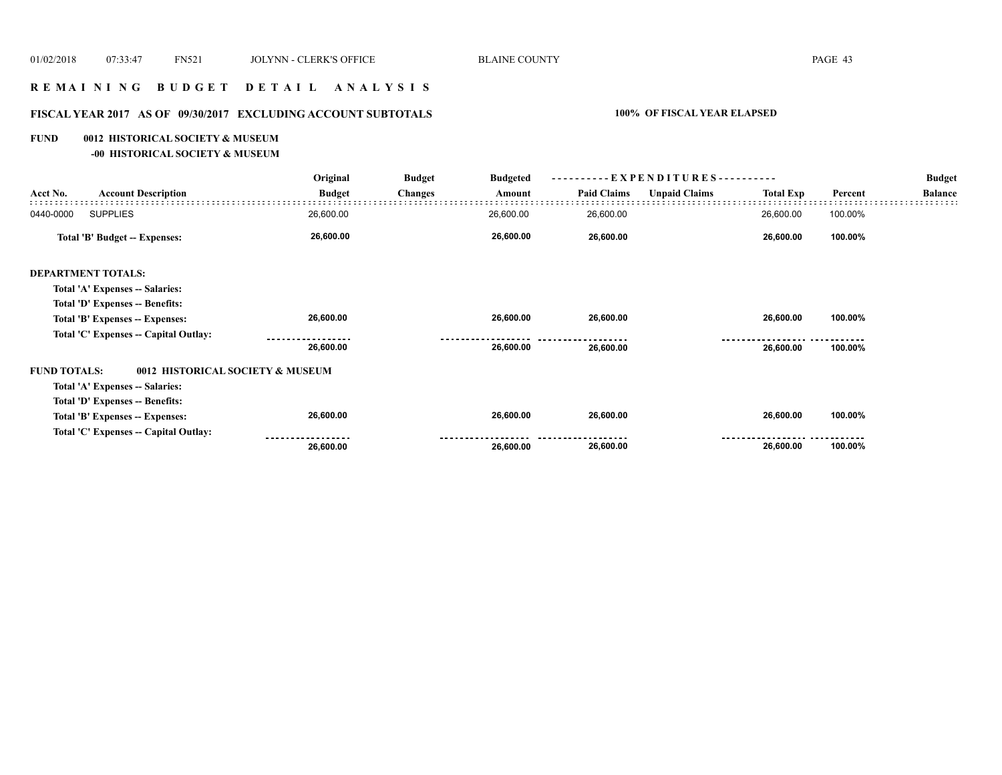## **R E M A I N I N G B U D G E T D E T A I L A N A L Y S I S**

# **FISCAL YEAR 2017 AS OF 09/30/2017 EXCLUDING ACCOUNT SUBTOTALS 100% OF FISCAL YEAR ELAPSED**

#### **FUND 0012 HISTORICAL SOCIETY & MUSEUM**

**-00 HISTORICAL SOCIETY & MUSEUM**

|                     |                                       | Original      | <b>Budget</b>  | <b>Budgeted</b> | ----------EXPENDITURES---------- |                      |                  | <b>Budget</b> |                |
|---------------------|---------------------------------------|---------------|----------------|-----------------|----------------------------------|----------------------|------------------|---------------|----------------|
| Acct No.            | <b>Account Description</b>            | <b>Budget</b> | <b>Changes</b> | Amount          | <b>Paid Claims</b>               | <b>Unpaid Claims</b> | <b>Total Exp</b> | Percent       | <b>Balance</b> |
| 0440-0000           | <b>SUPPLIES</b>                       | 26,600.00     |                | 26,600.00       | 26,600.00                        |                      | 26,600.00        | 100.00%       |                |
|                     | Total 'B' Budget -- Expenses:         | 26,600.00     |                | 26,600.00       | 26,600.00                        |                      | 26,600.00        | 100.00%       |                |
|                     | <b>DEPARTMENT TOTALS:</b>             |               |                |                 |                                  |                      |                  |               |                |
|                     | Total 'A' Expenses -- Salaries:       |               |                |                 |                                  |                      |                  |               |                |
|                     | Total 'D' Expenses -- Benefits:       |               |                |                 |                                  |                      |                  |               |                |
|                     | Total 'B' Expenses -- Expenses:       | 26,600.00     |                | 26,600.00       | 26,600.00                        |                      | 26,600.00        | 100.00%       |                |
|                     | Total 'C' Expenses -- Capital Outlay: |               |                |                 |                                  |                      |                  |               |                |
|                     |                                       | 26,600.00     |                | 26,600.00       | 26,600.00                        |                      | 26,600.00        | 100.00%       |                |
| <b>FUND TOTALS:</b> | 0012 HISTORICAL SOCIETY & MUSEUM      |               |                |                 |                                  |                      |                  |               |                |
|                     | Total 'A' Expenses -- Salaries:       |               |                |                 |                                  |                      |                  |               |                |
|                     | Total 'D' Expenses -- Benefits:       |               |                |                 |                                  |                      |                  |               |                |
|                     | Total 'B' Expenses -- Expenses:       | 26,600.00     |                | 26,600.00       | 26,600.00                        |                      | 26,600.00        | 100.00%       |                |
|                     | Total 'C' Expenses -- Capital Outlay: |               |                |                 |                                  |                      |                  |               |                |
|                     |                                       | 26,600.00     |                | 26,600.00       | 26,600.00                        |                      | 26,600.00        | 100.00%       |                |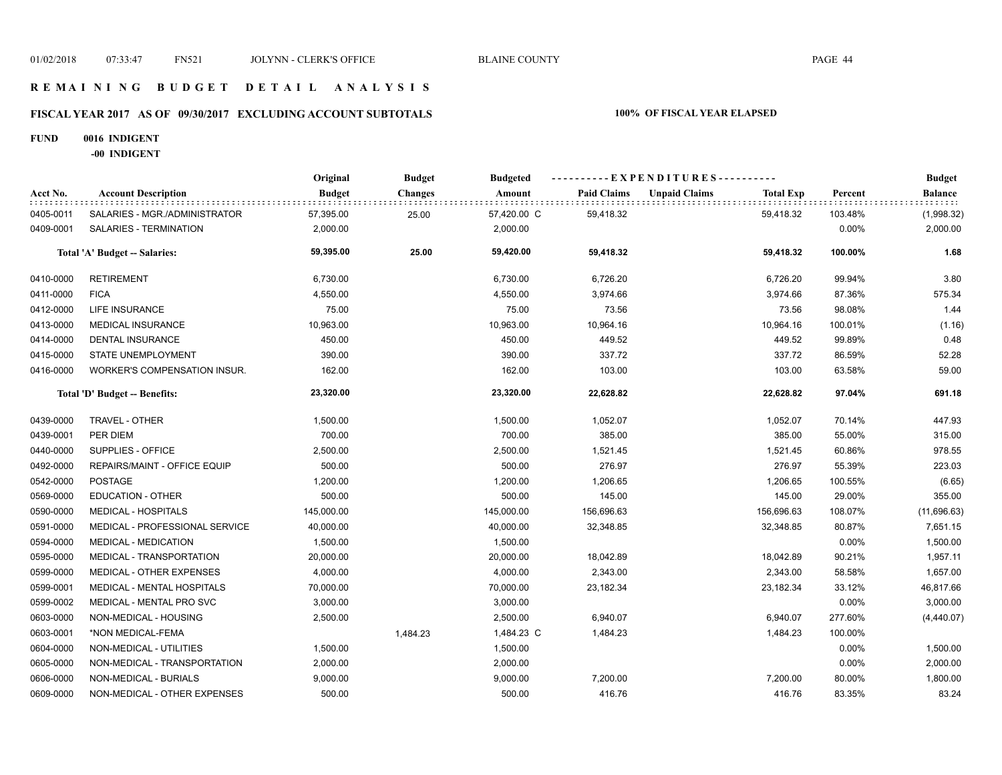## **R E M A I N I N G B U D G E T D E T A I L A N A L Y S I S**

# **FISCAL YEAR 2017 AS OF 09/30/2017 EXCLUDING ACCOUNT SUBTOTALS 100% OF FISCAL YEAR ELAPSED**

### **FUND 0016 INDIGENT**

**-00 INDIGENT**

|           |                                | Original      | <b>Budget</b>  | <b>Budgeted</b> |                    | ----------EXPENDITURES---------- |                  |         | <b>Budget</b>  |
|-----------|--------------------------------|---------------|----------------|-----------------|--------------------|----------------------------------|------------------|---------|----------------|
| Acct No.  | <b>Account Description</b>     | <b>Budget</b> | <b>Changes</b> | Amount          | <b>Paid Claims</b> | <b>Unpaid Claims</b>             | <b>Total Exp</b> | Percent | <b>Balance</b> |
| 0405-0011 | SALARIES - MGR./ADMINISTRATOR  | 57,395.00     | 25.00          | 57,420.00 C     | 59,418.32          |                                  | 59,418.32        | 103.48% | (1,998.32)     |
| 0409-0001 | SALARIES - TERMINATION         | 2,000.00      |                | 2,000.00        |                    |                                  |                  | 0.00%   | 2,000.00       |
|           | Total 'A' Budget -- Salaries:  | 59,395.00     | 25.00          | 59,420.00       | 59,418.32          |                                  | 59,418.32        | 100.00% | 1.68           |
| 0410-0000 | <b>RETIREMENT</b>              | 6,730.00      |                | 6,730.00        | 6,726.20           |                                  | 6,726.20         | 99.94%  | 3.80           |
| 0411-0000 | <b>FICA</b>                    | 4,550.00      |                | 4,550.00        | 3,974.66           |                                  | 3,974.66         | 87.36%  | 575.34         |
| 0412-0000 | LIFE INSURANCE                 | 75.00         |                | 75.00           | 73.56              |                                  | 73.56            | 98.08%  | 1.44           |
| 0413-0000 | <b>MEDICAL INSURANCE</b>       | 10,963.00     |                | 10,963.00       | 10,964.16          |                                  | 10,964.16        | 100.01% | (1.16)         |
| 0414-0000 | <b>DENTAL INSURANCE</b>        | 450.00        |                | 450.00          | 449.52             |                                  | 449.52           | 99.89%  | 0.48           |
| 0415-0000 | STATE UNEMPLOYMENT             | 390.00        |                | 390.00          | 337.72             |                                  | 337.72           | 86.59%  | 52.28          |
| 0416-0000 | WORKER'S COMPENSATION INSUR.   | 162.00        |                | 162.00          | 103.00             |                                  | 103.00           | 63.58%  | 59.00          |
|           | Total 'D' Budget -- Benefits:  | 23,320.00     |                | 23,320.00       | 22,628.82          |                                  | 22,628.82        | 97.04%  | 691.18         |
| 0439-0000 | TRAVEL - OTHER                 | 1,500.00      |                | 1,500.00        | 1,052.07           |                                  | 1,052.07         | 70.14%  | 447.93         |
| 0439-0001 | PER DIEM                       | 700.00        |                | 700.00          | 385.00             |                                  | 385.00           | 55.00%  | 315.00         |
| 0440-0000 | SUPPLIES - OFFICE              | 2,500.00      |                | 2,500.00        | 1,521.45           |                                  | 1,521.45         | 60.86%  | 978.55         |
| 0492-0000 | REPAIRS/MAINT - OFFICE EQUIP   | 500.00        |                | 500.00          | 276.97             |                                  | 276.97           | 55.39%  | 223.03         |
| 0542-0000 | <b>POSTAGE</b>                 | 1,200.00      |                | 1,200.00        | 1,206.65           |                                  | 1,206.65         | 100.55% | (6.65)         |
| 0569-0000 | <b>EDUCATION - OTHER</b>       | 500.00        |                | 500.00          | 145.00             |                                  | 145.00           | 29.00%  | 355.00         |
| 0590-0000 | <b>MEDICAL - HOSPITALS</b>     | 145,000.00    |                | 145,000.00      | 156,696.63         |                                  | 156,696.63       | 108.07% | (11,696.63)    |
| 0591-0000 | MEDICAL - PROFESSIONAL SERVICE | 40,000.00     |                | 40,000.00       | 32,348.85          |                                  | 32,348.85        | 80.87%  | 7,651.15       |
| 0594-0000 | MEDICAL - MEDICATION           | 1,500.00      |                | 1,500.00        |                    |                                  |                  | 0.00%   | 1,500.00       |
| 0595-0000 | MEDICAL - TRANSPORTATION       | 20,000.00     |                | 20,000.00       | 18,042.89          |                                  | 18,042.89        | 90.21%  | 1,957.11       |
| 0599-0000 | MEDICAL - OTHER EXPENSES       | 4,000.00      |                | 4,000.00        | 2,343.00           |                                  | 2,343.00         | 58.58%  | 1,657.00       |
| 0599-0001 | MEDICAL - MENTAL HOSPITALS     | 70,000.00     |                | 70,000.00       | 23,182.34          |                                  | 23,182.34        | 33.12%  | 46,817.66      |
| 0599-0002 | MEDICAL - MENTAL PRO SVC       | 3,000.00      |                | 3,000.00        |                    |                                  |                  | 0.00%   | 3,000.00       |
| 0603-0000 | NON-MEDICAL - HOUSING          | 2,500.00      |                | 2,500.00        | 6,940.07           |                                  | 6,940.07         | 277.60% | (4,440.07)     |
| 0603-0001 | *NON MEDICAL-FEMA              |               | 1,484.23       | 1,484.23 C      | 1,484.23           |                                  | 1,484.23         | 100.00% |                |
| 0604-0000 | NON-MEDICAL - UTILITIES        | 1,500.00      |                | 1,500.00        |                    |                                  |                  | 0.00%   | 1,500.00       |
| 0605-0000 | NON-MEDICAL - TRANSPORTATION   | 2,000.00      |                | 2,000.00        |                    |                                  |                  | 0.00%   | 2,000.00       |
| 0606-0000 | NON-MEDICAL - BURIALS          | 9,000.00      |                | 9,000.00        | 7,200.00           |                                  | 7,200.00         | 80.00%  | 1,800.00       |
| 0609-0000 | NON-MEDICAL - OTHER EXPENSES   | 500.00        |                | 500.00          | 416.76             |                                  | 416.76           | 83.35%  | 83.24          |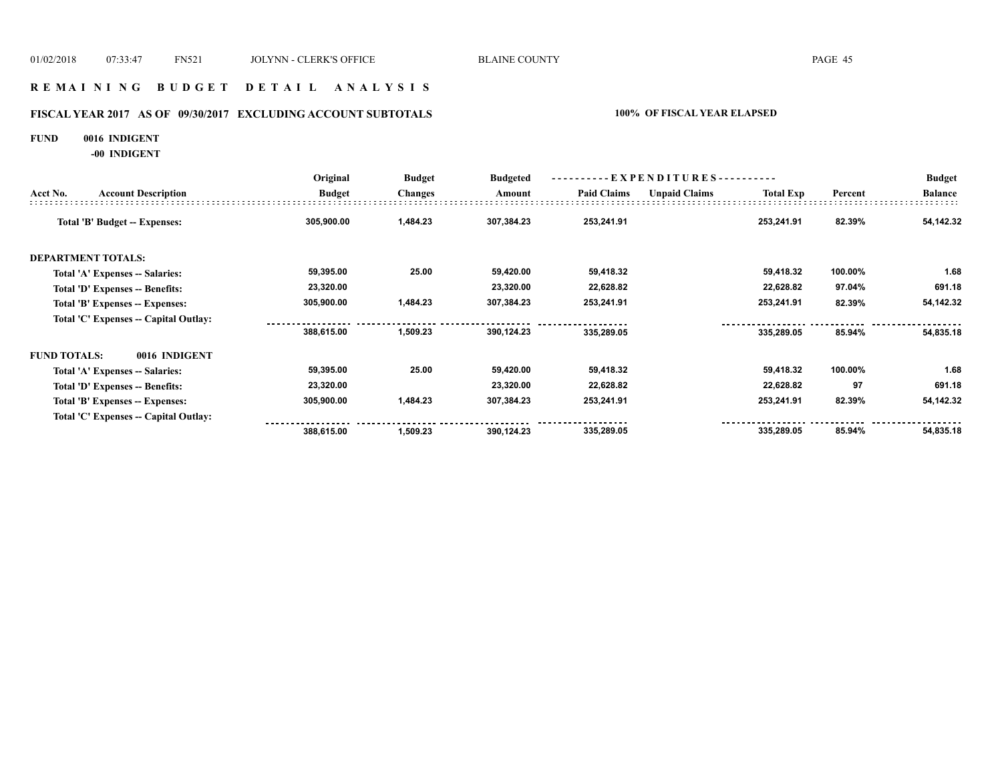## **R E M A I N I N G B U D G E T D E T A I L A N A L Y S I S**

# **FISCAL YEAR 2017 AS OF 09/30/2017 EXCLUDING ACCOUNT SUBTOTALS 100% OF FISCAL YEAR ELAPSED**

#### **FUND 0016 INDIGENT**

**-00 INDIGENT**

|                     |                                       | Original      | <b>Budget</b><br><b>Budgeted</b> | ----------EXPENDITURES---------- |                    |                      |                  | <b>Budget</b> |                |
|---------------------|---------------------------------------|---------------|----------------------------------|----------------------------------|--------------------|----------------------|------------------|---------------|----------------|
| Acct No.            | <b>Account Description</b>            | <b>Budget</b> | <b>Changes</b>                   | Amount                           | <b>Paid Claims</b> | <b>Unpaid Claims</b> | <b>Total Exp</b> | Percent       | <b>Balance</b> |
|                     | Total 'B' Budget -- Expenses:         | 305,900.00    | 1,484.23                         | 307,384.23                       | 253,241.91         |                      | 253,241.91       | 82.39%        | 54,142.32      |
|                     | <b>DEPARTMENT TOTALS:</b>             |               |                                  |                                  |                    |                      |                  |               |                |
|                     | Total 'A' Expenses -- Salaries:       | 59,395.00     | 25.00                            | 59,420.00                        | 59,418.32          |                      | 59,418.32        | 100.00%       | 1.68           |
|                     | Total 'D' Expenses -- Benefits:       | 23,320.00     |                                  | 23,320.00                        | 22,628.82          |                      | 22,628.82        | 97.04%        | 691.18         |
|                     | Total 'B' Expenses -- Expenses:       | 305,900.00    | 1,484.23                         | 307,384.23                       | 253,241.91         |                      | 253,241.91       | 82.39%        | 54,142.32      |
|                     | Total 'C' Expenses -- Capital Outlay: |               |                                  |                                  |                    |                      |                  |               |                |
|                     |                                       | 388,615.00    | 1,509.23                         | 390,124.23                       | 335,289.05         |                      | 335,289.05       | 85.94%        | 54,835.18      |
| <b>FUND TOTALS:</b> | 0016 INDIGENT                         |               |                                  |                                  |                    |                      |                  |               |                |
|                     | Total 'A' Expenses -- Salaries:       | 59,395.00     | 25.00                            | 59,420.00                        | 59,418.32          |                      | 59,418.32        | 100.00%       | 1.68           |
|                     | Total 'D' Expenses -- Benefits:       | 23,320.00     |                                  | 23,320.00                        | 22,628.82          |                      | 22,628.82        | 97            | 691.18         |
|                     | Total 'B' Expenses -- Expenses:       | 305,900.00    | 1,484.23                         | 307,384.23                       | 253,241.91         |                      | 253,241.91       | 82.39%        | 54,142.32      |
|                     | Total 'C' Expenses -- Capital Outlay: |               |                                  |                                  |                    |                      |                  |               |                |
|                     |                                       | 388,615.00    | 1,509.23                         | 390,124.23                       | 335,289.05         |                      | 335,289.05       | 85.94%        | 54,835.18      |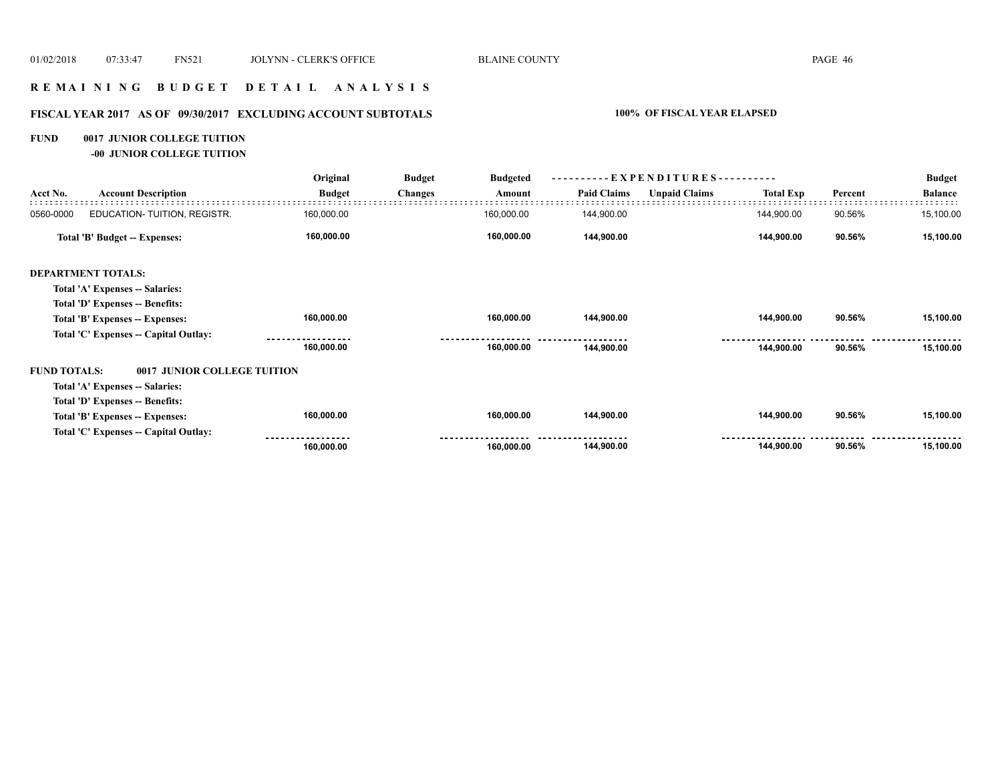## **R E M A I N I N G B U D G E T D E T A I L A N A L Y S I S**

# **FISCAL YEAR 2017 AS OF 09/30/2017 EXCLUDING ACCOUNT SUBTOTALS 100% OF FISCAL YEAR ELAPSED**

## **FUND 0017 JUNIOR COLLEGE TUITION**

**-00 JUNIOR COLLEGE TUITION**

|                     |                                       | Original      | <b>Budget</b>  | <b>Budgeted</b> | EXPENDITURES--     |                      |                  | <b>Budget</b> |                |
|---------------------|---------------------------------------|---------------|----------------|-----------------|--------------------|----------------------|------------------|---------------|----------------|
| Acct No.            | <b>Account Description</b>            | <b>Budget</b> | <b>Changes</b> | Amount          | <b>Paid Claims</b> | <b>Unpaid Claims</b> | <b>Total Exp</b> | Percent       | <b>Balance</b> |
| 0560-0000           | EDUCATION- TUITION, REGISTR.          | 160,000.00    |                | 160,000.00      | 144,900.00         |                      | 144,900.00       | 90.56%        | 15,100.00      |
|                     | Total 'B' Budget -- Expenses:         | 160,000.00    |                | 160,000.00      | 144,900.00         |                      | 144,900.00       | 90.56%        | 15,100.00      |
|                     | <b>DEPARTMENT TOTALS:</b>             |               |                |                 |                    |                      |                  |               |                |
|                     | Total 'A' Expenses -- Salaries:       |               |                |                 |                    |                      |                  |               |                |
|                     | Total 'D' Expenses -- Benefits:       |               |                |                 |                    |                      |                  |               |                |
|                     | Total 'B' Expenses -- Expenses:       | 160,000.00    |                | 160,000.00      | 144,900.00         |                      | 144,900.00       | 90.56%        | 15,100.00      |
|                     | Total 'C' Expenses -- Capital Outlay: |               |                |                 |                    |                      |                  |               |                |
|                     |                                       | 160,000.00    |                | 160,000.00      | 144,900.00         |                      | 144,900.00       | 90.56%        | 15,100.00      |
| <b>FUND TOTALS:</b> | 0017 JUNIOR COLLEGE TUITION           |               |                |                 |                    |                      |                  |               |                |
|                     | Total 'A' Expenses -- Salaries:       |               |                |                 |                    |                      |                  |               |                |
|                     | Total 'D' Expenses -- Benefits:       |               |                |                 |                    |                      |                  |               |                |
|                     | Total 'B' Expenses -- Expenses:       | 160,000.00    |                | 160,000.00      | 144,900.00         |                      | 144,900.00       | 90.56%        | 15,100.00      |
|                     | Total 'C' Expenses -- Capital Outlay: |               |                |                 |                    |                      |                  |               |                |
|                     |                                       | 160,000.00    |                | 160,000.00      | 144,900.00         |                      | 144,900.00       | 90.56%        | 15,100.00      |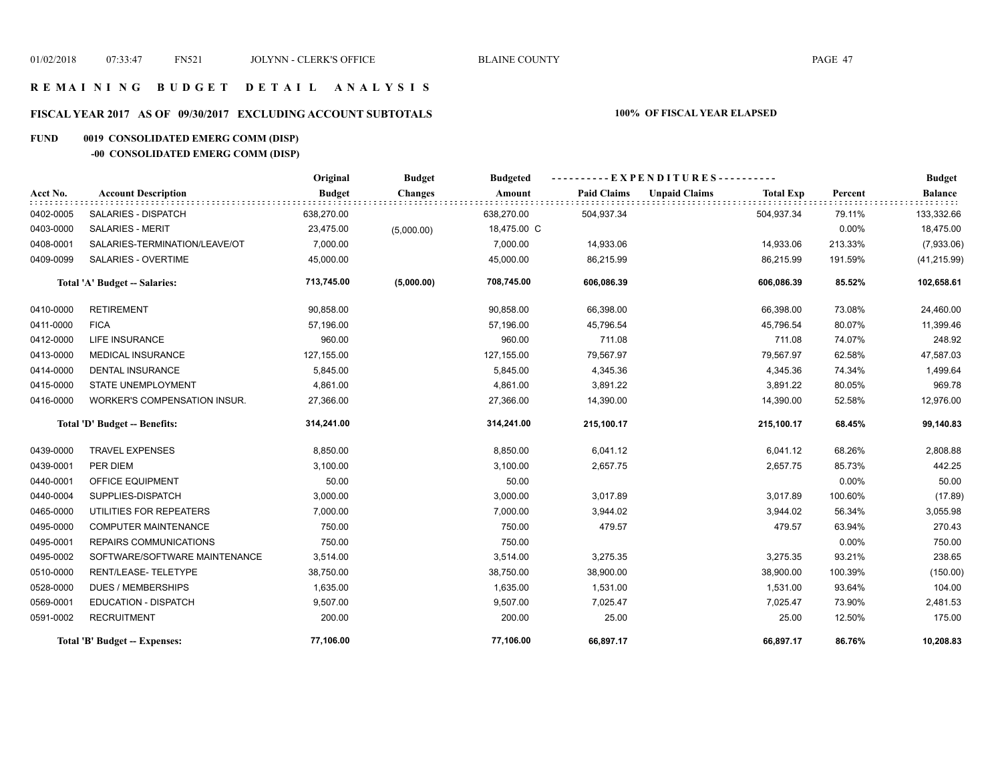## **R E M A I N I N G B U D G E T D E T A I L A N A L Y S I S**

# **FISCAL YEAR 2017 AS OF 09/30/2017 EXCLUDING ACCOUNT SUBTOTALS 100% OF FISCAL YEAR ELAPSED**

# **FUND 0019 CONSOLIDATED EMERG COMM (DISP)**

# **-00 CONSOLIDATED EMERG COMM (DISP)**

|           |                               | Original      | <b>Budget</b>  | <b>Budgeted</b> | ----------EXPENDITURES---------- |                      |                  |         | <b>Budget</b>  |
|-----------|-------------------------------|---------------|----------------|-----------------|----------------------------------|----------------------|------------------|---------|----------------|
| Acct No.  | <b>Account Description</b>    | <b>Budget</b> | <b>Changes</b> | Amount          | <b>Paid Claims</b>               | <b>Unpaid Claims</b> | <b>Total Exp</b> | Percent | <b>Balance</b> |
| 0402-0005 | SALARIES - DISPATCH           | 638,270.00    |                | 638,270.00      | 504,937.34                       |                      | 504,937.34       | 79.11%  | 133,332.66     |
| 0403-0000 | <b>SALARIES - MERIT</b>       | 23,475.00     | (5,000.00)     | 18,475.00 C     |                                  |                      |                  | 0.00%   | 18,475.00      |
| 0408-0001 | SALARIES-TERMINATION/LEAVE/OT | 7,000.00      |                | 7,000.00        | 14,933.06                        |                      | 14,933.06        | 213.33% | (7,933.06)     |
| 0409-0099 | SALARIES - OVERTIME           | 45,000.00     |                | 45,000.00       | 86,215.99                        |                      | 86,215.99        | 191.59% | (41, 215.99)   |
|           | Total 'A' Budget -- Salaries: | 713,745.00    | (5,000.00)     | 708,745.00      | 606,086.39                       |                      | 606,086.39       | 85.52%  | 102,658.61     |
| 0410-0000 | <b>RETIREMENT</b>             | 90,858.00     |                | 90,858.00       | 66,398.00                        |                      | 66,398.00        | 73.08%  | 24,460.00      |
| 0411-0000 | <b>FICA</b>                   | 57,196.00     |                | 57,196.00       | 45,796.54                        |                      | 45,796.54        | 80.07%  | 11,399.46      |
| 0412-0000 | <b>LIFE INSURANCE</b>         | 960.00        |                | 960.00          | 711.08                           |                      | 711.08           | 74.07%  | 248.92         |
| 0413-0000 | <b>MEDICAL INSURANCE</b>      | 127,155.00    |                | 127,155.00      | 79,567.97                        |                      | 79,567.97        | 62.58%  | 47,587.03      |
| 0414-0000 | <b>DENTAL INSURANCE</b>       | 5,845.00      |                | 5,845.00        | 4,345.36                         |                      | 4,345.36         | 74.34%  | 1,499.64       |
| 0415-0000 | STATE UNEMPLOYMENT            | 4,861.00      |                | 4,861.00        | 3,891.22                         |                      | 3,891.22         | 80.05%  | 969.78         |
| 0416-0000 | WORKER'S COMPENSATION INSUR.  | 27,366.00     |                | 27,366.00       | 14,390.00                        |                      | 14,390.00        | 52.58%  | 12,976.00      |
|           | Total 'D' Budget -- Benefits: | 314,241.00    |                | 314,241.00      | 215,100.17                       |                      | 215,100.17       | 68.45%  | 99,140.83      |
| 0439-0000 | <b>TRAVEL EXPENSES</b>        | 8,850.00      |                | 8,850.00        | 6,041.12                         |                      | 6,041.12         | 68.26%  | 2,808.88       |
| 0439-0001 | PER DIEM                      | 3,100.00      |                | 3,100.00        | 2,657.75                         |                      | 2,657.75         | 85.73%  | 442.25         |
| 0440-0001 | OFFICE EQUIPMENT              | 50.00         |                | 50.00           |                                  |                      |                  | 0.00%   | 50.00          |
| 0440-0004 | SUPPLIES-DISPATCH             | 3,000.00      |                | 3,000.00        | 3,017.89                         |                      | 3,017.89         | 100.60% | (17.89)        |
| 0465-0000 | UTILITIES FOR REPEATERS       | 7,000.00      |                | 7,000.00        | 3,944.02                         |                      | 3,944.02         | 56.34%  | 3,055.98       |
| 0495-0000 | <b>COMPUTER MAINTENANCE</b>   | 750.00        |                | 750.00          | 479.57                           |                      | 479.57           | 63.94%  | 270.43         |
| 0495-0001 | REPAIRS COMMUNICATIONS        | 750.00        |                | 750.00          |                                  |                      |                  | 0.00%   | 750.00         |
| 0495-0002 | SOFTWARE/SOFTWARE MAINTENANCE | 3,514.00      |                | 3,514.00        | 3,275.35                         |                      | 3,275.35         | 93.21%  | 238.65         |
| 0510-0000 | RENT/LEASE-TELETYPE           | 38,750.00     |                | 38,750.00       | 38,900.00                        |                      | 38,900.00        | 100.39% | (150.00)       |
| 0528-0000 | <b>DUES / MEMBERSHIPS</b>     | 1,635.00      |                | 1,635.00        | 1,531.00                         |                      | 1,531.00         | 93.64%  | 104.00         |
| 0569-0001 | <b>EDUCATION - DISPATCH</b>   | 9,507.00      |                | 9,507.00        | 7,025.47                         |                      | 7,025.47         | 73.90%  | 2,481.53       |
| 0591-0002 | <b>RECRUITMENT</b>            | 200.00        |                | 200.00          | 25.00                            |                      | 25.00            | 12.50%  | 175.00         |
|           | Total 'B' Budget -- Expenses: | 77,106.00     |                | 77,106.00       | 66,897.17                        |                      | 66,897.17        | 86.76%  | 10,208.83      |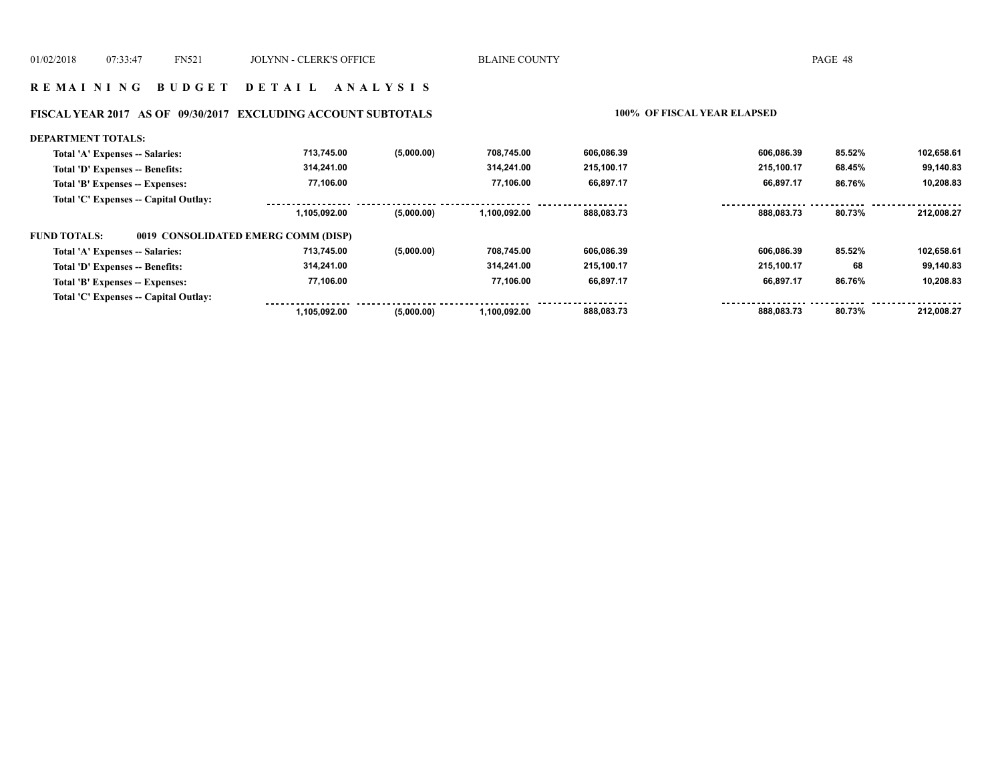#### **R E M A I N I N G B U D G E T D E T A I L A N A L Y S I S**

### **FISCAL YEAR 2017 AS OF 09/30/2017 EXCLUDING ACCOUNT SUBTOTALS 100% OF FISCAL YEAR ELAPSED**

#### **DEPARTMENT TOTALS: 713,745.00 708,745.00 606,086.39 606,086.39 85.52% 102,658.61 (5,000.00) Total 'A' Expenses -- Salaries: 99,140.83 Total 'D' Expenses -- Benefits: 314,241.00 314,241.00 215,100.17 215,100.17 68.45% 77,106.00 77,106.00 66,897.17 66,897.17 10,208.83 Total 'B' Expenses -- Expenses: 86.76% Total 'C' Expenses -- Capital Outlay:** ............. . . . . . . . . . . ................. . . . . . . . . . . . . . . . . .  **1,105,092.00 (5,000.00) 1,100,092.00 888,083.73 888,083.73 80.73% 212,008.27 FUND TOTALS: 0019 CONSOLIDATED EMERG COMM (DISP)Total 'A' Expenses -- Salaries: 713,745.00 (5,000.00) 708,745.00 606,086.39 606,086.39 85.52% 102,658.61 314,241.00 99,140.83 Total 'D' Expenses -- Benefits: 314,241.00 215,100.17 215,100.17 68 77,106.00 77,106.00 10,208.83 Total 'B' Expenses -- Expenses: 66,897.17 66,897.17 86.76% Total 'C' Expenses -- Capital Outlay:** -----------------<u>.........</u> . . . . . . . . . . . . . . .  $\frac{1}{2}$ . . . . . . . . . ----------. . . . .  **1,105,092.00 (5,000.00) 1,100,092.00 888,083.73 888,083.73 80.73% 212,008.27**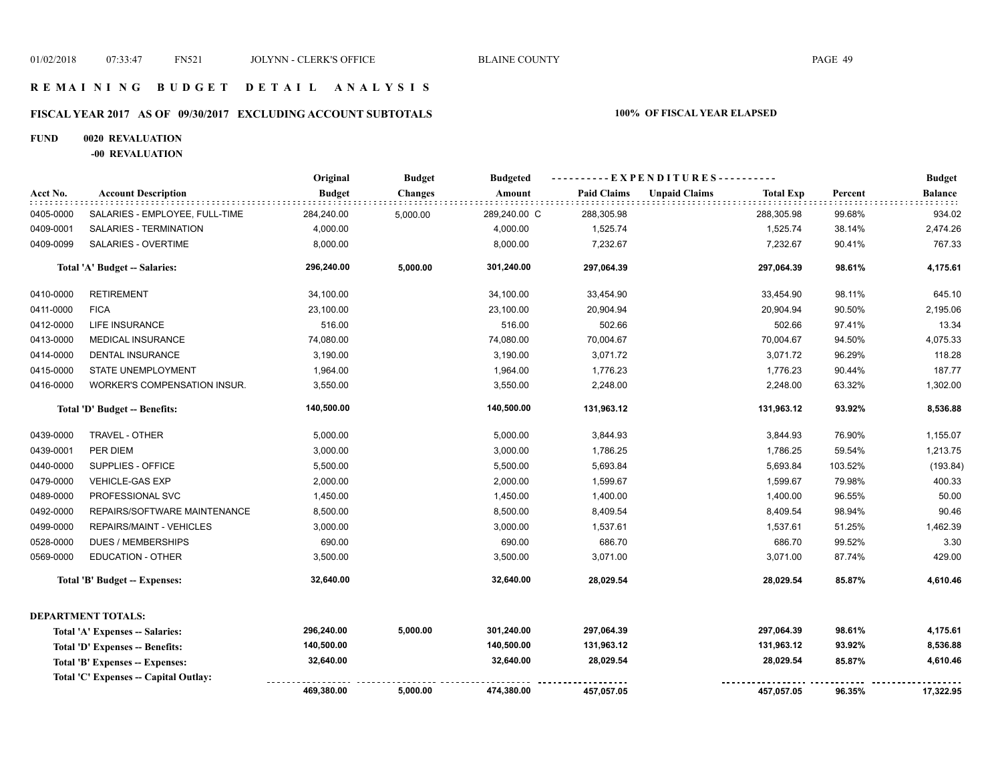## **R E M A I N I N G B U D G E T D E T A I L A N A L Y S I S**

# **FISCAL YEAR 2017 AS OF 09/30/2017 EXCLUDING ACCOUNT SUBTOTALS 100% OF FISCAL YEAR ELAPSED**

### **FUND 0020 REVALUATION**

**-00 REVALUATION**

|           |                                       | Original      | <b>Budget</b>  | <b>Budgeted</b> | -----EXPENDITURES---------- |                      |                  |         | <b>Budget</b>  |
|-----------|---------------------------------------|---------------|----------------|-----------------|-----------------------------|----------------------|------------------|---------|----------------|
| Acct No.  | <b>Account Description</b>            | <b>Budget</b> | <b>Changes</b> | Amount          | <b>Paid Claims</b>          | <b>Unpaid Claims</b> | <b>Total Exp</b> | Percent | <b>Balance</b> |
| 0405-0000 | SALARIES - EMPLOYEE, FULL-TIME        | 284,240.00    | 5,000.00       | 289,240.00 C    | 288,305.98                  |                      | 288,305.98       | 99.68%  | 934.02         |
| 0409-0001 | SALARIES - TERMINATION                | 4,000.00      |                | 4,000.00        | 1,525.74                    |                      | 1,525.74         | 38.14%  | 2,474.26       |
| 0409-0099 | <b>SALARIES - OVERTIME</b>            | 8,000.00      |                | 8,000.00        | 7,232.67                    |                      | 7,232.67         | 90.41%  | 767.33         |
|           | Total 'A' Budget -- Salaries:         | 296,240.00    | 5,000.00       | 301,240.00      | 297,064.39                  |                      | 297,064.39       | 98.61%  | 4,175.61       |
| 0410-0000 | <b>RETIREMENT</b>                     | 34,100.00     |                | 34,100.00       | 33,454.90                   |                      | 33,454.90        | 98.11%  | 645.10         |
| 0411-0000 | <b>FICA</b>                           | 23,100.00     |                | 23,100.00       | 20,904.94                   |                      | 20,904.94        | 90.50%  | 2,195.06       |
| 0412-0000 | LIFE INSURANCE                        | 516.00        |                | 516.00          | 502.66                      |                      | 502.66           | 97.41%  | 13.34          |
| 0413-0000 | <b>MEDICAL INSURANCE</b>              | 74,080.00     |                | 74,080.00       | 70,004.67                   |                      | 70,004.67        | 94.50%  | 4,075.33       |
| 0414-0000 | DENTAL INSURANCE                      | 3,190.00      |                | 3,190.00        | 3,071.72                    |                      | 3,071.72         | 96.29%  | 118.28         |
| 0415-0000 | STATE UNEMPLOYMENT                    | 1,964.00      |                | 1,964.00        | 1,776.23                    |                      | 1,776.23         | 90.44%  | 187.77         |
| 0416-0000 | WORKER'S COMPENSATION INSUR.          | 3,550.00      |                | 3,550.00        | 2,248.00                    |                      | 2,248.00         | 63.32%  | 1,302.00       |
|           | Total 'D' Budget -- Benefits:         | 140,500.00    |                | 140,500.00      | 131,963.12                  |                      | 131,963.12       | 93.92%  | 8,536.88       |
| 0439-0000 | TRAVEL - OTHER                        | 5,000.00      |                | 5,000.00        | 3,844.93                    |                      | 3,844.93         | 76.90%  | 1,155.07       |
| 0439-0001 | PER DIEM                              | 3,000.00      |                | 3,000.00        | 1,786.25                    |                      | 1,786.25         | 59.54%  | 1,213.75       |
| 0440-0000 | SUPPLIES - OFFICE                     | 5,500.00      |                | 5,500.00        | 5,693.84                    |                      | 5,693.84         | 103.52% | (193.84)       |
| 0479-0000 | <b>VEHICLE-GAS EXP</b>                | 2,000.00      |                | 2,000.00        | 1,599.67                    |                      | 1,599.67         | 79.98%  | 400.33         |
| 0489-0000 | PROFESSIONAL SVC                      | 1,450.00      |                | 1,450.00        | 1,400.00                    |                      | 1,400.00         | 96.55%  | 50.00          |
| 0492-0000 | REPAIRS/SOFTWARE MAINTENANCE          | 8,500.00      |                | 8,500.00        | 8,409.54                    |                      | 8,409.54         | 98.94%  | 90.46          |
| 0499-0000 | <b>REPAIRS/MAINT - VEHICLES</b>       | 3,000.00      |                | 3,000.00        | 1,537.61                    |                      | 1,537.61         | 51.25%  | 1,462.39       |
| 0528-0000 | <b>DUES / MEMBERSHIPS</b>             | 690.00        |                | 690.00          | 686.70                      |                      | 686.70           | 99.52%  | 3.30           |
| 0569-0000 | <b>EDUCATION - OTHER</b>              | 3,500.00      |                | 3,500.00        | 3,071.00                    |                      | 3,071.00         | 87.74%  | 429.00         |
|           | Total 'B' Budget -- Expenses:         | 32,640.00     |                | 32,640.00       | 28,029.54                   |                      | 28,029.54        | 85.87%  | 4,610.46       |
|           | <b>DEPARTMENT TOTALS:</b>             |               |                |                 |                             |                      |                  |         |                |
|           | Total 'A' Expenses -- Salaries:       | 296,240.00    | 5,000.00       | 301,240.00      | 297,064.39                  |                      | 297,064.39       | 98.61%  | 4,175.61       |
|           | Total 'D' Expenses -- Benefits:       | 140,500.00    |                | 140,500.00      | 131,963.12                  |                      | 131,963.12       | 93.92%  | 8,536.88       |
|           | Total 'B' Expenses -- Expenses:       | 32,640.00     |                | 32,640.00       | 28,029.54                   |                      | 28,029.54        | 85.87%  | 4,610.46       |
|           | Total 'C' Expenses -- Capital Outlay: |               |                |                 |                             |                      |                  |         |                |
|           |                                       | 469,380.00    | 5,000.00       | 474,380.00      | 457,057.05                  |                      | 457,057.05       | 96.35%  | 17,322.95      |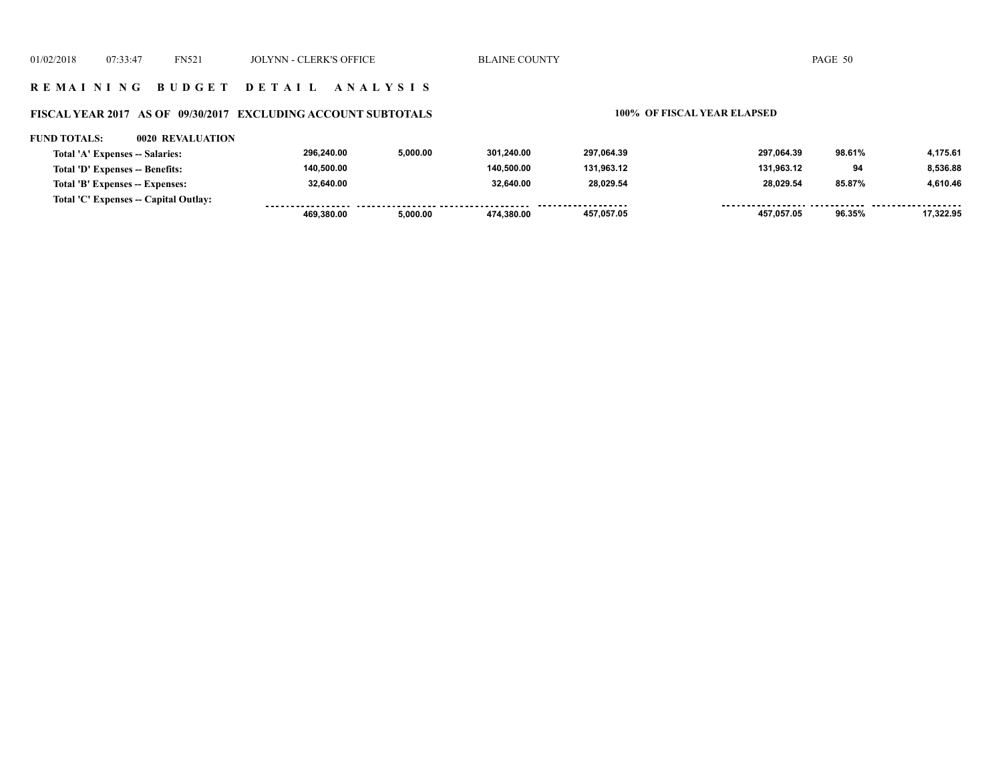## **R E M A I N I N G B U D G E T D E T A I L A N A L Y S I S**

# **FISCAL YEAR 2017 AS OF 09/30/2017 EXCLUDING ACCOUNT SUBTOTALS 100% OF FISCAL YEAR ELAPSED**

#### **FUND TOTALS: 0020 REVALUATION**

| Total 'A' Expenses -- Salaries:       | 296.240.00 | 5.000.00 | 301.240.00 | 297.064.39 | 297.064.39 | 98.61% | 4.175.61  |
|---------------------------------------|------------|----------|------------|------------|------------|--------|-----------|
| Total 'D' Expenses -- Benefits:       | 140.500.00 |          | 140.500.00 | 131,963.12 | 131.963.12 | 94     | 8,536.88  |
| Total 'B' Expenses -- Expenses:       | 32.640.00  |          | 32.640.00  | 28,029.54  | 28,029.54  | 85.87% | 4,610.46  |
| Total 'C' Expenses -- Capital Outlay: |            |          |            |            |            |        |           |
|                                       | 469.380.00 | 5.000.00 | 474.380.00 | 457.057.05 | 457.057.05 | 96.35% | 17.322.95 |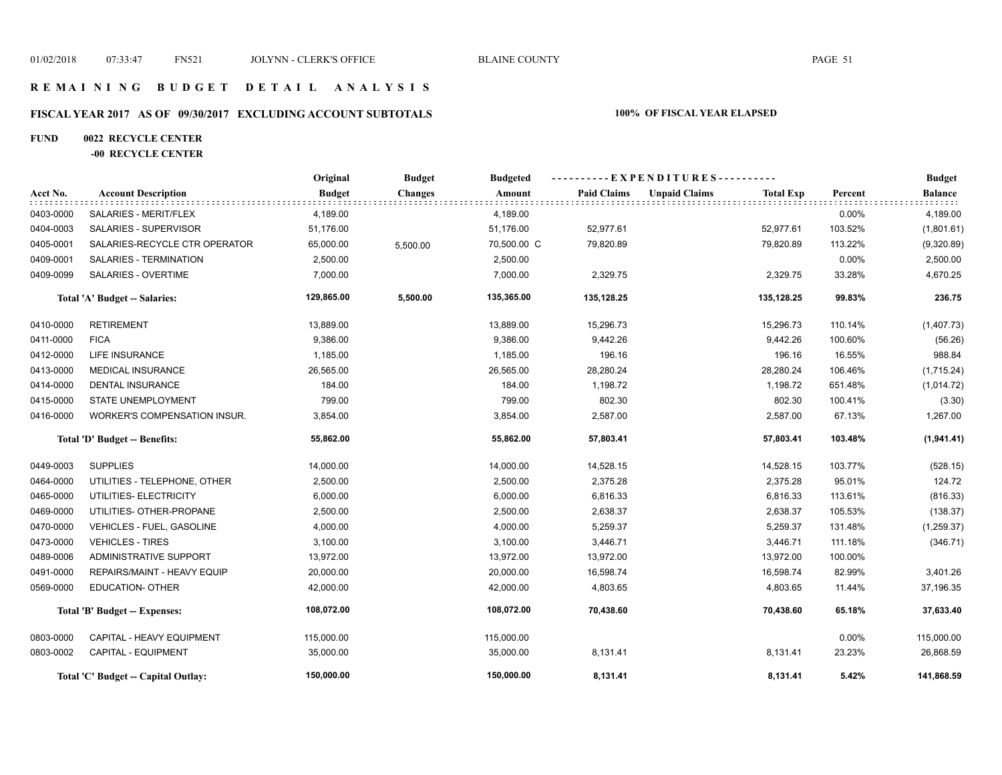## **R E M A I N I N G B U D G E T D E T A I L A N A L Y S I S**

# **FISCAL YEAR 2017 AS OF 09/30/2017 EXCLUDING ACCOUNT SUBTOTALS 100% OF FISCAL YEAR ELAPSED**

## **FUND 0022 RECYCLE CENTER**

### **-00 RECYCLE CENTER**

|           |                                     | Original      | <b>Budget</b>  | <b>Budgeted</b> | ----------EXPENDITURES---------- |                      |                  |         | <b>Budget</b>  |  |
|-----------|-------------------------------------|---------------|----------------|-----------------|----------------------------------|----------------------|------------------|---------|----------------|--|
| Acct No.  | <b>Account Description</b>          | <b>Budget</b> | <b>Changes</b> | Amount          | <b>Paid Claims</b>               | <b>Unpaid Claims</b> | <b>Total Exp</b> | Percent | <b>Balance</b> |  |
| 0403-0000 | SALARIES - MERIT/FLEX               | 4,189.00      |                | 4,189.00        |                                  |                      |                  | 0.00%   | 4,189.00       |  |
| 0404-0003 | SALARIES - SUPERVISOR               | 51,176.00     |                | 51,176.00       | 52,977.61                        |                      | 52,977.61        | 103.52% | (1,801.61)     |  |
| 0405-0001 | SALARIES-RECYCLE CTR OPERATOR       | 65,000.00     | 5,500.00       | 70,500.00 C     | 79,820.89                        |                      | 79,820.89        | 113.22% | (9,320.89)     |  |
| 0409-0001 | SALARIES - TERMINATION              | 2,500.00      |                | 2,500.00        |                                  |                      |                  | 0.00%   | 2,500.00       |  |
| 0409-0099 | SALARIES - OVERTIME                 | 7,000.00      |                | 7,000.00        | 2,329.75                         |                      | 2,329.75         | 33.28%  | 4,670.25       |  |
|           | Total 'A' Budget -- Salaries:       | 129,865.00    | 5,500.00       | 135,365.00      | 135,128.25                       |                      | 135,128.25       | 99.83%  | 236.75         |  |
| 0410-0000 | <b>RETIREMENT</b>                   | 13,889.00     |                | 13,889.00       | 15,296.73                        |                      | 15,296.73        | 110.14% | (1,407.73)     |  |
| 0411-0000 | <b>FICA</b>                         | 9,386.00      |                | 9,386.00        | 9,442.26                         |                      | 9,442.26         | 100.60% | (56.26)        |  |
| 0412-0000 | <b>LIFE INSURANCE</b>               | 1,185.00      |                | 1,185.00        | 196.16                           |                      | 196.16           | 16.55%  | 988.84         |  |
| 0413-0000 | <b>MEDICAL INSURANCE</b>            | 26,565.00     |                | 26,565.00       | 28,280.24                        |                      | 28,280.24        | 106.46% | (1,715.24)     |  |
| 0414-0000 | <b>DENTAL INSURANCE</b>             | 184.00        |                | 184.00          | 1,198.72                         |                      | 1,198.72         | 651.48% | (1,014.72)     |  |
| 0415-0000 | <b>STATE UNEMPLOYMENT</b>           | 799.00        |                | 799.00          | 802.30                           |                      | 802.30           | 100.41% | (3.30)         |  |
| 0416-0000 | WORKER'S COMPENSATION INSUR.        | 3,854.00      |                | 3,854.00        | 2,587.00                         |                      | 2,587.00         | 67.13%  | 1,267.00       |  |
|           | Total 'D' Budget -- Benefits:       | 55,862.00     |                | 55,862.00       | 57,803.41                        |                      | 57,803.41        | 103.48% | (1,941.41)     |  |
| 0449-0003 | <b>SUPPLIES</b>                     | 14,000.00     |                | 14,000.00       | 14,528.15                        |                      | 14,528.15        | 103.77% | (528.15)       |  |
| 0464-0000 | UTILITIES - TELEPHONE, OTHER        | 2,500.00      |                | 2,500.00        | 2,375.28                         |                      | 2,375.28         | 95.01%  | 124.72         |  |
| 0465-0000 | UTILITIES- ELECTRICITY              | 6,000.00      |                | 6,000.00        | 6,816.33                         |                      | 6,816.33         | 113.61% | (816.33)       |  |
| 0469-0000 | UTILITIES- OTHER-PROPANE            | 2,500.00      |                | 2,500.00        | 2,638.37                         |                      | 2,638.37         | 105.53% | (138.37)       |  |
| 0470-0000 | VEHICLES - FUEL, GASOLINE           | 4,000.00      |                | 4,000.00        | 5,259.37                         |                      | 5,259.37         | 131.48% | (1,259.37)     |  |
| 0473-0000 | <b>VEHICLES - TIRES</b>             | 3,100.00      |                | 3,100.00        | 3,446.71                         |                      | 3,446.71         | 111.18% | (346.71)       |  |
| 0489-0006 | <b>ADMINISTRATIVE SUPPORT</b>       | 13,972.00     |                | 13,972.00       | 13,972.00                        |                      | 13,972.00        | 100.00% |                |  |
| 0491-0000 | REPAIRS/MAINT - HEAVY EQUIP         | 20,000.00     |                | 20,000.00       | 16,598.74                        |                      | 16,598.74        | 82.99%  | 3,401.26       |  |
| 0569-0000 | <b>EDUCATION- OTHER</b>             | 42,000.00     |                | 42,000.00       | 4,803.65                         |                      | 4,803.65         | 11.44%  | 37,196.35      |  |
|           | Total 'B' Budget -- Expenses:       | 108,072.00    |                | 108,072.00      | 70,438.60                        |                      | 70,438.60        | 65.18%  | 37,633.40      |  |
| 0803-0000 | CAPITAL - HEAVY EQUIPMENT           | 115,000.00    |                | 115,000.00      |                                  |                      |                  | 0.00%   | 115,000.00     |  |
| 0803-0002 | <b>CAPITAL - EQUIPMENT</b>          | 35,000.00     |                | 35,000.00       | 8,131.41                         |                      | 8,131.41         | 23.23%  | 26,868.59      |  |
|           | Total 'C' Budget -- Capital Outlay: | 150,000.00    |                | 150,000.00      | 8,131.41                         |                      | 8,131.41         | 5.42%   | 141,868.59     |  |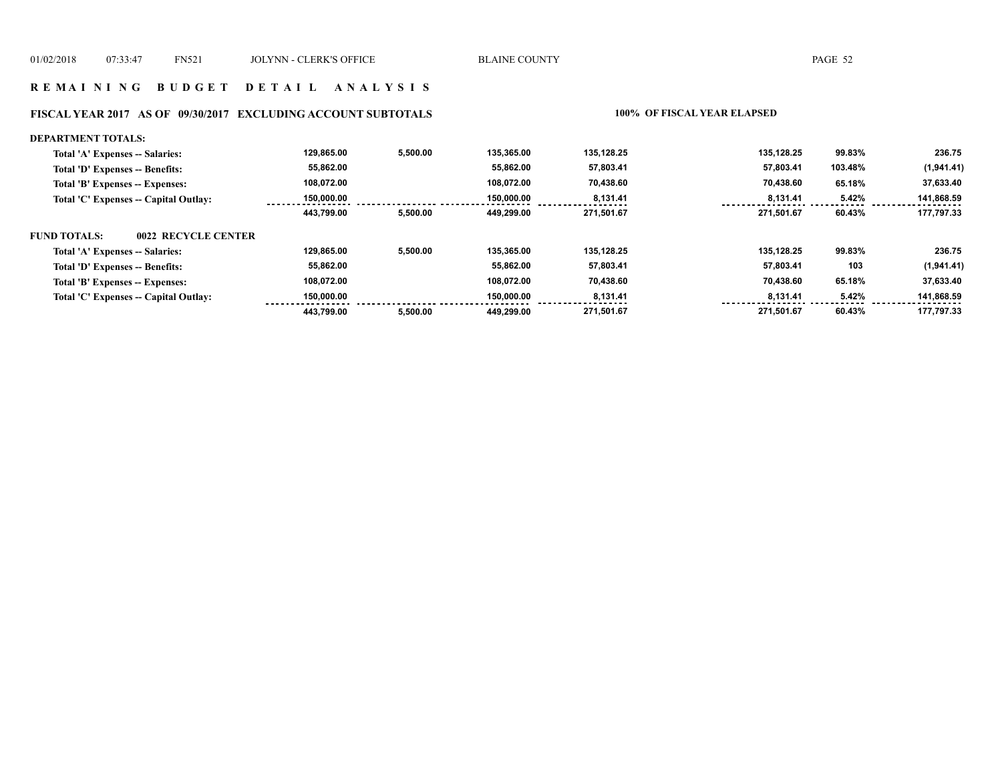#### **FISCAL YEAR 2017 AS OF 09/30/2017 EXCLUDING ACCOUNT SUBTOTALS 100% OF FISCAL YEAR ELAPSED**

#### **DEPARTMENT TOTALS: 129,865.00 5,500.00 135,365.00 135,128.25 135,128.25 99.83% 236.75 Total 'A' Expenses -- Salaries: Total 'D' Expenses -- Benefits: 55,862.00 55,862.00 57,803.41 57,803.41 103.48% (1,941.41) 108,072.00 108,072.00 70,438.60 70,438.60 37,633.40 Total 'B' Expenses -- Expenses: 65.18% Total 'C' Expenses -- Capital Outlay: 150,000.00 150,000.00 8,131.41 8,131.41 5.42% 141,868.59**  . . . . .  **443,799.00 5,500.00 449,299.00 271,501.67 271,501.67 60.43% 177,797.33 FUND TOTALS: 0022 RECYCLE CENTERTotal 'A' Expenses -- Salaries: 129,865.00 5,500.00 135,365.00 135,128.25 135,128.25 99.83% 236.75 55,862.00 55,862.00 57,803.41 57,803.41 Total 'D' Expenses -- Benefits: 103 (1,941.41) 108,072.00 108,072.00 70,438.60 70,438.60 37,633.40 Total 'B' Expenses -- Expenses: 65.18% Total 'C' Expenses -- Capital Outlay: 150,000.00 150,000.00 8,131.41 8,131.41 5.42% 141,868.59 443,799.00 449,299.00 5,500.00 271,501.67 271,501.67 60.43% 177,797.33**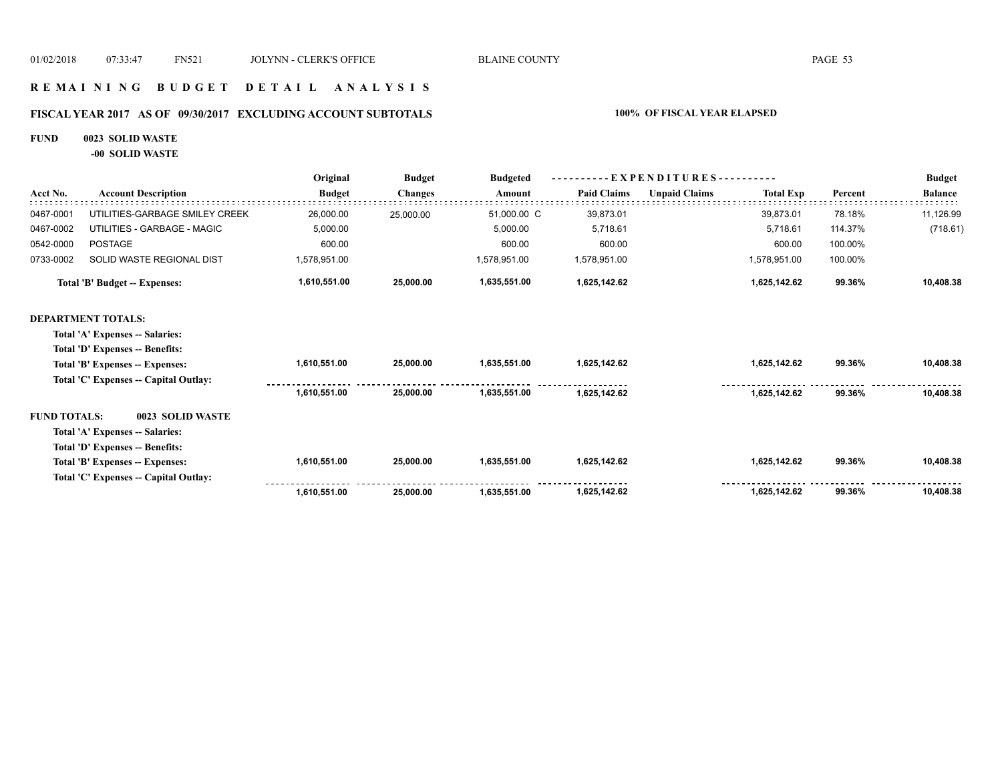## **R E M A I N I N G B U D G E T D E T A I L A N A L Y S I S**

# **FISCAL YEAR 2017 AS OF 09/30/2017 EXCLUDING ACCOUNT SUBTOTALS 100% OF FISCAL YEAR ELAPSED**

### **FUND 0023 SOLID WASTE**

**-00 SOLID WASTE**

|                     |                                       | Original      | <b>Budget</b>  | <b>Budgeted</b> | EXPENDITURES---    |                      |                  |         | <b>Budget</b>  |
|---------------------|---------------------------------------|---------------|----------------|-----------------|--------------------|----------------------|------------------|---------|----------------|
| Acct No.            | <b>Account Description</b>            | <b>Budget</b> | <b>Changes</b> | Amount          | <b>Paid Claims</b> | <b>Unpaid Claims</b> | <b>Total Exp</b> | Percent | <b>Balance</b> |
| 0467-0001           | UTILITIES-GARBAGE SMILEY CREEK        | 26,000.00     | 25,000.00      | 51,000.00 C     | 39,873.01          |                      | 39,873.01        | 78.18%  | 11,126.99      |
| 0467-0002           | UTILITIES - GARBAGE - MAGIC           | 5,000.00      |                | 5,000.00        | 5.718.61           |                      | 5,718.61         | 114.37% | (718.61)       |
| 0542-0000           | <b>POSTAGE</b>                        | 600.00        |                | 600.00          | 600.00             |                      | 600.00           | 100.00% |                |
| 0733-0002           | SOLID WASTE REGIONAL DIST             | 1,578,951.00  |                | 1,578,951.00    | 1,578,951.00       |                      | 1,578,951.00     | 100.00% |                |
|                     | Total 'B' Budget -- Expenses:         | 1,610,551.00  | 25,000.00      | 1,635,551.00    | 1,625,142.62       |                      | 1,625,142.62     | 99.36%  | 10,408.38      |
|                     | <b>DEPARTMENT TOTALS:</b>             |               |                |                 |                    |                      |                  |         |                |
|                     | Total 'A' Expenses -- Salaries:       |               |                |                 |                    |                      |                  |         |                |
|                     | Total 'D' Expenses -- Benefits:       |               |                |                 |                    |                      |                  |         |                |
|                     | Total 'B' Expenses -- Expenses:       | 1,610,551.00  | 25,000.00      | 1,635,551.00    | 1,625,142.62       |                      | 1,625,142.62     | 99.36%  | 10,408.38      |
|                     | Total 'C' Expenses -- Capital Outlay: |               |                |                 |                    |                      |                  |         |                |
|                     |                                       | 1,610,551.00  | 25,000,00      | 1.635.551.00    | 1,625,142.62       |                      | 1,625,142.62     | 99.36%  | 10,408.38      |
| <b>FUND TOTALS:</b> | 0023 SOLID WASTE                      |               |                |                 |                    |                      |                  |         |                |
|                     | Total 'A' Expenses -- Salaries:       |               |                |                 |                    |                      |                  |         |                |
|                     | Total 'D' Expenses -- Benefits:       |               |                |                 |                    |                      |                  |         |                |
|                     | Total 'B' Expenses -- Expenses:       | 1,610,551.00  | 25,000.00      | 1,635,551.00    | 1,625,142.62       |                      | 1,625,142.62     | 99.36%  | 10,408.38      |
|                     | Total 'C' Expenses -- Capital Outlay: |               |                |                 |                    |                      |                  |         |                |
|                     |                                       | 1,610,551.00  | 25,000.00      | 1,635,551.00    | 1,625,142.62       |                      | 1,625,142.62     | 99.36%  | 10,408.38      |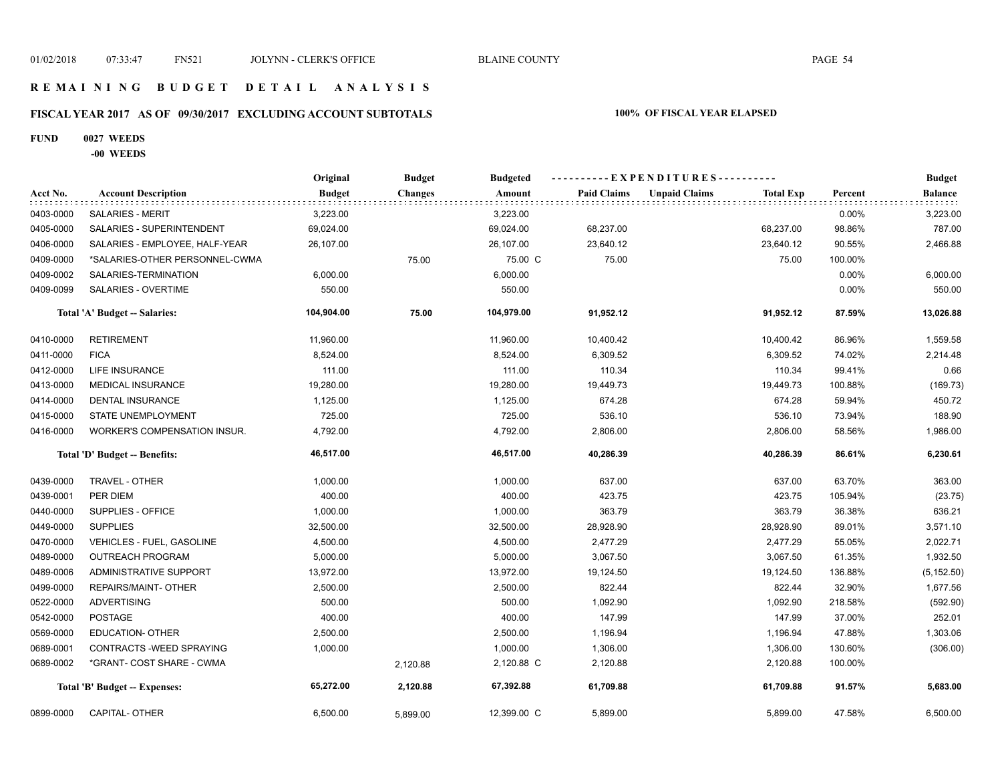## **R E M A I N I N G B U D G E T D E T A I L A N A L Y S I S**

# **FISCAL YEAR 2017 AS OF 09/30/2017 EXCLUDING ACCOUNT SUBTOTALS 100% OF FISCAL YEAR ELAPSED**

### **FUND 0027 WEEDS**

**-00 WEEDS**

|           |                                     | Original      | <b>Budget</b>  | <b>Budgeted</b> |                    |                      |                  |         | <b>Budget</b>  |
|-----------|-------------------------------------|---------------|----------------|-----------------|--------------------|----------------------|------------------|---------|----------------|
| Acct No.  | <b>Account Description</b>          | <b>Budget</b> | <b>Changes</b> | Amount          | <b>Paid Claims</b> | <b>Unpaid Claims</b> | <b>Total Exp</b> | Percent | <b>Balance</b> |
| 0403-0000 | <b>SALARIES - MERIT</b>             | 3,223.00      |                | 3,223.00        |                    |                      |                  | 0.00%   | 3,223.00       |
| 0405-0000 | SALARIES - SUPERINTENDENT           | 69,024.00     |                | 69,024.00       | 68,237.00          |                      | 68,237.00        | 98.86%  | 787.00         |
| 0406-0000 | SALARIES - EMPLOYEE, HALF-YEAR      | 26,107.00     |                | 26,107.00       | 23,640.12          |                      | 23,640.12        | 90.55%  | 2,466.88       |
| 0409-0000 | *SALARIES-OTHER PERSONNEL-CWMA      |               | 75.00          | 75.00 C         | 75.00              |                      | 75.00            | 100.00% |                |
| 0409-0002 | SALARIES-TERMINATION                | 6,000.00      |                | 6,000.00        |                    |                      |                  | 0.00%   | 6,000.00       |
| 0409-0099 | SALARIES - OVERTIME                 | 550.00        |                | 550.00          |                    |                      |                  | 0.00%   | 550.00         |
|           | Total 'A' Budget -- Salaries:       | 104,904.00    | 75.00          | 104,979.00      | 91,952.12          |                      | 91,952.12        | 87.59%  | 13,026.88      |
| 0410-0000 | <b>RETIREMENT</b>                   | 11,960.00     |                | 11,960.00       | 10,400.42          |                      | 10,400.42        | 86.96%  | 1,559.58       |
| 0411-0000 | <b>FICA</b>                         | 8,524.00      |                | 8,524.00        | 6,309.52           |                      | 6,309.52         | 74.02%  | 2,214.48       |
| 0412-0000 | LIFE INSURANCE                      | 111.00        |                | 111.00          | 110.34             |                      | 110.34           | 99.41%  | 0.66           |
| 0413-0000 | <b>MEDICAL INSURANCE</b>            | 19,280.00     |                | 19,280.00       | 19,449.73          |                      | 19,449.73        | 100.88% | (169.73)       |
| 0414-0000 | <b>DENTAL INSURANCE</b>             | 1,125.00      |                | 1,125.00        | 674.28             |                      | 674.28           | 59.94%  | 450.72         |
| 0415-0000 | STATE UNEMPLOYMENT                  | 725.00        |                | 725.00          | 536.10             |                      | 536.10           | 73.94%  | 188.90         |
| 0416-0000 | <b>WORKER'S COMPENSATION INSUR.</b> | 4,792.00      |                | 4,792.00        | 2,806.00           |                      | 2,806.00         | 58.56%  | 1,986.00       |
|           | Total 'D' Budget -- Benefits:       | 46,517.00     |                | 46,517.00       | 40,286.39          |                      | 40,286.39        | 86.61%  | 6,230.61       |
| 0439-0000 | TRAVEL - OTHER                      | 1,000.00      |                | 1,000.00        | 637.00             |                      | 637.00           | 63.70%  | 363.00         |
| 0439-0001 | PER DIEM                            | 400.00        |                | 400.00          | 423.75             |                      | 423.75           | 105.94% | (23.75)        |
| 0440-0000 | SUPPLIES - OFFICE                   | 1,000.00      |                | 1,000.00        | 363.79             |                      | 363.79           | 36.38%  | 636.21         |
| 0449-0000 | <b>SUPPLIES</b>                     | 32,500.00     |                | 32,500.00       | 28,928.90          |                      | 28,928.90        | 89.01%  | 3,571.10       |
| 0470-0000 | VEHICLES - FUEL, GASOLINE           | 4,500.00      |                | 4,500.00        | 2,477.29           |                      | 2,477.29         | 55.05%  | 2,022.71       |
| 0489-0000 | <b>OUTREACH PROGRAM</b>             | 5,000.00      |                | 5,000.00        | 3,067.50           |                      | 3,067.50         | 61.35%  | 1,932.50       |
| 0489-0006 | ADMINISTRATIVE SUPPORT              | 13,972.00     |                | 13,972.00       | 19,124.50          |                      | 19,124.50        | 136.88% | (5, 152.50)    |
| 0499-0000 | <b>REPAIRS/MAINT- OTHER</b>         | 2,500.00      |                | 2,500.00        | 822.44             |                      | 822.44           | 32.90%  | 1,677.56       |
| 0522-0000 | <b>ADVERTISING</b>                  | 500.00        |                | 500.00          | 1,092.90           |                      | 1,092.90         | 218.58% | (592.90)       |
| 0542-0000 | <b>POSTAGE</b>                      | 400.00        |                | 400.00          | 147.99             |                      | 147.99           | 37.00%  | 252.01         |
| 0569-0000 | <b>EDUCATION- OTHER</b>             | 2,500.00      |                | 2,500.00        | 1,196.94           |                      | 1,196.94         | 47.88%  | 1,303.06       |
| 0689-0001 | CONTRACTS - WEED SPRAYING           | 1,000.00      |                | 1,000.00        | 1,306.00           |                      | 1,306.00         | 130.60% | (306.00)       |
| 0689-0002 | *GRANT- COST SHARE - CWMA           |               | 2,120.88       | 2,120.88 C      | 2,120.88           |                      | 2,120.88         | 100.00% |                |
|           | Total 'B' Budget -- Expenses:       | 65,272.00     | 2,120.88       | 67,392.88       | 61,709.88          |                      | 61,709.88        | 91.57%  | 5,683.00       |
| 0899-0000 | <b>CAPITAL- OTHER</b>               | 6,500.00      | 5,899.00       | 12,399.00 C     | 5,899.00           |                      | 5,899.00         | 47.58%  | 6,500.00       |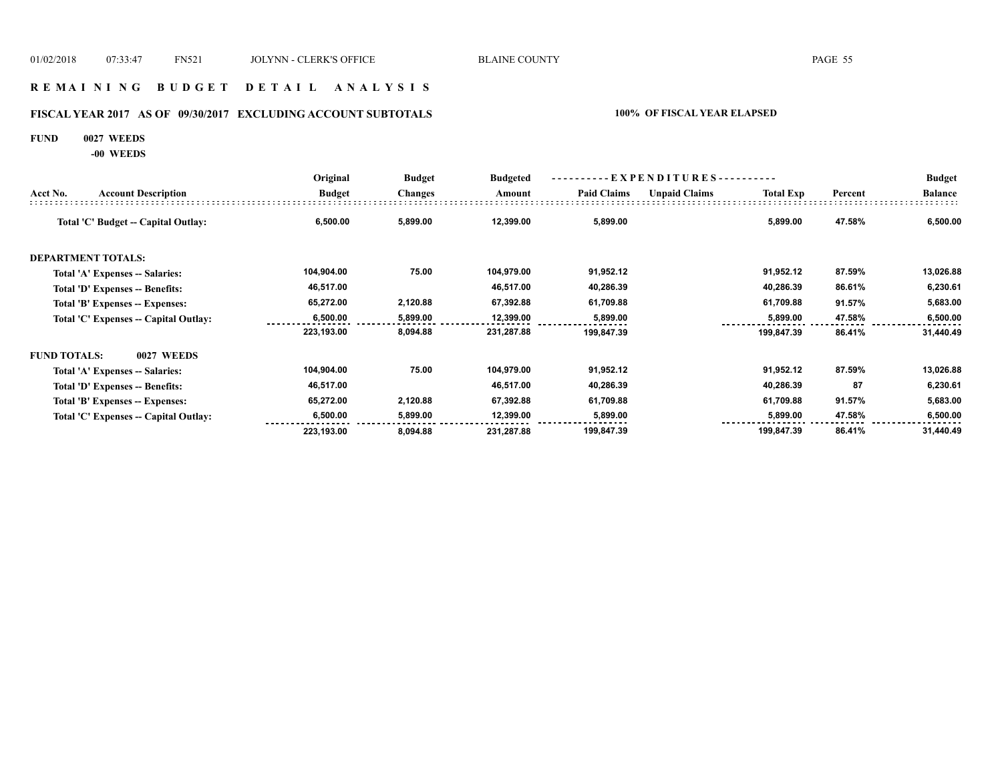## **R E M A I N I N G B U D G E T D E T A I L A N A L Y S I S**

# **FISCAL YEAR 2017 AS OF 09/30/2017 EXCLUDING ACCOUNT SUBTOTALS 100% OF FISCAL YEAR ELAPSED**

#### **FUND 0027 WEEDS**

**-00 WEEDS**

|                     |                                       | Original      | <b>Budget</b>  | <b>Budgeted</b> | - E X P E N D I T U R E S - - - - - - - - - - |                      |                  |         | <b>Budget</b>  |
|---------------------|---------------------------------------|---------------|----------------|-----------------|-----------------------------------------------|----------------------|------------------|---------|----------------|
| Acct No.            | <b>Account Description</b>            | <b>Budget</b> | <b>Changes</b> | Amount          | <b>Paid Claims</b>                            | <b>Unpaid Claims</b> | <b>Total Exp</b> | Percent | <b>Balance</b> |
|                     | Total 'C' Budget -- Capital Outlay:   | 6,500.00      | 5,899.00       | 12,399.00       | 5,899.00                                      |                      | 5,899.00         | 47.58%  | 6,500.00       |
|                     | <b>DEPARTMENT TOTALS:</b>             |               |                |                 |                                               |                      |                  |         |                |
|                     | Total 'A' Expenses -- Salaries:       | 104,904.00    | 75.00          | 104,979.00      | 91,952.12                                     |                      | 91,952.12        | 87.59%  | 13,026.88      |
|                     | Total 'D' Expenses -- Benefits:       | 46,517.00     |                | 46,517.00       | 40,286.39                                     |                      | 40,286.39        | 86.61%  | 6,230.61       |
|                     | Total 'B' Expenses -- Expenses:       | 65,272.00     | 2,120.88       | 67,392.88       | 61,709.88                                     |                      | 61,709.88        | 91.57%  | 5,683.00       |
|                     | Total 'C' Expenses -- Capital Outlay: | 6,500.00      | 5,899.00       | 12,399.00       | 5,899.00                                      |                      | 5,899.00         | 47.58%  | 6,500.00       |
|                     |                                       | 223,193.00    | 8,094.88       | 231,287.88      | 199,847.39                                    |                      | 199,847.39       | 86.41%  | 31,440.49      |
| <b>FUND TOTALS:</b> | 0027 WEEDS                            |               |                |                 |                                               |                      |                  |         |                |
|                     | Total 'A' Expenses -- Salaries:       | 104,904.00    | 75.00          | 104,979.00      | 91,952.12                                     |                      | 91,952.12        | 87.59%  | 13,026.88      |
|                     | Total 'D' Expenses -- Benefits:       | 46,517.00     |                | 46,517.00       | 40,286.39                                     |                      | 40,286.39        | 87      | 6,230.61       |
|                     | Total 'B' Expenses -- Expenses:       | 65,272.00     | 2,120.88       | 67,392.88       | 61,709.88                                     |                      | 61,709.88        | 91.57%  | 5,683.00       |
|                     | Total 'C' Expenses -- Capital Outlay: | 6,500.00      | 5,899.00       | 12,399.00       | 5,899.00                                      |                      | 5,899.00         | 47.58%  | 6,500.00       |
|                     |                                       | 223,193.00    | 8,094.88       | 231,287.88      | 199,847.39                                    |                      | 199,847.39       | 86.41%  | 31,440.49      |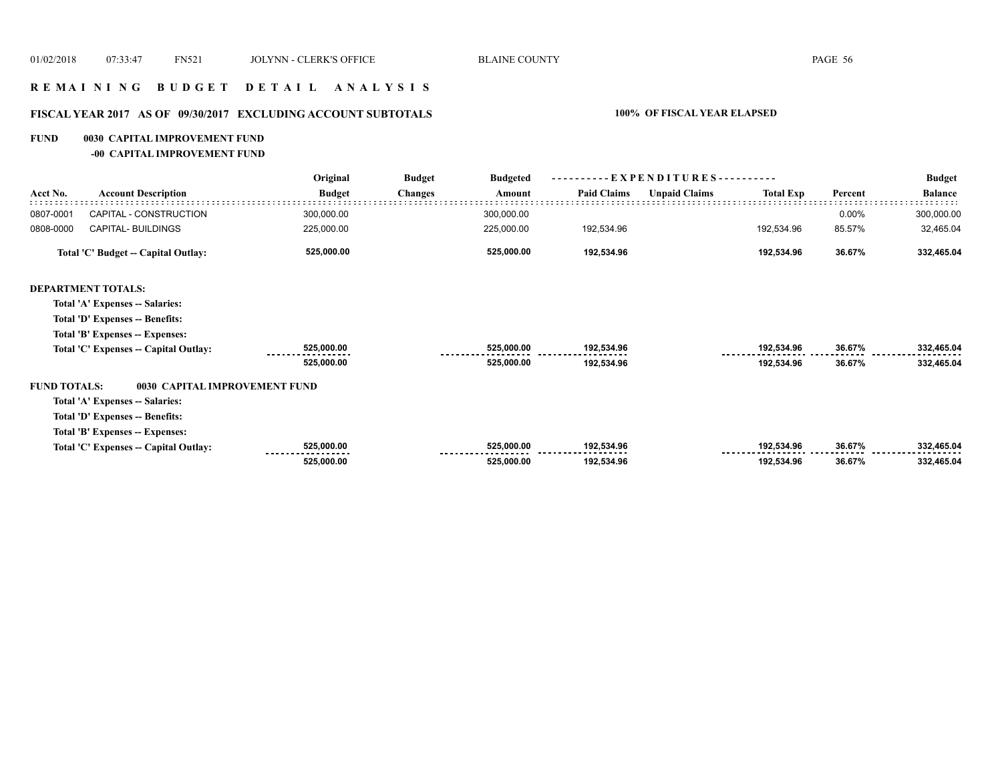## **R E M A I N I N G B U D G E T D E T A I L A N A L Y S I S**

# **FISCAL YEAR 2017 AS OF 09/30/2017 EXCLUDING ACCOUNT SUBTOTALS 100% OF FISCAL YEAR ELAPSED**

#### **FUND 0030 CAPITAL IMPROVEMENT FUND**

**-00 CAPITAL IMPROVEMENT FUND**

|                     |                                       | Original      | <b>Budget</b>  | <b>Budgeted</b> | EXPENDITURES--     |                      |                  |         | <b>Budget</b>  |
|---------------------|---------------------------------------|---------------|----------------|-----------------|--------------------|----------------------|------------------|---------|----------------|
| Acct No.            | <b>Account Description</b>            | <b>Budget</b> | <b>Changes</b> | Amount          | <b>Paid Claims</b> | <b>Unpaid Claims</b> | <b>Total Exp</b> | Percent | <b>Balance</b> |
| 0807-0001           | CAPITAL - CONSTRUCTION                | 300,000.00    |                | 300,000.00      |                    |                      |                  | 0.00%   | 300,000.00     |
| 0808-0000           | CAPITAL- BUILDINGS                    | 225,000.00    |                | 225,000.00      | 192,534.96         |                      | 192,534.96       | 85.57%  | 32,465.04      |
|                     | Total 'C' Budget -- Capital Outlay:   | 525,000.00    |                | 525,000.00      | 192,534.96         |                      | 192,534.96       | 36.67%  | 332,465.04     |
|                     | <b>DEPARTMENT TOTALS:</b>             |               |                |                 |                    |                      |                  |         |                |
|                     | Total 'A' Expenses -- Salaries:       |               |                |                 |                    |                      |                  |         |                |
|                     | Total 'D' Expenses -- Benefits:       |               |                |                 |                    |                      |                  |         |                |
|                     | Total 'B' Expenses -- Expenses:       |               |                |                 |                    |                      |                  |         |                |
|                     | Total 'C' Expenses -- Capital Outlay: | 525,000.00    |                | 525,000.00      | 192,534.96         |                      | 192,534.96       | 36.67%  | 332,465.04     |
|                     |                                       | 525,000.00    |                | 525,000.00      | 192,534.96         |                      | 192,534.96       | 36.67%  | 332,465.04     |
| <b>FUND TOTALS:</b> | 0030 CAPITAL IMPROVEMENT FUND         |               |                |                 |                    |                      |                  |         |                |
|                     | Total 'A' Expenses -- Salaries:       |               |                |                 |                    |                      |                  |         |                |
|                     | Total 'D' Expenses -- Benefits:       |               |                |                 |                    |                      |                  |         |                |
|                     | Total 'B' Expenses -- Expenses:       |               |                |                 |                    |                      |                  |         |                |
|                     | Total 'C' Expenses -- Capital Outlay: | 525,000.00    |                | 525,000.00      | 192,534.96         |                      | 192,534.96       | 36.67%  | 332,465.04     |
|                     |                                       | 525,000.00    |                | 525,000.00      | 192,534.96         |                      | 192,534.96       | 36.67%  | 332,465.04     |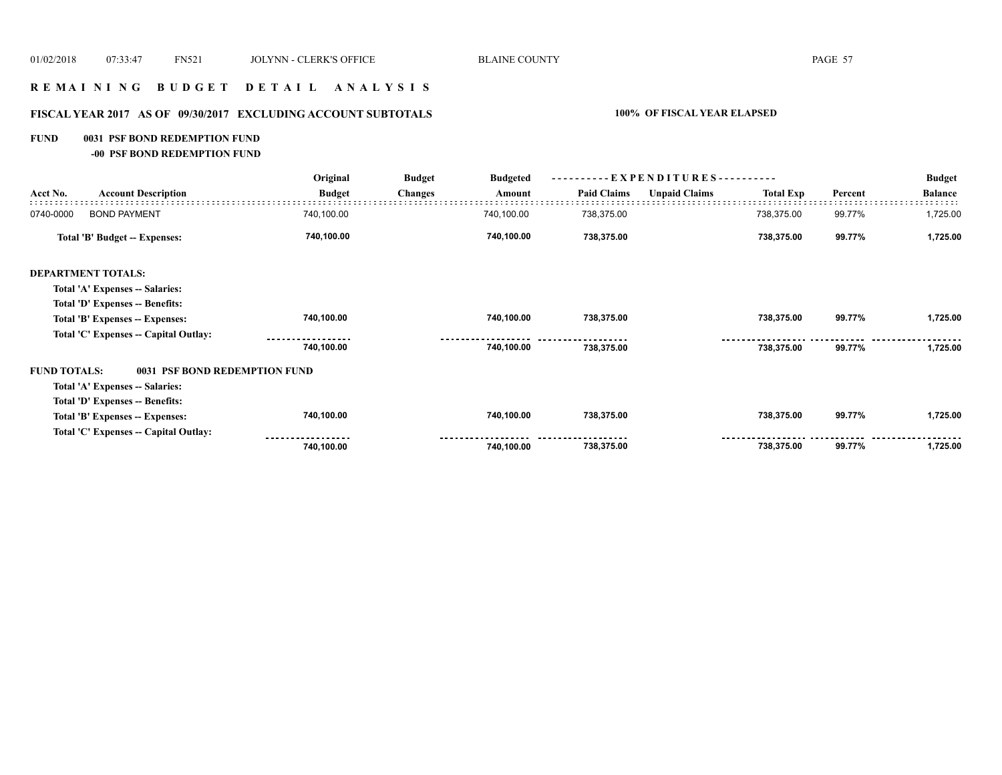# **R E M A I N I N G B U D G E T D E T A I L A N A L Y S I S**

# **FISCAL YEAR 2017 AS OF 09/30/2017 EXCLUDING ACCOUNT SUBTOTALS 100% OF FISCAL YEAR ELAPSED**

### **FUND 0031 PSF BOND REDEMPTION FUND**

**-00 PSF BOND REDEMPTION FUND**

| Original<br><b>Budget</b><br><b>Budgeted</b> |                                       |               | ----------EXPENDITURES---------- |            |                    |                      | <b>Budget</b>    |         |                |
|----------------------------------------------|---------------------------------------|---------------|----------------------------------|------------|--------------------|----------------------|------------------|---------|----------------|
| Acct No.                                     | <b>Account Description</b>            | <b>Budget</b> | <b>Changes</b>                   | Amount     | <b>Paid Claims</b> | <b>Unpaid Claims</b> | <b>Total Exp</b> | Percent | <b>Balance</b> |
| 0740-0000                                    | <b>BOND PAYMENT</b>                   | 740,100.00    |                                  | 740,100.00 | 738,375.00         |                      | 738,375.00       | 99.77%  | 1,725.00       |
|                                              | Total 'B' Budget -- Expenses:         | 740,100.00    |                                  | 740,100.00 | 738,375.00         |                      | 738,375.00       | 99.77%  | 1,725.00       |
|                                              | <b>DEPARTMENT TOTALS:</b>             |               |                                  |            |                    |                      |                  |         |                |
|                                              | Total 'A' Expenses -- Salaries:       |               |                                  |            |                    |                      |                  |         |                |
|                                              | Total 'D' Expenses -- Benefits:       |               |                                  |            |                    |                      |                  |         |                |
|                                              | Total 'B' Expenses -- Expenses:       | 740,100.00    |                                  | 740,100.00 | 738,375.00         |                      | 738,375.00       | 99.77%  | 1,725.00       |
|                                              | Total 'C' Expenses -- Capital Outlay: |               |                                  |            |                    |                      |                  |         |                |
|                                              |                                       | 740,100.00    |                                  | 740,100.00 | 738,375.00         |                      | 738,375.00       | 99.77%  | 1,725.00       |
| <b>FUND TOTALS:</b>                          | 0031 PSF BOND REDEMPTION FUND         |               |                                  |            |                    |                      |                  |         |                |
|                                              | Total 'A' Expenses -- Salaries:       |               |                                  |            |                    |                      |                  |         |                |
|                                              | Total 'D' Expenses -- Benefits:       |               |                                  |            |                    |                      |                  |         |                |
|                                              | Total 'B' Expenses -- Expenses:       | 740,100.00    |                                  | 740,100.00 | 738,375.00         |                      | 738,375.00       | 99.77%  | 1,725.00       |
|                                              | Total 'C' Expenses -- Capital Outlay: |               |                                  |            |                    |                      |                  |         |                |
|                                              |                                       | 740,100.00    |                                  | 740,100.00 | 738,375.00         |                      | 738,375.00       | 99.77%  | 1,725.00       |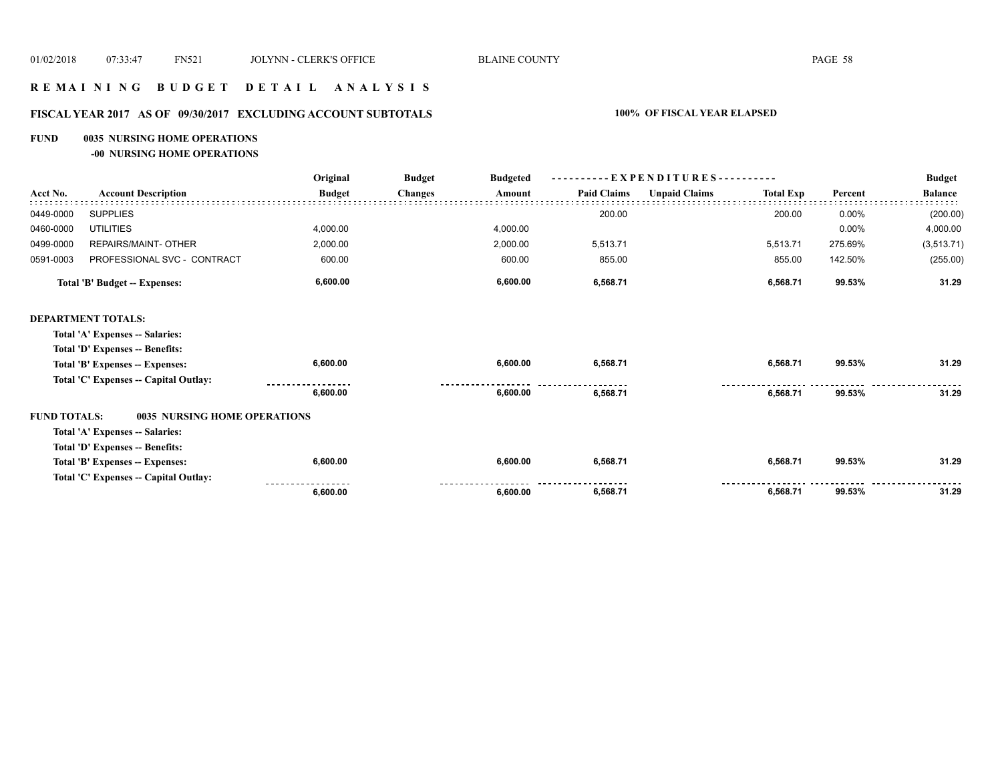## **R E M A I N I N G B U D G E T D E T A I L A N A L Y S I S**

# **FISCAL YEAR 2017 AS OF 09/30/2017 EXCLUDING ACCOUNT SUBTOTALS 100% OF FISCAL YEAR ELAPSED**

#### **FUND 0035 NURSING HOME OPERATIONS**

**-00 NURSING HOME OPERATIONS**

|                     |                                       | Original      | <b>Budget</b><br><b>Budgeted</b> | - EXPENDITURES---------- |                    |                      |                  | <b>Budget</b> |                |
|---------------------|---------------------------------------|---------------|----------------------------------|--------------------------|--------------------|----------------------|------------------|---------------|----------------|
| Acct No.            | <b>Account Description</b>            | <b>Budget</b> | <b>Changes</b>                   | Amount                   | <b>Paid Claims</b> | <b>Unpaid Claims</b> | <b>Total Exp</b> | Percent       | <b>Balance</b> |
| 0449-0000           | <b>SUPPLIES</b>                       |               |                                  |                          | 200.00             |                      | 200.00           | 0.00%         | (200.00)       |
| 0460-0000           | <b>UTILITIES</b>                      | 4,000.00      |                                  | 4,000.00                 |                    |                      |                  | 0.00%         | 4,000.00       |
| 0499-0000           | REPAIRS/MAINT- OTHER                  | 2,000.00      |                                  | 2,000.00                 | 5,513.71           |                      | 5,513.71         | 275.69%       | (3,513.71)     |
| 0591-0003           | PROFESSIONAL SVC - CONTRACT           | 600.00        |                                  | 600.00                   | 855.00             |                      | 855.00           | 142.50%       | (255.00)       |
|                     | <b>Total 'B' Budget -- Expenses:</b>  | 6,600.00      |                                  | 6,600.00                 | 6,568.71           |                      | 6,568.71         | 99.53%        | 31.29          |
|                     | <b>DEPARTMENT TOTALS:</b>             |               |                                  |                          |                    |                      |                  |               |                |
|                     | Total 'A' Expenses -- Salaries:       |               |                                  |                          |                    |                      |                  |               |                |
|                     | Total 'D' Expenses -- Benefits:       |               |                                  |                          |                    |                      |                  |               |                |
|                     | Total 'B' Expenses -- Expenses:       | 6,600.00      |                                  | 6,600.00                 | 6,568.71           |                      | 6,568.71         | 99.53%        | 31.29          |
|                     | Total 'C' Expenses -- Capital Outlay: |               |                                  |                          |                    |                      |                  |               |                |
|                     |                                       | 6,600.00      |                                  | 6,600.00                 | 6,568.71           |                      | 6,568.71         | 99.53%        | 31.29          |
| <b>FUND TOTALS:</b> | <b>0035 NURSING HOME OPERATIONS</b>   |               |                                  |                          |                    |                      |                  |               |                |
|                     | Total 'A' Expenses -- Salaries:       |               |                                  |                          |                    |                      |                  |               |                |
|                     | Total 'D' Expenses -- Benefits:       |               |                                  |                          |                    |                      |                  |               |                |
|                     | Total 'B' Expenses -- Expenses:       | 6,600.00      |                                  | 6,600.00                 | 6,568.71           |                      | 6,568.71         | 99.53%        | 31.29          |
|                     | Total 'C' Expenses -- Capital Outlay: |               |                                  |                          |                    |                      |                  |               |                |
|                     |                                       | 6,600.00      |                                  | 6,600.00                 | 6,568.71           |                      | 6,568.71         | 99.53%        | 31.29          |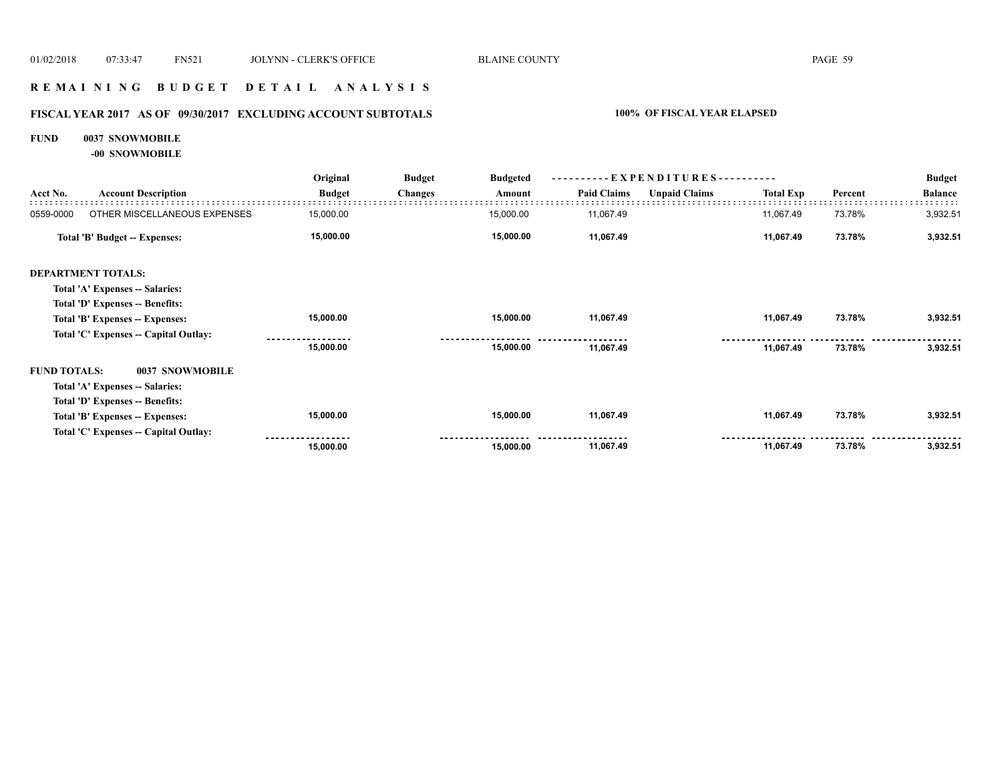## **R E M A I N I N G B U D G E T D E T A I L A N A L Y S I S**

# **FISCAL YEAR 2017 AS OF 09/30/2017 EXCLUDING ACCOUNT SUBTOTALS 100% OF FISCAL YEAR ELAPSED**

#### **FUND 0037 SNOWMOBILE**

**-00 SNOWMOBILE**

|                     |                                       | Original      | <b>Budget</b>  | <b>Budgeted</b> | ----------EXPENDITURES---------- |                      |                  |         | <b>Budget</b>  |
|---------------------|---------------------------------------|---------------|----------------|-----------------|----------------------------------|----------------------|------------------|---------|----------------|
| Acct No.            | <b>Account Description</b>            | <b>Budget</b> | <b>Changes</b> | Amount          | <b>Paid Claims</b>               | <b>Unpaid Claims</b> | <b>Total Exp</b> | Percent | <b>Balance</b> |
| 0559-0000           | OTHER MISCELLANEOUS EXPENSES          | 15,000.00     |                | 15,000.00       | 11,067.49                        |                      | 11,067.49        | 73.78%  | 3,932.51       |
|                     | Total 'B' Budget -- Expenses:         | 15,000.00     |                | 15,000.00       | 11,067.49                        |                      | 11,067.49        | 73.78%  | 3,932.51       |
|                     | <b>DEPARTMENT TOTALS:</b>             |               |                |                 |                                  |                      |                  |         |                |
|                     | Total 'A' Expenses -- Salaries:       |               |                |                 |                                  |                      |                  |         |                |
|                     | Total 'D' Expenses -- Benefits:       |               |                |                 |                                  |                      |                  |         |                |
|                     | Total 'B' Expenses -- Expenses:       | 15,000.00     |                | 15,000.00       | 11,067.49                        |                      | 11,067.49        | 73.78%  | 3,932.51       |
|                     | Total 'C' Expenses -- Capital Outlay: |               |                |                 |                                  |                      |                  |         |                |
|                     |                                       | 15,000.00     |                | 15,000.00       | 11,067.49                        |                      | 11,067.49        | 73.78%  | 3,932.51       |
| <b>FUND TOTALS:</b> | 0037 SNOWMOBILE                       |               |                |                 |                                  |                      |                  |         |                |
|                     | Total 'A' Expenses -- Salaries:       |               |                |                 |                                  |                      |                  |         |                |
|                     | Total 'D' Expenses -- Benefits:       |               |                |                 |                                  |                      |                  |         |                |
|                     | Total 'B' Expenses -- Expenses:       | 15,000.00     |                | 15,000.00       | 11,067.49                        |                      | 11,067.49        | 73.78%  | 3,932.51       |
|                     | Total 'C' Expenses -- Capital Outlay: |               |                |                 |                                  |                      |                  |         |                |
|                     |                                       | 15,000.00     |                | 15,000.00       | 11,067.49                        |                      | 11,067.49        | 73.78%  | 3,932.51       |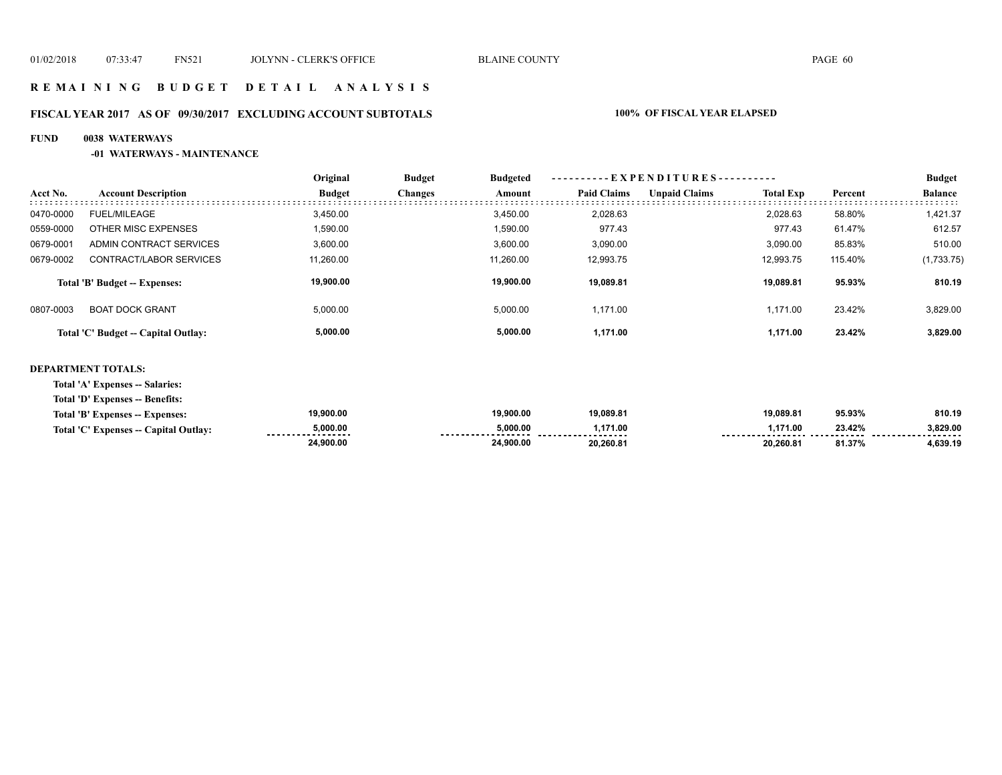# **R E M A I N I N G B U D G E T D E T A I L A N A L Y S I S**

# **FISCAL YEAR 2017 AS OF 09/30/2017 EXCLUDING ACCOUNT SUBTOTALS 100% OF FISCAL YEAR ELAPSED**

## **FUND 0038 WATERWAYS**

## **-01 WATERWAYS - MAINTENANCE**

|           |                                     | Original      | <b>Budget</b>  | <b>Budgeted</b> | --EXPENDITURES---------- |                      |                  |         | <b>Budget</b>  |  |
|-----------|-------------------------------------|---------------|----------------|-----------------|--------------------------|----------------------|------------------|---------|----------------|--|
| Acct No.  | <b>Account Description</b>          | <b>Budget</b> | <b>Changes</b> | Amount          | <b>Paid Claims</b>       | <b>Unpaid Claims</b> | <b>Total Exp</b> | Percent | <b>Balance</b> |  |
| 0470-0000 | FUEL/MILEAGE                        | 3,450.00      |                | 3,450.00        | 2,028.63                 |                      | 2,028.63         | 58.80%  | 1,421.37       |  |
| 0559-0000 | OTHER MISC EXPENSES                 | 1,590.00      |                | 1,590.00        | 977.43                   |                      | 977.43           | 61.47%  | 612.57         |  |
| 0679-0001 | ADMIN CONTRACT SERVICES             | 3,600.00      |                | 3,600.00        | 3,090.00                 |                      | 3.090.00         | 85.83%  | 510.00         |  |
| 0679-0002 | CONTRACT/LABOR SERVICES             | 11,260.00     |                | 11,260.00       | 12,993.75                |                      | 12.993.75        | 115.40% | (1,733.75)     |  |
|           | Total 'B' Budget -- Expenses:       | 19,900.00     |                | 19.900.00       | 19,089.81                |                      | 19.089.81        | 95.93%  | 810.19         |  |
| 0807-0003 | <b>BOAT DOCK GRANT</b>              | 5,000.00      |                | 5,000.00        | 1.171.00                 |                      | 1.171.00         | 23.42%  | 3,829.00       |  |
|           | Total 'C' Budget -- Capital Outlay: | 5,000.00      |                | 5,000.00        | 1,171.00                 |                      | 1,171.00         | 23.42%  | 3,829.00       |  |

### **DEPARTMENT TOTALS:**

**Total 'A' Expenses -- Salaries:**

**Total 'D' Expenses -- Benefits:**

|                                       | 24,900.00     | 24.900.00                       | 20.260.81                     | 20,260.81 | 81.37% | 1,639.19      |
|---------------------------------------|---------------|---------------------------------|-------------------------------|-----------|--------|---------------|
| Total 'C' Expenses -- Capital Outlay: | 5.000.00<br>. | 0.000.00<br>------------------- | .171.00<br>------------------ | .171.00   | 23.42% | 3.829.00<br>. |
| Total 'B' Expenses -- Expenses:       | 19.900.00     | 19,900.00                       | 19.089.81                     | 19.089.81 | 95.93% | 810.19        |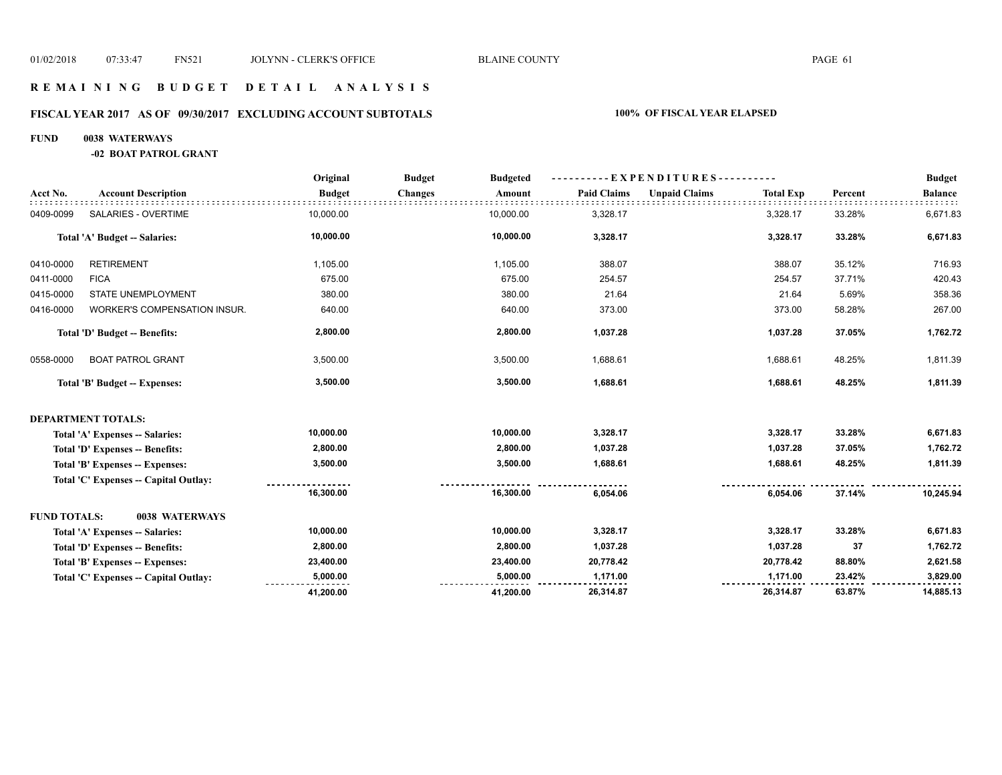## **R E M A I N I N G B U D G E T D E T A I L A N A L Y S I S**

# **FISCAL YEAR 2017 AS OF 09/30/2017 EXCLUDING ACCOUNT SUBTOTALS 100% OF FISCAL YEAR ELAPSED**

#### **FUND 0038 WATERWAYS**

**-02 BOAT PATROL GRANT**

|                     |                                        | Original      | <b>Budget</b><br><b>Budgeted</b> |                    | --- E X P E N D I T U R E S ----------   |         | <b>Budget</b>  |
|---------------------|----------------------------------------|---------------|----------------------------------|--------------------|------------------------------------------|---------|----------------|
| Acct No.            | <b>Account Description</b>             | <b>Budget</b> | <b>Changes</b><br>Amount         | <b>Paid Claims</b> | <b>Unpaid Claims</b><br><b>Total Exp</b> | Percent | <b>Balance</b> |
| 0409-0099           | <b>SALARIES - OVERTIME</b>             | 10,000.00     | 10,000.00                        | 3,328.17           | 3,328.17                                 | 33.28%  | 6,671.83       |
|                     | Total 'A' Budget -- Salaries:          | 10,000.00     | 10,000.00                        | 3,328.17           | 3,328.17                                 | 33.28%  | 6,671.83       |
| 0410-0000           | <b>RETIREMENT</b>                      | 1,105.00      | 1,105.00                         | 388.07             | 388.07                                   | 35.12%  | 716.93         |
| 0411-0000           | <b>FICA</b>                            | 675.00        | 675.00                           | 254.57             | 254.57                                   | 37.71%  | 420.43         |
| 0415-0000           | <b>STATE UNEMPLOYMENT</b>              | 380.00        | 380.00                           | 21.64              | 21.64                                    | 5.69%   | 358.36         |
| 0416-0000           | WORKER'S COMPENSATION INSUR.           | 640.00        | 640.00                           | 373.00             | 373.00                                   | 58.28%  | 267.00         |
|                     | Total 'D' Budget -- Benefits:          | 2,800.00      | 2,800.00                         | 1,037.28           | 1,037.28                                 | 37.05%  | 1,762.72       |
| 0558-0000           | <b>BOAT PATROL GRANT</b>               | 3,500.00      | 3,500.00                         | 1,688.61           | 1,688.61                                 | 48.25%  | 1,811.39       |
|                     | Total 'B' Budget -- Expenses:          | 3,500.00      | 3,500.00                         | 1,688.61           | 1,688.61                                 | 48.25%  | 1,811.39       |
|                     | <b>DEPARTMENT TOTALS:</b>              |               |                                  |                    |                                          |         |                |
|                     | Total 'A' Expenses -- Salaries:        | 10,000.00     | 10,000.00                        | 3,328.17           | 3,328.17                                 | 33.28%  | 6,671.83       |
|                     | Total 'D' Expenses -- Benefits:        | 2,800.00      | 2,800.00                         | 1,037.28           | 1,037.28                                 | 37.05%  | 1,762.72       |
|                     | Total 'B' Expenses -- Expenses:        | 3,500.00      | 3,500.00                         | 1,688.61           | 1,688.61                                 | 48.25%  | 1,811.39       |
|                     | Total 'C' Expenses -- Capital Outlay:  |               |                                  |                    |                                          |         |                |
|                     |                                        | 16,300.00     | 16,300.00                        | 6,054.06           | 6,054.06                                 | 37.14%  | 10,245.94      |
| <b>FUND TOTALS:</b> | 0038 WATERWAYS                         |               |                                  |                    |                                          |         |                |
|                     | Total 'A' Expenses -- Salaries:        | 10,000.00     | 10,000.00                        | 3,328.17           | 3,328.17                                 | 33.28%  | 6,671.83       |
|                     | <b>Total 'D' Expenses -- Benefits:</b> | 2,800.00      | 2,800.00                         | 1,037.28           | 1,037.28                                 | 37      | 1,762.72       |
|                     | Total 'B' Expenses -- Expenses:        | 23,400.00     | 23,400.00                        | 20,778.42          | 20,778.42                                | 88.80%  | 2,621.58       |
|                     | Total 'C' Expenses -- Capital Outlay:  | 5,000.00      | 5,000.00                         | 1,171.00           | 1,171.00                                 | 23.42%  | 3,829.00       |
|                     |                                        | 41,200.00     | 41,200.00                        | 26,314.87          | 26,314.87                                | 63.87%  | 14,885.13      |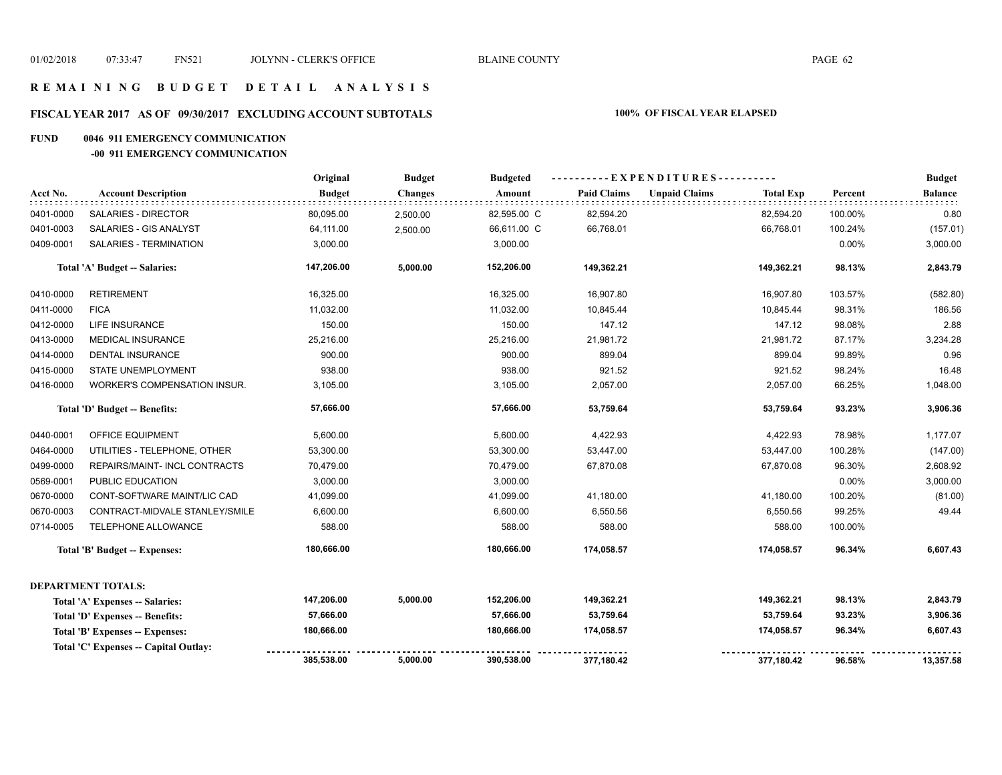## **FISCAL YEAR 2017 AS OF 09/30/2017 EXCLUDING ACCOUNT SUBTOTALS 100% OF FISCAL YEAR ELAPSED**

### **FUND 0046 911 EMERGENCY COMMUNICATION**

### **-00 911 EMERGENCY COMMUNICATION**

|           |                                        | Original      | <b>Budget</b>  | <b>Budgeted</b> |                    |                      |                  |          | <b>Budget</b>  |
|-----------|----------------------------------------|---------------|----------------|-----------------|--------------------|----------------------|------------------|----------|----------------|
| Acct No.  | <b>Account Description</b>             | <b>Budget</b> | <b>Changes</b> | Amount          | <b>Paid Claims</b> | <b>Unpaid Claims</b> | <b>Total Exp</b> | Percent  | <b>Balance</b> |
| 0401-0000 | SALARIES - DIRECTOR                    | 80,095.00     | 2,500.00       | 82,595.00 C     | 82,594.20          |                      | 82,594.20        | 100.00%  | 0.80           |
| 0401-0003 | SALARIES - GIS ANALYST                 | 64,111.00     | 2,500.00       | 66,611.00 C     | 66,768.01          |                      | 66,768.01        | 100.24%  | (157.01)       |
| 0409-0001 | SALARIES - TERMINATION                 | 3,000.00      |                | 3,000.00        |                    |                      |                  | 0.00%    | 3,000.00       |
|           | Total 'A' Budget -- Salaries:          | 147,206.00    | 5,000.00       | 152,206.00      | 149,362.21         |                      | 149,362.21       | 98.13%   | 2,843.79       |
| 0410-0000 | <b>RETIREMENT</b>                      | 16,325.00     |                | 16,325.00       | 16,907.80          |                      | 16,907.80        | 103.57%  | (582.80)       |
| 0411-0000 | <b>FICA</b>                            | 11,032.00     |                | 11,032.00       | 10,845.44          |                      | 10,845.44        | 98.31%   | 186.56         |
| 0412-0000 | <b>LIFE INSURANCE</b>                  | 150.00        |                | 150.00          | 147.12             |                      | 147.12           | 98.08%   | 2.88           |
| 0413-0000 | <b>MEDICAL INSURANCE</b>               | 25,216.00     |                | 25,216.00       | 21,981.72          |                      | 21,981.72        | 87.17%   | 3,234.28       |
| 0414-0000 | <b>DENTAL INSURANCE</b>                | 900.00        |                | 900.00          | 899.04             |                      | 899.04           | 99.89%   | 0.96           |
| 0415-0000 | <b>STATE UNEMPLOYMENT</b>              | 938.00        |                | 938.00          | 921.52             |                      | 921.52           | 98.24%   | 16.48          |
| 0416-0000 | <b>WORKER'S COMPENSATION INSUR.</b>    | 3,105.00      |                | 3,105.00        | 2,057.00           |                      | 2,057.00         | 66.25%   | 1,048.00       |
|           | Total 'D' Budget -- Benefits:          | 57,666.00     |                | 57,666.00       | 53,759.64          |                      | 53,759.64        | 93.23%   | 3,906.36       |
| 0440-0001 | OFFICE EQUIPMENT                       | 5,600.00      |                | 5,600.00        | 4,422.93           |                      | 4,422.93         | 78.98%   | 1,177.07       |
| 0464-0000 | UTILITIES - TELEPHONE, OTHER           | 53,300.00     |                | 53,300.00       | 53,447.00          |                      | 53,447.00        | 100.28%  | (147.00)       |
| 0499-0000 | REPAIRS/MAINT- INCL CONTRACTS          | 70,479.00     |                | 70,479.00       | 67,870.08          |                      | 67,870.08        | 96.30%   | 2,608.92       |
| 0569-0001 | PUBLIC EDUCATION                       | 3,000.00      |                | 3,000.00        |                    |                      |                  | $0.00\%$ | 3,000.00       |
| 0670-0000 | CONT-SOFTWARE MAINT/LIC CAD            | 41,099.00     |                | 41,099.00       | 41,180.00          |                      | 41,180.00        | 100.20%  | (81.00)        |
| 0670-0003 | CONTRACT-MIDVALE STANLEY/SMILE         | 6,600.00      |                | 6,600.00        | 6,550.56           |                      | 6,550.56         | 99.25%   | 49.44          |
| 0714-0005 | TELEPHONE ALLOWANCE                    | 588.00        |                | 588.00          | 588.00             |                      | 588.00           | 100.00%  |                |
|           | Total 'B' Budget -- Expenses:          | 180,666.00    |                | 180,666.00      | 174,058.57         |                      | 174,058.57       | 96.34%   | 6,607.43       |
|           | <b>DEPARTMENT TOTALS:</b>              |               |                |                 |                    |                      |                  |          |                |
|           | Total 'A' Expenses -- Salaries:        | 147,206.00    | 5,000.00       | 152,206.00      | 149,362.21         |                      | 149,362.21       | 98.13%   | 2,843.79       |
|           | Total 'D' Expenses -- Benefits:        | 57,666.00     |                | 57,666.00       | 53,759.64          |                      | 53,759.64        | 93.23%   | 3,906.36       |
|           | <b>Total 'B' Expenses -- Expenses:</b> | 180,666.00    |                | 180,666.00      | 174,058.57         |                      | 174,058.57       | 96.34%   | 6,607.43       |
|           | Total 'C' Expenses -- Capital Outlay:  |               |                |                 |                    |                      |                  |          |                |
|           |                                        | 385,538.00    | 5,000.00       | 390,538.00      | 377,180.42         |                      | 377,180.42       | 96.58%   | 13,357.58      |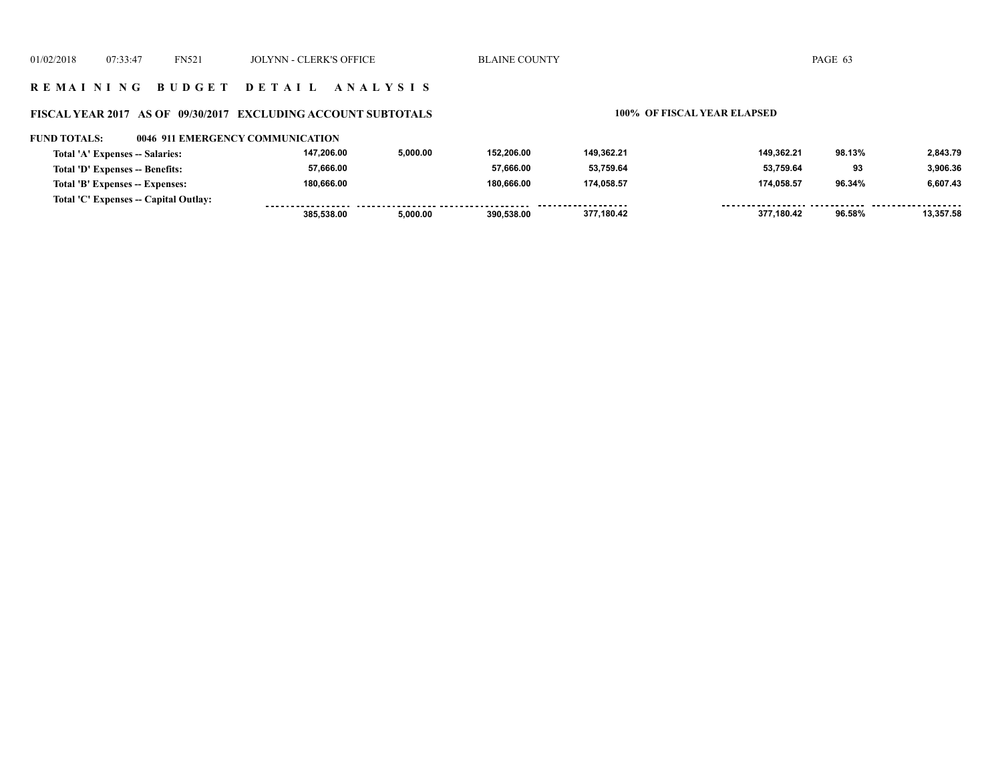## **R E M A I N I N G B U D G E T D E T A I L A N A L Y S I S**

## **FISCAL YEAR 2017 AS OF 09/30/2017 EXCLUDING ACCOUNT SUBTOTALS 100% OF FISCAL YEAR ELAPSED**

| <b>FUND TOTALS:</b>             | 0046 911 EMERGENCY COMMUNICATION      |            |          |            |                     |            |        |           |
|---------------------------------|---------------------------------------|------------|----------|------------|---------------------|------------|--------|-----------|
| Total 'A' Expenses -- Salaries: |                                       | 147,206.00 | 5,000.00 | 152.206.00 | 149.362.21          | 149.362.21 | 98.13% | 2.843.79  |
| Total 'D' Expenses -- Benefits: |                                       | 57,666.00  |          | 57.666.00  | 53,759.64           | 53.759.64  | 93     | 3.906.36  |
| Total 'B' Expenses -- Expenses: |                                       | 180,666.00 |          | 180.666.00 | 174.058.57          | 174,058.57 | 96.34% | 6,607.43  |
|                                 | Total 'C' Expenses -- Capital Outlay: |            |          |            | ------------------- |            |        |           |
|                                 |                                       | 385.538.00 | 5,000.00 | 390.538.00 | 377,180.42          | 377.180.42 | 96.58% | 13.357.58 |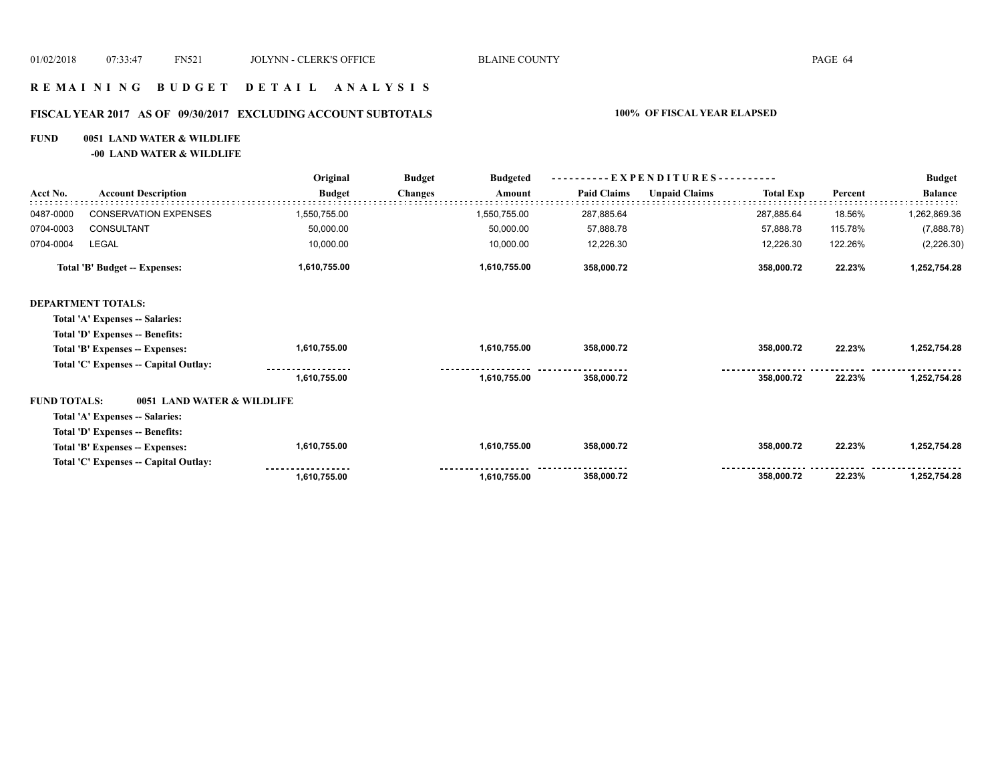# **R E M A I N I N G B U D G E T D E T A I L A N A L Y S I S**

## **FISCAL YEAR 2017 AS OF 09/30/2017 EXCLUDING ACCOUNT SUBTOTALS 100% OF FISCAL YEAR ELAPSED**

## **FUND 0051 LAND WATER & WILDLIFE**

**-00 LAND WATER & WILDLIFE**

|                     |                                       | Original      | <b>Budget</b><br><b>Budgeted</b> | $-EXPENDITURES$ --------- |                    |                      |                  | <b>Budget</b> |                |
|---------------------|---------------------------------------|---------------|----------------------------------|---------------------------|--------------------|----------------------|------------------|---------------|----------------|
| Acct No.            | <b>Account Description</b>            | <b>Budget</b> | <b>Changes</b>                   | Amount                    | <b>Paid Claims</b> | <b>Unpaid Claims</b> | <b>Total Exp</b> | Percent       | <b>Balance</b> |
| 0487-0000           | <b>CONSERVATION EXPENSES</b>          | 1,550,755.00  |                                  | 1,550,755.00              | 287,885.64         |                      | 287,885.64       | 18.56%        | 1,262,869.36   |
| 0704-0003           | CONSULTANT                            | 50,000.00     |                                  | 50,000.00                 | 57,888.78          |                      | 57,888.78        | 115.78%       | (7,888.78)     |
| 0704-0004           | LEGAL                                 | 10,000.00     |                                  | 10,000.00                 | 12,226.30          |                      | 12,226.30        | 122.26%       | (2,226.30)     |
|                     | Total 'B' Budget -- Expenses:         | 1,610,755.00  |                                  | 1,610,755.00              | 358,000.72         |                      | 358,000.72       | 22.23%        | 1,252,754.28   |
|                     | <b>DEPARTMENT TOTALS:</b>             |               |                                  |                           |                    |                      |                  |               |                |
|                     | Total 'A' Expenses -- Salaries:       |               |                                  |                           |                    |                      |                  |               |                |
|                     | Total 'D' Expenses -- Benefits:       |               |                                  |                           |                    |                      |                  |               |                |
|                     | Total 'B' Expenses -- Expenses:       | 1,610,755.00  |                                  | 1,610,755.00              | 358,000.72         |                      | 358,000.72       | 22.23%        | 1,252,754.28   |
|                     | Total 'C' Expenses -- Capital Outlay: |               |                                  |                           |                    |                      |                  |               |                |
|                     |                                       | 1,610,755.00  |                                  | 1,610,755.00              | 358,000.72         |                      | 358,000.72       | 22.23%        | 1,252,754.28   |
| <b>FUND TOTALS:</b> | 0051 LAND WATER & WILDLIFE            |               |                                  |                           |                    |                      |                  |               |                |
|                     | Total 'A' Expenses -- Salaries:       |               |                                  |                           |                    |                      |                  |               |                |
|                     | Total 'D' Expenses -- Benefits:       |               |                                  |                           |                    |                      |                  |               |                |
|                     | Total 'B' Expenses -- Expenses:       | 1,610,755.00  |                                  | 1,610,755.00              | 358,000.72         |                      | 358,000.72       | 22.23%        | 1,252,754.28   |
|                     | Total 'C' Expenses -- Capital Outlay: |               |                                  |                           |                    |                      |                  |               |                |
|                     |                                       | 1,610,755.00  |                                  | 1,610,755.00              | 358,000.72         |                      | 358,000.72       | 22.23%        | 1,252,754.28   |